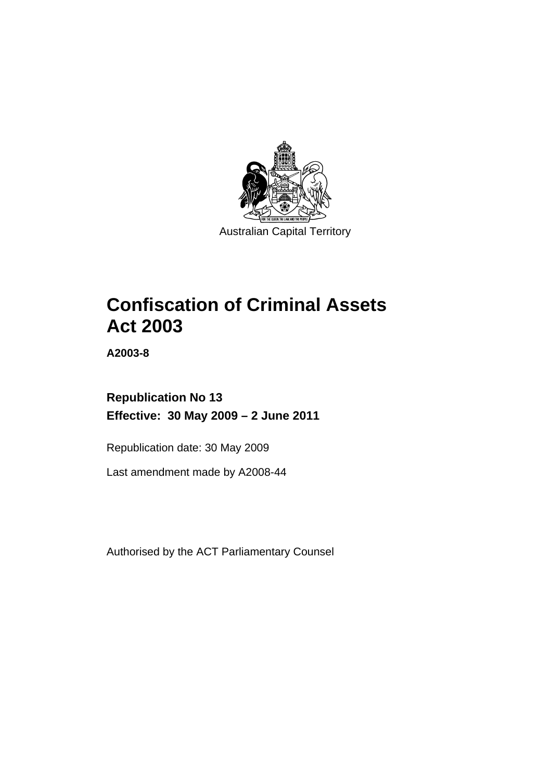

# **[Confiscation of Criminal Assets](#page-14-0)  [Act 2003](#page-14-0)**

**A2003-8** 

**Republication No 13 Effective: 30 May 2009 – 2 June 2011** 

Republication date: 30 May 2009

Last amendment made by A2008-44

Authorised by the ACT Parliamentary Counsel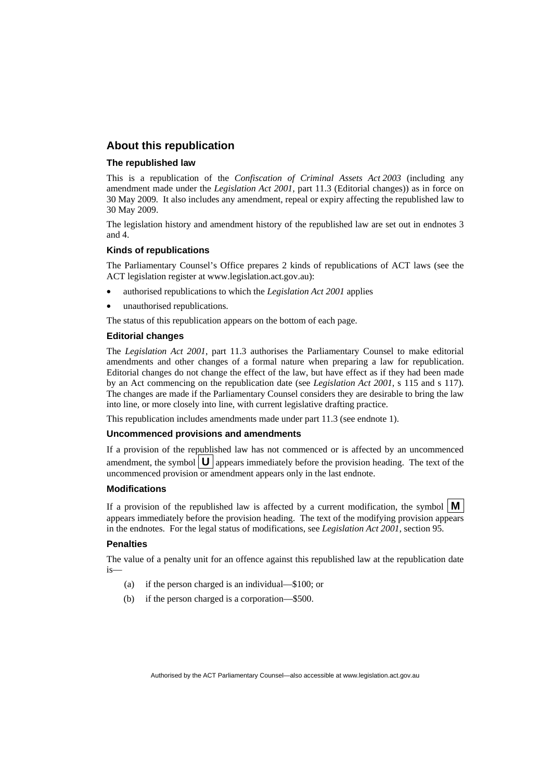# **About this republication**

### **The republished law**

This is a republication of the *Confiscation of Criminal Assets Act 2003* (including any amendment made under the *Legislation Act 2001*, part 11.3 (Editorial changes)) as in force on 30 May 2009*.* It also includes any amendment, repeal or expiry affecting the republished law to 30 May 2009.

The legislation history and amendment history of the republished law are set out in endnotes 3 and 4.

### **Kinds of republications**

The Parliamentary Counsel's Office prepares 2 kinds of republications of ACT laws (see the ACT legislation register at www.legislation.act.gov.au):

- authorised republications to which the *Legislation Act 2001* applies
- unauthorised republications.

The status of this republication appears on the bottom of each page.

### **Editorial changes**

The *Legislation Act 2001*, part 11.3 authorises the Parliamentary Counsel to make editorial amendments and other changes of a formal nature when preparing a law for republication. Editorial changes do not change the effect of the law, but have effect as if they had been made by an Act commencing on the republication date (see *Legislation Act 2001*, s 115 and s 117). The changes are made if the Parliamentary Counsel considers they are desirable to bring the law into line, or more closely into line, with current legislative drafting practice.

This republication includes amendments made under part 11.3 (see endnote 1).

### **Uncommenced provisions and amendments**

If a provision of the republished law has not commenced or is affected by an uncommenced amendment, the symbol  $\mathbf{U}$  appears immediately before the provision heading. The text of the uncommenced provision  $\overline{or}$  amendment appears only in the last endnote.

### **Modifications**

If a provision of the republished law is affected by a current modification, the symbol  $\mathbf{M}$ appears immediately before the provision heading. The text of the modifying provision appears in the endnotes. For the legal status of modifications, see *Legislation Act 2001*, section 95.

### **Penalties**

The value of a penalty unit for an offence against this republished law at the republication date is—

- (a) if the person charged is an individual—\$100; or
- (b) if the person charged is a corporation—\$500.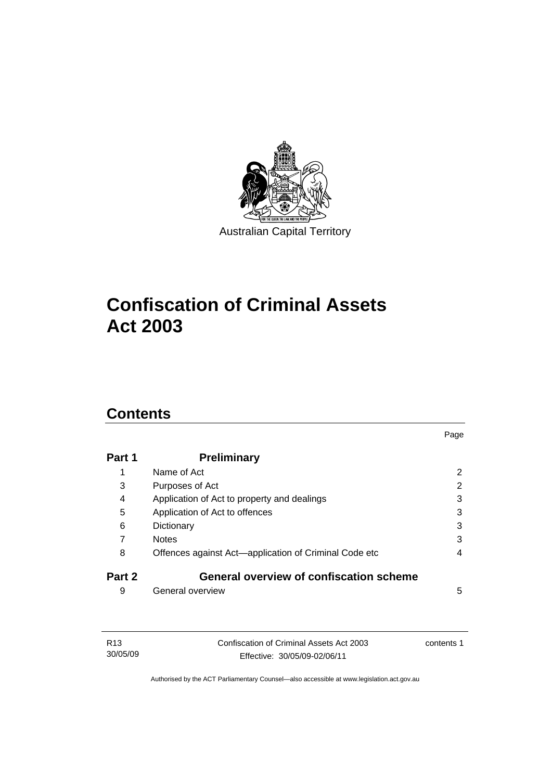

# **[Confiscation of Criminal Assets](#page-14-0)  [Act 2003](#page-14-0)**

# **Contents**

| Part 1 | <b>Preliminary</b>                                    |                |
|--------|-------------------------------------------------------|----------------|
| 1      | Name of Act                                           | $\overline{2}$ |
| 3      | Purposes of Act                                       | 2              |
| 4      | Application of Act to property and dealings           | 3              |
| 5      | Application of Act to offences                        | 3              |
| 6      | Dictionary                                            | 3              |
| 7      | <b>Notes</b>                                          | 3              |
| 8      | Offences against Act—application of Criminal Code etc | 4              |
| Part 2 | <b>General overview of confiscation scheme</b>        |                |
| 9      | General overview                                      | 5              |

Page

| R13      | Confiscation of Criminal Assets Act 2003 | contents 1 |
|----------|------------------------------------------|------------|
| 30/05/09 | Effective: 30/05/09-02/06/11             |            |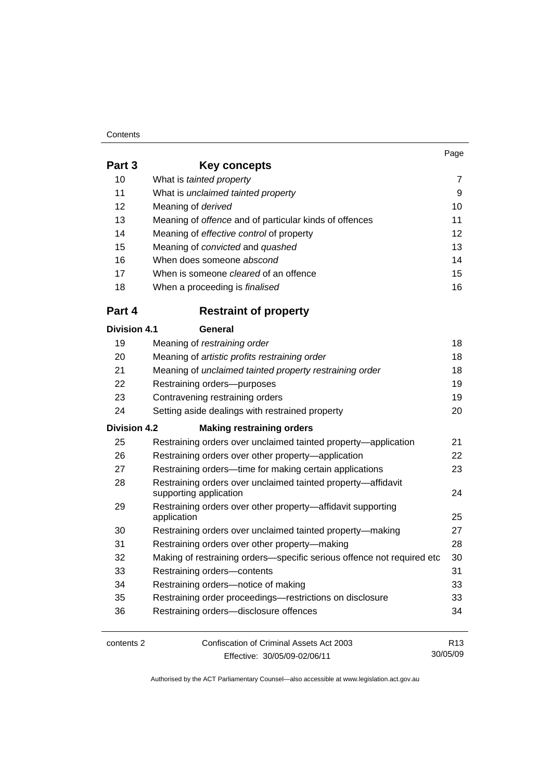## Contents

|                   |                                                               | Page |
|-------------------|---------------------------------------------------------------|------|
| Part 3            | Key concepts                                                  |      |
| 10                | What is tainted property                                      |      |
| 11                | What is unclaimed tainted property                            | 9    |
| $12 \overline{ }$ | Meaning of <i>derived</i>                                     | 10   |
| 13                | Meaning of <i>offence</i> and of particular kinds of offences | 11   |
| 14                | Meaning of <i>effective control</i> of property               | 12   |
| 15                | Meaning of <i>convicted</i> and <i>quashed</i>                | 13   |
| 16                | When does someone abscond                                     | 14   |
| 17                | When is someone <i>cleared</i> of an offence                  | 15   |
| 18                | When a proceeding is <i>finalised</i>                         | 16   |
| Part 4            | <b>Restraint of property</b>                                  |      |

| <b>Division 4.1</b> | General                                                                                |                 |
|---------------------|----------------------------------------------------------------------------------------|-----------------|
| 19                  | Meaning of restraining order                                                           | 18              |
| 20                  | Meaning of artistic profits restraining order                                          | 18              |
| 21                  | Meaning of unclaimed tainted property restraining order                                | 18              |
| 22                  | Restraining orders-purposes                                                            | 19              |
| 23                  | Contravening restraining orders                                                        | 19              |
| 24                  | Setting aside dealings with restrained property                                        | 20              |
| <b>Division 4.2</b> | <b>Making restraining orders</b>                                                       |                 |
| 25                  | Restraining orders over unclaimed tainted property—application                         | 21              |
| 26                  | Restraining orders over other property-application                                     | 22              |
| 27                  | Restraining orders-time for making certain applications                                | 23              |
| 28                  | Restraining orders over unclaimed tainted property-affidavit<br>supporting application | 24              |
| 29                  | Restraining orders over other property-affidavit supporting<br>application             | 25              |
| 30                  | Restraining orders over unclaimed tainted property-making                              | 27              |
| 31                  | Restraining orders over other property-making                                          | 28              |
| 32                  | Making of restraining orders-specific serious offence not required etc                 | 30              |
| 33                  | Restraining orders-contents                                                            | 31              |
| 34                  | Restraining orders-notice of making                                                    | 33              |
| 35                  | Restraining order proceedings—restrictions on disclosure                               | 33              |
| 36                  | Restraining orders-disclosure offences                                                 | 34              |
| contents 2          | Confiscation of Criminal Assets Act 2003                                               | R <sub>13</sub> |
|                     | Effective: 30/05/09-02/06/11                                                           | 30/05/09        |

Effective: 30/05/09-02/06/11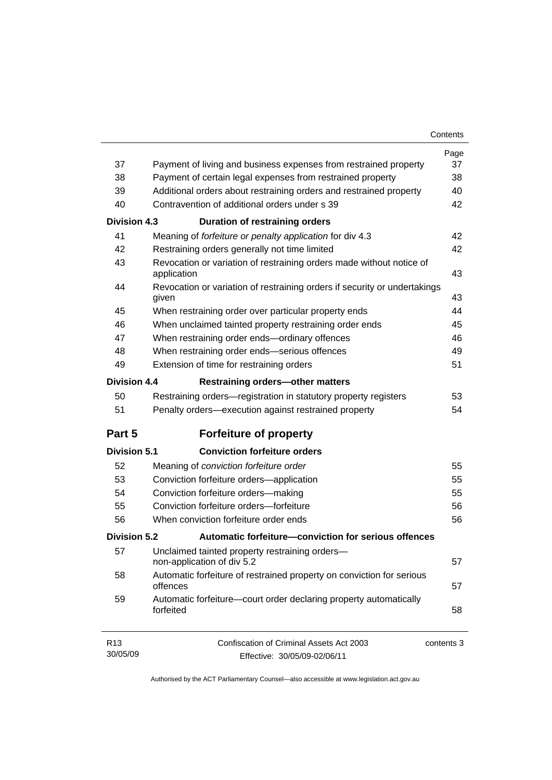| Contents |  |
|----------|--|
|----------|--|

|                             |                                                                                     | Page       |
|-----------------------------|-------------------------------------------------------------------------------------|------------|
| 37                          | Payment of living and business expenses from restrained property                    | 37         |
| 38                          | Payment of certain legal expenses from restrained property                          | 38         |
| 39                          | Additional orders about restraining orders and restrained property                  | 40         |
| 40                          | Contravention of additional orders under s 39                                       | 42         |
| <b>Division 4.3</b>         | <b>Duration of restraining orders</b>                                               |            |
| 41                          | Meaning of forfeiture or penalty application for div 4.3                            | 42         |
| 42                          | Restraining orders generally not time limited                                       | 42         |
| 43                          | Revocation or variation of restraining orders made without notice of<br>application | 43         |
| 44                          | Revocation or variation of restraining orders if security or undertakings<br>given  |            |
| 45                          | When restraining order over particular property ends                                | 44         |
| 46                          | When unclaimed tainted property restraining order ends                              | 45         |
| 47                          | When restraining order ends-ordinary offences                                       | 46         |
| 48                          | When restraining order ends-serious offences                                        | 49         |
| 49                          | Extension of time for restraining orders                                            | 51         |
| <b>Division 4.4</b>         | <b>Restraining orders-other matters</b>                                             |            |
| 50                          | Restraining orders-registration in statutory property registers                     | 53         |
| 51                          | Penalty orders-execution against restrained property                                | 54         |
| Part 5                      | <b>Forfeiture of property</b>                                                       |            |
| <b>Division 5.1</b>         | <b>Conviction forfeiture orders</b>                                                 |            |
| 52                          | Meaning of conviction forfeiture order                                              | 55         |
| 53                          | Conviction forfeiture orders-application                                            | 55         |
| 54                          | Conviction forfeiture orders-making                                                 | 55         |
| 55                          | Conviction forfeiture orders-forfeiture                                             | 56         |
| 56                          | When conviction forfeiture order ends                                               | 56         |
| <b>Division 5.2</b>         | Automatic forfeiture-conviction for serious offences                                |            |
| 57                          | Unclaimed tainted property restraining orders-<br>non-application of div 5.2        | 57         |
| 58                          | Automatic forfeiture of restrained property on conviction for serious<br>offences   | 57         |
| 59                          | Automatic forfeiture-court order declaring property automatically<br>forfeited      | 58         |
| R <sub>13</sub><br>30/05/09 | Confiscation of Criminal Assets Act 2003<br>Effective: 30/05/09-02/06/11            | contents 3 |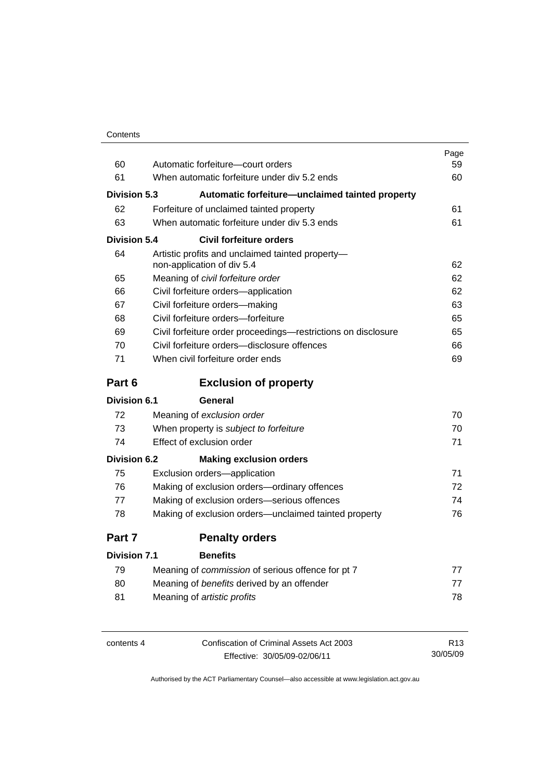| Contents |
|----------|
|----------|

| 60                  | Automatic forfeiture-court orders                                              | Page<br>59 |
|---------------------|--------------------------------------------------------------------------------|------------|
| 61                  | When automatic forfeiture under div 5.2 ends                                   | 60         |
|                     |                                                                                |            |
| <b>Division 5.3</b> | Automatic forfeiture-unclaimed tainted property                                |            |
| 62                  | Forfeiture of unclaimed tainted property                                       | 61         |
| 63                  | When automatic forfeiture under div 5.3 ends                                   | 61         |
| <b>Division 5.4</b> | Civil forfeiture orders                                                        |            |
| 64                  | Artistic profits and unclaimed tainted property-<br>non-application of div 5.4 | 62         |
| 65                  | Meaning of civil forfeiture order                                              | 62         |
| 66                  | Civil forfeiture orders-application                                            | 62         |
| 67                  | Civil forfeiture orders-making                                                 | 63         |
| 68                  | Civil forfeiture orders-forfeiture                                             | 65         |
| 69                  | Civil forfeiture order proceedings-restrictions on disclosure                  | 65         |
| 70                  | Civil forfeiture orders-disclosure offences                                    | 66         |
| 71                  | When civil forfeiture order ends                                               | 69         |
| Part 6              | <b>Exclusion of property</b>                                                   |            |
| Division 6.1        | General                                                                        |            |
| 72                  | Meaning of exclusion order                                                     | 70         |
| 73                  | When property is subject to forfeiture                                         | 70         |
| 74                  | Effect of exclusion order                                                      | 71         |
| <b>Division 6.2</b> | <b>Making exclusion orders</b>                                                 |            |
| 75                  | Exclusion orders-application                                                   | 71         |
| 76                  | Making of exclusion orders-ordinary offences                                   | 72         |
| 77                  | Making of exclusion orders-serious offences                                    | 74         |
| 78                  | Making of exclusion orders—unclaimed tainted property                          | 76         |
| Part 7              | <b>Penalty orders</b>                                                          |            |
| <b>Division 7.1</b> | <b>Benefits</b>                                                                |            |
| 70.                 | Meaning of commission of serious offence for nt 7                              | 77         |

| 79 | Meaning of <i>commission</i> of serious offence for pt 7 |     |
|----|----------------------------------------------------------|-----|
| 80 | Meaning of <i>benefits</i> derived by an offender        |     |
| 81 | Meaning of <i>artistic profits</i>                       | 78. |

| contents 4 | Confiscation of Criminal Assets Act 2003 | R13.     |
|------------|------------------------------------------|----------|
|            | Effective: 30/05/09-02/06/11             | 30/05/09 |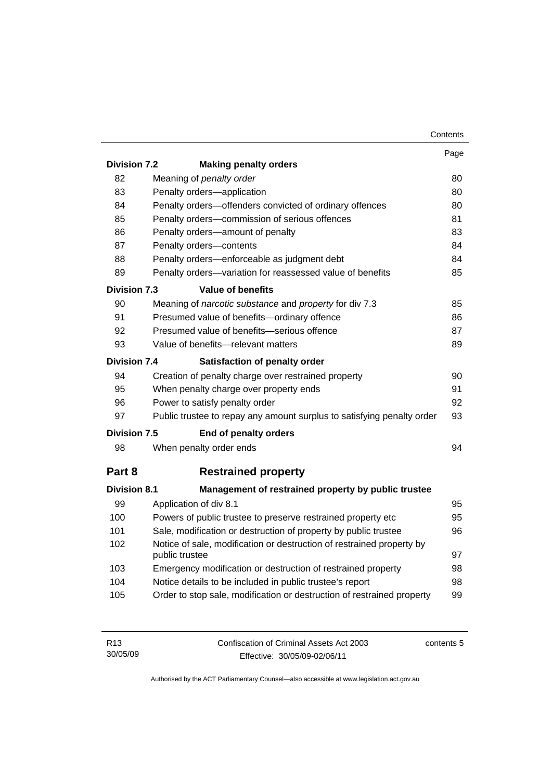|                     |                                                                                         | Contents |
|---------------------|-----------------------------------------------------------------------------------------|----------|
|                     |                                                                                         | Page     |
| <b>Division 7.2</b> | <b>Making penalty orders</b>                                                            |          |
| 82                  | Meaning of penalty order                                                                | 80       |
| 83                  | Penalty orders-application                                                              | 80       |
| 84                  | Penalty orders-offenders convicted of ordinary offences                                 | 80       |
| 85                  | Penalty orders-commission of serious offences                                           | 81       |
| 86                  | Penalty orders-amount of penalty                                                        | 83       |
| 87                  | Penalty orders-contents                                                                 | 84       |
| 88                  | Penalty orders—enforceable as judgment debt                                             | 84       |
| 89                  | Penalty orders-variation for reassessed value of benefits                               | 85       |
| <b>Division 7.3</b> | <b>Value of benefits</b>                                                                |          |
| 90                  | Meaning of narcotic substance and property for div 7.3                                  | 85       |
| 91                  | Presumed value of benefits-ordinary offence                                             | 86       |
| 92                  | Presumed value of benefits-serious offence                                              | 87       |
| 93                  | Value of benefits—relevant matters                                                      | 89       |
| <b>Division 7.4</b> | Satisfaction of penalty order                                                           |          |
| 94                  | Creation of penalty charge over restrained property                                     | 90       |
| 95                  | When penalty charge over property ends                                                  | 91       |
| 96                  | Power to satisfy penalty order                                                          | 92       |
| 97                  | Public trustee to repay any amount surplus to satisfying penalty order                  | 93       |
| <b>Division 7.5</b> | <b>End of penalty orders</b>                                                            |          |
| 98                  | When penalty order ends                                                                 | 94       |
| Part 8              | <b>Restrained property</b>                                                              |          |
| <b>Division 8.1</b> | Management of restrained property by public trustee                                     |          |
| 99                  | Application of div 8.1                                                                  | 95       |
| 100                 | Powers of public trustee to preserve restrained property etc                            | 95       |
| 101                 | Sale, modification or destruction of property by public trustee                         | 96       |
| 102                 | Notice of sale, modification or destruction of restrained property by<br>public trustee | 97       |
| 103                 | Emergency modification or destruction of restrained property                            | 98       |
| 104                 | Notice details to be included in public trustee's report                                | 98       |
| 105                 | Order to stop sale, modification or destruction of restrained property                  | 99       |

| R <sub>13</sub> | Confiscation of Criminal Assets Act 2003 | contents 5 |
|-----------------|------------------------------------------|------------|
| 30/05/09        | Effective: 30/05/09-02/06/11             |            |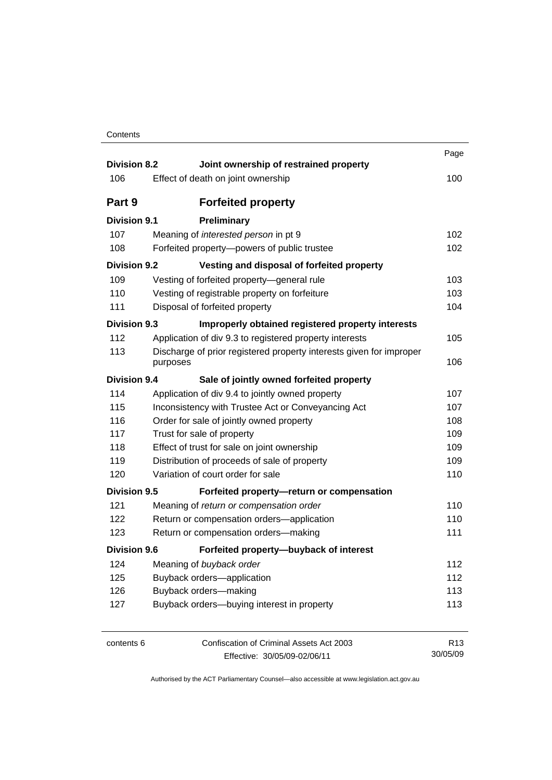| Contents |
|----------|
|----------|

| <b>Division 8.2</b> | Joint ownership of restrained property                                          | Page            |
|---------------------|---------------------------------------------------------------------------------|-----------------|
| 106                 | Effect of death on joint ownership                                              | 100             |
| Part 9              | <b>Forfeited property</b>                                                       |                 |
| <b>Division 9.1</b> | Preliminary                                                                     |                 |
| 107                 | Meaning of interested person in pt 9                                            | 102             |
| 108                 | Forfeited property-powers of public trustee                                     | 102             |
| Division 9.2        | Vesting and disposal of forfeited property                                      |                 |
| 109                 | Vesting of forfeited property-general rule                                      | 103             |
| 110                 | Vesting of registrable property on forfeiture                                   | 103             |
| 111                 | Disposal of forfeited property                                                  | 104             |
| <b>Division 9.3</b> | Improperly obtained registered property interests                               |                 |
| 112                 | Application of div 9.3 to registered property interests                         | 105             |
| 113                 | Discharge of prior registered property interests given for improper<br>purposes | 106             |
| Division 9.4        | Sale of jointly owned forfeited property                                        |                 |
| 114                 | Application of div 9.4 to jointly owned property                                | 107             |
| 115                 | Inconsistency with Trustee Act or Conveyancing Act                              | 107             |
| 116                 | Order for sale of jointly owned property                                        | 108             |
| 117                 | Trust for sale of property                                                      | 109             |
| 118                 | Effect of trust for sale on joint ownership                                     | 109             |
| 119                 | Distribution of proceeds of sale of property                                    | 109             |
| 120                 | Variation of court order for sale                                               | 110             |
| <b>Division 9.5</b> | Forfeited property-return or compensation                                       |                 |
| 121                 | Meaning of return or compensation order                                         | 110             |
| 122                 | Return or compensation orders-application                                       | 110             |
| 123                 | Return or compensation orders-making                                            | 111             |
| <b>Division 9.6</b> | Forfeited property-buyback of interest                                          |                 |
| 124                 | Meaning of buyback order                                                        | 112             |
| 125                 | Buyback orders-application                                                      | 112             |
| 126                 | Buyback orders-making                                                           | 113             |
| 127                 | Buyback orders-buying interest in property                                      | 113             |
| contents 6          | Confiscation of Criminal Assets Act 2003                                        | R <sub>13</sub> |
|                     | Effective: 30/05/09-02/06/11                                                    | 30/05/09        |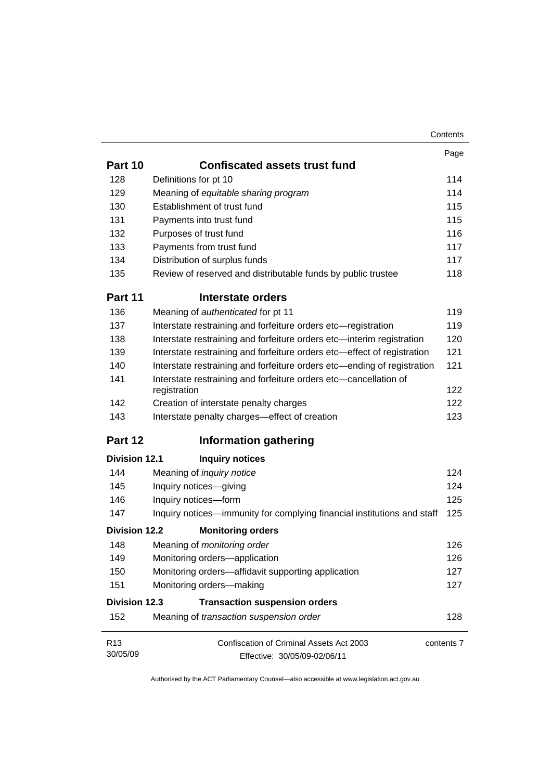|                             |                                                                                  | Contents   |
|-----------------------------|----------------------------------------------------------------------------------|------------|
|                             |                                                                                  | Page       |
| Part 10                     | <b>Confiscated assets trust fund</b>                                             |            |
| 128                         | Definitions for pt 10                                                            | 114        |
| 129                         | Meaning of equitable sharing program                                             | 114        |
| 130                         | Establishment of trust fund                                                      | 115        |
| 131                         | Payments into trust fund                                                         | 115        |
| 132                         | Purposes of trust fund                                                           | 116        |
| 133                         | Payments from trust fund                                                         | 117        |
| 134                         | Distribution of surplus funds                                                    | 117        |
| 135                         | Review of reserved and distributable funds by public trustee                     | 118        |
| Part 11                     | Interstate orders                                                                |            |
| 136                         | Meaning of authenticated for pt 11                                               | 119        |
| 137                         | Interstate restraining and forfeiture orders etc-registration                    | 119        |
| 138                         | Interstate restraining and forfeiture orders etc-interim registration            | 120        |
| 139                         | Interstate restraining and forfeiture orders etc-effect of registration          | 121        |
| 140                         | Interstate restraining and forfeiture orders etc—ending of registration          | 121        |
| 141                         | Interstate restraining and forfeiture orders etc-cancellation of<br>registration | 122        |
| 142                         | Creation of interstate penalty charges                                           | 122        |
| 143                         | Interstate penalty charges-effect of creation                                    | 123        |
| Part 12                     | <b>Information gathering</b>                                                     |            |
| <b>Division 12.1</b>        | <b>Inquiry notices</b>                                                           |            |
| 144                         | Meaning of <i>inquiry notice</i>                                                 | 124        |
| 145                         | Inquiry notices-giving                                                           | 124        |
| 146                         | Inquiry notices-form                                                             | 125        |
| 147                         | Inquiry notices—immunity for complying financial institutions and staff          | 125        |
| <b>Division 12.2</b>        | <b>Monitoring orders</b>                                                         |            |
| 148                         | Meaning of <i>monitoring order</i>                                               | 126        |
| 149                         | Monitoring orders-application                                                    | 126        |
| 150                         | Monitoring orders-affidavit supporting application                               | 127        |
| 151                         | Monitoring orders-making                                                         | 127        |
| <b>Division 12.3</b>        | <b>Transaction suspension orders</b>                                             |            |
| 152                         | Meaning of transaction suspension order                                          | 128        |
| R <sub>13</sub><br>30/05/09 | Confiscation of Criminal Assets Act 2003<br>Effective: 30/05/09-02/06/11         | contents 7 |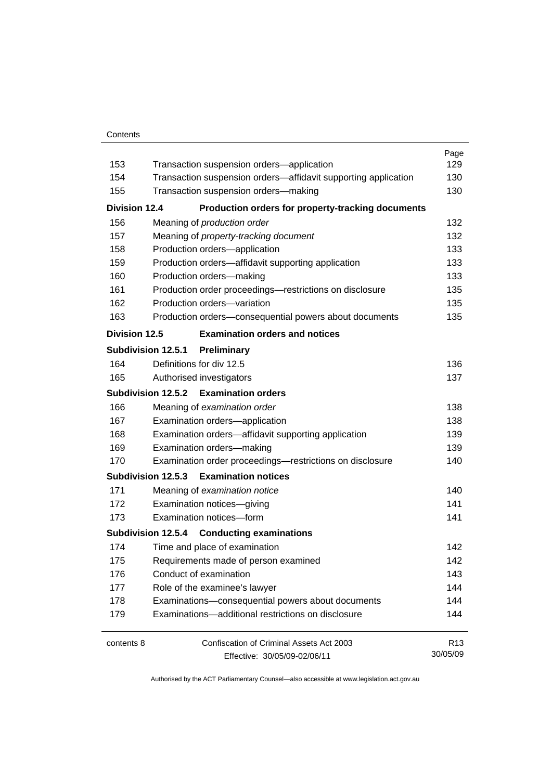### **Contents**

|                      |                                                                | Page            |
|----------------------|----------------------------------------------------------------|-----------------|
| 153                  | Transaction suspension orders-application                      | 129             |
| 154                  | Transaction suspension orders-affidavit supporting application | 130             |
| 155                  | Transaction suspension orders-making                           | 130             |
| <b>Division 12.4</b> | Production orders for property-tracking documents              |                 |
| 156                  | Meaning of production order                                    | 132             |
| 157                  | Meaning of property-tracking document                          | 132             |
| 158                  | Production orders-application                                  | 133             |
| 159                  | Production orders-affidavit supporting application             | 133             |
| 160                  | Production orders-making                                       | 133             |
| 161                  | Production order proceedings-restrictions on disclosure        | 135             |
| 162                  | Production orders-variation                                    | 135             |
| 163                  | Production orders-consequential powers about documents         | 135             |
| <b>Division 12.5</b> | <b>Examination orders and notices</b>                          |                 |
| Subdivision 12.5.1   | Preliminary                                                    |                 |
| 164                  | Definitions for div 12.5                                       | 136             |
| 165                  | Authorised investigators                                       | 137             |
|                      | Subdivision 12.5.2 Examination orders                          |                 |
| 166                  | Meaning of examination order                                   | 138             |
| 167                  | Examination orders-application                                 | 138             |
| 168                  | Examination orders-affidavit supporting application            | 139             |
| 169                  | Examination orders-making                                      | 139             |
| 170                  | Examination order proceedings-restrictions on disclosure       | 140             |
|                      | Subdivision 12.5.3 Examination notices                         |                 |
| 171                  | Meaning of examination notice                                  | 140             |
| 172                  | Examination notices-giving                                     | 141             |
| 173                  | Examination notices-form                                       | 141             |
|                      | Subdivision 12.5.4 Conducting examinations                     |                 |
| 174                  | Time and place of examination                                  | 142             |
| 175                  | Requirements made of person examined                           | 142             |
| 176                  | Conduct of examination                                         | 143             |
| 177                  | Role of the examinee's lawyer                                  | 144             |
| 178                  | Examinations-consequential powers about documents              | 144             |
| 179                  | Examinations-additional restrictions on disclosure             | 144             |
| contents 8           | Confiscation of Criminal Assets Act 2003                       | R <sub>13</sub> |
|                      | Effective: 30/05/09-02/06/11                                   | 30/05/09        |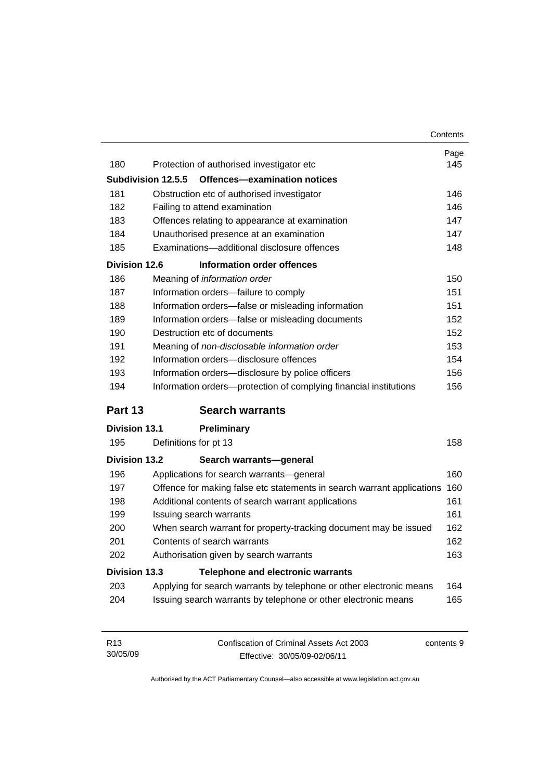|                      |                                                                        | Contents |
|----------------------|------------------------------------------------------------------------|----------|
|                      |                                                                        | Page     |
| 180                  | Protection of authorised investigator etc                              | 145      |
|                      | Subdivision 12.5.5<br><b>Offences-examination notices</b>              |          |
| 181                  | Obstruction etc of authorised investigator                             | 146      |
| 182                  | Failing to attend examination                                          | 146      |
| 183                  | Offences relating to appearance at examination                         | 147      |
| 184                  | Unauthorised presence at an examination                                | 147      |
| 185                  | Examinations-additional disclosure offences                            | 148      |
| <b>Division 12.6</b> | <b>Information order offences</b>                                      |          |
| 186                  | Meaning of information order                                           | 150      |
| 187                  | Information orders-failure to comply                                   | 151      |
| 188                  | Information orders-false or misleading information                     | 151      |
| 189                  | Information orders-false or misleading documents                       | 152      |
| 190                  | Destruction etc of documents                                           | 152      |
| 191                  | Meaning of non-disclosable information order                           | 153      |
| 192                  | Information orders-disclosure offences                                 | 154      |
| 193                  | Information orders-disclosure by police officers                       | 156      |
| 194                  | Information orders-protection of complying financial institutions      | 156      |
| Part 13              | <b>Search warrants</b>                                                 |          |
| <b>Division 13.1</b> | Preliminary                                                            |          |
| 195                  | Definitions for pt 13                                                  | 158      |
| <b>Division 13.2</b> | Search warrants-general                                                |          |
| 196                  | Applications for search warrants-general                               | 160      |
| 197                  | Offence for making false etc statements in search warrant applications | 160      |
| 198                  | Additional contents of search warrant applications                     | 161      |
| 199                  | Issuing search warrants                                                | 161      |
| 200                  | When search warrant for property-tracking document may be issued       | 162      |
| 201                  | Contents of search warrants                                            | 162      |
| 202                  | Authorisation given by search warrants                                 | 163      |
| <b>Division 13.3</b> | <b>Telephone and electronic warrants</b>                               |          |
| 203                  | Applying for search warrants by telephone or other electronic means    | 164      |
|                      |                                                                        |          |

| R <sub>13</sub> | Confiscation of Criminal Assets Act 2003 | contents 9 |
|-----------------|------------------------------------------|------------|
| 30/05/09        | Effective: 30/05/09-02/06/11             |            |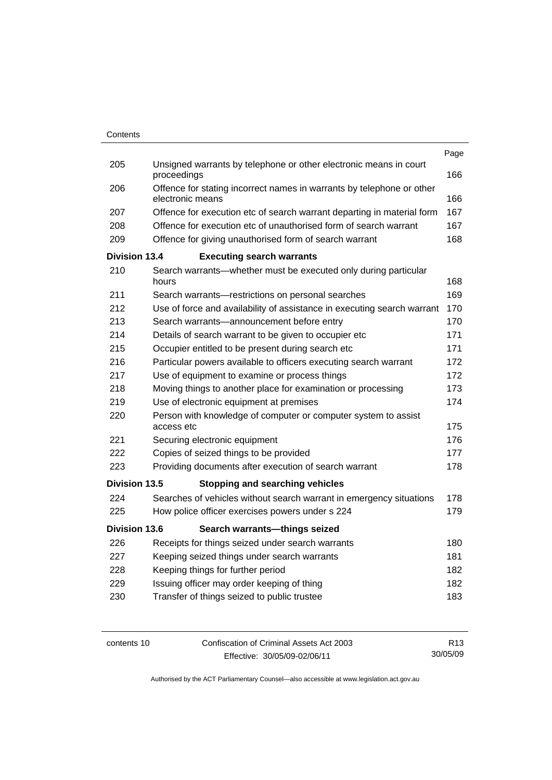|                      |                                                                                           | Page |
|----------------------|-------------------------------------------------------------------------------------------|------|
| 205                  | Unsigned warrants by telephone or other electronic means in court<br>proceedings          | 166  |
| 206                  | Offence for stating incorrect names in warrants by telephone or other<br>electronic means | 166  |
| 207                  | Offence for execution etc of search warrant departing in material form                    | 167  |
| 208                  | Offence for execution etc of unauthorised form of search warrant                          | 167  |
| 209                  | Offence for giving unauthorised form of search warrant                                    | 168  |
| <b>Division 13.4</b> | <b>Executing search warrants</b>                                                          |      |
| 210                  | Search warrants—whether must be executed only during particular<br>hours                  | 168  |
| 211                  | Search warrants-restrictions on personal searches                                         | 169  |
| 212                  | Use of force and availability of assistance in executing search warrant                   | 170  |
| 213                  | Search warrants-announcement before entry                                                 | 170  |
| 214                  | Details of search warrant to be given to occupier etc                                     | 171  |
| 215                  | Occupier entitled to be present during search etc                                         | 171  |
| 216                  | Particular powers available to officers executing search warrant                          | 172  |
| 217                  | Use of equipment to examine or process things                                             | 172  |
| 218                  | Moving things to another place for examination or processing                              | 173  |
| 219                  | Use of electronic equipment at premises                                                   | 174  |
| 220                  | Person with knowledge of computer or computer system to assist<br>access etc              | 175  |
| 221                  | Securing electronic equipment                                                             | 176  |
| 222                  | Copies of seized things to be provided                                                    | 177  |
| 223                  | Providing documents after execution of search warrant                                     | 178  |
| <b>Division 13.5</b> | <b>Stopping and searching vehicles</b>                                                    |      |
| 224                  | Searches of vehicles without search warrant in emergency situations                       | 178  |
| 225                  | How police officer exercises powers under s 224                                           | 179  |
| <b>Division 13.6</b> | Search warrants-things seized                                                             |      |
| 226                  | Receipts for things seized under search warrants                                          | 180  |
| 227                  | Keeping seized things under search warrants                                               | 181  |
| 228                  | Keeping things for further period                                                         | 182  |
| 229                  | Issuing officer may order keeping of thing                                                | 182  |
| 230                  | Transfer of things seized to public trustee                                               | 183  |
|                      |                                                                                           |      |

contents 10 Confiscation of Criminal Assets Act 2003 Effective: 30/05/09-02/06/11 R13 30/05/09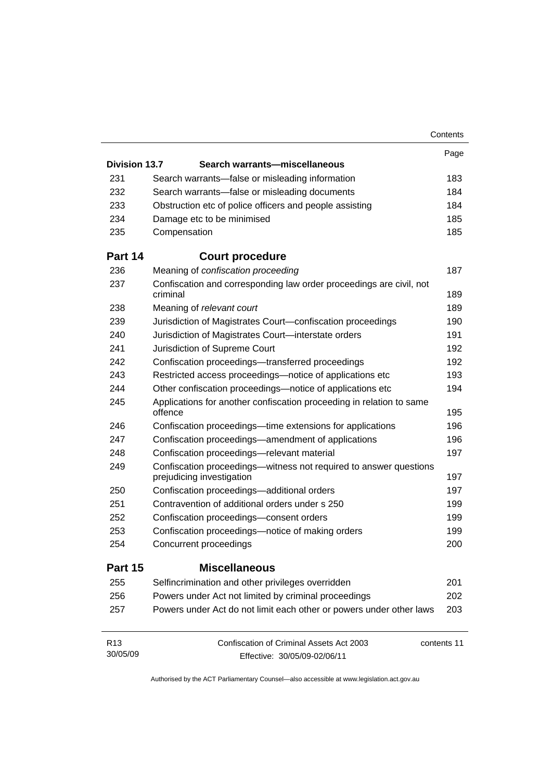|                      |                                                                                                | Contents |
|----------------------|------------------------------------------------------------------------------------------------|----------|
|                      |                                                                                                | Page     |
| <b>Division 13.7</b> | Search warrants-miscellaneous                                                                  |          |
| 231                  | Search warrants—false or misleading information                                                | 183      |
| 232                  | Search warrants-false or misleading documents                                                  | 184      |
| 233                  | Obstruction etc of police officers and people assisting                                        | 184      |
| 234                  | Damage etc to be minimised                                                                     | 185      |
| 235                  | Compensation                                                                                   | 185      |
| Part 14              | <b>Court procedure</b>                                                                         |          |
| 236                  | Meaning of confiscation proceeding                                                             | 187      |
| 237                  | Confiscation and corresponding law order proceedings are civil, not<br>criminal                | 189      |
| 238                  | Meaning of relevant court                                                                      | 189      |
| 239                  | Jurisdiction of Magistrates Court-confiscation proceedings                                     | 190      |
| 240                  | Jurisdiction of Magistrates Court-interstate orders                                            | 191      |
| 241                  | Jurisdiction of Supreme Court                                                                  | 192      |
| 242                  | Confiscation proceedings-transferred proceedings                                               | 192      |
| 243                  | Restricted access proceedings—notice of applications etc                                       | 193      |
| 244                  | Other confiscation proceedings—notice of applications etc                                      | 194      |
| 245                  | Applications for another confiscation proceeding in relation to same<br>offence                | 195      |
| 246                  | Confiscation proceedings—time extensions for applications                                      | 196      |
| 247                  | Confiscation proceedings—amendment of applications                                             | 196      |
| 248                  | Confiscation proceedings-relevant material                                                     | 197      |
| 249                  | Confiscation proceedings-witness not required to answer questions<br>prejudicing investigation | 197      |
| 250                  | Confiscation proceedings-additional orders                                                     | 197      |
| 251                  | Contravention of additional orders under s 250                                                 | 199      |
| 252                  | Confiscation proceedings-consent orders                                                        | 199      |
| 253                  | Confiscation proceedings—notice of making orders                                               | 199      |
| 254                  | Concurrent proceedings                                                                         | 200      |
| Part 15              | <b>Miscellaneous</b>                                                                           |          |
| 255                  | Selfincrimination and other privileges overridden                                              | 201      |
| 256                  | Powers under Act not limited by criminal proceedings                                           | 202      |
| 257                  | Powers under Act do not limit each other or powers under other laws                            | 203      |
| R <sub>13</sub>      | Confiscation of Criminal Assets Act 2003<br>contents 11                                        |          |
| 30/05/09             | Effective: 30/05/09-02/06/11                                                                   |          |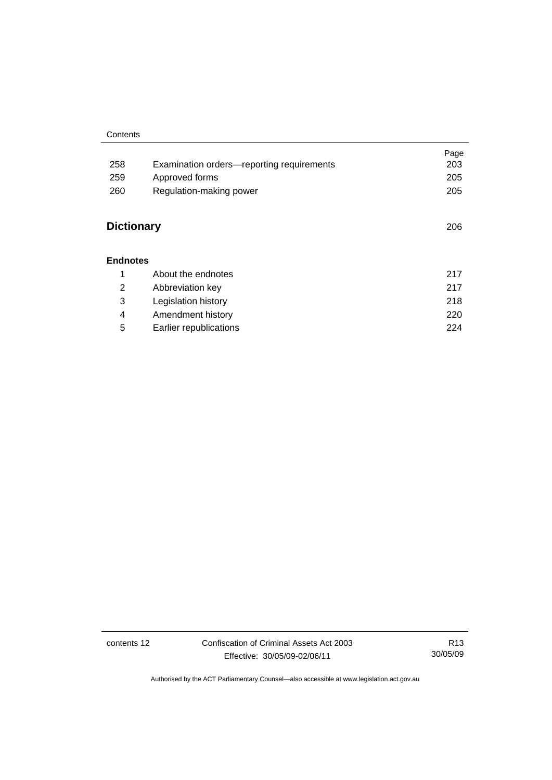#### **Contents**

|                   |                                           | Page |
|-------------------|-------------------------------------------|------|
| 258               | Examination orders—reporting requirements | 203  |
| 259               | Approved forms                            | 205  |
| 260               | Regulation-making power                   | 205  |
|                   |                                           |      |
| <b>Dictionary</b> |                                           |      |
|                   |                                           |      |
| <b>Endnotes</b>   |                                           |      |
| 1                 | About the endnotes                        | 217  |
| 2                 | Abbreviation key                          | 217  |
| 3                 | Legislation history                       | 218  |
| 4                 | Amendment history                         | 220  |
|                   |                                           |      |

5 Earlier republications [224](#page-237-0)

contents 12 Confiscation of Criminal Assets Act 2003 Effective: 30/05/09-02/06/11

R13 30/05/09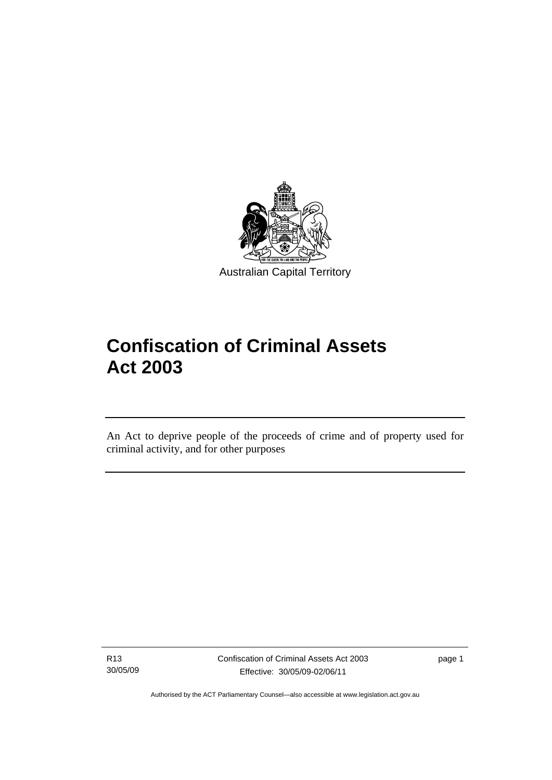<span id="page-14-0"></span>

# **Confiscation of Criminal Assets Act 2003**

An Act to deprive people of the proceeds of crime and of property used for criminal activity, and for other purposes

R13 30/05/09

Ī

Confiscation of Criminal Assets Act 2003 Effective: 30/05/09-02/06/11

page 1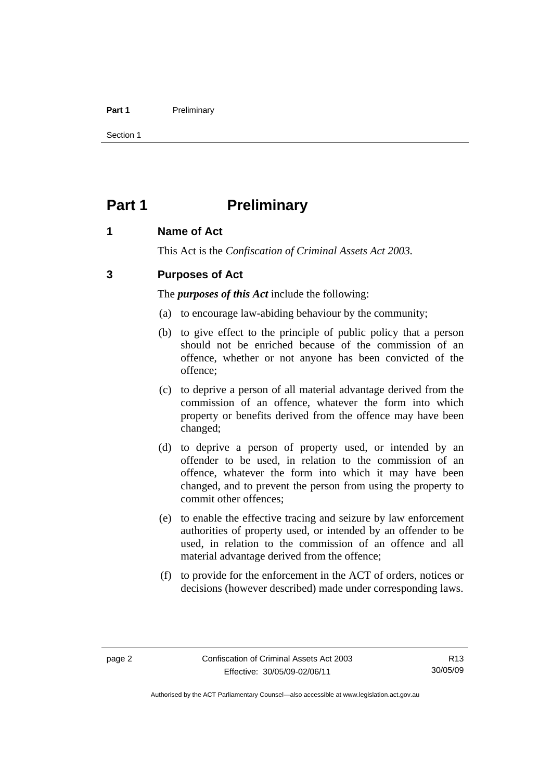### <span id="page-15-0"></span>Part 1 **Preliminary**

Section 1

# **Part 1** Preliminary

# **1 Name of Act**

This Act is the *Confiscation of Criminal Assets Act 2003.*

# **3 Purposes of Act**

The *purposes of this Act* include the following:

- (a) to encourage law-abiding behaviour by the community;
- (b) to give effect to the principle of public policy that a person should not be enriched because of the commission of an offence, whether or not anyone has been convicted of the offence;
- (c) to deprive a person of all material advantage derived from the commission of an offence, whatever the form into which property or benefits derived from the offence may have been changed;
- (d) to deprive a person of property used, or intended by an offender to be used, in relation to the commission of an offence, whatever the form into which it may have been changed, and to prevent the person from using the property to commit other offences;
- (e) to enable the effective tracing and seizure by law enforcement authorities of property used, or intended by an offender to be used, in relation to the commission of an offence and all material advantage derived from the offence;
- (f) to provide for the enforcement in the ACT of orders, notices or decisions (however described) made under corresponding laws.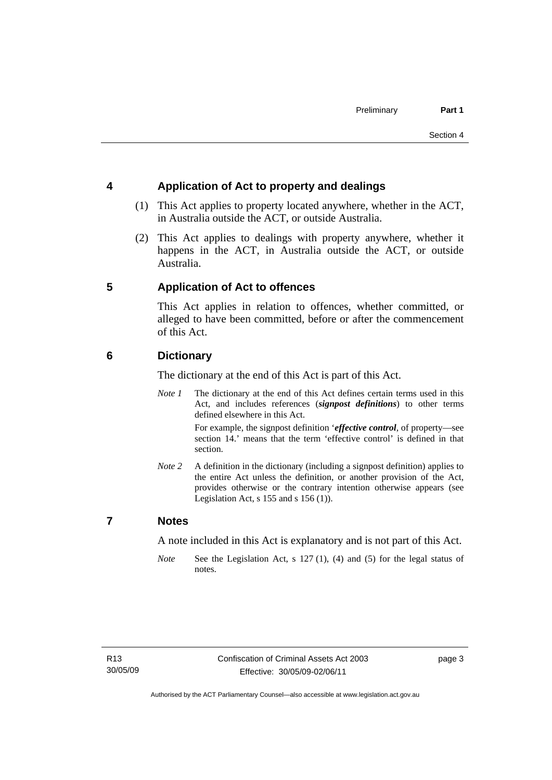# <span id="page-16-0"></span>**4 Application of Act to property and dealings**

- (1) This Act applies to property located anywhere, whether in the ACT, in Australia outside the ACT, or outside Australia.
- (2) This Act applies to dealings with property anywhere, whether it happens in the ACT, in Australia outside the ACT, or outside Australia.

# **5 Application of Act to offences**

This Act applies in relation to offences, whether committed, or alleged to have been committed, before or after the commencement of this Act.

# **6 Dictionary**

The dictionary at the end of this Act is part of this Act.

*Note 1* The dictionary at the end of this Act defines certain terms used in this Act, and includes references (*signpost definitions*) to other terms defined elsewhere in this Act.

> For example, the signpost definition '*effective control*, of property—see section 14.' means that the term 'effective control' is defined in that section.

*Note 2* A definition in the dictionary (including a signpost definition) applies to the entire Act unless the definition, or another provision of the Act, provides otherwise or the contrary intention otherwise appears (see Legislation Act,  $s$  155 and  $s$  156 (1)).

# **7 Notes**

A note included in this Act is explanatory and is not part of this Act.

*Note* See the Legislation Act, s 127 (1), (4) and (5) for the legal status of notes.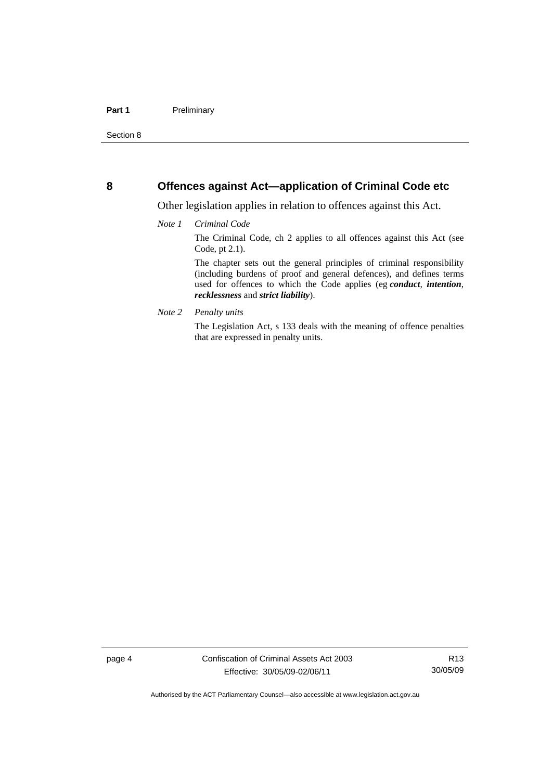## <span id="page-17-0"></span>**8 Offences against Act—application of Criminal Code etc**

Other legislation applies in relation to offences against this Act.

### *Note 1 Criminal Code*

The Criminal Code, ch 2 applies to all offences against this Act (see Code, pt 2.1).

The chapter sets out the general principles of criminal responsibility (including burdens of proof and general defences), and defines terms used for offences to which the Code applies (eg *conduct*, *intention*, *recklessness* and *strict liability*).

*Note 2 Penalty units* 

The Legislation Act, s 133 deals with the meaning of offence penalties that are expressed in penalty units.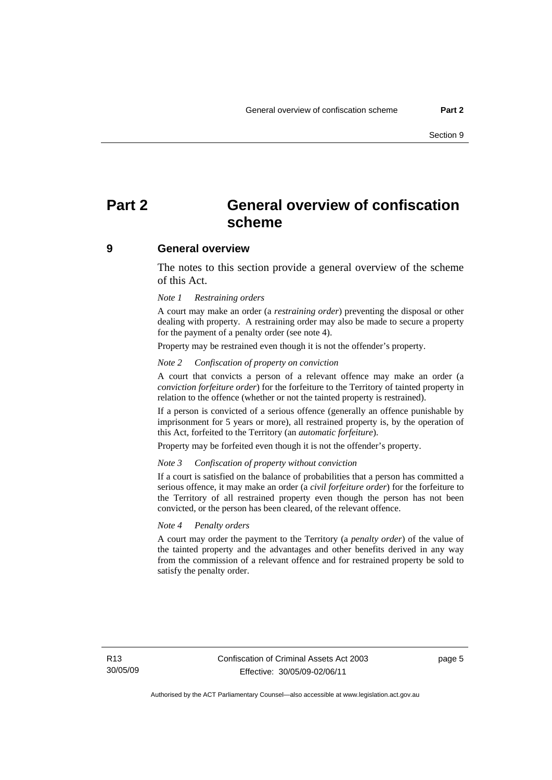# <span id="page-18-0"></span>**Part 2 General overview of confiscation scheme**

### **9 General overview**

The notes to this section provide a general overview of the scheme of this Act.

### *Note 1 Restraining orders*

A court may make an order (a *restraining order*) preventing the disposal or other dealing with property. A restraining order may also be made to secure a property for the payment of a penalty order (see note 4).

Property may be restrained even though it is not the offender's property.

### *Note 2 Confiscation of property on conviction*

A court that convicts a person of a relevant offence may make an order (a *conviction forfeiture order*) for the forfeiture to the Territory of tainted property in relation to the offence (whether or not the tainted property is restrained).

If a person is convicted of a serious offence (generally an offence punishable by imprisonment for 5 years or more), all restrained property is, by the operation of this Act, forfeited to the Territory (an *automatic forfeiture*).

Property may be forfeited even though it is not the offender's property.

### *Note 3 Confiscation of property without conviction*

If a court is satisfied on the balance of probabilities that a person has committed a serious offence, it may make an order (a *civil forfeiture order*) for the forfeiture to the Territory of all restrained property even though the person has not been convicted, or the person has been cleared, of the relevant offence.

### *Note 4 Penalty orders*

A court may order the payment to the Territory (a *penalty order*) of the value of the tainted property and the advantages and other benefits derived in any way from the commission of a relevant offence and for restrained property be sold to satisfy the penalty order.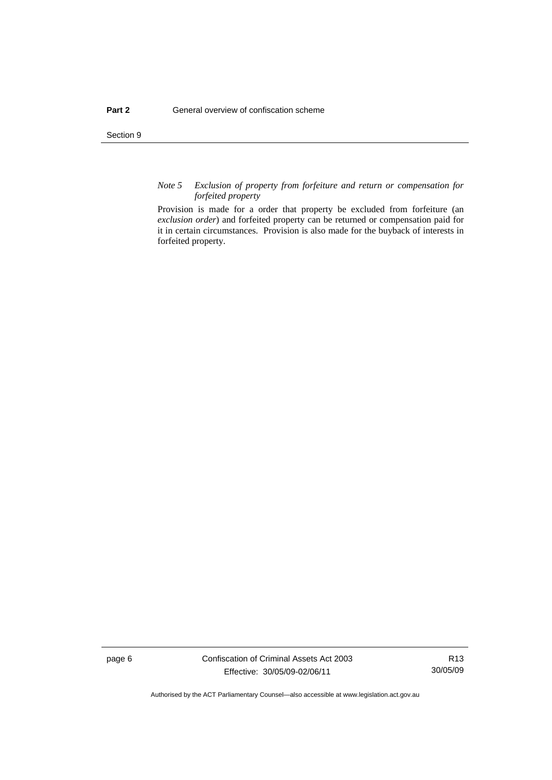Section 9

### *Note 5 Exclusion of property from forfeiture and return or compensation for forfeited property*

Provision is made for a order that property be excluded from forfeiture (an *exclusion order*) and forfeited property can be returned or compensation paid for it in certain circumstances. Provision is also made for the buyback of interests in forfeited property.

page 6 Confiscation of Criminal Assets Act 2003 Effective: 30/05/09-02/06/11

R13 30/05/09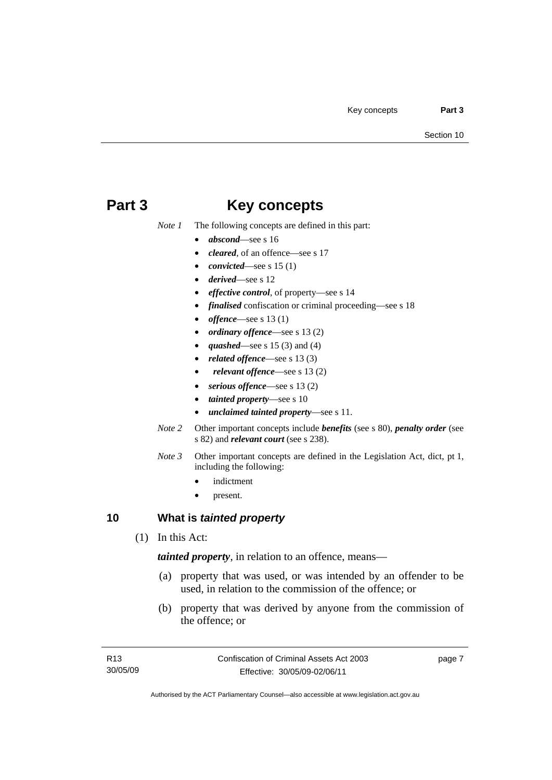# <span id="page-20-0"></span>**Part 3 Key concepts**

*Note 1* The following concepts are defined in this part:

- *abscond*—see s 16
- *cleared*, of an offence—see s 17
- *convicted*—see s 15 (1)
- *derived*—see s 12
- *effective control*, of property—see s 14
- *finalised* confiscation or criminal proceeding—see s 18
- *offence*—see s 13 (1)
- *ordinary offence*—see s 13 (2)
- *quashed*—see s 15 (3) and (4)
- *related offence*—see s 13 (3)
- *relevant offence*—see s 13 (2)
- serious offence—see s 13 (2)
- *tainted property*—see s 10
- *unclaimed tainted property*—see s 11.
- *Note 2* Other important concepts include *benefits* (see s 80), *penalty order* (see s 82) and *relevant court* (see s 238).
- *Note 3* Other important concepts are defined in the Legislation Act, dict, pt 1, including the following:
	- *indictment*
	- present.

# **10 What is** *tainted property*

(1) In this Act:

*tainted property*, in relation to an offence, means—

- (a) property that was used, or was intended by an offender to be used, in relation to the commission of the offence; or
- (b) property that was derived by anyone from the commission of the offence; or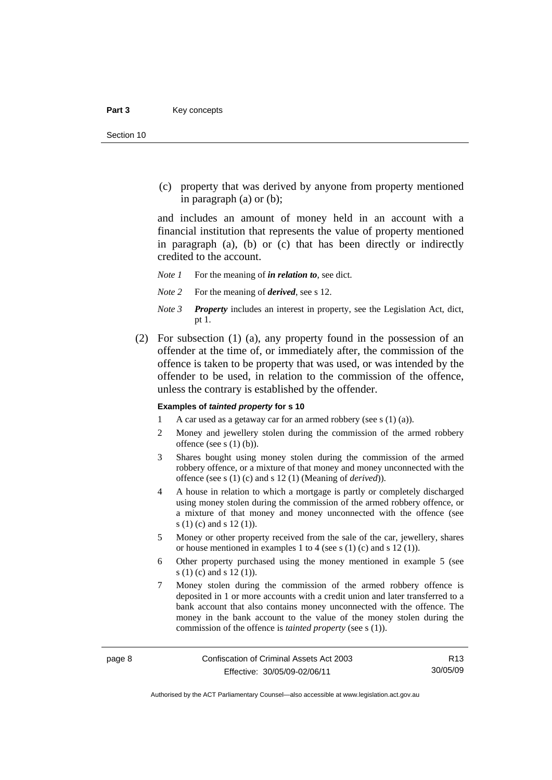(c) property that was derived by anyone from property mentioned in paragraph (a) or (b);

and includes an amount of money held in an account with a financial institution that represents the value of property mentioned in paragraph (a), (b) or (c) that has been directly or indirectly credited to the account.

- *Note 1* For the meaning of *in relation to*, see dict.
- *Note 2* For the meaning of *derived*, see s 12.
- *Note 3 Property* includes an interest in property, see the Legislation Act, dict, pt 1.
- (2) For subsection (1) (a), any property found in the possession of an offender at the time of, or immediately after, the commission of the offence is taken to be property that was used, or was intended by the offender to be used, in relation to the commission of the offence, unless the contrary is established by the offender.

#### **Examples of** *tainted property* **for s 10**

- 1 A car used as a getaway car for an armed robbery (see s (1) (a)).
- 2 Money and jewellery stolen during the commission of the armed robbery offence (see s (1) (b)).
- 3 Shares bought using money stolen during the commission of the armed robbery offence, or a mixture of that money and money unconnected with the offence (see s (1) (c) and s 12 (1) (Meaning of *derived*)).
- 4 A house in relation to which a mortgage is partly or completely discharged using money stolen during the commission of the armed robbery offence, or a mixture of that money and money unconnected with the offence (see s (1) (c) and s 12 (1)).
- 5 Money or other property received from the sale of the car, jewellery, shares or house mentioned in examples 1 to 4 (see s (1) (c) and s 12 (1)).
- 6 Other property purchased using the money mentioned in example 5 (see s (1) (c) and s 12 (1)).
- 7 Money stolen during the commission of the armed robbery offence is deposited in 1 or more accounts with a credit union and later transferred to a bank account that also contains money unconnected with the offence. The money in the bank account to the value of the money stolen during the commission of the offence is *tainted property* (see s (1)).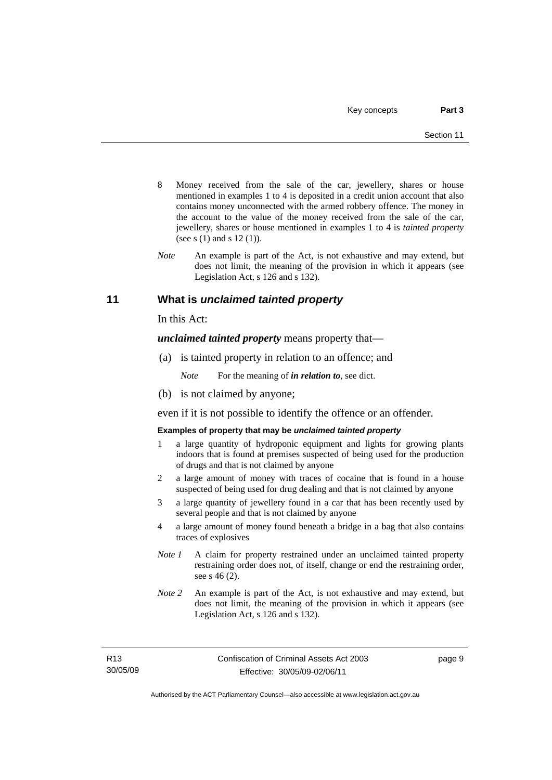- <span id="page-22-0"></span>8 Money received from the sale of the car, jewellery, shares or house mentioned in examples 1 to 4 is deposited in a credit union account that also contains money unconnected with the armed robbery offence. The money in the account to the value of the money received from the sale of the car, jewellery, shares or house mentioned in examples 1 to 4 is *tainted property* (see s (1) and s 12 (1)).
- *Note* An example is part of the Act, is not exhaustive and may extend, but does not limit, the meaning of the provision in which it appears (see Legislation Act, s 126 and s 132).

## **11 What is** *unclaimed tainted property*

In this Act:

*unclaimed tainted property* means property that—

(a) is tainted property in relation to an offence; and

*Note* For the meaning of *in relation to*, see dict.

(b) is not claimed by anyone;

even if it is not possible to identify the offence or an offender.

### **Examples of property that may be** *unclaimed tainted property*

- 1 a large quantity of hydroponic equipment and lights for growing plants indoors that is found at premises suspected of being used for the production of drugs and that is not claimed by anyone
- 2 a large amount of money with traces of cocaine that is found in a house suspected of being used for drug dealing and that is not claimed by anyone
- 3 a large quantity of jewellery found in a car that has been recently used by several people and that is not claimed by anyone
- 4 a large amount of money found beneath a bridge in a bag that also contains traces of explosives
- *Note 1* A claim for property restrained under an unclaimed tainted property restraining order does not, of itself, change or end the restraining order, see s 46 (2).
- *Note 2* An example is part of the Act, is not exhaustive and may extend, but does not limit, the meaning of the provision in which it appears (see Legislation Act, s 126 and s 132).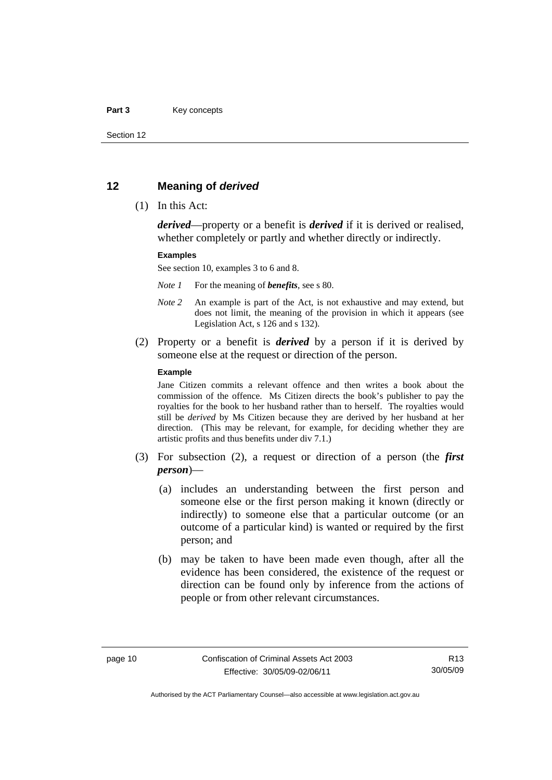### <span id="page-23-0"></span>Part 3 **Key concepts**

Section 12

# **12 Meaning of** *derived*

(1) In this Act:

*derived*—property or a benefit is *derived* if it is derived or realised, whether completely or partly and whether directly or indirectly.

### **Examples**

See section 10, examples 3 to 6 and 8.

*Note 1* For the meaning of *benefits*, see s 80.

- *Note 2* An example is part of the Act, is not exhaustive and may extend, but does not limit, the meaning of the provision in which it appears (see Legislation Act, s 126 and s 132).
- (2) Property or a benefit is *derived* by a person if it is derived by someone else at the request or direction of the person.

### **Example**

Jane Citizen commits a relevant offence and then writes a book about the commission of the offence. Ms Citizen directs the book's publisher to pay the royalties for the book to her husband rather than to herself. The royalties would still be *derived* by Ms Citizen because they are derived by her husband at her direction. (This may be relevant, for example, for deciding whether they are artistic profits and thus benefits under div 7.1.)

- (3) For subsection (2), a request or direction of a person (the *first person*)—
	- (a) includes an understanding between the first person and someone else or the first person making it known (directly or indirectly) to someone else that a particular outcome (or an outcome of a particular kind) is wanted or required by the first person; and
	- (b) may be taken to have been made even though, after all the evidence has been considered, the existence of the request or direction can be found only by inference from the actions of people or from other relevant circumstances.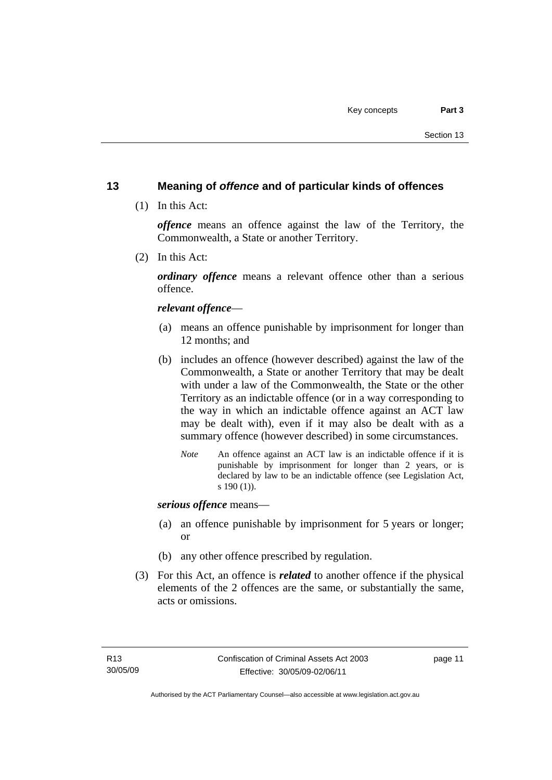# <span id="page-24-0"></span>**13 Meaning of** *offence* **and of particular kinds of offences**

(1) In this Act:

*offence* means an offence against the law of the Territory, the Commonwealth, a State or another Territory.

(2) In this Act:

*ordinary offence* means a relevant offence other than a serious offence.

*relevant offence*—

- (a) means an offence punishable by imprisonment for longer than 12 months; and
- (b) includes an offence (however described) against the law of the Commonwealth, a State or another Territory that may be dealt with under a law of the Commonwealth, the State or the other Territory as an indictable offence (or in a way corresponding to the way in which an indictable offence against an ACT law may be dealt with), even if it may also be dealt with as a summary offence (however described) in some circumstances.
	- *Note* An offence against an ACT law is an indictable offence if it is punishable by imprisonment for longer than 2 years, or is declared by law to be an indictable offence (see Legislation Act, s 190 (1)).

*serious offence* means—

- (a) an offence punishable by imprisonment for 5 years or longer; or
- (b) any other offence prescribed by regulation.
- (3) For this Act, an offence is *related* to another offence if the physical elements of the 2 offences are the same, or substantially the same, acts or omissions.

page 11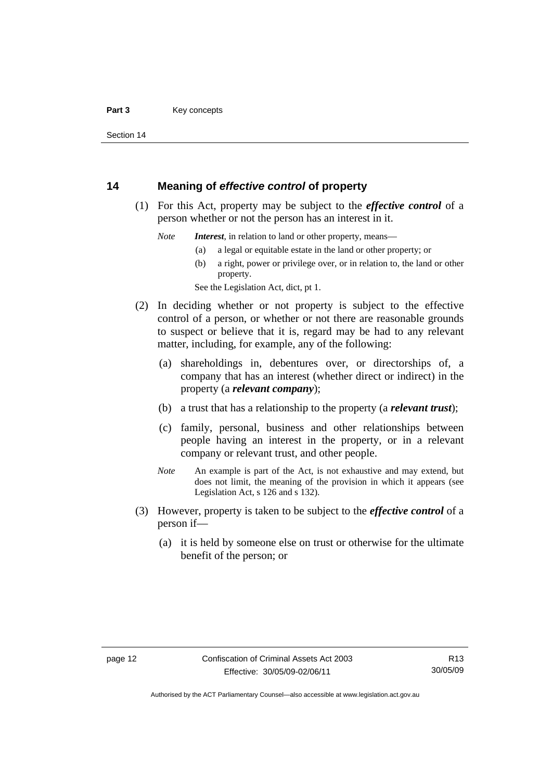<span id="page-25-0"></span>Section 14

# **14 Meaning of** *effective control* **of property**

- (1) For this Act, property may be subject to the *effective control* of a person whether or not the person has an interest in it.
	- *Note Interest*, in relation to land or other property, means—
		- (a) a legal or equitable estate in the land or other property; or
		- (b) a right, power or privilege over, or in relation to, the land or other property.

See the Legislation Act, dict, pt 1.

- (2) In deciding whether or not property is subject to the effective control of a person, or whether or not there are reasonable grounds to suspect or believe that it is, regard may be had to any relevant matter, including, for example, any of the following:
	- (a) shareholdings in, debentures over, or directorships of, a company that has an interest (whether direct or indirect) in the property (a *relevant company*);
	- (b) a trust that has a relationship to the property (a *relevant trust*);
	- (c) family, personal, business and other relationships between people having an interest in the property, or in a relevant company or relevant trust, and other people.
	- *Note* An example is part of the Act, is not exhaustive and may extend, but does not limit, the meaning of the provision in which it appears (see Legislation Act, s 126 and s 132).
- (3) However, property is taken to be subject to the *effective control* of a person if—
	- (a) it is held by someone else on trust or otherwise for the ultimate benefit of the person; or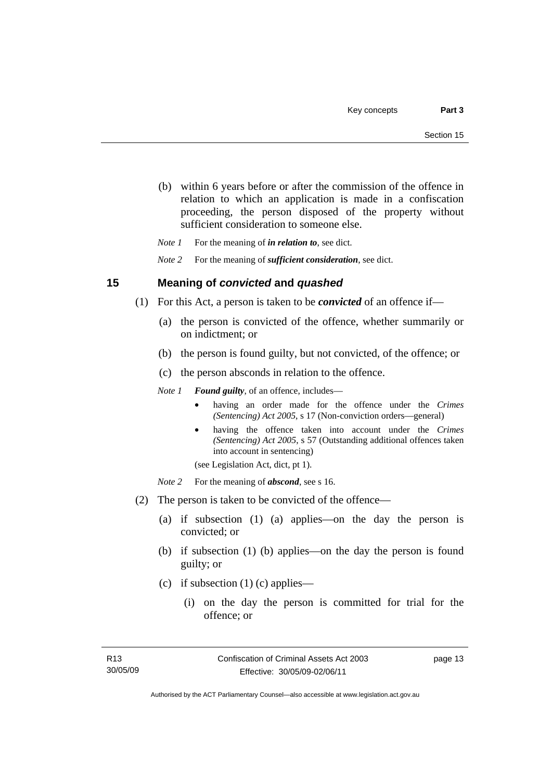- <span id="page-26-0"></span> (b) within 6 years before or after the commission of the offence in relation to which an application is made in a confiscation proceeding, the person disposed of the property without sufficient consideration to someone else.
- *Note 1* For the meaning of *in relation to*, see dict.

*Note 2* For the meaning of *sufficient consideration*, see dict.

# **15 Meaning of** *convicted* **and** *quashed*

- (1) For this Act, a person is taken to be *convicted* of an offence if—
	- (a) the person is convicted of the offence, whether summarily or on indictment; or
	- (b) the person is found guilty, but not convicted, of the offence; or
	- (c) the person absconds in relation to the offence.

*Note 1 Found guilty*, of an offence, includes—

- having an order made for the offence under the *Crimes (Sentencing) Act 2005*, s 17 (Non-conviction orders—general)
- having the offence taken into account under the *Crimes (Sentencing) Act 2005*, s 57 (Outstanding additional offences taken into account in sentencing)

(see Legislation Act, dict, pt 1).

- *Note* 2 For the meaning of *abscond*, see s 16.
- (2) The person is taken to be convicted of the offence—
	- (a) if subsection (1) (a) applies—on the day the person is convicted; or
	- (b) if subsection (1) (b) applies—on the day the person is found guilty; or
	- (c) if subsection (1) (c) applies—
		- (i) on the day the person is committed for trial for the offence; or

page 13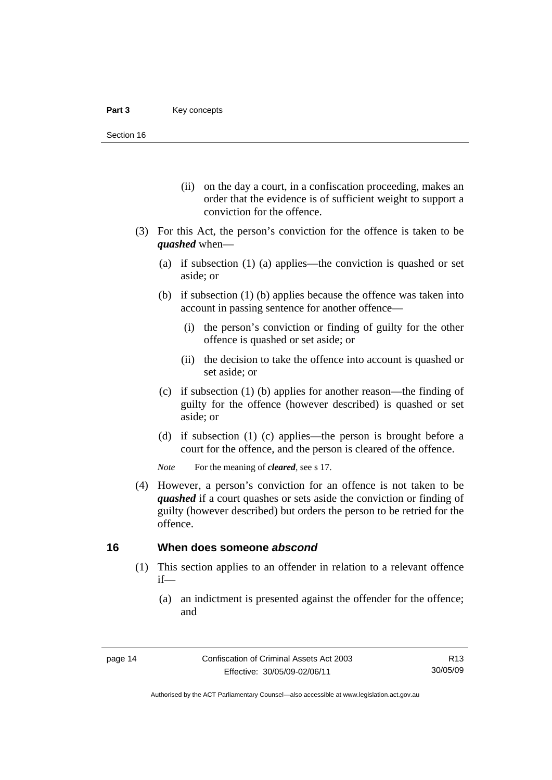- <span id="page-27-0"></span> (ii) on the day a court, in a confiscation proceeding, makes an order that the evidence is of sufficient weight to support a conviction for the offence.
- (3) For this Act, the person's conviction for the offence is taken to be *quashed* when—
	- (a) if subsection (1) (a) applies—the conviction is quashed or set aside; or
	- (b) if subsection (1) (b) applies because the offence was taken into account in passing sentence for another offence—
		- (i) the person's conviction or finding of guilty for the other offence is quashed or set aside; or
		- (ii) the decision to take the offence into account is quashed or set aside; or
	- (c) if subsection (1) (b) applies for another reason—the finding of guilty for the offence (however described) is quashed or set aside; or
	- (d) if subsection (1) (c) applies—the person is brought before a court for the offence, and the person is cleared of the offence.

*Note* For the meaning of *cleared*, see s 17.

 (4) However, a person's conviction for an offence is not taken to be *quashed* if a court quashes or sets aside the conviction or finding of guilty (however described) but orders the person to be retried for the offence.

### **16 When does someone** *abscond*

- (1) This section applies to an offender in relation to a relevant offence if—
	- (a) an indictment is presented against the offender for the offence; and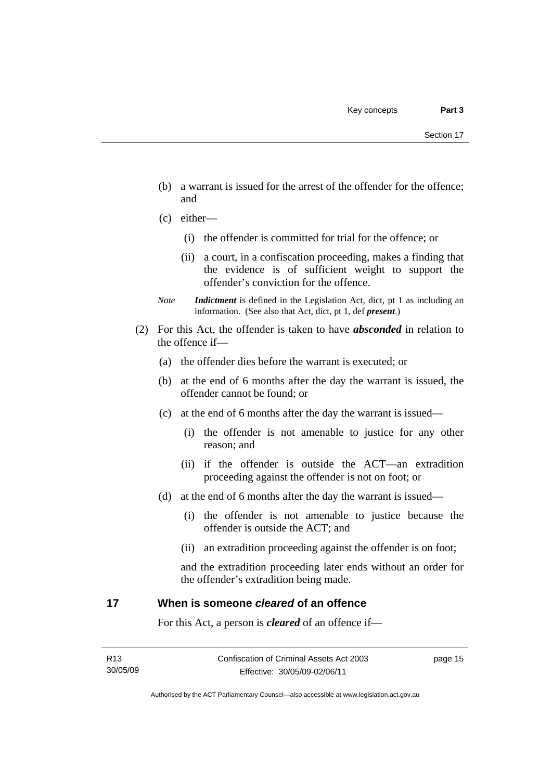- <span id="page-28-0"></span> (b) a warrant is issued for the arrest of the offender for the offence; and
- (c) either—
	- (i) the offender is committed for trial for the offence; or
	- (ii) a court, in a confiscation proceeding, makes a finding that the evidence is of sufficient weight to support the offender's conviction for the offence.
- *Note Indictment* is defined in the Legislation Act, dict, pt 1 as including an information. (See also that Act, dict, pt 1, def *present*.)
- (2) For this Act, the offender is taken to have *absconded* in relation to the offence if—
	- (a) the offender dies before the warrant is executed; or
	- (b) at the end of 6 months after the day the warrant is issued, the offender cannot be found; or
	- (c) at the end of 6 months after the day the warrant is issued—
		- (i) the offender is not amenable to justice for any other reason; and
		- (ii) if the offender is outside the ACT—an extradition proceeding against the offender is not on foot; or
	- (d) at the end of 6 months after the day the warrant is issued—
		- (i) the offender is not amenable to justice because the offender is outside the ACT; and
		- (ii) an extradition proceeding against the offender is on foot;

and the extradition proceeding later ends without an order for the offender's extradition being made.

# **17 When is someone** *cleared* **of an offence**

For this Act, a person is *cleared* of an offence if—

page 15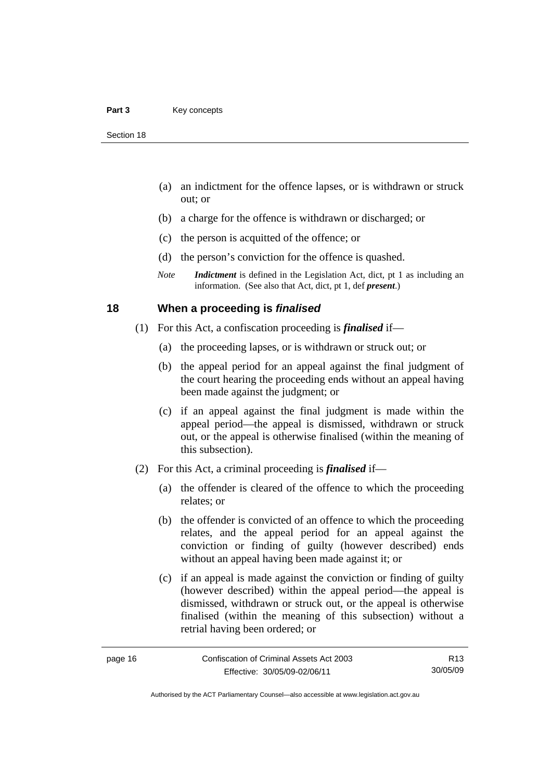- <span id="page-29-0"></span> (a) an indictment for the offence lapses, or is withdrawn or struck out; or
- (b) a charge for the offence is withdrawn or discharged; or
- (c) the person is acquitted of the offence; or
- (d) the person's conviction for the offence is quashed.
- *Note Indictment* is defined in the Legislation Act, dict, pt 1 as including an information. (See also that Act, dict, pt 1, def *present*.)

# **18 When a proceeding is** *finalised*

- (1) For this Act, a confiscation proceeding is *finalised* if—
	- (a) the proceeding lapses, or is withdrawn or struck out; or
	- (b) the appeal period for an appeal against the final judgment of the court hearing the proceeding ends without an appeal having been made against the judgment; or
	- (c) if an appeal against the final judgment is made within the appeal period—the appeal is dismissed, withdrawn or struck out, or the appeal is otherwise finalised (within the meaning of this subsection).
- (2) For this Act, a criminal proceeding is *finalised* if—
	- (a) the offender is cleared of the offence to which the proceeding relates; or
	- (b) the offender is convicted of an offence to which the proceeding relates, and the appeal period for an appeal against the conviction or finding of guilty (however described) ends without an appeal having been made against it; or
	- (c) if an appeal is made against the conviction or finding of guilty (however described) within the appeal period—the appeal is dismissed, withdrawn or struck out, or the appeal is otherwise finalised (within the meaning of this subsection) without a retrial having been ordered; or

R13 30/05/09

Authorised by the ACT Parliamentary Counsel—also accessible at www.legislation.act.gov.au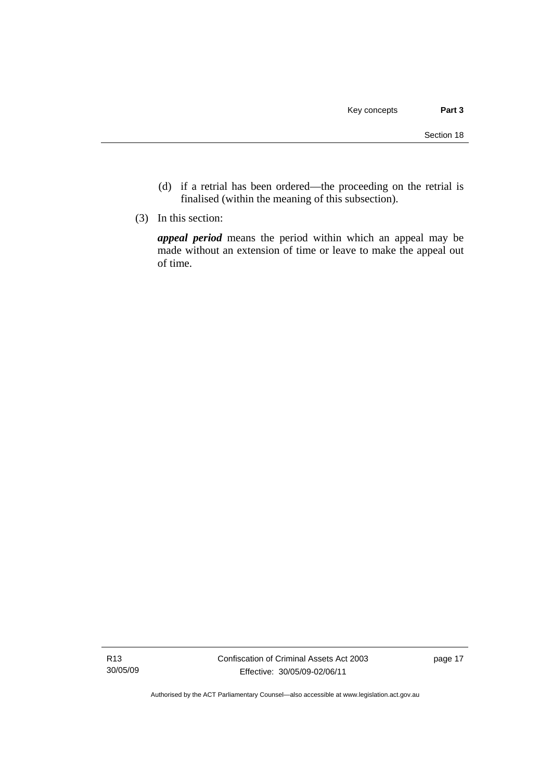- (d) if a retrial has been ordered—the proceeding on the retrial is finalised (within the meaning of this subsection).
- (3) In this section:

*appeal period* means the period within which an appeal may be made without an extension of time or leave to make the appeal out of time.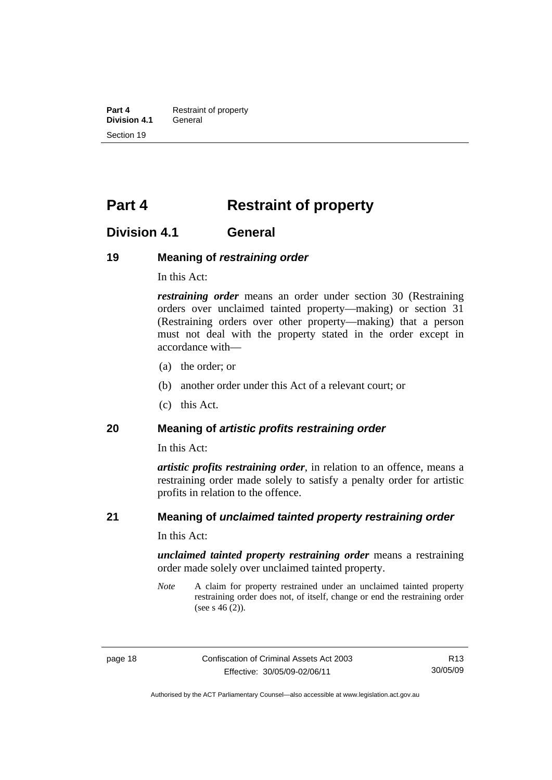<span id="page-31-0"></span>**Part 4 Restraint of property**<br>**Division 4.1 General Division 4.1** Section 19

# **Part 4 Restraint of property**

# **Division 4.1 General**

# **19 Meaning of** *restraining order*

In this Act:

*restraining order* means an order under section 30 (Restraining orders over unclaimed tainted property—making) or section 31 (Restraining orders over other property—making) that a person must not deal with the property stated in the order except in accordance with—

- (a) the order; or
- (b) another order under this Act of a relevant court; or
- (c) this Act.

### **20 Meaning of** *artistic profits restraining order*

In this Act:

*artistic profits restraining order*, in relation to an offence, means a restraining order made solely to satisfy a penalty order for artistic profits in relation to the offence.

# **21 Meaning of** *unclaimed tainted property restraining order*

In this Act:

*unclaimed tainted property restraining order* means a restraining order made solely over unclaimed tainted property.

*Note* A claim for property restrained under an unclaimed tainted property restraining order does not, of itself, change or end the restraining order (see s 46 (2)).

R13 30/05/09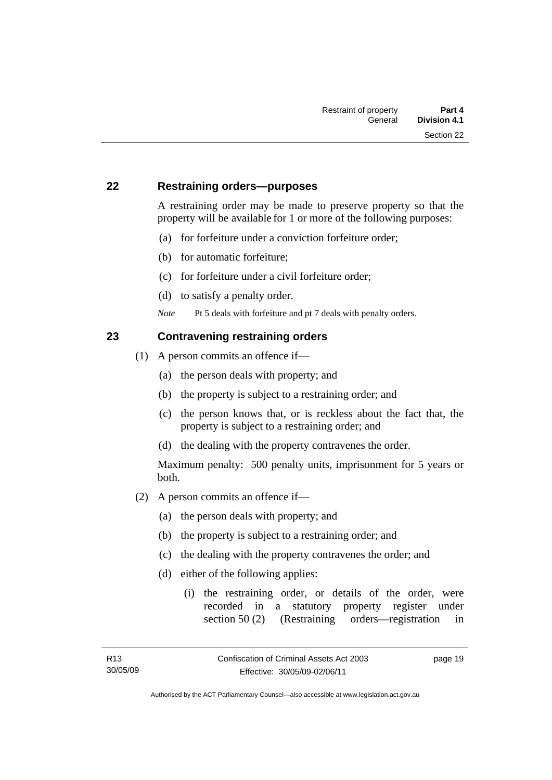# <span id="page-32-0"></span>**22 Restraining orders—purposes**

A restraining order may be made to preserve property so that the property will be available for 1 or more of the following purposes:

- (a) for forfeiture under a conviction forfeiture order;
- (b) for automatic forfeiture;
- (c) for forfeiture under a civil forfeiture order;
- (d) to satisfy a penalty order.

*Note* Pt 5 deals with forfeiture and pt 7 deals with penalty orders.

# **23 Contravening restraining orders**

- (1) A person commits an offence if—
	- (a) the person deals with property; and
	- (b) the property is subject to a restraining order; and
	- (c) the person knows that, or is reckless about the fact that, the property is subject to a restraining order; and
	- (d) the dealing with the property contravenes the order.

Maximum penalty: 500 penalty units, imprisonment for 5 years or both.

- (2) A person commits an offence if—
	- (a) the person deals with property; and
	- (b) the property is subject to a restraining order; and
	- (c) the dealing with the property contravenes the order; and
	- (d) either of the following applies:
		- (i) the restraining order, or details of the order, were recorded in a statutory property register under section 50 (2) (Restraining orders—registration in

page 19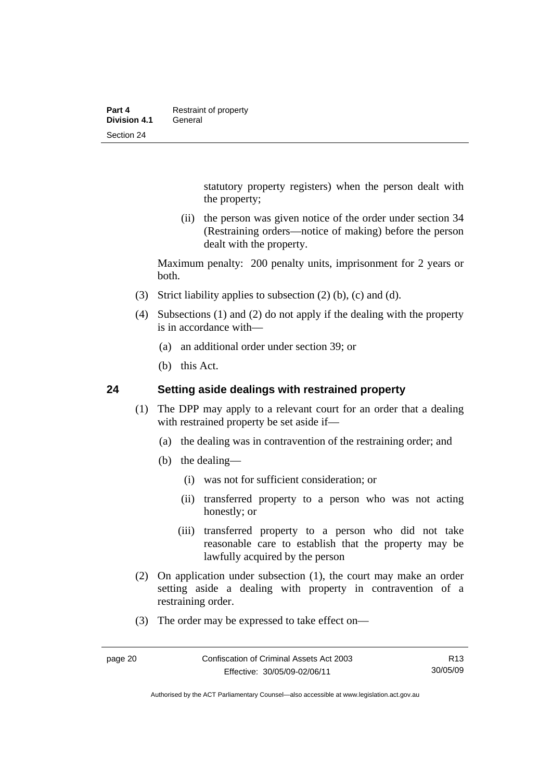<span id="page-33-0"></span>statutory property registers) when the person dealt with the property;

 (ii) the person was given notice of the order under section 34 (Restraining orders—notice of making) before the person dealt with the property.

Maximum penalty: 200 penalty units, imprisonment for 2 years or both.

- (3) Strict liability applies to subsection (2) (b), (c) and (d).
- (4) Subsections (1) and (2) do not apply if the dealing with the property is in accordance with—
	- (a) an additional order under section 39; or
	- (b) this Act.

# **24 Setting aside dealings with restrained property**

- (1) The DPP may apply to a relevant court for an order that a dealing with restrained property be set aside if—
	- (a) the dealing was in contravention of the restraining order; and
	- (b) the dealing—
		- (i) was not for sufficient consideration; or
		- (ii) transferred property to a person who was not acting honestly; or
		- (iii) transferred property to a person who did not take reasonable care to establish that the property may be lawfully acquired by the person
- (2) On application under subsection (1), the court may make an order setting aside a dealing with property in contravention of a restraining order.
- (3) The order may be expressed to take effect on—

R13 30/05/09

Authorised by the ACT Parliamentary Counsel—also accessible at www.legislation.act.gov.au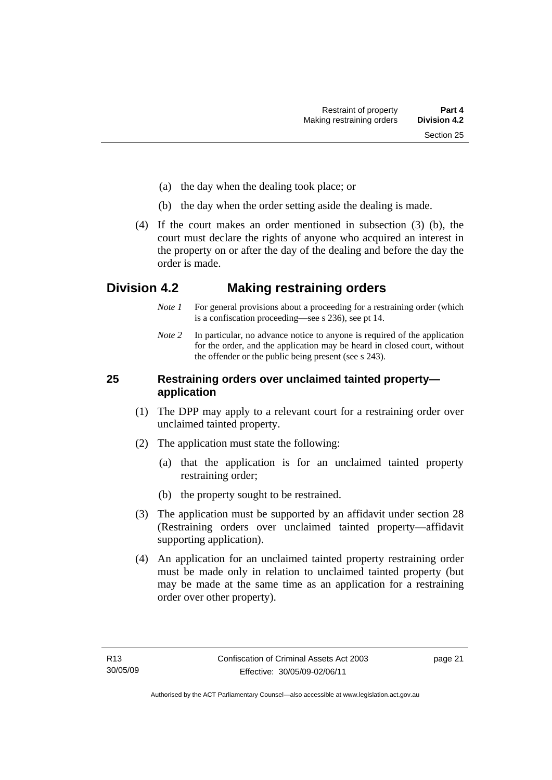- <span id="page-34-0"></span>(a) the day when the dealing took place; or
- (b) the day when the order setting aside the dealing is made.
- (4) If the court makes an order mentioned in subsection (3) (b), the court must declare the rights of anyone who acquired an interest in the property on or after the day of the dealing and before the day the order is made.

# **Division 4.2 Making restraining orders**

- *Note 1* For general provisions about a proceeding for a restraining order (which is a confiscation proceeding—see s 236), see pt 14.
- *Note* 2 In particular, no advance notice to anyone is required of the application for the order, and the application may be heard in closed court, without the offender or the public being present (see s 243).

# **25 Restraining orders over unclaimed tainted property application**

- (1) The DPP may apply to a relevant court for a restraining order over unclaimed tainted property.
- (2) The application must state the following:
	- (a) that the application is for an unclaimed tainted property restraining order;
	- (b) the property sought to be restrained.
- (3) The application must be supported by an affidavit under section 28 (Restraining orders over unclaimed tainted property—affidavit supporting application).
- (4) An application for an unclaimed tainted property restraining order must be made only in relation to unclaimed tainted property (but may be made at the same time as an application for a restraining order over other property).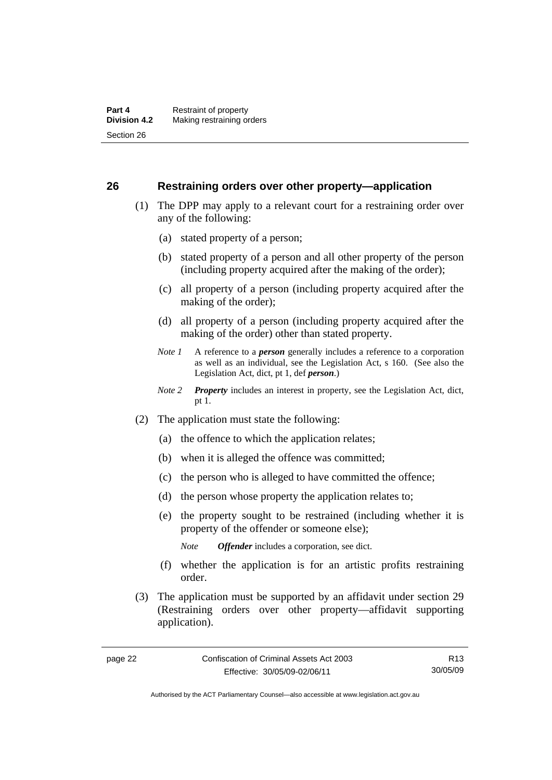# <span id="page-35-0"></span>**26 Restraining orders over other property—application**

- (1) The DPP may apply to a relevant court for a restraining order over any of the following:
	- (a) stated property of a person;
	- (b) stated property of a person and all other property of the person (including property acquired after the making of the order);
	- (c) all property of a person (including property acquired after the making of the order);
	- (d) all property of a person (including property acquired after the making of the order) other than stated property.
	- *Note 1* A reference to a *person* generally includes a reference to a corporation as well as an individual, see the Legislation Act, s 160. (See also the Legislation Act, dict, pt 1, def *person*.)
	- *Note 2 Property* includes an interest in property, see the Legislation Act, dict, pt 1.
- (2) The application must state the following:
	- (a) the offence to which the application relates;
	- (b) when it is alleged the offence was committed;
	- (c) the person who is alleged to have committed the offence;
	- (d) the person whose property the application relates to;
	- (e) the property sought to be restrained (including whether it is property of the offender or someone else);

*Note Offender* includes a corporation, see dict.

- (f) whether the application is for an artistic profits restraining order.
- (3) The application must be supported by an affidavit under section 29 (Restraining orders over other property—affidavit supporting application).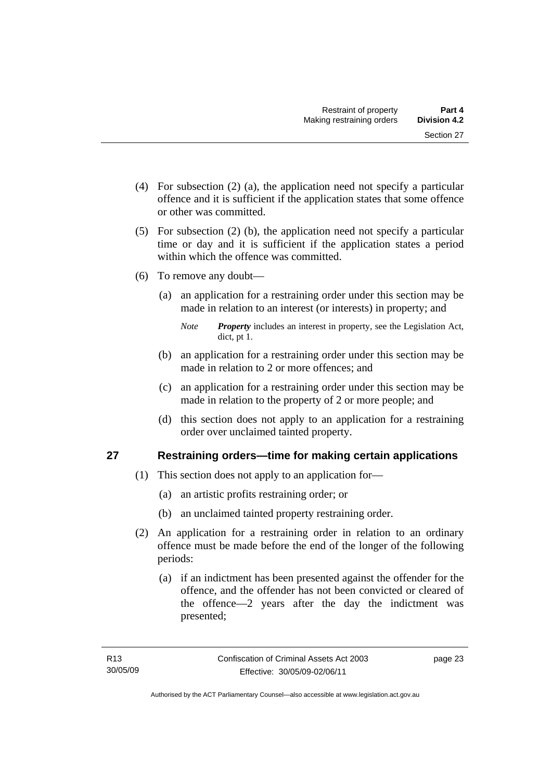- (4) For subsection (2) (a), the application need not specify a particular offence and it is sufficient if the application states that some offence or other was committed.
- (5) For subsection (2) (b), the application need not specify a particular time or day and it is sufficient if the application states a period within which the offence was committed.
- (6) To remove any doubt—
	- (a) an application for a restraining order under this section may be made in relation to an interest (or interests) in property; and
		- *Note Property* includes an interest in property, see the Legislation Act, dict, pt 1.
	- (b) an application for a restraining order under this section may be made in relation to 2 or more offences; and
	- (c) an application for a restraining order under this section may be made in relation to the property of 2 or more people; and
	- (d) this section does not apply to an application for a restraining order over unclaimed tainted property.

# **27 Restraining orders—time for making certain applications**

- (1) This section does not apply to an application for—
	- (a) an artistic profits restraining order; or
	- (b) an unclaimed tainted property restraining order.
- (2) An application for a restraining order in relation to an ordinary offence must be made before the end of the longer of the following periods:
	- (a) if an indictment has been presented against the offender for the offence, and the offender has not been convicted or cleared of the offence—2 years after the day the indictment was presented;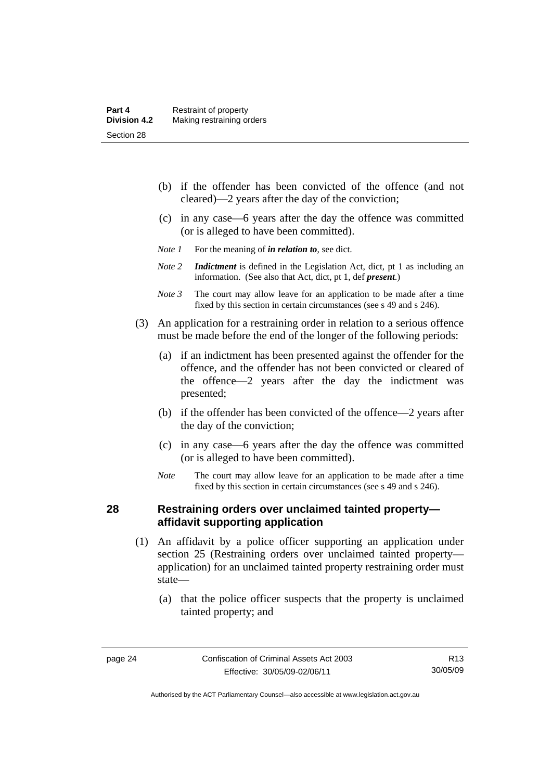- (b) if the offender has been convicted of the offence (and not cleared)—2 years after the day of the conviction;
- (c) in any case—6 years after the day the offence was committed (or is alleged to have been committed).
- *Note 1* For the meaning of *in relation to*, see dict.
- *Note 2 Indictment* is defined in the Legislation Act, dict, pt 1 as including an information. (See also that Act, dict, pt 1, def *present*.)
- *Note 3* The court may allow leave for an application to be made after a time fixed by this section in certain circumstances (see s 49 and s 246).
- (3) An application for a restraining order in relation to a serious offence must be made before the end of the longer of the following periods:
	- (a) if an indictment has been presented against the offender for the offence, and the offender has not been convicted or cleared of the offence—2 years after the day the indictment was presented;
	- (b) if the offender has been convicted of the offence—2 years after the day of the conviction;
	- (c) in any case—6 years after the day the offence was committed (or is alleged to have been committed).
	- *Note* The court may allow leave for an application to be made after a time fixed by this section in certain circumstances (see s 49 and s 246).

### **28 Restraining orders over unclaimed tainted property affidavit supporting application**

- (1) An affidavit by a police officer supporting an application under section 25 (Restraining orders over unclaimed tainted property application) for an unclaimed tainted property restraining order must state—
	- (a) that the police officer suspects that the property is unclaimed tainted property; and

R13 30/05/09

Authorised by the ACT Parliamentary Counsel—also accessible at www.legislation.act.gov.au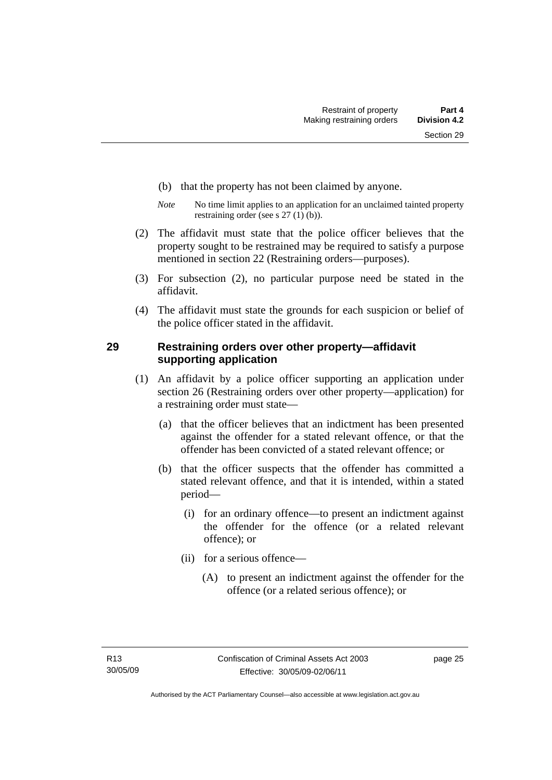- (b) that the property has not been claimed by anyone.
- *Note* No time limit applies to an application for an unclaimed tainted property restraining order (see s 27 (1) (b)).
- (2) The affidavit must state that the police officer believes that the property sought to be restrained may be required to satisfy a purpose mentioned in section 22 (Restraining orders—purposes).
- (3) For subsection (2), no particular purpose need be stated in the affidavit.
- (4) The affidavit must state the grounds for each suspicion or belief of the police officer stated in the affidavit.

# **29 Restraining orders over other property—affidavit supporting application**

- (1) An affidavit by a police officer supporting an application under section 26 (Restraining orders over other property—application) for a restraining order must state—
	- (a) that the officer believes that an indictment has been presented against the offender for a stated relevant offence, or that the offender has been convicted of a stated relevant offence; or
	- (b) that the officer suspects that the offender has committed a stated relevant offence, and that it is intended, within a stated period—
		- (i) for an ordinary offence—to present an indictment against the offender for the offence (or a related relevant offence); or
		- (ii) for a serious offence—
			- (A) to present an indictment against the offender for the offence (or a related serious offence); or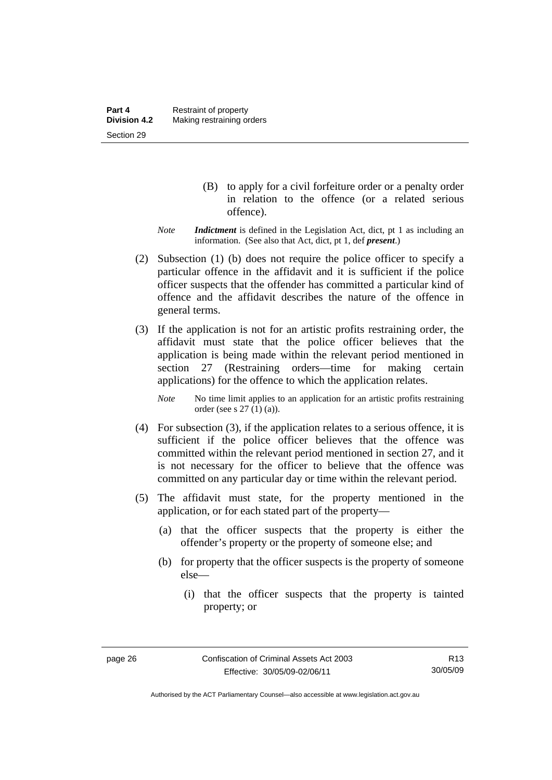- (B) to apply for a civil forfeiture order or a penalty order in relation to the offence (or a related serious offence).
- *Note Indictment* is defined in the Legislation Act, dict, pt 1 as including an information. (See also that Act, dict, pt 1, def *present*.)
- (2) Subsection (1) (b) does not require the police officer to specify a particular offence in the affidavit and it is sufficient if the police officer suspects that the offender has committed a particular kind of offence and the affidavit describes the nature of the offence in general terms.
- (3) If the application is not for an artistic profits restraining order, the affidavit must state that the police officer believes that the application is being made within the relevant period mentioned in section 27 (Restraining orders—time for making certain applications) for the offence to which the application relates.

*Note* No time limit applies to an application for an artistic profits restraining order (see s 27 (1) (a)).

- (4) For subsection (3), if the application relates to a serious offence, it is sufficient if the police officer believes that the offence was committed within the relevant period mentioned in section 27, and it is not necessary for the officer to believe that the offence was committed on any particular day or time within the relevant period.
- (5) The affidavit must state, for the property mentioned in the application, or for each stated part of the property—
	- (a) that the officer suspects that the property is either the offender's property or the property of someone else; and
	- (b) for property that the officer suspects is the property of someone else—
		- (i) that the officer suspects that the property is tainted property; or

Authorised by the ACT Parliamentary Counsel—also accessible at www.legislation.act.gov.au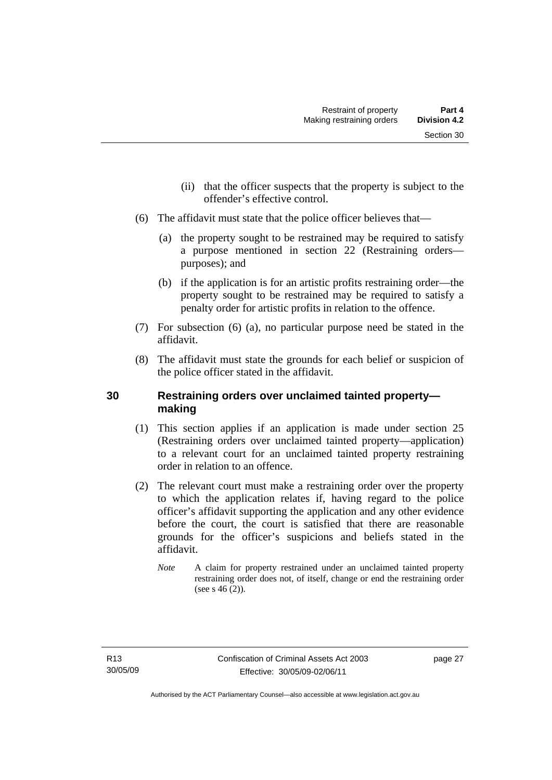- (ii) that the officer suspects that the property is subject to the offender's effective control.
- (6) The affidavit must state that the police officer believes that—
	- (a) the property sought to be restrained may be required to satisfy a purpose mentioned in section 22 (Restraining orders purposes); and
	- (b) if the application is for an artistic profits restraining order—the property sought to be restrained may be required to satisfy a penalty order for artistic profits in relation to the offence.
- (7) For subsection (6) (a), no particular purpose need be stated in the affidavit.
- (8) The affidavit must state the grounds for each belief or suspicion of the police officer stated in the affidavit.

# **30 Restraining orders over unclaimed tainted property making**

- (1) This section applies if an application is made under section 25 (Restraining orders over unclaimed tainted property—application) to a relevant court for an unclaimed tainted property restraining order in relation to an offence.
- (2) The relevant court must make a restraining order over the property to which the application relates if, having regard to the police officer's affidavit supporting the application and any other evidence before the court, the court is satisfied that there are reasonable grounds for the officer's suspicions and beliefs stated in the affidavit.
	- *Note* A claim for property restrained under an unclaimed tainted property restraining order does not, of itself, change or end the restraining order (see s  $46(2)$ ).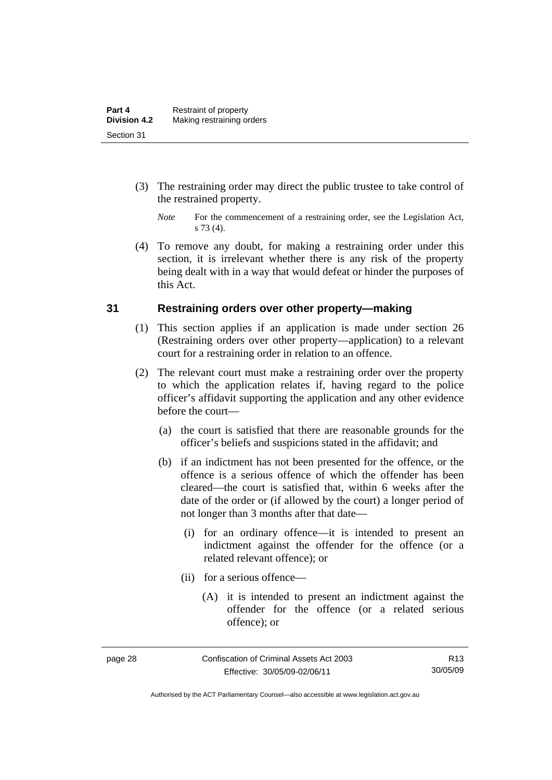- (3) The restraining order may direct the public trustee to take control of the restrained property.
	- *Note* For the commencement of a restraining order, see the Legislation Act, s 73 (4).
- (4) To remove any doubt, for making a restraining order under this section, it is irrelevant whether there is any risk of the property being dealt with in a way that would defeat or hinder the purposes of this Act.

## **31 Restraining orders over other property—making**

- (1) This section applies if an application is made under section 26 (Restraining orders over other property—application) to a relevant court for a restraining order in relation to an offence.
- (2) The relevant court must make a restraining order over the property to which the application relates if, having regard to the police officer's affidavit supporting the application and any other evidence before the court—
	- (a) the court is satisfied that there are reasonable grounds for the officer's beliefs and suspicions stated in the affidavit; and
	- (b) if an indictment has not been presented for the offence, or the offence is a serious offence of which the offender has been cleared—the court is satisfied that, within 6 weeks after the date of the order or (if allowed by the court) a longer period of not longer than 3 months after that date—
		- (i) for an ordinary offence—it is intended to present an indictment against the offender for the offence (or a related relevant offence); or
		- (ii) for a serious offence—
			- (A) it is intended to present an indictment against the offender for the offence (or a related serious offence); or

Authorised by the ACT Parliamentary Counsel—also accessible at www.legislation.act.gov.au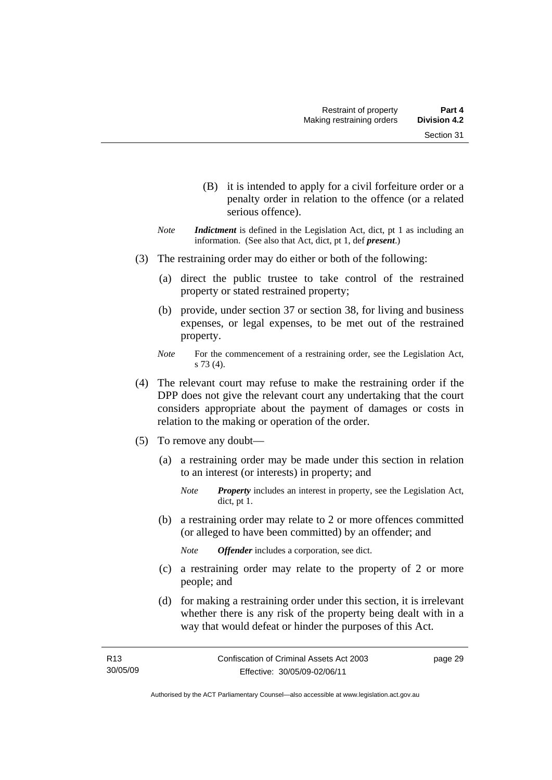- (B) it is intended to apply for a civil forfeiture order or a penalty order in relation to the offence (or a related serious offence).
- *Note Indictment* is defined in the Legislation Act, dict, pt 1 as including an information. (See also that Act, dict, pt 1, def *present*.)
- (3) The restraining order may do either or both of the following:
	- (a) direct the public trustee to take control of the restrained property or stated restrained property;
	- (b) provide, under section 37 or section 38, for living and business expenses, or legal expenses, to be met out of the restrained property.
	- *Note* For the commencement of a restraining order, see the Legislation Act, s 73 (4).
- (4) The relevant court may refuse to make the restraining order if the DPP does not give the relevant court any undertaking that the court considers appropriate about the payment of damages or costs in relation to the making or operation of the order.
- (5) To remove any doubt—
	- (a) a restraining order may be made under this section in relation to an interest (or interests) in property; and
		- *Note Property* includes an interest in property, see the Legislation Act, dict, pt 1.
	- (b) a restraining order may relate to 2 or more offences committed (or alleged to have been committed) by an offender; and

*Note Offender* includes a corporation, see dict.

- (c) a restraining order may relate to the property of 2 or more people; and
- (d) for making a restraining order under this section, it is irrelevant whether there is any risk of the property being dealt with in a way that would defeat or hinder the purposes of this Act.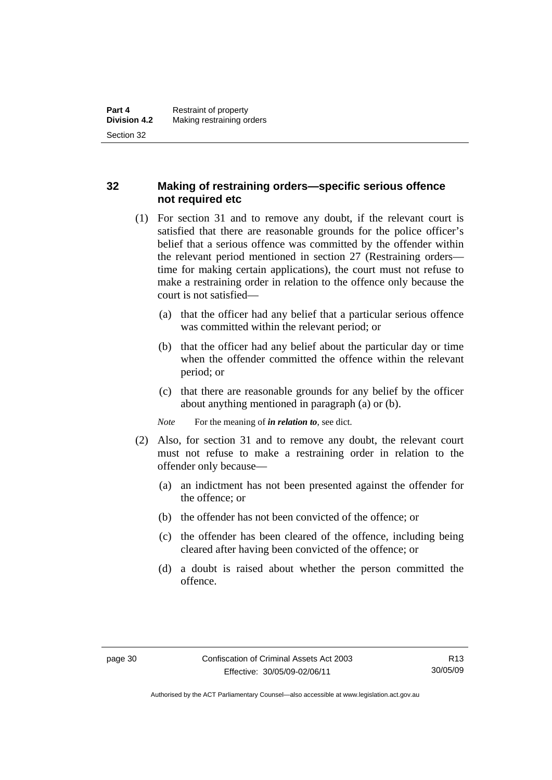# **32 Making of restraining orders—specific serious offence not required etc**

- (1) For section 31 and to remove any doubt, if the relevant court is satisfied that there are reasonable grounds for the police officer's belief that a serious offence was committed by the offender within the relevant period mentioned in section 27 (Restraining orders time for making certain applications), the court must not refuse to make a restraining order in relation to the offence only because the court is not satisfied—
	- (a) that the officer had any belief that a particular serious offence was committed within the relevant period; or
	- (b) that the officer had any belief about the particular day or time when the offender committed the offence within the relevant period; or
	- (c) that there are reasonable grounds for any belief by the officer about anything mentioned in paragraph (a) or (b).

*Note* For the meaning of *in relation to*, see dict.

- (2) Also, for section 31 and to remove any doubt, the relevant court must not refuse to make a restraining order in relation to the offender only because—
	- (a) an indictment has not been presented against the offender for the offence; or
	- (b) the offender has not been convicted of the offence; or
	- (c) the offender has been cleared of the offence, including being cleared after having been convicted of the offence; or
	- (d) a doubt is raised about whether the person committed the offence.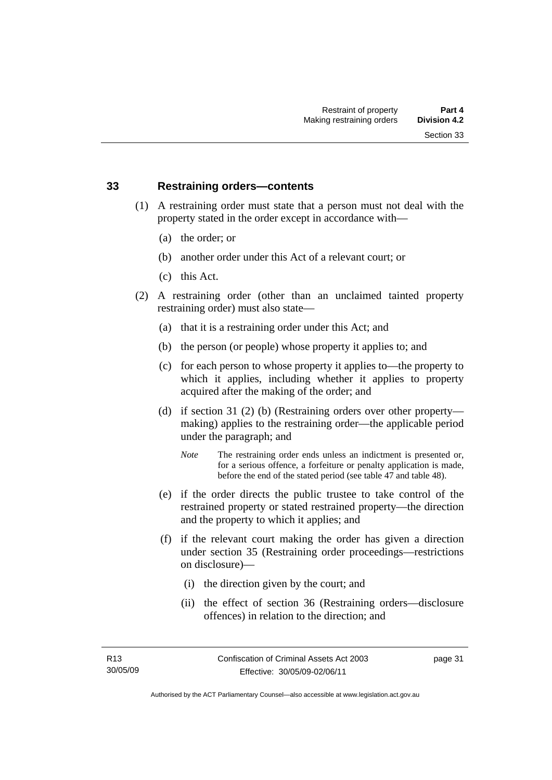#### **33 Restraining orders—contents**

- (1) A restraining order must state that a person must not deal with the property stated in the order except in accordance with—
	- (a) the order; or
	- (b) another order under this Act of a relevant court; or
	- (c) this Act.
- (2) A restraining order (other than an unclaimed tainted property restraining order) must also state—
	- (a) that it is a restraining order under this Act; and
	- (b) the person (or people) whose property it applies to; and
	- (c) for each person to whose property it applies to—the property to which it applies, including whether it applies to property acquired after the making of the order; and
	- (d) if section 31 (2) (b) (Restraining orders over other property making) applies to the restraining order—the applicable period under the paragraph; and
		- *Note* The restraining order ends unless an indictment is presented or, for a serious offence, a forfeiture or penalty application is made, before the end of the stated period (see table 47 and table 48).
	- (e) if the order directs the public trustee to take control of the restrained property or stated restrained property—the direction and the property to which it applies; and
	- (f) if the relevant court making the order has given a direction under section 35 (Restraining order proceedings—restrictions on disclosure)—
		- (i) the direction given by the court; and
		- (ii) the effect of section 36 (Restraining orders—disclosure offences) in relation to the direction; and

page 31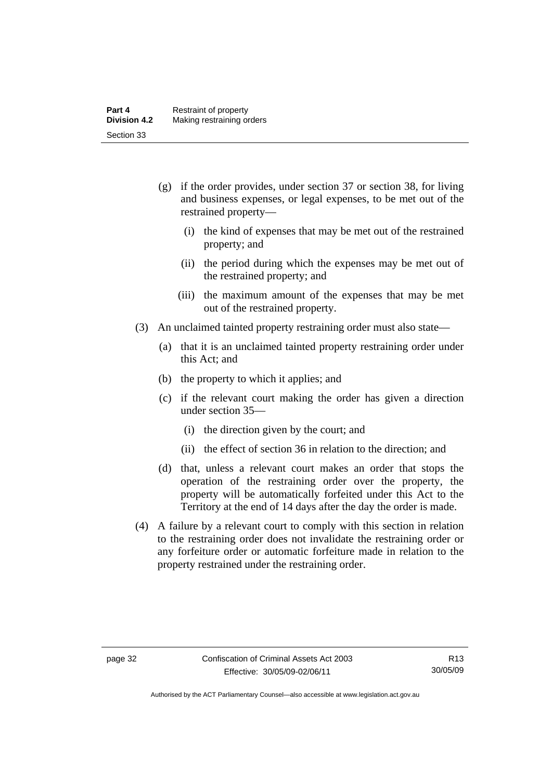- (g) if the order provides, under section 37 or section 38, for living and business expenses, or legal expenses, to be met out of the restrained property—
	- (i) the kind of expenses that may be met out of the restrained property; and
	- (ii) the period during which the expenses may be met out of the restrained property; and
	- (iii) the maximum amount of the expenses that may be met out of the restrained property.
- (3) An unclaimed tainted property restraining order must also state—
	- (a) that it is an unclaimed tainted property restraining order under this Act; and
	- (b) the property to which it applies; and
	- (c) if the relevant court making the order has given a direction under section 35—
		- (i) the direction given by the court; and
		- (ii) the effect of section 36 in relation to the direction; and
	- (d) that, unless a relevant court makes an order that stops the operation of the restraining order over the property, the property will be automatically forfeited under this Act to the Territory at the end of 14 days after the day the order is made.
- (4) A failure by a relevant court to comply with this section in relation to the restraining order does not invalidate the restraining order or any forfeiture order or automatic forfeiture made in relation to the property restrained under the restraining order.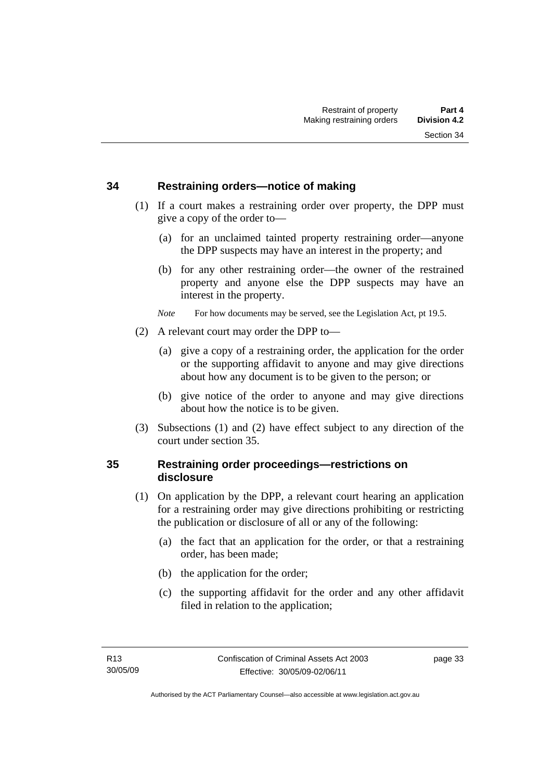## **34 Restraining orders—notice of making**

- (1) If a court makes a restraining order over property, the DPP must give a copy of the order to—
	- (a) for an unclaimed tainted property restraining order—anyone the DPP suspects may have an interest in the property; and
	- (b) for any other restraining order—the owner of the restrained property and anyone else the DPP suspects may have an interest in the property.

*Note* For how documents may be served, see the Legislation Act, pt 19.5.

- (2) A relevant court may order the DPP to—
	- (a) give a copy of a restraining order, the application for the order or the supporting affidavit to anyone and may give directions about how any document is to be given to the person; or
	- (b) give notice of the order to anyone and may give directions about how the notice is to be given.
- (3) Subsections (1) and (2) have effect subject to any direction of the court under section 35.

# **35 Restraining order proceedings—restrictions on disclosure**

- (1) On application by the DPP, a relevant court hearing an application for a restraining order may give directions prohibiting or restricting the publication or disclosure of all or any of the following:
	- (a) the fact that an application for the order, or that a restraining order, has been made;
	- (b) the application for the order;
	- (c) the supporting affidavit for the order and any other affidavit filed in relation to the application;

page 33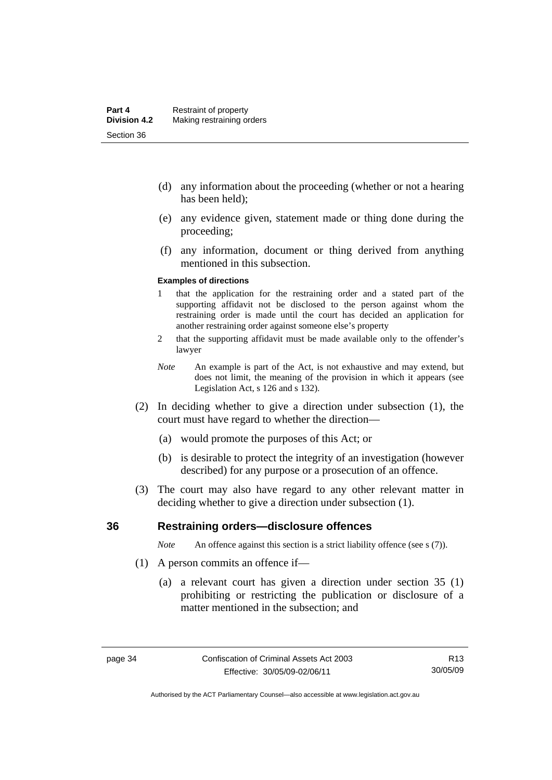- (d) any information about the proceeding (whether or not a hearing has been held);
- (e) any evidence given, statement made or thing done during the proceeding;
- (f) any information, document or thing derived from anything mentioned in this subsection.

#### **Examples of directions**

- 1 that the application for the restraining order and a stated part of the supporting affidavit not be disclosed to the person against whom the restraining order is made until the court has decided an application for another restraining order against someone else's property
- 2 that the supporting affidavit must be made available only to the offender's lawyer
- *Note* An example is part of the Act, is not exhaustive and may extend, but does not limit, the meaning of the provision in which it appears (see Legislation Act, s 126 and s 132).
- (2) In deciding whether to give a direction under subsection (1), the court must have regard to whether the direction—
	- (a) would promote the purposes of this Act; or
	- (b) is desirable to protect the integrity of an investigation (however described) for any purpose or a prosecution of an offence.
- (3) The court may also have regard to any other relevant matter in deciding whether to give a direction under subsection (1).

#### **36 Restraining orders—disclosure offences**

*Note* An offence against this section is a strict liability offence (see s (7)).

- (1) A person commits an offence if—
	- (a) a relevant court has given a direction under section 35 (1) prohibiting or restricting the publication or disclosure of a matter mentioned in the subsection; and

Authorised by the ACT Parliamentary Counsel—also accessible at www.legislation.act.gov.au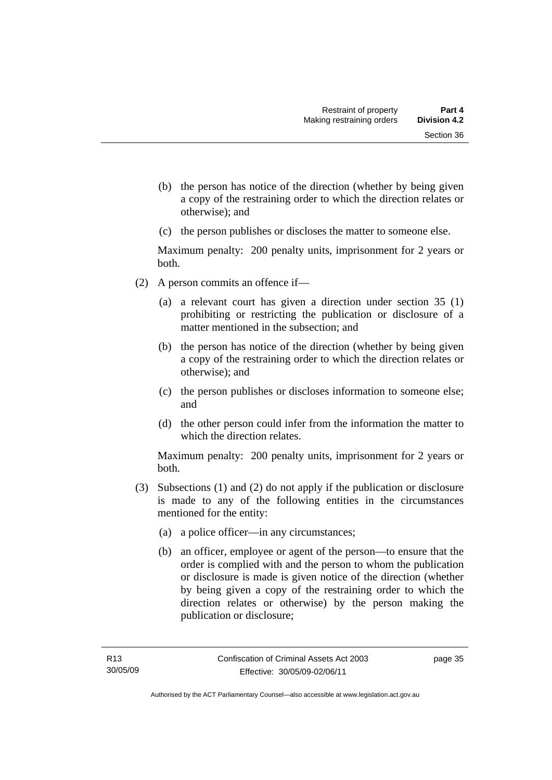- (b) the person has notice of the direction (whether by being given a copy of the restraining order to which the direction relates or otherwise); and
- (c) the person publishes or discloses the matter to someone else.

Maximum penalty: 200 penalty units, imprisonment for 2 years or both.

- (2) A person commits an offence if—
	- (a) a relevant court has given a direction under section 35 (1) prohibiting or restricting the publication or disclosure of a matter mentioned in the subsection; and
	- (b) the person has notice of the direction (whether by being given a copy of the restraining order to which the direction relates or otherwise); and
	- (c) the person publishes or discloses information to someone else; and
	- (d) the other person could infer from the information the matter to which the direction relates.

Maximum penalty: 200 penalty units, imprisonment for 2 years or both.

- (3) Subsections (1) and (2) do not apply if the publication or disclosure is made to any of the following entities in the circumstances mentioned for the entity:
	- (a) a police officer—in any circumstances;
	- (b) an officer, employee or agent of the person—to ensure that the order is complied with and the person to whom the publication or disclosure is made is given notice of the direction (whether by being given a copy of the restraining order to which the direction relates or otherwise) by the person making the publication or disclosure;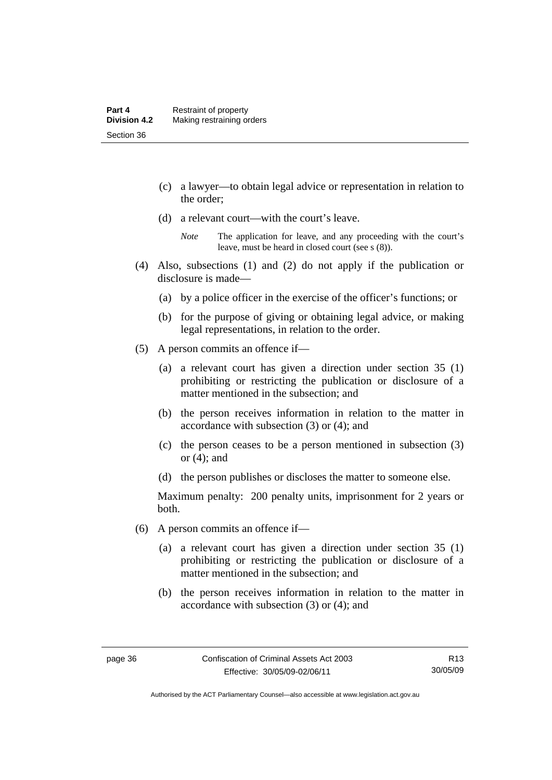- (c) a lawyer—to obtain legal advice or representation in relation to the order;
- (d) a relevant court—with the court's leave.

- (4) Also, subsections (1) and (2) do not apply if the publication or disclosure is made—
	- (a) by a police officer in the exercise of the officer's functions; or
	- (b) for the purpose of giving or obtaining legal advice, or making legal representations, in relation to the order.
- (5) A person commits an offence if—
	- (a) a relevant court has given a direction under section 35 (1) prohibiting or restricting the publication or disclosure of a matter mentioned in the subsection; and
	- (b) the person receives information in relation to the matter in accordance with subsection (3) or (4); and
	- (c) the person ceases to be a person mentioned in subsection (3) or  $(4)$ ; and
	- (d) the person publishes or discloses the matter to someone else.

Maximum penalty: 200 penalty units, imprisonment for 2 years or both.

- (6) A person commits an offence if—
	- (a) a relevant court has given a direction under section 35 (1) prohibiting or restricting the publication or disclosure of a matter mentioned in the subsection; and
	- (b) the person receives information in relation to the matter in accordance with subsection (3) or (4); and

*Note* The application for leave, and any proceeding with the court's leave, must be heard in closed court (see s (8)).

R13 30/05/09

Authorised by the ACT Parliamentary Counsel—also accessible at www.legislation.act.gov.au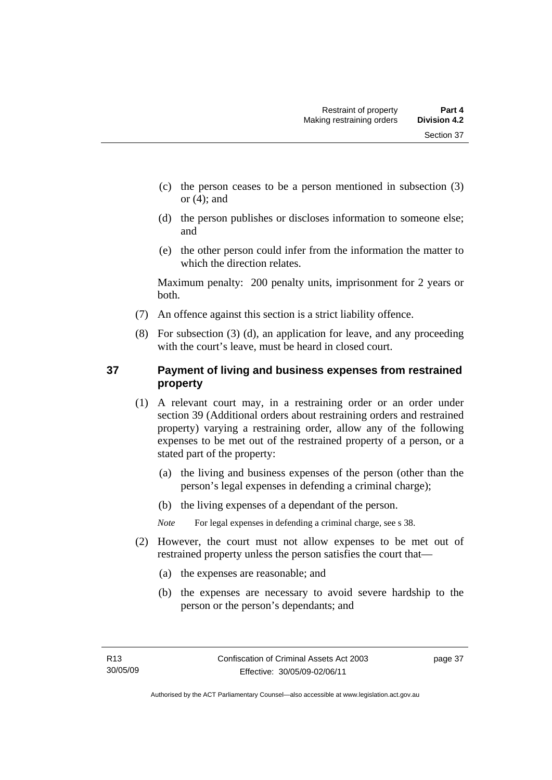- (c) the person ceases to be a person mentioned in subsection (3) or  $(4)$ ; and
- (d) the person publishes or discloses information to someone else; and
- (e) the other person could infer from the information the matter to which the direction relates.

Maximum penalty: 200 penalty units, imprisonment for 2 years or both.

- (7) An offence against this section is a strict liability offence.
- (8) For subsection (3) (d), an application for leave, and any proceeding with the court's leave, must be heard in closed court.

# **37 Payment of living and business expenses from restrained property**

- (1) A relevant court may, in a restraining order or an order under section 39 (Additional orders about restraining orders and restrained property) varying a restraining order, allow any of the following expenses to be met out of the restrained property of a person, or a stated part of the property:
	- (a) the living and business expenses of the person (other than the person's legal expenses in defending a criminal charge);
	- (b) the living expenses of a dependant of the person.

*Note* For legal expenses in defending a criminal charge, see s 38.

- (2) However, the court must not allow expenses to be met out of restrained property unless the person satisfies the court that—
	- (a) the expenses are reasonable; and
	- (b) the expenses are necessary to avoid severe hardship to the person or the person's dependants; and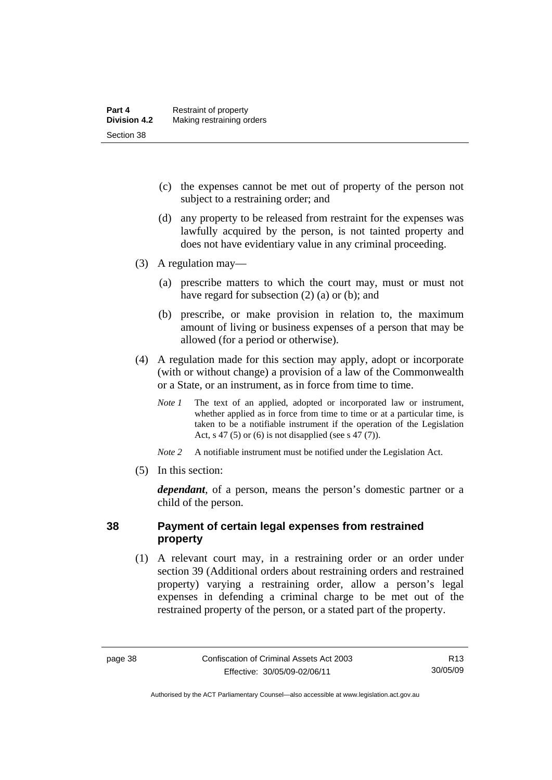- (c) the expenses cannot be met out of property of the person not subject to a restraining order; and
- (d) any property to be released from restraint for the expenses was lawfully acquired by the person, is not tainted property and does not have evidentiary value in any criminal proceeding.
- (3) A regulation may—
	- (a) prescribe matters to which the court may, must or must not have regard for subsection (2) (a) or (b); and
	- (b) prescribe, or make provision in relation to, the maximum amount of living or business expenses of a person that may be allowed (for a period or otherwise).
- (4) A regulation made for this section may apply, adopt or incorporate (with or without change) a provision of a law of the Commonwealth or a State, or an instrument, as in force from time to time.
	- *Note 1* The text of an applied, adopted or incorporated law or instrument, whether applied as in force from time to time or at a particular time, is taken to be a notifiable instrument if the operation of the Legislation Act, s 47 (5) or (6) is not disapplied (see s 47 (7)).
	- *Note 2* A notifiable instrument must be notified under the Legislation Act.
- (5) In this section:

*dependant*, of a person, means the person's domestic partner or a child of the person.

# **38 Payment of certain legal expenses from restrained property**

 (1) A relevant court may, in a restraining order or an order under section 39 (Additional orders about restraining orders and restrained property) varying a restraining order, allow a person's legal expenses in defending a criminal charge to be met out of the restrained property of the person, or a stated part of the property.

R13 30/05/09

Authorised by the ACT Parliamentary Counsel—also accessible at www.legislation.act.gov.au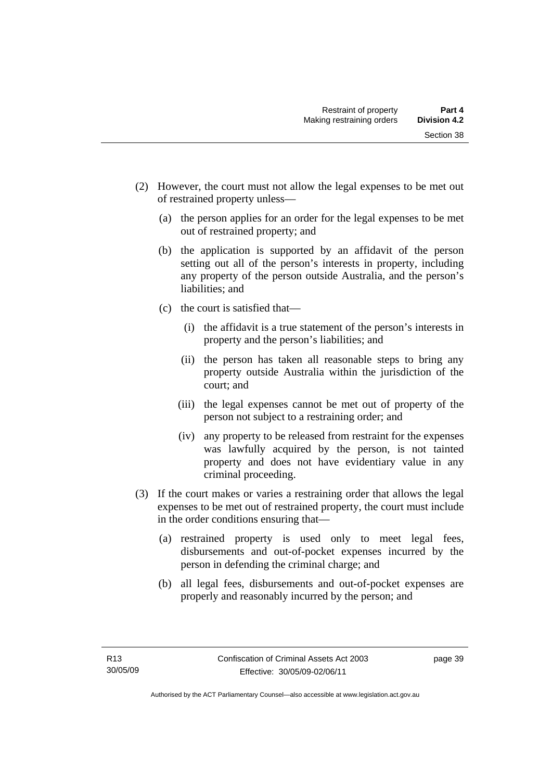- (2) However, the court must not allow the legal expenses to be met out of restrained property unless—
	- (a) the person applies for an order for the legal expenses to be met out of restrained property; and
	- (b) the application is supported by an affidavit of the person setting out all of the person's interests in property, including any property of the person outside Australia, and the person's liabilities; and
	- (c) the court is satisfied that—
		- (i) the affidavit is a true statement of the person's interests in property and the person's liabilities; and
		- (ii) the person has taken all reasonable steps to bring any property outside Australia within the jurisdiction of the court; and
		- (iii) the legal expenses cannot be met out of property of the person not subject to a restraining order; and
		- (iv) any property to be released from restraint for the expenses was lawfully acquired by the person, is not tainted property and does not have evidentiary value in any criminal proceeding.
- (3) If the court makes or varies a restraining order that allows the legal expenses to be met out of restrained property, the court must include in the order conditions ensuring that—
	- (a) restrained property is used only to meet legal fees, disbursements and out-of-pocket expenses incurred by the person in defending the criminal charge; and
	- (b) all legal fees, disbursements and out-of-pocket expenses are properly and reasonably incurred by the person; and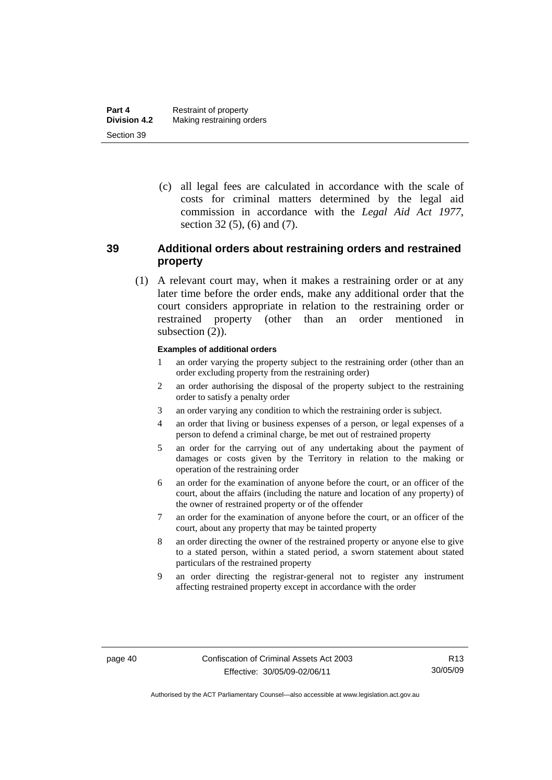(c) all legal fees are calculated in accordance with the scale of costs for criminal matters determined by the legal aid commission in accordance with the *Legal Aid Act 1977*, section 32 (5), (6) and (7).

# **39 Additional orders about restraining orders and restrained property**

 (1) A relevant court may, when it makes a restraining order or at any later time before the order ends, make any additional order that the court considers appropriate in relation to the restraining order or restrained property (other than an order mentioned in subsection  $(2)$ ).

#### **Examples of additional orders**

- 1 an order varying the property subject to the restraining order (other than an order excluding property from the restraining order)
- 2 an order authorising the disposal of the property subject to the restraining order to satisfy a penalty order
- 3 an order varying any condition to which the restraining order is subject.
- 4 an order that living or business expenses of a person, or legal expenses of a person to defend a criminal charge, be met out of restrained property
- 5 an order for the carrying out of any undertaking about the payment of damages or costs given by the Territory in relation to the making or operation of the restraining order
- 6 an order for the examination of anyone before the court, or an officer of the court, about the affairs (including the nature and location of any property) of the owner of restrained property or of the offender
- 7 an order for the examination of anyone before the court, or an officer of the court, about any property that may be tainted property
- 8 an order directing the owner of the restrained property or anyone else to give to a stated person, within a stated period, a sworn statement about stated particulars of the restrained property
- 9 an order directing the registrar-general not to register any instrument affecting restrained property except in accordance with the order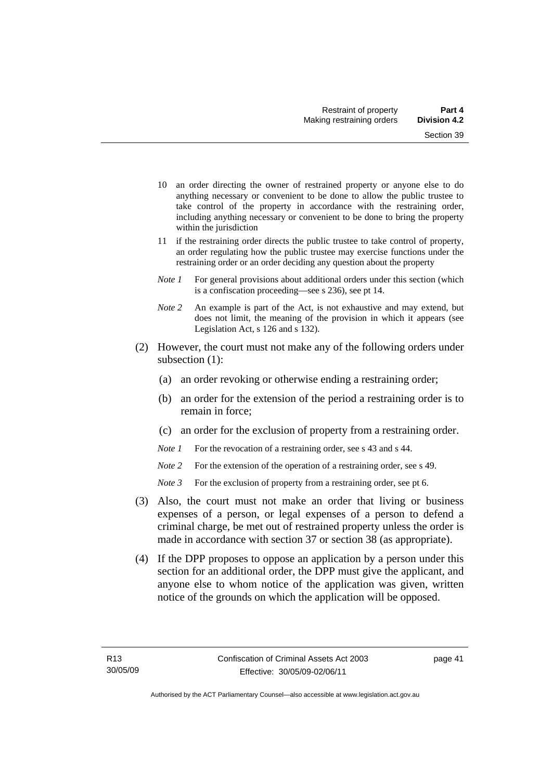- 10 an order directing the owner of restrained property or anyone else to do anything necessary or convenient to be done to allow the public trustee to take control of the property in accordance with the restraining order, including anything necessary or convenient to be done to bring the property within the jurisdiction
- 11 if the restraining order directs the public trustee to take control of property, an order regulating how the public trustee may exercise functions under the restraining order or an order deciding any question about the property
- *Note 1* For general provisions about additional orders under this section (which is a confiscation proceeding—see s 236), see pt 14.
- *Note 2* An example is part of the Act, is not exhaustive and may extend, but does not limit, the meaning of the provision in which it appears (see Legislation Act, s 126 and s 132).
- (2) However, the court must not make any of the following orders under subsection (1):
	- (a) an order revoking or otherwise ending a restraining order;
	- (b) an order for the extension of the period a restraining order is to remain in force;
	- (c) an order for the exclusion of property from a restraining order.
	- *Note 1* For the revocation of a restraining order, see s 43 and s 44.
	- *Note* 2 For the extension of the operation of a restraining order, see s 49.
	- *Note 3* For the exclusion of property from a restraining order, see pt 6.
- (3) Also, the court must not make an order that living or business expenses of a person, or legal expenses of a person to defend a criminal charge, be met out of restrained property unless the order is made in accordance with section 37 or section 38 (as appropriate).
- (4) If the DPP proposes to oppose an application by a person under this section for an additional order, the DPP must give the applicant, and anyone else to whom notice of the application was given, written notice of the grounds on which the application will be opposed.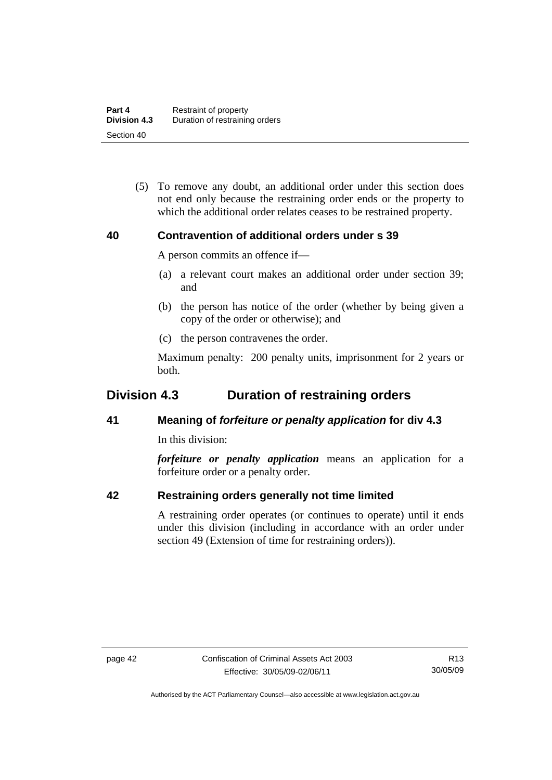(5) To remove any doubt, an additional order under this section does not end only because the restraining order ends or the property to which the additional order relates ceases to be restrained property.

# **40 Contravention of additional orders under s 39**

A person commits an offence if—

- (a) a relevant court makes an additional order under section 39; and
- (b) the person has notice of the order (whether by being given a copy of the order or otherwise); and
- (c) the person contravenes the order.

Maximum penalty: 200 penalty units, imprisonment for 2 years or both.

# **Division 4.3 Duration of restraining orders**

# **41 Meaning of** *forfeiture or penalty application* **for div 4.3**

In this division:

*forfeiture or penalty application* means an application for a forfeiture order or a penalty order.

# **42 Restraining orders generally not time limited**

A restraining order operates (or continues to operate) until it ends under this division (including in accordance with an order under section 49 (Extension of time for restraining orders)).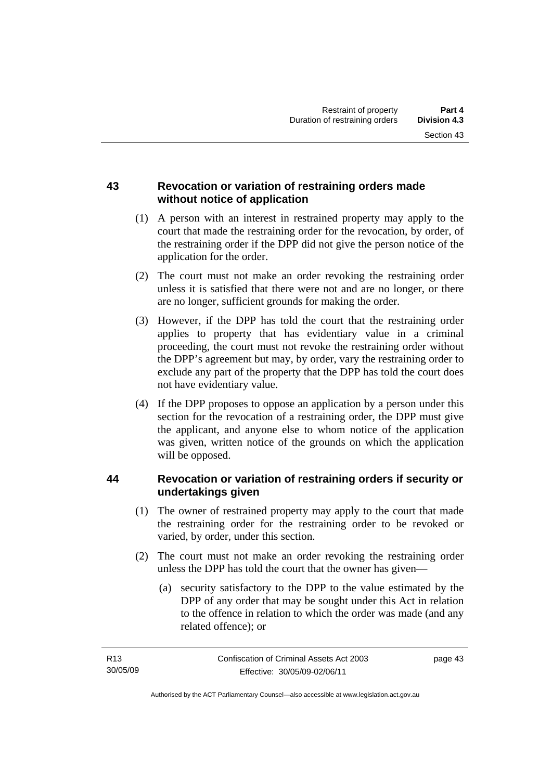# **43 Revocation or variation of restraining orders made without notice of application**

- (1) A person with an interest in restrained property may apply to the court that made the restraining order for the revocation, by order, of the restraining order if the DPP did not give the person notice of the application for the order.
- (2) The court must not make an order revoking the restraining order unless it is satisfied that there were not and are no longer, or there are no longer, sufficient grounds for making the order.
- (3) However, if the DPP has told the court that the restraining order applies to property that has evidentiary value in a criminal proceeding, the court must not revoke the restraining order without the DPP's agreement but may, by order, vary the restraining order to exclude any part of the property that the DPP has told the court does not have evidentiary value.
- (4) If the DPP proposes to oppose an application by a person under this section for the revocation of a restraining order, the DPP must give the applicant, and anyone else to whom notice of the application was given, written notice of the grounds on which the application will be opposed.

# **44 Revocation or variation of restraining orders if security or undertakings given**

- (1) The owner of restrained property may apply to the court that made the restraining order for the restraining order to be revoked or varied, by order, under this section.
- (2) The court must not make an order revoking the restraining order unless the DPP has told the court that the owner has given—
	- (a) security satisfactory to the DPP to the value estimated by the DPP of any order that may be sought under this Act in relation to the offence in relation to which the order was made (and any related offence); or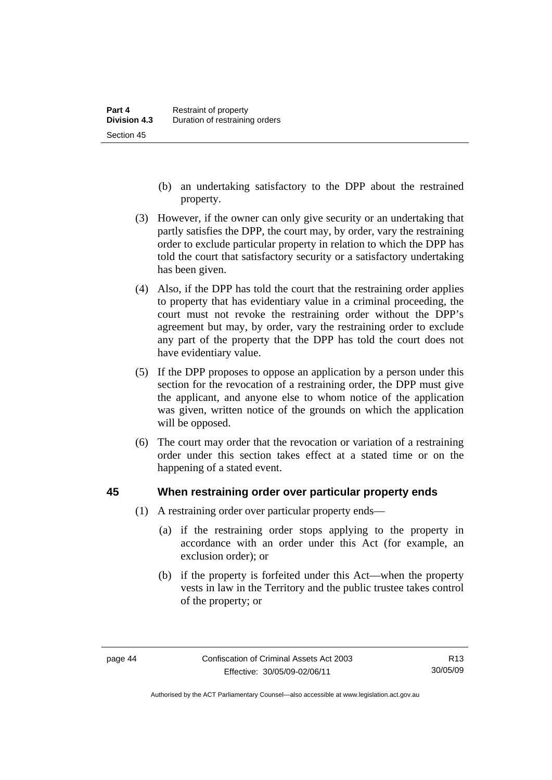- (b) an undertaking satisfactory to the DPP about the restrained property.
- (3) However, if the owner can only give security or an undertaking that partly satisfies the DPP, the court may, by order, vary the restraining order to exclude particular property in relation to which the DPP has told the court that satisfactory security or a satisfactory undertaking has been given.
- (4) Also, if the DPP has told the court that the restraining order applies to property that has evidentiary value in a criminal proceeding, the court must not revoke the restraining order without the DPP's agreement but may, by order, vary the restraining order to exclude any part of the property that the DPP has told the court does not have evidentiary value.
- (5) If the DPP proposes to oppose an application by a person under this section for the revocation of a restraining order, the DPP must give the applicant, and anyone else to whom notice of the application was given, written notice of the grounds on which the application will be opposed.
- (6) The court may order that the revocation or variation of a restraining order under this section takes effect at a stated time or on the happening of a stated event.

### **45 When restraining order over particular property ends**

- (1) A restraining order over particular property ends—
	- (a) if the restraining order stops applying to the property in accordance with an order under this Act (for example, an exclusion order); or
	- (b) if the property is forfeited under this Act—when the property vests in law in the Territory and the public trustee takes control of the property; or

Authorised by the ACT Parliamentary Counsel—also accessible at www.legislation.act.gov.au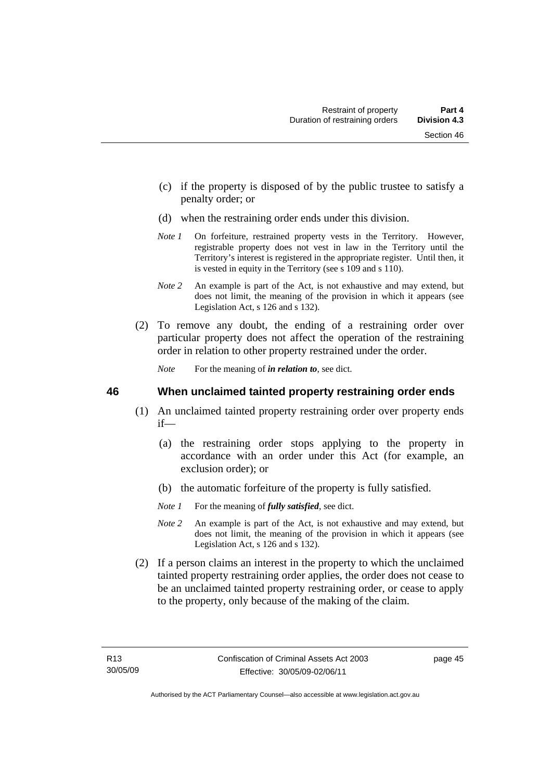- (c) if the property is disposed of by the public trustee to satisfy a penalty order; or
- (d) when the restraining order ends under this division.
- *Note 1* On forfeiture, restrained property vests in the Territory. However, registrable property does not vest in law in the Territory until the Territory's interest is registered in the appropriate register. Until then, it is vested in equity in the Territory (see s 109 and s 110).
- *Note 2* An example is part of the Act, is not exhaustive and may extend, but does not limit, the meaning of the provision in which it appears (see Legislation Act, s 126 and s 132).
- (2) To remove any doubt, the ending of a restraining order over particular property does not affect the operation of the restraining order in relation to other property restrained under the order.

*Note* For the meaning of *in relation to*, see dict.

### **46 When unclaimed tainted property restraining order ends**

- (1) An unclaimed tainted property restraining order over property ends if—
	- (a) the restraining order stops applying to the property in accordance with an order under this Act (for example, an exclusion order); or
	- (b) the automatic forfeiture of the property is fully satisfied.
	- *Note 1* For the meaning of *fully satisfied*, see dict.
	- *Note 2* An example is part of the Act, is not exhaustive and may extend, but does not limit, the meaning of the provision in which it appears (see Legislation Act, s 126 and s 132).
- (2) If a person claims an interest in the property to which the unclaimed tainted property restraining order applies, the order does not cease to be an unclaimed tainted property restraining order, or cease to apply to the property, only because of the making of the claim.

page 45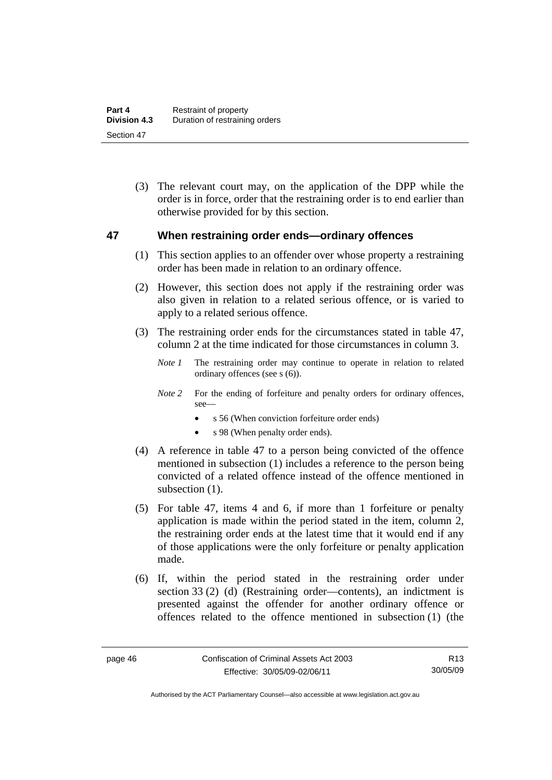(3) The relevant court may, on the application of the DPP while the order is in force, order that the restraining order is to end earlier than otherwise provided for by this section.

### **47 When restraining order ends—ordinary offences**

- (1) This section applies to an offender over whose property a restraining order has been made in relation to an ordinary offence.
- (2) However, this section does not apply if the restraining order was also given in relation to a related serious offence, or is varied to apply to a related serious offence.
- (3) The restraining order ends for the circumstances stated in table 47, column 2 at the time indicated for those circumstances in column 3.
	- *Note 1* The restraining order may continue to operate in relation to related ordinary offences (see s (6)).
	- *Note 2* For the ending of forfeiture and penalty orders for ordinary offences, see—
		- s 56 (When conviction forfeiture order ends)
		- s 98 (When penalty order ends).
- (4) A reference in table 47 to a person being convicted of the offence mentioned in subsection (1) includes a reference to the person being convicted of a related offence instead of the offence mentioned in subsection  $(1)$ .
- (5) For table 47, items 4 and 6, if more than 1 forfeiture or penalty application is made within the period stated in the item, column 2, the restraining order ends at the latest time that it would end if any of those applications were the only forfeiture or penalty application made.
- (6) If, within the period stated in the restraining order under section 33 (2) (d) (Restraining order—contents), an indictment is presented against the offender for another ordinary offence or offences related to the offence mentioned in subsection (1) (the

Authorised by the ACT Parliamentary Counsel—also accessible at www.legislation.act.gov.au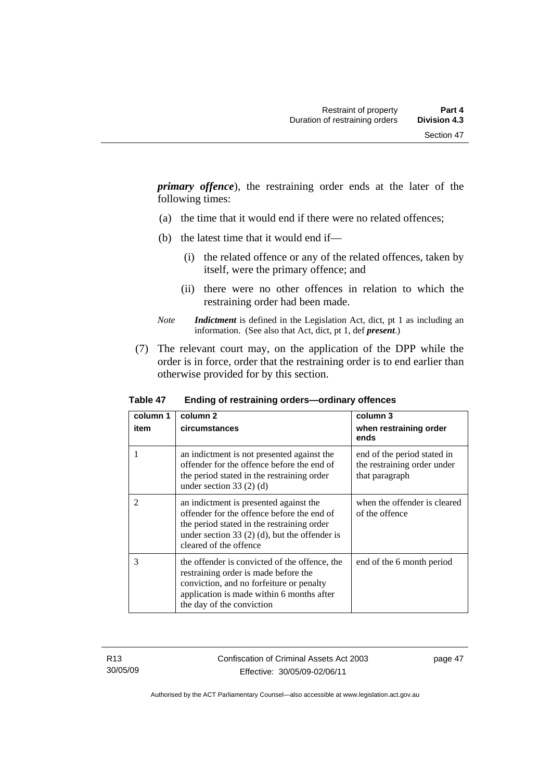*primary offence*), the restraining order ends at the later of the following times:

- (a) the time that it would end if there were no related offences;
- (b) the latest time that it would end if—
	- (i) the related offence or any of the related offences, taken by itself, were the primary offence; and
	- (ii) there were no other offences in relation to which the restraining order had been made.
- *Note Indictment* is defined in the Legislation Act, dict, pt 1 as including an information. (See also that Act, dict, pt 1, def *present*.)
- (7) The relevant court may, on the application of the DPP while the order is in force, order that the restraining order is to end earlier than otherwise provided for by this section.

| column 1<br>item | column 2<br>circumstances                                                                                                                                                                                       | column 3<br>when restraining order<br>ends                                   |  |
|------------------|-----------------------------------------------------------------------------------------------------------------------------------------------------------------------------------------------------------------|------------------------------------------------------------------------------|--|
| 1                | an indictment is not presented against the<br>offender for the offence before the end of<br>the period stated in the restraining order<br>under section 33 $(2)$ $(d)$                                          | end of the period stated in<br>the restraining order under<br>that paragraph |  |
| $\mathfrak{D}$   | an indictment is presented against the<br>offender for the offence before the end of<br>the period stated in the restraining order<br>under section 33 $(2)$ (d), but the offender is<br>cleared of the offence | when the offender is cleared<br>of the offence                               |  |
| 3                | the offender is convicted of the offence, the<br>restraining order is made before the<br>conviction, and no forfeiture or penalty<br>application is made within 6 months after<br>the day of the conviction     | end of the 6 month period                                                    |  |

**Table 47 Ending of restraining orders—ordinary offences** 

R13 30/05/09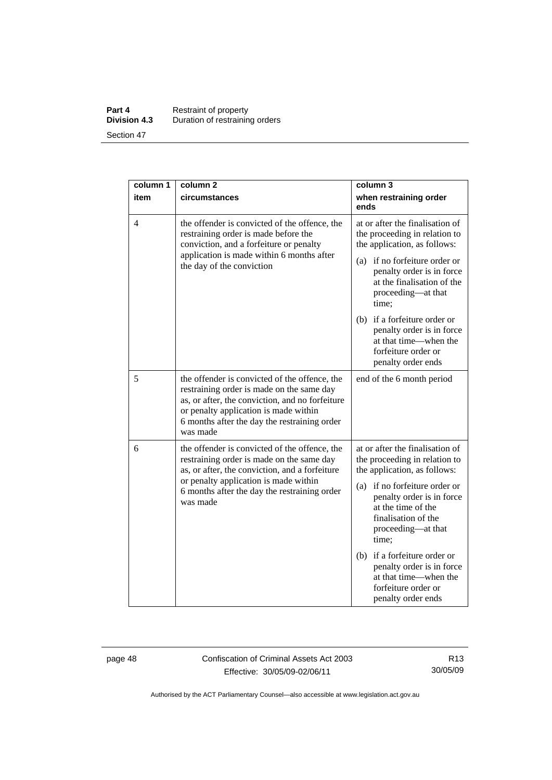#### **Part 4 Restraint of property Division 4.3** Duration of restraining orders Section 47

| column 1 | column <sub>2</sub>                                                                                                                                                                                                                                | column 3                                                                                                                               |
|----------|----------------------------------------------------------------------------------------------------------------------------------------------------------------------------------------------------------------------------------------------------|----------------------------------------------------------------------------------------------------------------------------------------|
| item     | circumstances                                                                                                                                                                                                                                      | when restraining order<br>ends                                                                                                         |
| 4        | the offender is convicted of the offence, the<br>restraining order is made before the<br>conviction, and a forfeiture or penalty<br>application is made within 6 months after<br>the day of the conviction                                         | at or after the finalisation of<br>the proceeding in relation to<br>the application, as follows:                                       |
|          |                                                                                                                                                                                                                                                    | (a) if no forfeiture order or<br>penalty order is in force<br>at the finalisation of the<br>proceeding—at that<br>time;                |
|          |                                                                                                                                                                                                                                                    | (b) if a forfeiture order or<br>penalty order is in force<br>at that time—when the<br>forfeiture order or<br>penalty order ends        |
| 5        | the offender is convicted of the offence, the<br>restraining order is made on the same day<br>as, or after, the conviction, and no forfeiture<br>or penalty application is made within<br>6 months after the day the restraining order<br>was made | end of the 6 month period                                                                                                              |
| 6        | the offender is convicted of the offence, the<br>restraining order is made on the same day<br>as, or after, the conviction, and a forfeiture<br>or penalty application is made within<br>6 months after the day the restraining order<br>was made  | at or after the finalisation of<br>the proceeding in relation to<br>the application, as follows:                                       |
|          |                                                                                                                                                                                                                                                    | (a) if no forfeiture order or<br>penalty order is in force<br>at the time of the<br>finalisation of the<br>proceeding-at that<br>time; |
|          |                                                                                                                                                                                                                                                    | (b) if a forfeiture order or<br>penalty order is in force<br>at that time—when the<br>forfeiture order or<br>penalty order ends        |

page 48 Confiscation of Criminal Assets Act 2003 Effective: 30/05/09-02/06/11

R13 30/05/09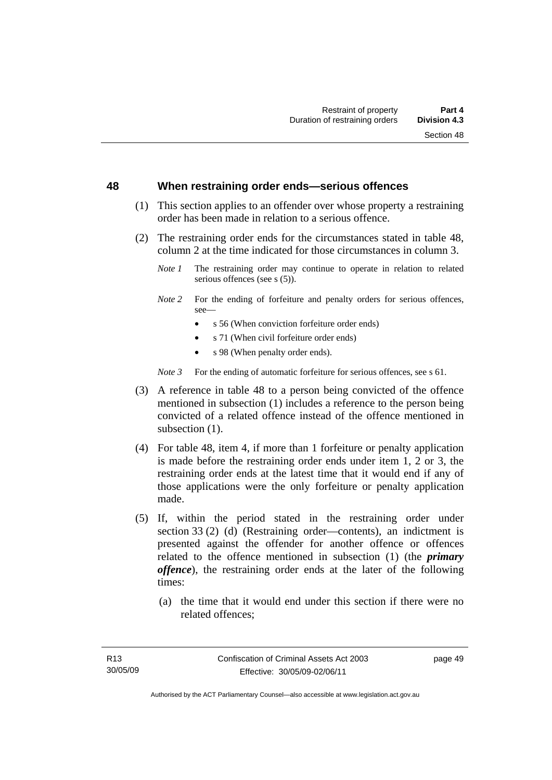#### **48 When restraining order ends—serious offences**

- (1) This section applies to an offender over whose property a restraining order has been made in relation to a serious offence.
- (2) The restraining order ends for the circumstances stated in table 48, column 2 at the time indicated for those circumstances in column 3.
	- *Note 1* The restraining order may continue to operate in relation to related serious offences (see s (5)).
	- *Note 2* For the ending of forfeiture and penalty orders for serious offences, see—
		- s 56 (When conviction forfeiture order ends)
		- s 71 (When civil forfeiture order ends)
		- s 98 (When penalty order ends).

*Note* 3 For the ending of automatic forfeiture for serious offences, see s 61.

- (3) A reference in table 48 to a person being convicted of the offence mentioned in subsection (1) includes a reference to the person being convicted of a related offence instead of the offence mentioned in subsection  $(1)$ .
- (4) For table 48, item 4, if more than 1 forfeiture or penalty application is made before the restraining order ends under item 1, 2 or 3, the restraining order ends at the latest time that it would end if any of those applications were the only forfeiture or penalty application made.
- (5) If, within the period stated in the restraining order under section 33 (2) (d) (Restraining order—contents), an indictment is presented against the offender for another offence or offences related to the offence mentioned in subsection (1) (the *primary offence*), the restraining order ends at the later of the following times:
	- (a) the time that it would end under this section if there were no related offences;

page 49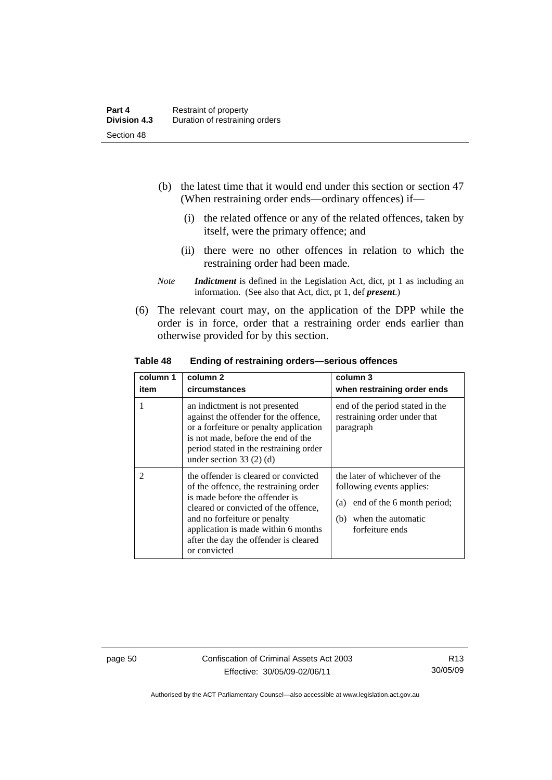- (b) the latest time that it would end under this section or section 47 (When restraining order ends—ordinary offences) if—
	- (i) the related offence or any of the related offences, taken by itself, were the primary offence; and
	- (ii) there were no other offences in relation to which the restraining order had been made.
- *Note Indictment* is defined in the Legislation Act, dict, pt 1 as including an information. (See also that Act, dict, pt 1, def *present*.)
- (6) The relevant court may, on the application of the DPP while the order is in force, order that a restraining order ends earlier than otherwise provided for by this section.

| Table 48 | Ending of restraining orders-serious offences |
|----------|-----------------------------------------------|
|          |                                               |

| column 1<br>item | column 2<br>circumstances                                                                                                                                                                                                                                                               | column 3<br>when restraining order ends                                                                                                      |
|------------------|-----------------------------------------------------------------------------------------------------------------------------------------------------------------------------------------------------------------------------------------------------------------------------------------|----------------------------------------------------------------------------------------------------------------------------------------------|
|                  | an indictment is not presented<br>against the offender for the offence,<br>or a forfeiture or penalty application<br>is not made, before the end of the<br>period stated in the restraining order<br>under section $33(2)$ (d)                                                          | end of the period stated in the<br>restraining order under that<br>paragraph                                                                 |
| $\mathfrak{D}$   | the offender is cleared or convicted<br>of the offence, the restraining order<br>is made before the offender is<br>cleared or convicted of the offence,<br>and no forfeiture or penalty<br>application is made within 6 months<br>after the day the offender is cleared<br>or convicted | the later of whichever of the<br>following events applies:<br>(a) end of the 6 month period;<br>when the automatic<br>(b)<br>forfeiture ends |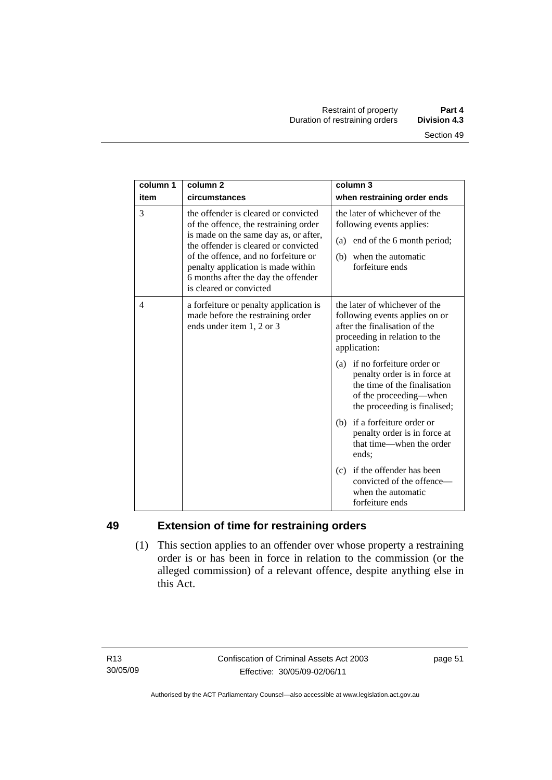| column 1<br>item | column <sub>2</sub><br>circumstances                                                                                                                                                                                                                                                                           | column 3<br>when restraining order ends                                                                                                                    |
|------------------|----------------------------------------------------------------------------------------------------------------------------------------------------------------------------------------------------------------------------------------------------------------------------------------------------------------|------------------------------------------------------------------------------------------------------------------------------------------------------------|
| 3                | the offender is cleared or convicted<br>of the offence, the restraining order<br>is made on the same day as, or after,<br>the offender is cleared or convicted<br>of the offence, and no forfeiture or<br>penalty application is made within<br>6 months after the day the offender<br>is cleared or convicted | the later of whichever of the<br>following events applies:<br>(a) end of the 6 month period;<br>when the automatic<br>(b)<br>forfeiture ends               |
| 4                | a forfeiture or penalty application is<br>made before the restraining order<br>ends under item 1, 2 or 3                                                                                                                                                                                                       | the later of whichever of the<br>following events applies on or<br>after the finalisation of the<br>proceeding in relation to the<br>application:          |
|                  |                                                                                                                                                                                                                                                                                                                | if no forfeiture order or<br>(a)<br>penalty order is in force at<br>the time of the finalisation<br>of the proceeding—when<br>the proceeding is finalised; |
|                  |                                                                                                                                                                                                                                                                                                                | (b) if a forfeiture order or<br>penalty order is in force at<br>that time—when the order<br>ends;                                                          |
|                  |                                                                                                                                                                                                                                                                                                                | if the offender has been<br>(c)<br>convicted of the offence—<br>when the automatic<br>forfeiture ends                                                      |

# **49 Extension of time for restraining orders**

 (1) This section applies to an offender over whose property a restraining order is or has been in force in relation to the commission (or the alleged commission) of a relevant offence, despite anything else in this Act.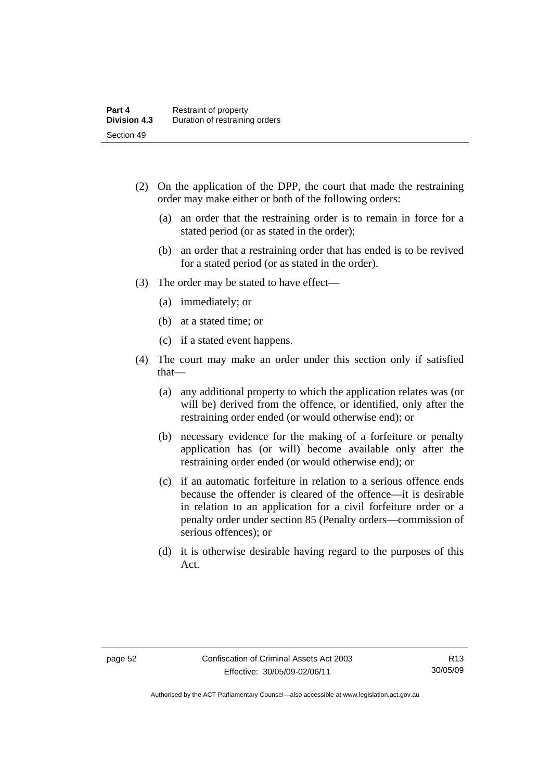- (2) On the application of the DPP, the court that made the restraining order may make either or both of the following orders:
	- (a) an order that the restraining order is to remain in force for a stated period (or as stated in the order);
	- (b) an order that a restraining order that has ended is to be revived for a stated period (or as stated in the order).
- (3) The order may be stated to have effect—
	- (a) immediately; or
	- (b) at a stated time; or
	- (c) if a stated event happens.
- (4) The court may make an order under this section only if satisfied that—
	- (a) any additional property to which the application relates was (or will be) derived from the offence, or identified, only after the restraining order ended (or would otherwise end); or
	- (b) necessary evidence for the making of a forfeiture or penalty application has (or will) become available only after the restraining order ended (or would otherwise end); or
	- (c) if an automatic forfeiture in relation to a serious offence ends because the offender is cleared of the offence—it is desirable in relation to an application for a civil forfeiture order or a penalty order under section 85 (Penalty orders—commission of serious offences); or
	- (d) it is otherwise desirable having regard to the purposes of this Act.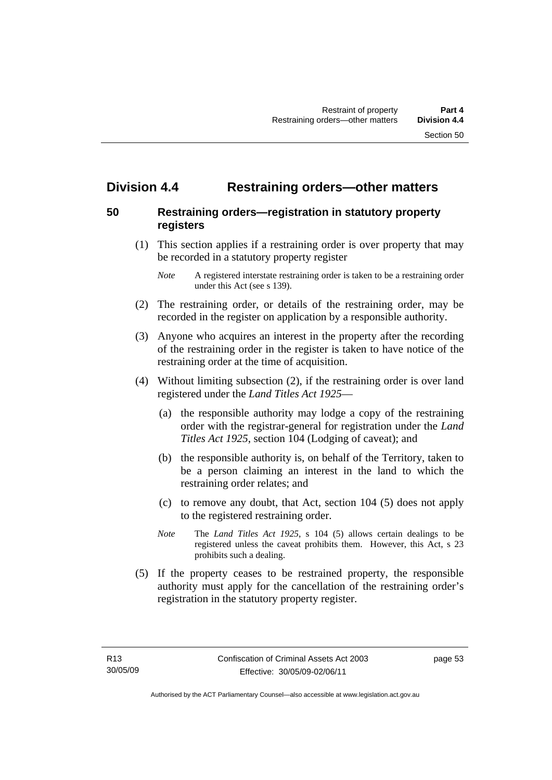# **Division 4.4 Restraining orders—other matters**

# **50 Restraining orders—registration in statutory property registers**

 (1) This section applies if a restraining order is over property that may be recorded in a statutory property register

- (2) The restraining order, or details of the restraining order, may be recorded in the register on application by a responsible authority.
- (3) Anyone who acquires an interest in the property after the recording of the restraining order in the register is taken to have notice of the restraining order at the time of acquisition.
- (4) Without limiting subsection (2), if the restraining order is over land registered under the *Land Titles Act 1925*—
	- (a) the responsible authority may lodge a copy of the restraining order with the registrar-general for registration under the *Land Titles Act 1925*, section 104 (Lodging of caveat); and
	- (b) the responsible authority is, on behalf of the Territory, taken to be a person claiming an interest in the land to which the restraining order relates; and
	- (c) to remove any doubt, that Act, section 104 (5) does not apply to the registered restraining order.
	- *Note* The *Land Titles Act 1925*, s 104 (5) allows certain dealings to be registered unless the caveat prohibits them. However, this Act, s 23 prohibits such a dealing.
- (5) If the property ceases to be restrained property, the responsible authority must apply for the cancellation of the restraining order's registration in the statutory property register.

*Note* A registered interstate restraining order is taken to be a restraining order under this Act (see s 139).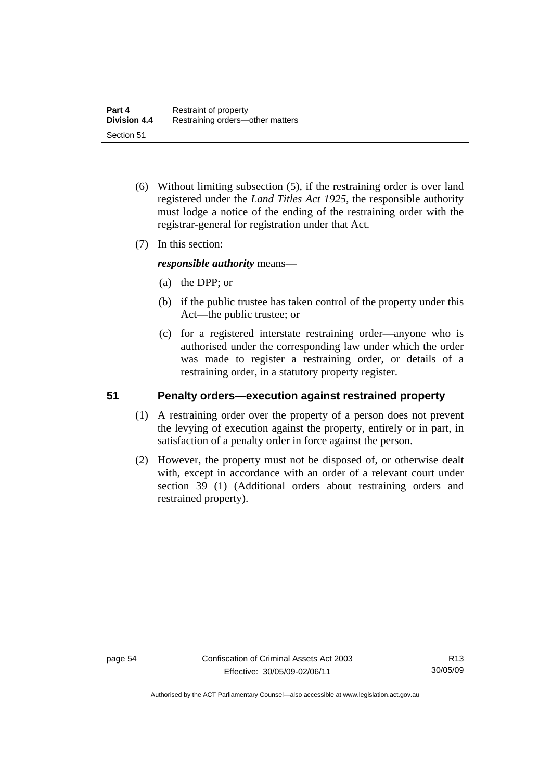- (6) Without limiting subsection (5), if the restraining order is over land registered under the *Land Titles Act 1925*, the responsible authority must lodge a notice of the ending of the restraining order with the registrar-general for registration under that Act.
- (7) In this section:

*responsible authority* means—

- (a) the DPP; or
- (b) if the public trustee has taken control of the property under this Act—the public trustee; or
- (c) for a registered interstate restraining order—anyone who is authorised under the corresponding law under which the order was made to register a restraining order, or details of a restraining order, in a statutory property register.

## **51 Penalty orders—execution against restrained property**

- (1) A restraining order over the property of a person does not prevent the levying of execution against the property, entirely or in part, in satisfaction of a penalty order in force against the person.
- (2) However, the property must not be disposed of, or otherwise dealt with, except in accordance with an order of a relevant court under section 39 (1) (Additional orders about restraining orders and restrained property).

Authorised by the ACT Parliamentary Counsel—also accessible at www.legislation.act.gov.au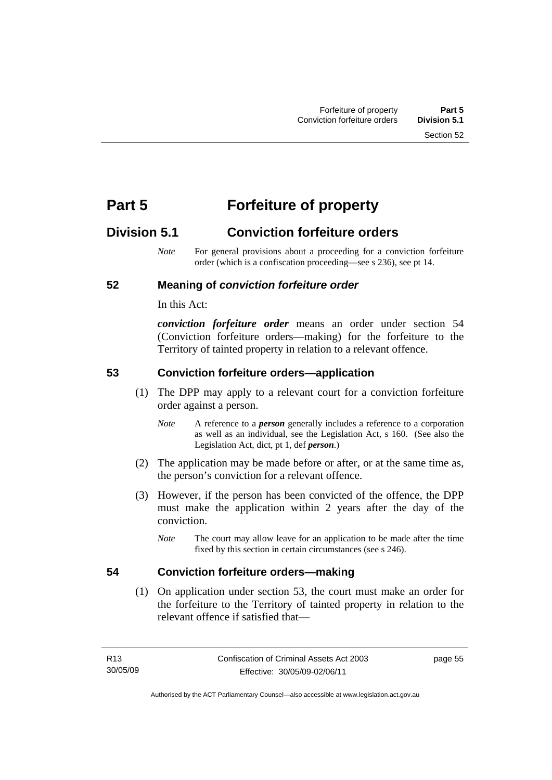# **Part 5 Forfeiture of property**

# **Division 5.1 Conviction forfeiture orders**

*Note* For general provisions about a proceeding for a conviction forfeiture order (which is a confiscation proceeding—see s 236), see pt 14.

# **52 Meaning of** *conviction forfeiture order*

In this Act:

*conviction forfeiture order* means an order under section 54 (Conviction forfeiture orders—making) for the forfeiture to the Territory of tainted property in relation to a relevant offence.

# **53 Conviction forfeiture orders—application**

- (1) The DPP may apply to a relevant court for a conviction forfeiture order against a person.
	- *Note* A reference to a *person* generally includes a reference to a corporation as well as an individual, see the Legislation Act, s 160. (See also the Legislation Act, dict, pt 1, def *person*.)
- (2) The application may be made before or after, or at the same time as, the person's conviction for a relevant offence.
- (3) However, if the person has been convicted of the offence, the DPP must make the application within 2 years after the day of the conviction.
	- *Note* The court may allow leave for an application to be made after the time fixed by this section in certain circumstances (see s 246).

# **54 Conviction forfeiture orders—making**

 (1) On application under section 53, the court must make an order for the forfeiture to the Territory of tainted property in relation to the relevant offence if satisfied that—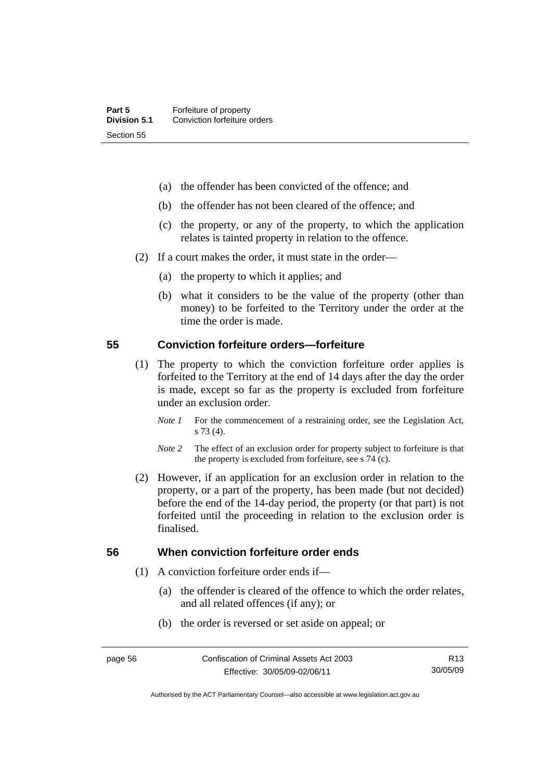- (a) the offender has been convicted of the offence; and
- (b) the offender has not been cleared of the offence; and
- (c) the property, or any of the property, to which the application relates is tainted property in relation to the offence.
- (2) If a court makes the order, it must state in the order—
	- (a) the property to which it applies; and
	- (b) what it considers to be the value of the property (other than money) to be forfeited to the Territory under the order at the time the order is made.

#### **55 Conviction forfeiture orders—forfeiture**

- (1) The property to which the conviction forfeiture order applies is forfeited to the Territory at the end of 14 days after the day the order is made, except so far as the property is excluded from forfeiture under an exclusion order.
	- *Note 1* For the commencement of a restraining order, see the Legislation Act, s 73 (4).
	- *Note 2* The effect of an exclusion order for property subject to forfeiture is that the property is excluded from forfeiture, see s 74 (c).
- (2) However, if an application for an exclusion order in relation to the property, or a part of the property, has been made (but not decided) before the end of the 14-day period, the property (or that part) is not forfeited until the proceeding in relation to the exclusion order is finalised.

# **56 When conviction forfeiture order ends**

- (1) A conviction forfeiture order ends if—
	- (a) the offender is cleared of the offence to which the order relates, and all related offences (if any); or
	- (b) the order is reversed or set aside on appeal; or

R13 30/05/09

Authorised by the ACT Parliamentary Counsel—also accessible at www.legislation.act.gov.au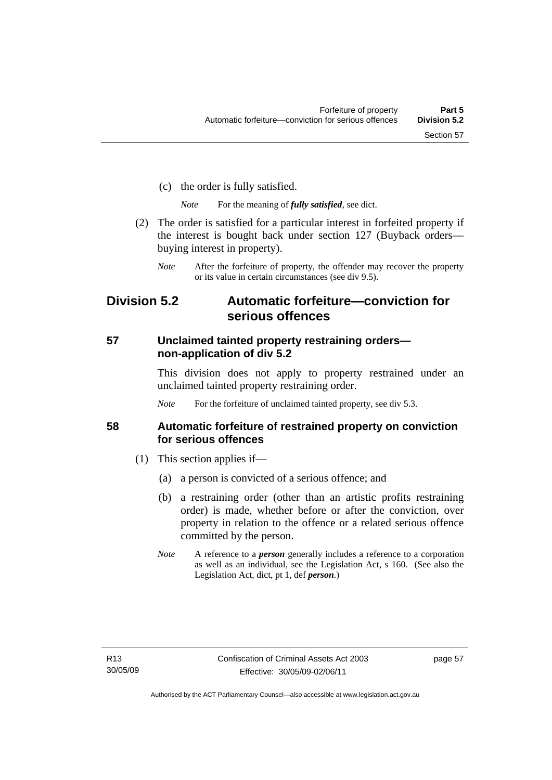- (c) the order is fully satisfied.
	- *Note* For the meaning of *fully satisfied*, see dict.
- (2) The order is satisfied for a particular interest in forfeited property if the interest is bought back under section 127 (Buyback orders buying interest in property).
	- *Note* After the forfeiture of property, the offender may recover the property or its value in certain circumstances (see div 9.5).

# **Division 5.2 Automatic forfeiture—conviction for serious offences**

# **57 Unclaimed tainted property restraining orders non-application of div 5.2**

This division does not apply to property restrained under an unclaimed tainted property restraining order.

*Note* For the forfeiture of unclaimed tainted property, see div 5.3.

# **58 Automatic forfeiture of restrained property on conviction for serious offences**

- (1) This section applies if—
	- (a) a person is convicted of a serious offence; and
	- (b) a restraining order (other than an artistic profits restraining order) is made, whether before or after the conviction, over property in relation to the offence or a related serious offence committed by the person.
	- *Note* A reference to a *person* generally includes a reference to a corporation as well as an individual, see the Legislation Act, s 160. (See also the Legislation Act, dict, pt 1, def *person*.)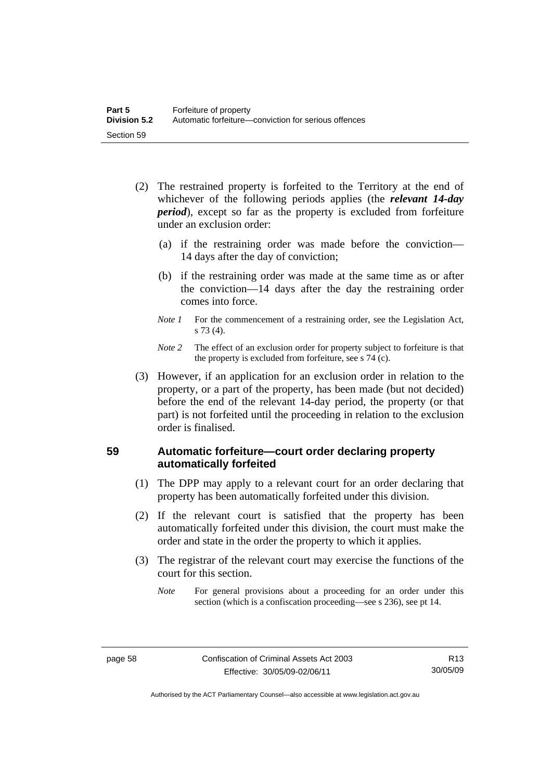- (2) The restrained property is forfeited to the Territory at the end of whichever of the following periods applies (the *relevant 14-day period*), except so far as the property is excluded from forfeiture under an exclusion order:
	- (a) if the restraining order was made before the conviction— 14 days after the day of conviction;
	- (b) if the restraining order was made at the same time as or after the conviction—14 days after the day the restraining order comes into force.
	- *Note 1* For the commencement of a restraining order, see the Legislation Act, s 73 (4).
	- *Note 2* The effect of an exclusion order for property subject to forfeiture is that the property is excluded from forfeiture, see s 74 (c).
- (3) However, if an application for an exclusion order in relation to the property, or a part of the property, has been made (but not decided) before the end of the relevant 14-day period, the property (or that part) is not forfeited until the proceeding in relation to the exclusion order is finalised.

# **59 Automatic forfeiture—court order declaring property automatically forfeited**

- (1) The DPP may apply to a relevant court for an order declaring that property has been automatically forfeited under this division.
- (2) If the relevant court is satisfied that the property has been automatically forfeited under this division, the court must make the order and state in the order the property to which it applies.
- (3) The registrar of the relevant court may exercise the functions of the court for this section.
	- *Note* For general provisions about a proceeding for an order under this section (which is a confiscation proceeding—see s 236), see pt 14.

Authorised by the ACT Parliamentary Counsel—also accessible at www.legislation.act.gov.au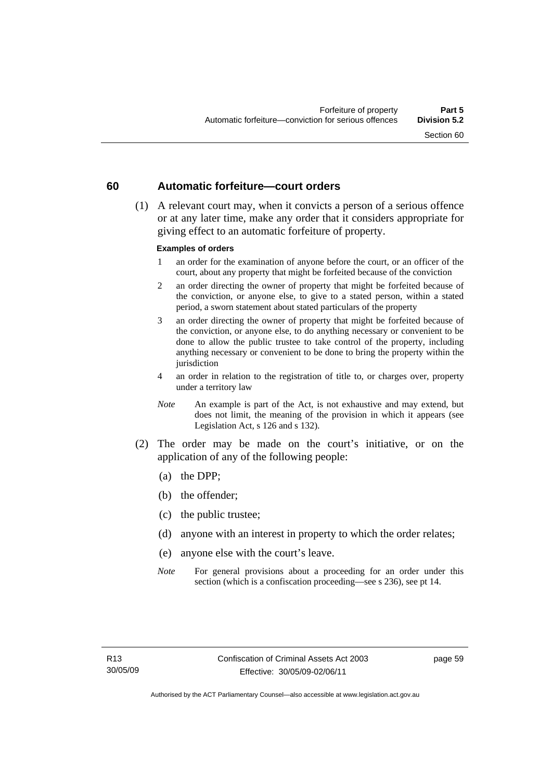#### **60 Automatic forfeiture—court orders**

 (1) A relevant court may, when it convicts a person of a serious offence or at any later time, make any order that it considers appropriate for giving effect to an automatic forfeiture of property.

#### **Examples of orders**

- 1 an order for the examination of anyone before the court, or an officer of the court, about any property that might be forfeited because of the conviction
- 2 an order directing the owner of property that might be forfeited because of the conviction, or anyone else, to give to a stated person, within a stated period, a sworn statement about stated particulars of the property
- 3 an order directing the owner of property that might be forfeited because of the conviction, or anyone else, to do anything necessary or convenient to be done to allow the public trustee to take control of the property, including anything necessary or convenient to be done to bring the property within the jurisdiction
- 4 an order in relation to the registration of title to, or charges over, property under a territory law
- *Note* An example is part of the Act, is not exhaustive and may extend, but does not limit, the meaning of the provision in which it appears (see Legislation Act, s 126 and s 132).
- (2) The order may be made on the court's initiative, or on the application of any of the following people:
	- (a) the DPP;
	- (b) the offender;
	- (c) the public trustee;
	- (d) anyone with an interest in property to which the order relates;
	- (e) anyone else with the court's leave.
	- *Note* For general provisions about a proceeding for an order under this section (which is a confiscation proceeding—see s 236), see pt 14.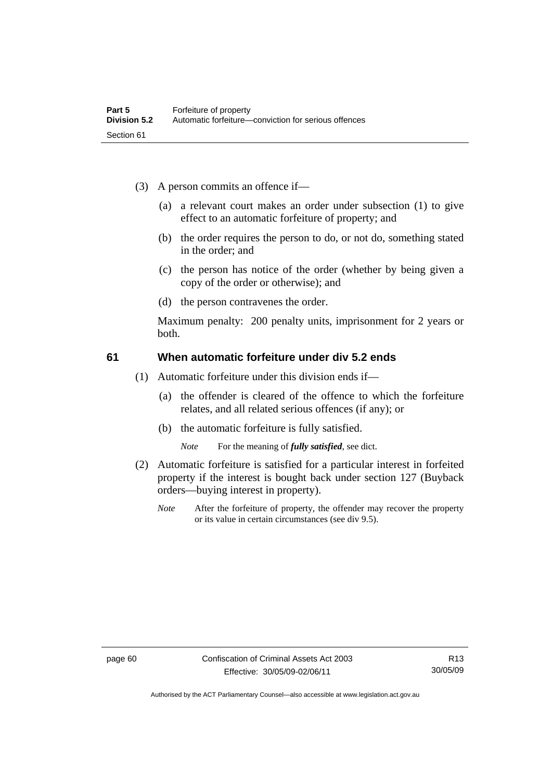- (3) A person commits an offence if—
	- (a) a relevant court makes an order under subsection (1) to give effect to an automatic forfeiture of property; and
	- (b) the order requires the person to do, or not do, something stated in the order; and
	- (c) the person has notice of the order (whether by being given a copy of the order or otherwise); and
	- (d) the person contravenes the order.

Maximum penalty: 200 penalty units, imprisonment for 2 years or both.

## **61 When automatic forfeiture under div 5.2 ends**

- (1) Automatic forfeiture under this division ends if—
	- (a) the offender is cleared of the offence to which the forfeiture relates, and all related serious offences (if any); or
	- (b) the automatic forfeiture is fully satisfied.

*Note* For the meaning of *fully satisfied*, see dict.

- (2) Automatic forfeiture is satisfied for a particular interest in forfeited property if the interest is bought back under section 127 (Buyback orders—buying interest in property).
	- *Note* After the forfeiture of property, the offender may recover the property or its value in certain circumstances (see div 9.5).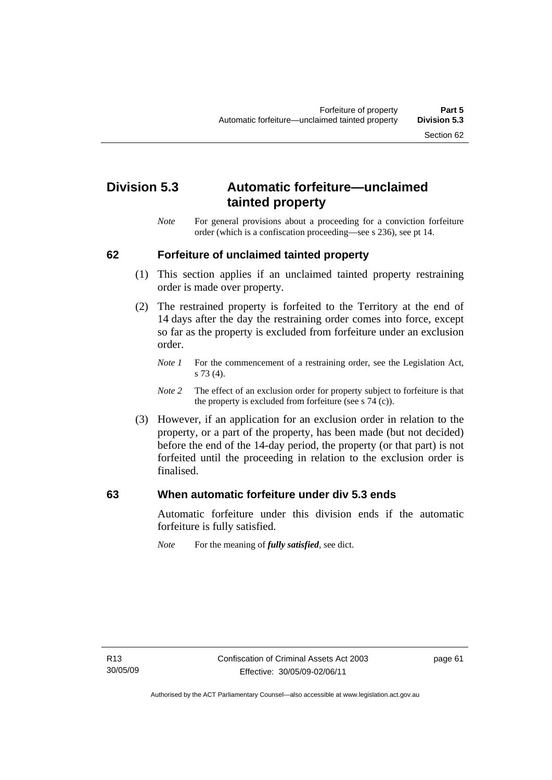# **Division 5.3 Automatic forfeiture—unclaimed tainted property**

*Note* For general provisions about a proceeding for a conviction forfeiture order (which is a confiscation proceeding—see s 236), see pt 14.

## **62 Forfeiture of unclaimed tainted property**

- (1) This section applies if an unclaimed tainted property restraining order is made over property.
- (2) The restrained property is forfeited to the Territory at the end of 14 days after the day the restraining order comes into force, except so far as the property is excluded from forfeiture under an exclusion order.
	- *Note 1* For the commencement of a restraining order, see the Legislation Act, s 73 (4).
	- *Note 2* The effect of an exclusion order for property subject to forfeiture is that the property is excluded from forfeiture (see s 74 (c)).
- (3) However, if an application for an exclusion order in relation to the property, or a part of the property, has been made (but not decided) before the end of the 14-day period, the property (or that part) is not forfeited until the proceeding in relation to the exclusion order is finalised.

### **63 When automatic forfeiture under div 5.3 ends**

Automatic forfeiture under this division ends if the automatic forfeiture is fully satisfied.

*Note* For the meaning of *fully satisfied*, see dict.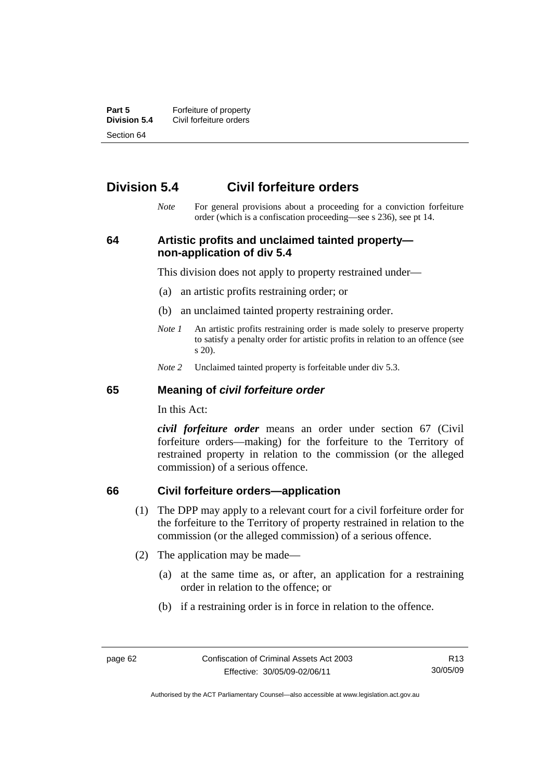**Part 5 Forfeiture of property**<br>**Division 5.4** Civil forfeiture orders **Division 5.4** Civil forfeiture orders Section 64

# **Division 5.4 Civil forfeiture orders**

*Note* For general provisions about a proceeding for a conviction forfeiture order (which is a confiscation proceeding—see s 236), see pt 14.

**64 Artistic profits and unclaimed tainted property non-application of div 5.4** 

This division does not apply to property restrained under—

- (a) an artistic profits restraining order; or
- (b) an unclaimed tainted property restraining order.
- *Note 1* An artistic profits restraining order is made solely to preserve property to satisfy a penalty order for artistic profits in relation to an offence (see s 20).
- *Note 2* Unclaimed tainted property is forfeitable under div 5.3.

#### **65 Meaning of** *civil forfeiture order*

In this Act:

*civil forfeiture order* means an order under section 67 (Civil forfeiture orders—making) for the forfeiture to the Territory of restrained property in relation to the commission (or the alleged commission) of a serious offence.

#### **66 Civil forfeiture orders—application**

- (1) The DPP may apply to a relevant court for a civil forfeiture order for the forfeiture to the Territory of property restrained in relation to the commission (or the alleged commission) of a serious offence.
- (2) The application may be made—
	- (a) at the same time as, or after, an application for a restraining order in relation to the offence; or
	- (b) if a restraining order is in force in relation to the offence.

R13 30/05/09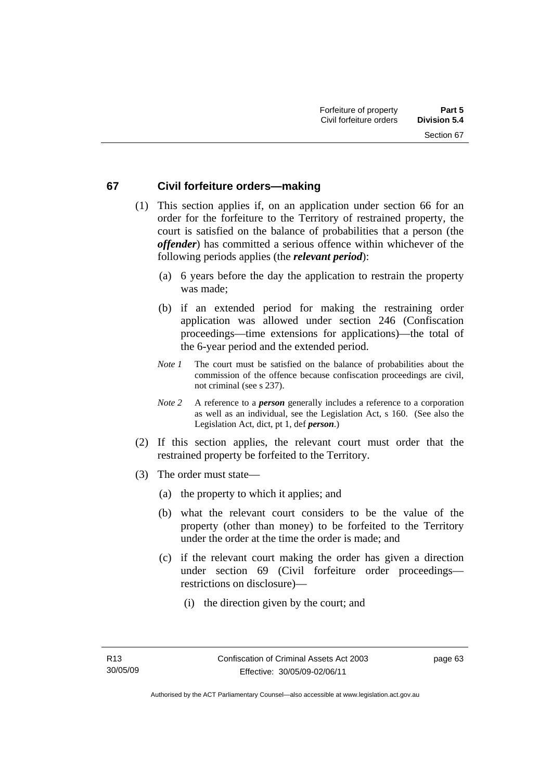### **67 Civil forfeiture orders—making**

- (1) This section applies if, on an application under section 66 for an order for the forfeiture to the Territory of restrained property, the court is satisfied on the balance of probabilities that a person (the *offender*) has committed a serious offence within whichever of the following periods applies (the *relevant period*):
	- (a) 6 years before the day the application to restrain the property was made;
	- (b) if an extended period for making the restraining order application was allowed under section 246 (Confiscation proceedings—time extensions for applications)—the total of the 6-year period and the extended period.
	- *Note 1* The court must be satisfied on the balance of probabilities about the commission of the offence because confiscation proceedings are civil, not criminal (see s 237).
	- *Note 2* A reference to a *person* generally includes a reference to a corporation as well as an individual, see the Legislation Act, s 160. (See also the Legislation Act, dict, pt 1, def *person*.)
- (2) If this section applies, the relevant court must order that the restrained property be forfeited to the Territory.
- (3) The order must state—
	- (a) the property to which it applies; and
	- (b) what the relevant court considers to be the value of the property (other than money) to be forfeited to the Territory under the order at the time the order is made; and
	- (c) if the relevant court making the order has given a direction under section 69 (Civil forfeiture order proceedings restrictions on disclosure)—
		- (i) the direction given by the court; and

page 63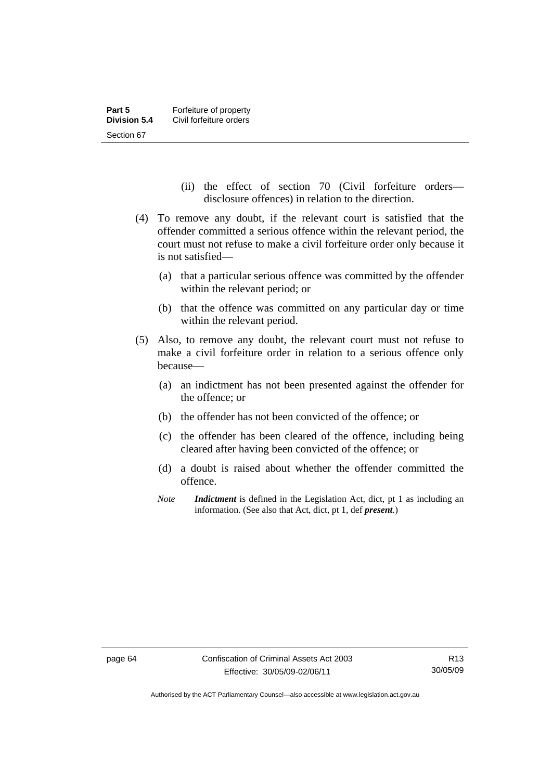- (ii) the effect of section 70 (Civil forfeiture orders disclosure offences) in relation to the direction.
- (4) To remove any doubt, if the relevant court is satisfied that the offender committed a serious offence within the relevant period, the court must not refuse to make a civil forfeiture order only because it is not satisfied—
	- (a) that a particular serious offence was committed by the offender within the relevant period; or
	- (b) that the offence was committed on any particular day or time within the relevant period.
- (5) Also, to remove any doubt, the relevant court must not refuse to make a civil forfeiture order in relation to a serious offence only because—
	- (a) an indictment has not been presented against the offender for the offence; or
	- (b) the offender has not been convicted of the offence; or
	- (c) the offender has been cleared of the offence, including being cleared after having been convicted of the offence; or
	- (d) a doubt is raised about whether the offender committed the offence.
	- *Note Indictment* is defined in the Legislation Act, dict, pt 1 as including an information. (See also that Act, dict, pt 1, def *present*.)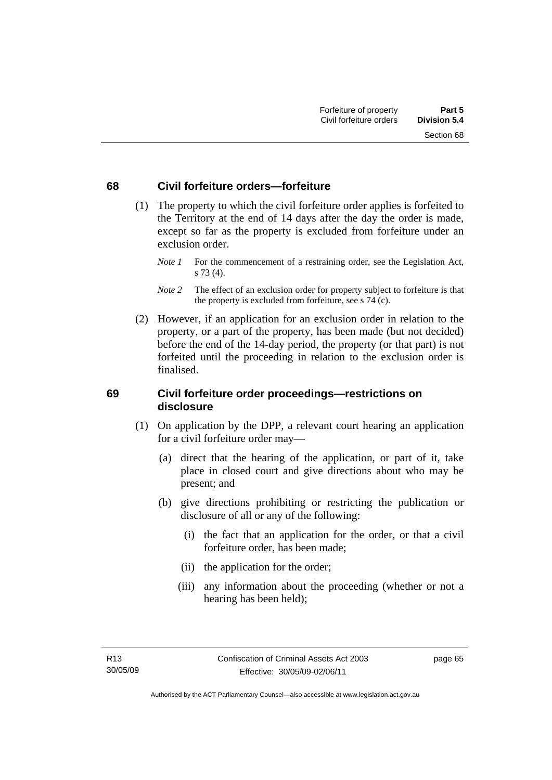#### **68 Civil forfeiture orders—forfeiture**

- (1) The property to which the civil forfeiture order applies is forfeited to the Territory at the end of 14 days after the day the order is made, except so far as the property is excluded from forfeiture under an exclusion order.
	- *Note 1* For the commencement of a restraining order, see the Legislation Act, s 73 (4).
	- *Note* 2 The effect of an exclusion order for property subject to forfeiture is that the property is excluded from forfeiture, see s 74 (c).
- (2) However, if an application for an exclusion order in relation to the property, or a part of the property, has been made (but not decided) before the end of the 14-day period, the property (or that part) is not forfeited until the proceeding in relation to the exclusion order is finalised.

### **69 Civil forfeiture order proceedings—restrictions on disclosure**

- (1) On application by the DPP, a relevant court hearing an application for a civil forfeiture order may—
	- (a) direct that the hearing of the application, or part of it, take place in closed court and give directions about who may be present; and
	- (b) give directions prohibiting or restricting the publication or disclosure of all or any of the following:
		- (i) the fact that an application for the order, or that a civil forfeiture order, has been made;
		- (ii) the application for the order;
		- (iii) any information about the proceeding (whether or not a hearing has been held);

page 65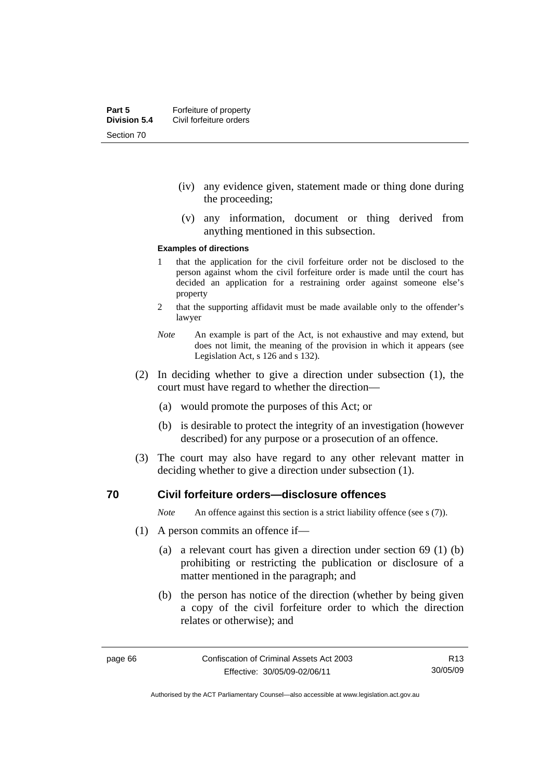- (iv) any evidence given, statement made or thing done during the proceeding;
- (v) any information, document or thing derived from anything mentioned in this subsection.

#### **Examples of directions**

- 1 that the application for the civil forfeiture order not be disclosed to the person against whom the civil forfeiture order is made until the court has decided an application for a restraining order against someone else's property
- 2 that the supporting affidavit must be made available only to the offender's lawyer
- *Note* An example is part of the Act, is not exhaustive and may extend, but does not limit, the meaning of the provision in which it appears (see Legislation Act, s 126 and s 132).
- (2) In deciding whether to give a direction under subsection (1), the court must have regard to whether the direction—
	- (a) would promote the purposes of this Act; or
	- (b) is desirable to protect the integrity of an investigation (however described) for any purpose or a prosecution of an offence.
- (3) The court may also have regard to any other relevant matter in deciding whether to give a direction under subsection (1).

#### **70 Civil forfeiture orders—disclosure offences**

*Note* An offence against this section is a strict liability offence (see s (7)).

- (1) A person commits an offence if—
	- (a) a relevant court has given a direction under section 69 (1) (b) prohibiting or restricting the publication or disclosure of a matter mentioned in the paragraph; and
	- (b) the person has notice of the direction (whether by being given a copy of the civil forfeiture order to which the direction relates or otherwise); and

R13 30/05/09

Authorised by the ACT Parliamentary Counsel—also accessible at www.legislation.act.gov.au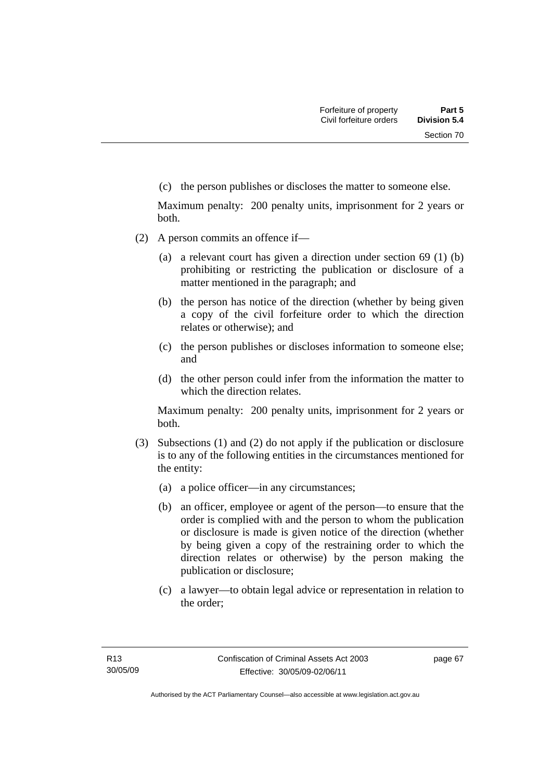(c) the person publishes or discloses the matter to someone else.

Maximum penalty: 200 penalty units, imprisonment for 2 years or both.

- (2) A person commits an offence if—
	- (a) a relevant court has given a direction under section 69 (1) (b) prohibiting or restricting the publication or disclosure of a matter mentioned in the paragraph; and
	- (b) the person has notice of the direction (whether by being given a copy of the civil forfeiture order to which the direction relates or otherwise); and
	- (c) the person publishes or discloses information to someone else; and
	- (d) the other person could infer from the information the matter to which the direction relates.

Maximum penalty: 200 penalty units, imprisonment for 2 years or both.

- (3) Subsections (1) and (2) do not apply if the publication or disclosure is to any of the following entities in the circumstances mentioned for the entity:
	- (a) a police officer—in any circumstances;
	- (b) an officer, employee or agent of the person—to ensure that the order is complied with and the person to whom the publication or disclosure is made is given notice of the direction (whether by being given a copy of the restraining order to which the direction relates or otherwise) by the person making the publication or disclosure;
	- (c) a lawyer—to obtain legal advice or representation in relation to the order;

page 67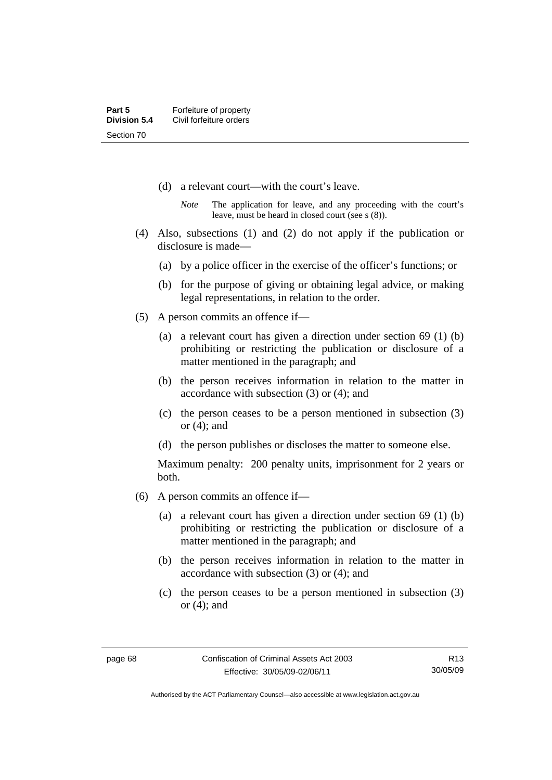- (d) a relevant court—with the court's leave.
	- *Note* The application for leave, and any proceeding with the court's leave, must be heard in closed court (see s (8)).
- (4) Also, subsections (1) and (2) do not apply if the publication or disclosure is made—
	- (a) by a police officer in the exercise of the officer's functions; or
	- (b) for the purpose of giving or obtaining legal advice, or making legal representations, in relation to the order.
- (5) A person commits an offence if—
	- (a) a relevant court has given a direction under section 69 (1) (b) prohibiting or restricting the publication or disclosure of a matter mentioned in the paragraph; and
	- (b) the person receives information in relation to the matter in accordance with subsection (3) or (4); and
	- (c) the person ceases to be a person mentioned in subsection (3) or (4); and
	- (d) the person publishes or discloses the matter to someone else.

Maximum penalty: 200 penalty units, imprisonment for 2 years or both.

- (6) A person commits an offence if—
	- (a) a relevant court has given a direction under section 69 (1) (b) prohibiting or restricting the publication or disclosure of a matter mentioned in the paragraph; and
	- (b) the person receives information in relation to the matter in accordance with subsection (3) or (4); and
	- (c) the person ceases to be a person mentioned in subsection (3) or (4); and

Authorised by the ACT Parliamentary Counsel—also accessible at www.legislation.act.gov.au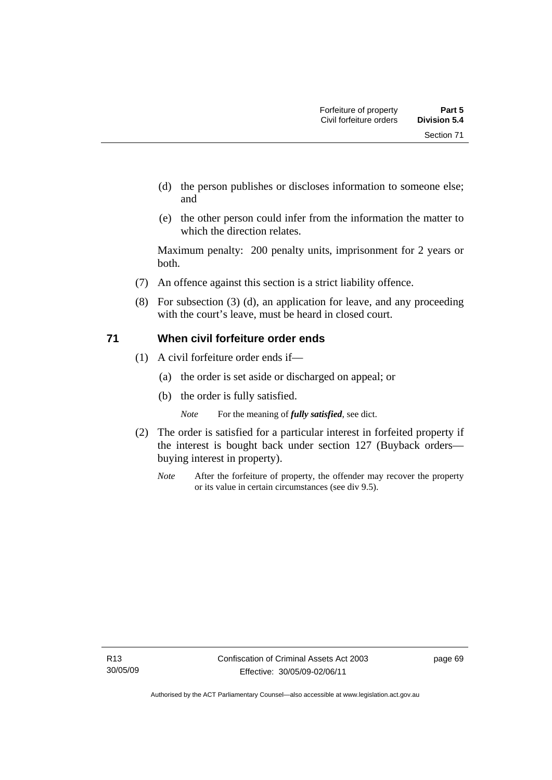- (d) the person publishes or discloses information to someone else; and
- (e) the other person could infer from the information the matter to which the direction relates.

Maximum penalty: 200 penalty units, imprisonment for 2 years or both.

- (7) An offence against this section is a strict liability offence.
- (8) For subsection (3) (d), an application for leave, and any proceeding with the court's leave, must be heard in closed court.

## **71 When civil forfeiture order ends**

- (1) A civil forfeiture order ends if—
	- (a) the order is set aside or discharged on appeal; or
	- (b) the order is fully satisfied.

*Note* For the meaning of *fully satisfied*, see dict.

- (2) The order is satisfied for a particular interest in forfeited property if the interest is bought back under section 127 (Buyback orders buying interest in property).
	- *Note* After the forfeiture of property, the offender may recover the property or its value in certain circumstances (see div 9.5).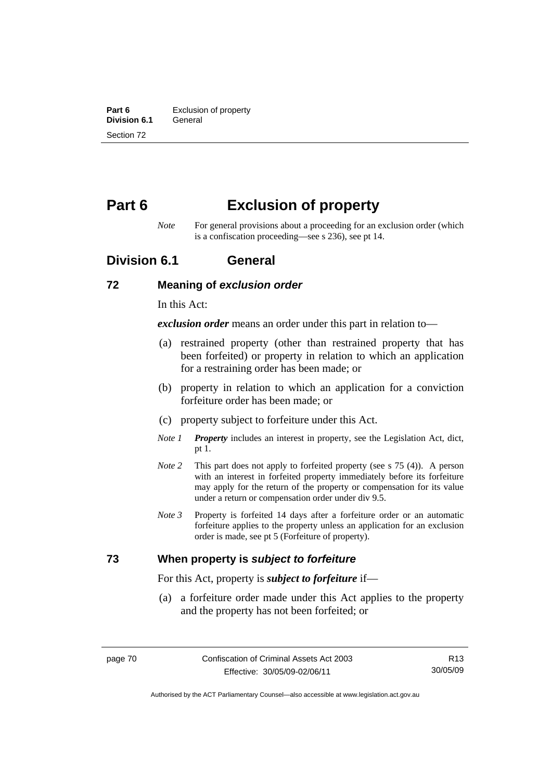**Part 6 Exclusion of property**<br>**Division 6.1 General Division 6.1** Section 72

# **Part 6 Exclusion of property**

*Note* For general provisions about a proceeding for an exclusion order (which is a confiscation proceeding—see s 236), see pt 14.

# **Division 6.1 General**

#### **72 Meaning of** *exclusion order*

In this Act:

*exclusion order* means an order under this part in relation to—

- (a) restrained property (other than restrained property that has been forfeited) or property in relation to which an application for a restraining order has been made; or
- (b) property in relation to which an application for a conviction forfeiture order has been made; or
- (c) property subject to forfeiture under this Act.
- *Note 1 Property* includes an interest in property, see the Legislation Act, dict, pt 1.
- *Note 2* This part does not apply to forfeited property (see s 75 (4)). A person with an interest in forfeited property immediately before its forfeiture may apply for the return of the property or compensation for its value under a return or compensation order under div 9.5.
- *Note 3* Property is forfeited 14 days after a forfeiture order or an automatic forfeiture applies to the property unless an application for an exclusion order is made, see pt 5 (Forfeiture of property).

#### **73 When property is** *subject to forfeiture*

For this Act, property is *subject to forfeiture* if—

 (a) a forfeiture order made under this Act applies to the property and the property has not been forfeited; or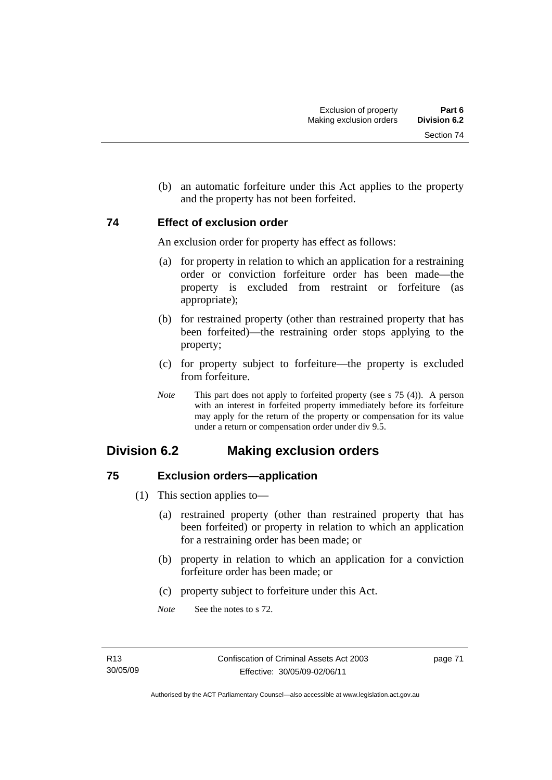Section 74

(b) an automatic forfeiture under this Act applies to the property

# **74 Effect of exclusion order**

An exclusion order for property has effect as follows:

and the property has not been forfeited.

- (a) for property in relation to which an application for a restraining order or conviction forfeiture order has been made—the property is excluded from restraint or forfeiture (as appropriate);
- (b) for restrained property (other than restrained property that has been forfeited)—the restraining order stops applying to the property;
- (c) for property subject to forfeiture—the property is excluded from forfeiture.
- *Note* This part does not apply to forfeited property (see s 75 (4)). A person with an interest in forfeited property immediately before its forfeiture may apply for the return of the property or compensation for its value under a return or compensation order under div 9.5.

# **Division 6.2 Making exclusion orders**

# **75 Exclusion orders—application**

- (1) This section applies to—
	- (a) restrained property (other than restrained property that has been forfeited) or property in relation to which an application for a restraining order has been made; or
	- (b) property in relation to which an application for a conviction forfeiture order has been made; or
	- (c) property subject to forfeiture under this Act.
	- *Note* See the notes to s 72.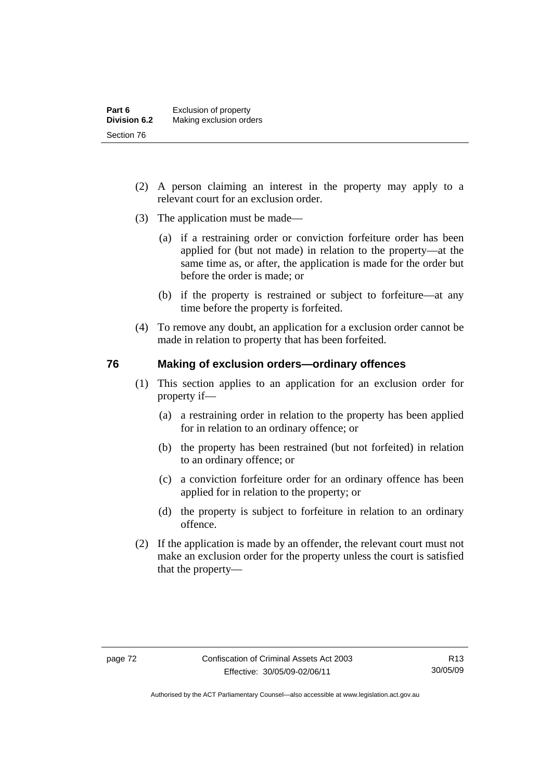- (2) A person claiming an interest in the property may apply to a relevant court for an exclusion order.
- (3) The application must be made—
	- (a) if a restraining order or conviction forfeiture order has been applied for (but not made) in relation to the property—at the same time as, or after, the application is made for the order but before the order is made; or
	- (b) if the property is restrained or subject to forfeiture—at any time before the property is forfeited.
- (4) To remove any doubt, an application for a exclusion order cannot be made in relation to property that has been forfeited.

### **76 Making of exclusion orders—ordinary offences**

- (1) This section applies to an application for an exclusion order for property if—
	- (a) a restraining order in relation to the property has been applied for in relation to an ordinary offence; or
	- (b) the property has been restrained (but not forfeited) in relation to an ordinary offence; or
	- (c) a conviction forfeiture order for an ordinary offence has been applied for in relation to the property; or
	- (d) the property is subject to forfeiture in relation to an ordinary offence.
- (2) If the application is made by an offender, the relevant court must not make an exclusion order for the property unless the court is satisfied that the property—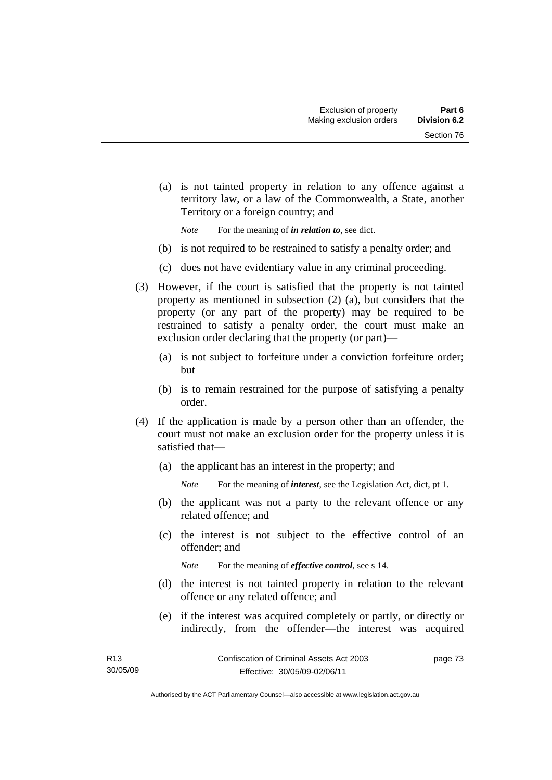(a) is not tainted property in relation to any offence against a territory law, or a law of the Commonwealth, a State, another Territory or a foreign country; and

*Note* For the meaning of *in relation to*, see dict.

- (b) is not required to be restrained to satisfy a penalty order; and
- (c) does not have evidentiary value in any criminal proceeding.
- (3) However, if the court is satisfied that the property is not tainted property as mentioned in subsection (2) (a), but considers that the property (or any part of the property) may be required to be restrained to satisfy a penalty order, the court must make an exclusion order declaring that the property (or part)—
	- (a) is not subject to forfeiture under a conviction forfeiture order; but
	- (b) is to remain restrained for the purpose of satisfying a penalty order.
- (4) If the application is made by a person other than an offender, the court must not make an exclusion order for the property unless it is satisfied that—
	- (a) the applicant has an interest in the property; and
		- *Note* For the meaning of *interest*, see the Legislation Act, dict, pt 1.
	- (b) the applicant was not a party to the relevant offence or any related offence; and
	- (c) the interest is not subject to the effective control of an offender; and
		- *Note* For the meaning of *effective control*, see s 14.
	- (d) the interest is not tainted property in relation to the relevant offence or any related offence; and
	- (e) if the interest was acquired completely or partly, or directly or indirectly, from the offender—the interest was acquired

| R13      | Confiscation of Criminal Assets Act 2003 | page 73 |
|----------|------------------------------------------|---------|
| 30/05/09 | Effective: 30/05/09-02/06/11             |         |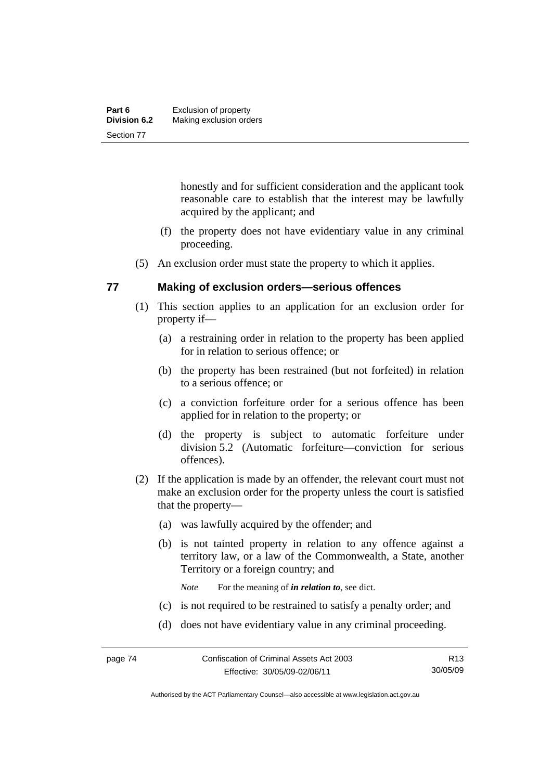| Part 6              | Exclusion of property   |
|---------------------|-------------------------|
| <b>Division 6.2</b> | Making exclusion orders |
| Section 77          |                         |

honestly and for sufficient consideration and the applicant took reasonable care to establish that the interest may be lawfully acquired by the applicant; and

- (f) the property does not have evidentiary value in any criminal proceeding.
- (5) An exclusion order must state the property to which it applies.

### **77 Making of exclusion orders—serious offences**

- (1) This section applies to an application for an exclusion order for property if—
	- (a) a restraining order in relation to the property has been applied for in relation to serious offence; or
	- (b) the property has been restrained (but not forfeited) in relation to a serious offence; or
	- (c) a conviction forfeiture order for a serious offence has been applied for in relation to the property; or
	- (d) the property is subject to automatic forfeiture under division 5.2 (Automatic forfeiture—conviction for serious offences).
- (2) If the application is made by an offender, the relevant court must not make an exclusion order for the property unless the court is satisfied that the property—
	- (a) was lawfully acquired by the offender; and
	- (b) is not tainted property in relation to any offence against a territory law, or a law of the Commonwealth, a State, another Territory or a foreign country; and

*Note* For the meaning of *in relation to*, see dict.

- (c) is not required to be restrained to satisfy a penalty order; and
- (d) does not have evidentiary value in any criminal proceeding.

Authorised by the ACT Parliamentary Counsel—also accessible at www.legislation.act.gov.au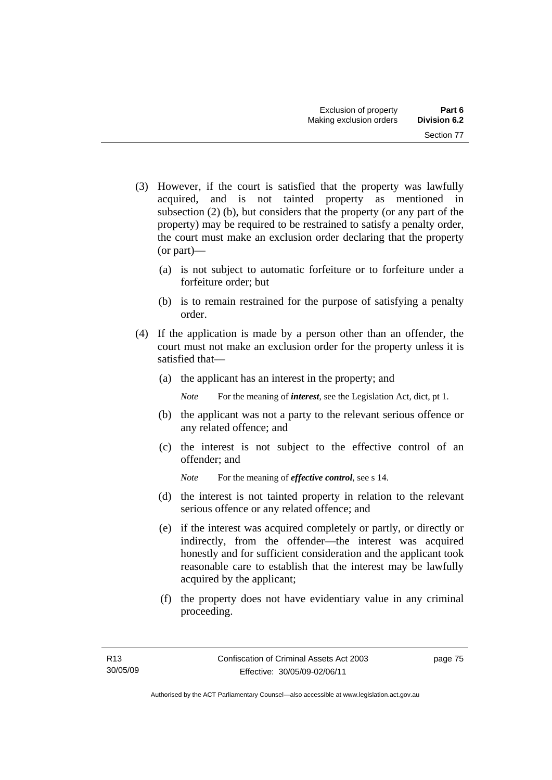- (3) However, if the court is satisfied that the property was lawfully acquired, and is not tainted property as mentioned in subsection (2) (b), but considers that the property (or any part of the property) may be required to be restrained to satisfy a penalty order, the court must make an exclusion order declaring that the property (or part)—
	- (a) is not subject to automatic forfeiture or to forfeiture under a forfeiture order; but
	- (b) is to remain restrained for the purpose of satisfying a penalty order.
- (4) If the application is made by a person other than an offender, the court must not make an exclusion order for the property unless it is satisfied that—
	- (a) the applicant has an interest in the property; and

*Note* For the meaning of *interest*, see the Legislation Act, dict, pt 1.

- (b) the applicant was not a party to the relevant serious offence or any related offence; and
- (c) the interest is not subject to the effective control of an offender; and

*Note* For the meaning of *effective control*, see s 14.

- (d) the interest is not tainted property in relation to the relevant serious offence or any related offence; and
- (e) if the interest was acquired completely or partly, or directly or indirectly, from the offender—the interest was acquired honestly and for sufficient consideration and the applicant took reasonable care to establish that the interest may be lawfully acquired by the applicant;
- (f) the property does not have evidentiary value in any criminal proceeding.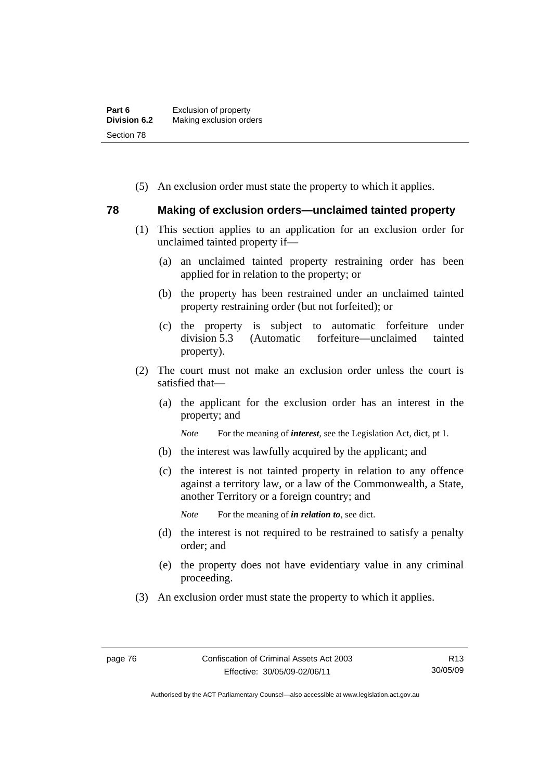| Part 6              | Exclusion of property   |
|---------------------|-------------------------|
| <b>Division 6.2</b> | Making exclusion orders |
| Section 78          |                         |

(5) An exclusion order must state the property to which it applies.

### **78 Making of exclusion orders—unclaimed tainted property**

- (1) This section applies to an application for an exclusion order for unclaimed tainted property if—
	- (a) an unclaimed tainted property restraining order has been applied for in relation to the property; or
	- (b) the property has been restrained under an unclaimed tainted property restraining order (but not forfeited); or
	- (c) the property is subject to automatic forfeiture under division 5.3 (Automatic forfeiture—unclaimed tainted property).
- (2) The court must not make an exclusion order unless the court is satisfied that—
	- (a) the applicant for the exclusion order has an interest in the property; and

*Note* For the meaning of *interest*, see the Legislation Act, dict, pt 1.

- (b) the interest was lawfully acquired by the applicant; and
- (c) the interest is not tainted property in relation to any offence against a territory law, or a law of the Commonwealth, a State, another Territory or a foreign country; and

*Note* For the meaning of *in relation to*, see dict.

- (d) the interest is not required to be restrained to satisfy a penalty order; and
- (e) the property does not have evidentiary value in any criminal proceeding.
- (3) An exclusion order must state the property to which it applies.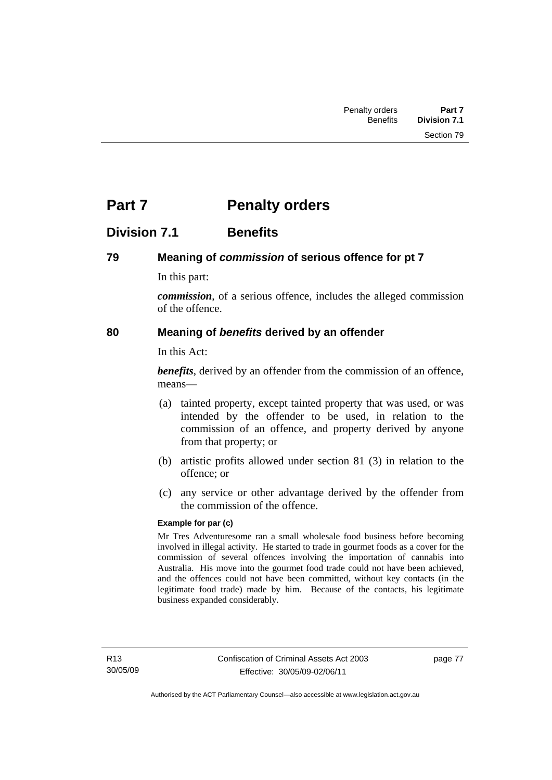# **Part 7** Penalty orders

# **Division 7.1 Benefits**

## **79 Meaning of** *commission* **of serious offence for pt 7**

In this part:

*commission*, of a serious offence, includes the alleged commission of the offence.

## **80 Meaning of** *benefits* **derived by an offender**

In this Act:

*benefits*, derived by an offender from the commission of an offence, means—

- (a) tainted property, except tainted property that was used, or was intended by the offender to be used, in relation to the commission of an offence, and property derived by anyone from that property; or
- (b) artistic profits allowed under section 81 (3) in relation to the offence; or
- (c) any service or other advantage derived by the offender from the commission of the offence.

#### **Example for par (c)**

Mr Tres Adventuresome ran a small wholesale food business before becoming involved in illegal activity. He started to trade in gourmet foods as a cover for the commission of several offences involving the importation of cannabis into Australia. His move into the gourmet food trade could not have been achieved, and the offences could not have been committed, without key contacts (in the legitimate food trade) made by him. Because of the contacts, his legitimate business expanded considerably.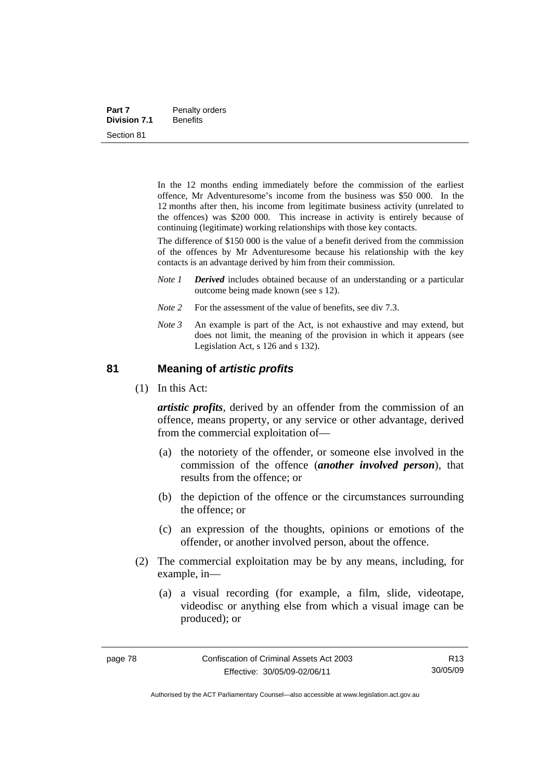| Part 7              | Penalty orders  |
|---------------------|-----------------|
| <b>Division 7.1</b> | <b>Benefits</b> |
| Section 81          |                 |

In the 12 months ending immediately before the commission of the earliest offence, Mr Adventuresome's income from the business was \$50 000. In the 12 months after then, his income from legitimate business activity (unrelated to the offences) was \$200 000. This increase in activity is entirely because of continuing (legitimate) working relationships with those key contacts.

The difference of \$150 000 is the value of a benefit derived from the commission of the offences by Mr Adventuresome because his relationship with the key contacts is an advantage derived by him from their commission.

- *Note 1 Derived* includes obtained because of an understanding or a particular outcome being made known (see s 12).
- *Note* 2 For the assessment of the value of benefits, see div 7.3.
- *Note 3* An example is part of the Act, is not exhaustive and may extend, but does not limit, the meaning of the provision in which it appears (see Legislation Act, s 126 and s 132).

#### **81 Meaning of** *artistic profits*

(1) In this Act:

*artistic profits*, derived by an offender from the commission of an offence, means property, or any service or other advantage, derived from the commercial exploitation of—

- (a) the notoriety of the offender, or someone else involved in the commission of the offence (*another involved person*), that results from the offence; or
- (b) the depiction of the offence or the circumstances surrounding the offence; or
- (c) an expression of the thoughts, opinions or emotions of the offender, or another involved person, about the offence.
- (2) The commercial exploitation may be by any means, including, for example, in—
	- (a) a visual recording (for example, a film, slide, videotape, videodisc or anything else from which a visual image can be produced); or

R13 30/05/09

Authorised by the ACT Parliamentary Counsel—also accessible at www.legislation.act.gov.au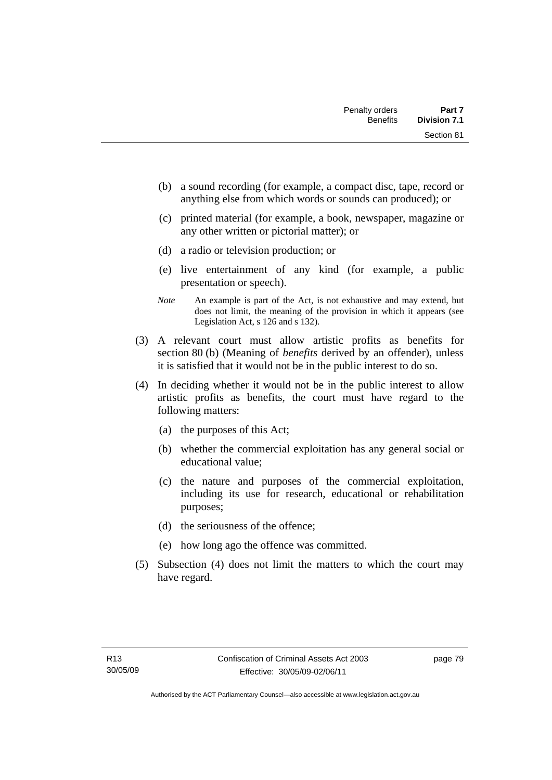- (b) a sound recording (for example, a compact disc, tape, record or anything else from which words or sounds can produced); or
- (c) printed material (for example, a book, newspaper, magazine or any other written or pictorial matter); or
- (d) a radio or television production; or
- (e) live entertainment of any kind (for example, a public presentation or speech).
- *Note* An example is part of the Act, is not exhaustive and may extend, but does not limit, the meaning of the provision in which it appears (see Legislation Act, s 126 and s 132).
- (3) A relevant court must allow artistic profits as benefits for section 80 (b) (Meaning of *benefits* derived by an offender), unless it is satisfied that it would not be in the public interest to do so.
- (4) In deciding whether it would not be in the public interest to allow artistic profits as benefits, the court must have regard to the following matters:
	- (a) the purposes of this Act;
	- (b) whether the commercial exploitation has any general social or educational value;
	- (c) the nature and purposes of the commercial exploitation, including its use for research, educational or rehabilitation purposes;
	- (d) the seriousness of the offence;
	- (e) how long ago the offence was committed.
- (5) Subsection (4) does not limit the matters to which the court may have regard.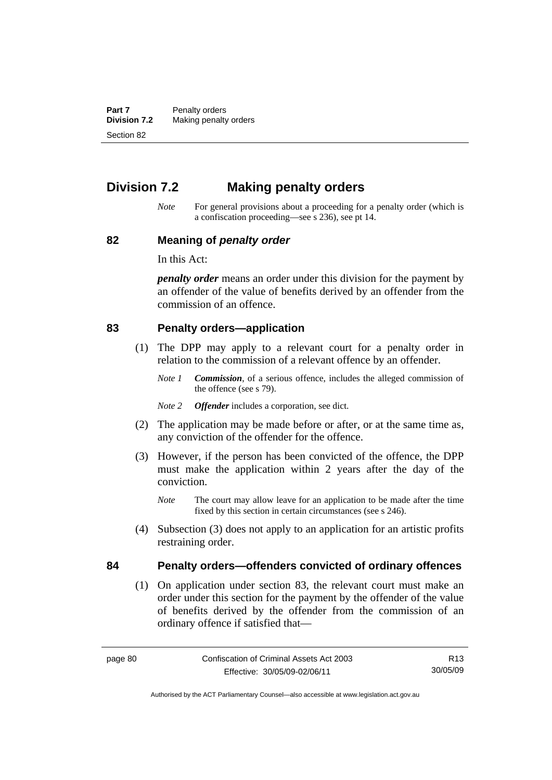**Part 7** Penalty orders **Division 7.2** Making penalty orders Section 82

# **Division 7.2 Making penalty orders**

*Note* For general provisions about a proceeding for a penalty order (which is a confiscation proceeding—see s 236), see pt 14.

#### **82 Meaning of** *penalty order*

In this Act:

*penalty order* means an order under this division for the payment by an offender of the value of benefits derived by an offender from the commission of an offence.

#### **83 Penalty orders—application**

- (1) The DPP may apply to a relevant court for a penalty order in relation to the commission of a relevant offence by an offender.
	- *Note 1 Commission*, of a serious offence, includes the alleged commission of the offence (see s 79).
	- *Note 2 Offender* includes a corporation, see dict.
- (2) The application may be made before or after, or at the same time as, any conviction of the offender for the offence.
- (3) However, if the person has been convicted of the offence, the DPP must make the application within 2 years after the day of the conviction.
	- *Note* The court may allow leave for an application to be made after the time fixed by this section in certain circumstances (see s 246).
- (4) Subsection (3) does not apply to an application for an artistic profits restraining order.

### **84 Penalty orders—offenders convicted of ordinary offences**

 (1) On application under section 83, the relevant court must make an order under this section for the payment by the offender of the value of benefits derived by the offender from the commission of an ordinary offence if satisfied that—

R13 30/05/09

Authorised by the ACT Parliamentary Counsel—also accessible at www.legislation.act.gov.au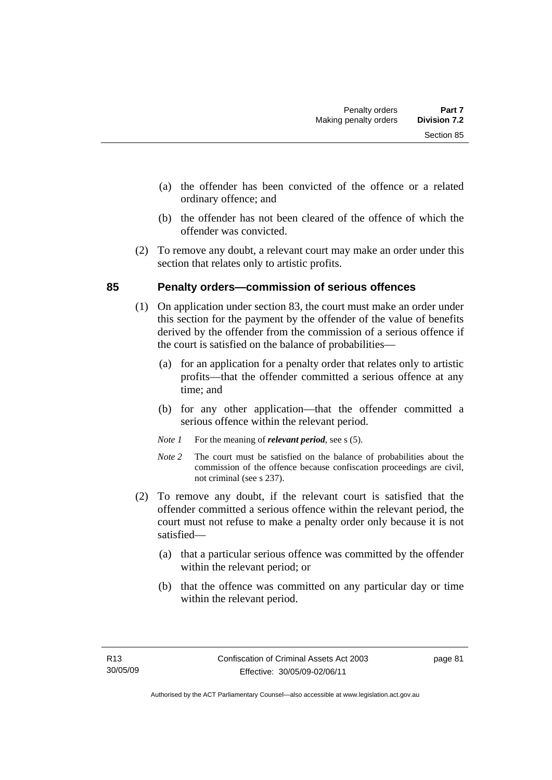- (a) the offender has been convicted of the offence or a related ordinary offence; and
- (b) the offender has not been cleared of the offence of which the offender was convicted.
- (2) To remove any doubt, a relevant court may make an order under this section that relates only to artistic profits.

# **85 Penalty orders—commission of serious offences**

- (1) On application under section 83, the court must make an order under this section for the payment by the offender of the value of benefits derived by the offender from the commission of a serious offence if the court is satisfied on the balance of probabilities—
	- (a) for an application for a penalty order that relates only to artistic profits—that the offender committed a serious offence at any time; and
	- (b) for any other application—that the offender committed a serious offence within the relevant period.
	- *Note 1* For the meaning of *relevant period*, see s (5).
	- *Note* 2 The court must be satisfied on the balance of probabilities about the commission of the offence because confiscation proceedings are civil, not criminal (see s 237).
- (2) To remove any doubt, if the relevant court is satisfied that the offender committed a serious offence within the relevant period, the court must not refuse to make a penalty order only because it is not satisfied—
	- (a) that a particular serious offence was committed by the offender within the relevant period; or
	- (b) that the offence was committed on any particular day or time within the relevant period.

page 81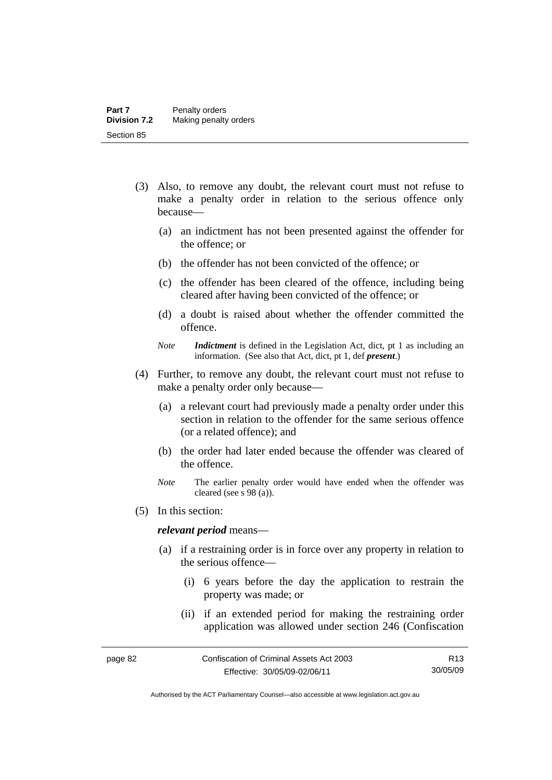- (3) Also, to remove any doubt, the relevant court must not refuse to make a penalty order in relation to the serious offence only because—
	- (a) an indictment has not been presented against the offender for the offence; or
	- (b) the offender has not been convicted of the offence; or
	- (c) the offender has been cleared of the offence, including being cleared after having been convicted of the offence; or
	- (d) a doubt is raised about whether the offender committed the offence.
	- *Note Indictment* is defined in the Legislation Act, dict, pt 1 as including an information. (See also that Act, dict, pt 1, def *present*.)
- (4) Further, to remove any doubt, the relevant court must not refuse to make a penalty order only because—
	- (a) a relevant court had previously made a penalty order under this section in relation to the offender for the same serious offence (or a related offence); and
	- (b) the order had later ended because the offender was cleared of the offence.
	- *Note* The earlier penalty order would have ended when the offender was cleared (see s 98 (a)).
- (5) In this section:

#### *relevant period* means—

- (a) if a restraining order is in force over any property in relation to the serious offence—
	- (i) 6 years before the day the application to restrain the property was made; or
	- (ii) if an extended period for making the restraining order application was allowed under section 246 (Confiscation

R13 30/05/09

Authorised by the ACT Parliamentary Counsel—also accessible at www.legislation.act.gov.au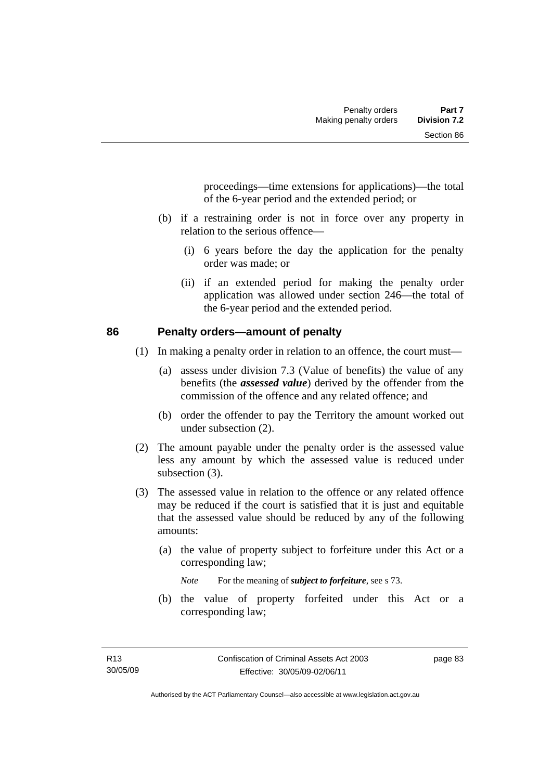proceedings—time extensions for applications)—the total of the 6-year period and the extended period; or

- (b) if a restraining order is not in force over any property in relation to the serious offence—
	- (i) 6 years before the day the application for the penalty order was made; or
	- (ii) if an extended period for making the penalty order application was allowed under section 246—the total of the 6-year period and the extended period.

### **86 Penalty orders—amount of penalty**

- (1) In making a penalty order in relation to an offence, the court must—
	- (a) assess under division 7.3 (Value of benefits) the value of any benefits (the *assessed value*) derived by the offender from the commission of the offence and any related offence; and
	- (b) order the offender to pay the Territory the amount worked out under subsection (2).
- (2) The amount payable under the penalty order is the assessed value less any amount by which the assessed value is reduced under subsection  $(3)$ .
- (3) The assessed value in relation to the offence or any related offence may be reduced if the court is satisfied that it is just and equitable that the assessed value should be reduced by any of the following amounts:
	- (a) the value of property subject to forfeiture under this Act or a corresponding law;

*Note* For the meaning of *subject to forfeiture*, see s 73.

 (b) the value of property forfeited under this Act or a corresponding law;

page 83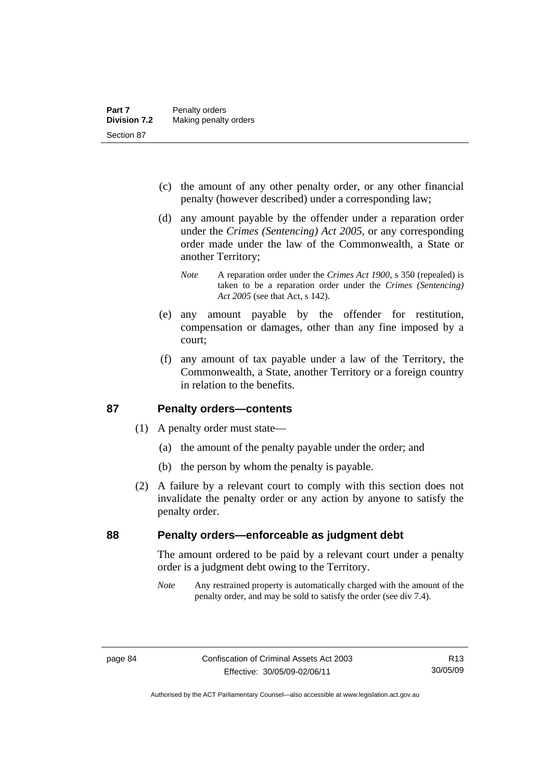- (c) the amount of any other penalty order, or any other financial penalty (however described) under a corresponding law;
- (d) any amount payable by the offender under a reparation order under the *Crimes (Sentencing) Act 2005*, or any corresponding order made under the law of the Commonwealth, a State or another Territory;
	- *Note* A reparation order under the *Crimes Act 1900*, s 350 (repealed) is taken to be a reparation order under the *Crimes (Sentencing) Act 2005* (see that Act, s 142).
- (e) any amount payable by the offender for restitution, compensation or damages, other than any fine imposed by a court;
- (f) any amount of tax payable under a law of the Territory, the Commonwealth, a State, another Territory or a foreign country in relation to the benefits.

### **87 Penalty orders—contents**

- (1) A penalty order must state—
	- (a) the amount of the penalty payable under the order; and
	- (b) the person by whom the penalty is payable.
- (2) A failure by a relevant court to comply with this section does not invalidate the penalty order or any action by anyone to satisfy the penalty order.

# **88 Penalty orders—enforceable as judgment debt**

The amount ordered to be paid by a relevant court under a penalty order is a judgment debt owing to the Territory.

*Note* Any restrained property is automatically charged with the amount of the penalty order, and may be sold to satisfy the order (see div 7.4).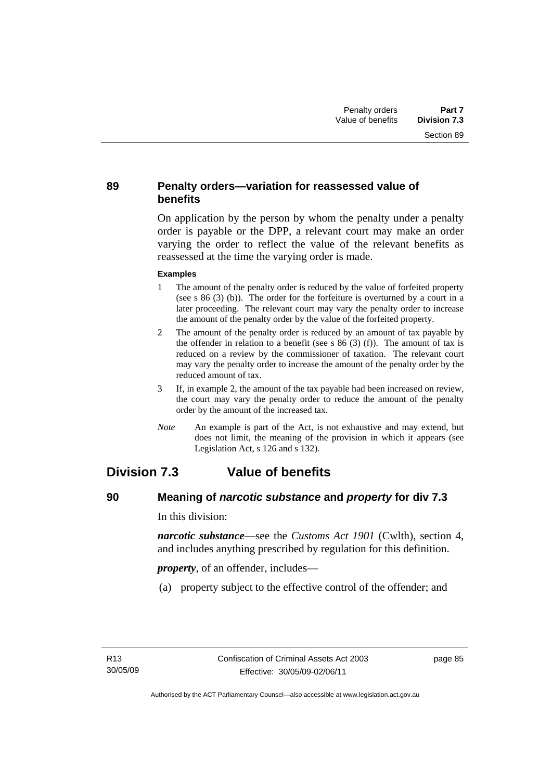# **89 Penalty orders—variation for reassessed value of benefits**

On application by the person by whom the penalty under a penalty order is payable or the DPP, a relevant court may make an order varying the order to reflect the value of the relevant benefits as reassessed at the time the varying order is made.

#### **Examples**

- 1 The amount of the penalty order is reduced by the value of forfeited property (see s 86 (3) (b)). The order for the forfeiture is overturned by a court in a later proceeding. The relevant court may vary the penalty order to increase the amount of the penalty order by the value of the forfeited property.
- 2 The amount of the penalty order is reduced by an amount of tax payable by the offender in relation to a benefit (see s  $86$  (3) (f)). The amount of tax is reduced on a review by the commissioner of taxation. The relevant court may vary the penalty order to increase the amount of the penalty order by the reduced amount of tax.
- 3 If, in example 2, the amount of the tax payable had been increased on review, the court may vary the penalty order to reduce the amount of the penalty order by the amount of the increased tax.
- *Note* An example is part of the Act, is not exhaustive and may extend, but does not limit, the meaning of the provision in which it appears (see Legislation Act, s 126 and s 132).

# **Division 7.3 Value of benefits**

# **90 Meaning of** *narcotic substance* **and** *property* **for div 7.3**

In this division:

*narcotic substance*—see the *Customs Act 1901* (Cwlth), section 4, and includes anything prescribed by regulation for this definition.

*property*, of an offender, includes—

(a) property subject to the effective control of the offender; and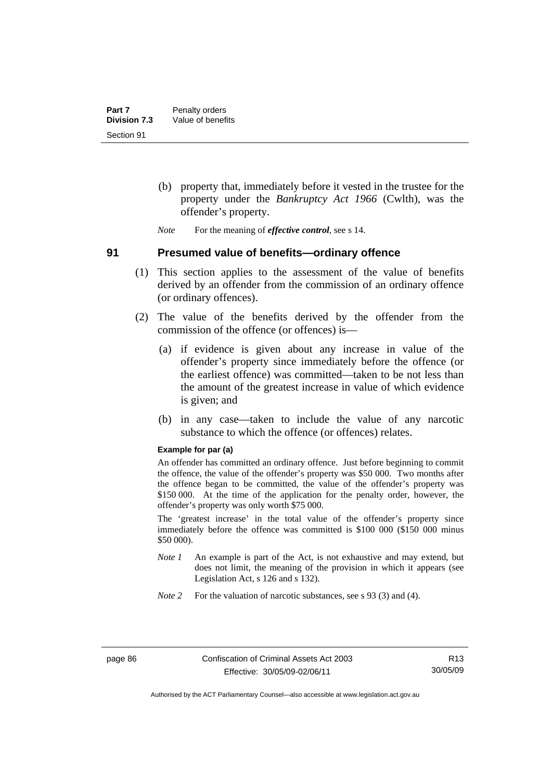- (b) property that, immediately before it vested in the trustee for the property under the *Bankruptcy Act 1966* (Cwlth), was the offender's property.
- *Note* For the meaning of *effective control*, see s 14.

## **91 Presumed value of benefits—ordinary offence**

- (1) This section applies to the assessment of the value of benefits derived by an offender from the commission of an ordinary offence (or ordinary offences).
- (2) The value of the benefits derived by the offender from the commission of the offence (or offences) is—
	- (a) if evidence is given about any increase in value of the offender's property since immediately before the offence (or the earliest offence) was committed—taken to be not less than the amount of the greatest increase in value of which evidence is given; and
	- (b) in any case—taken to include the value of any narcotic substance to which the offence (or offences) relates.

#### **Example for par (a)**

An offender has committed an ordinary offence. Just before beginning to commit the offence, the value of the offender's property was \$50 000. Two months after the offence began to be committed, the value of the offender's property was \$150 000. At the time of the application for the penalty order, however, the offender's property was only worth \$75 000.

The 'greatest increase' in the total value of the offender's property since immediately before the offence was committed is \$100 000 (\$150 000 minus \$50 000).

- *Note 1* An example is part of the Act, is not exhaustive and may extend, but does not limit, the meaning of the provision in which it appears (see Legislation Act, s 126 and s 132).
- *Note 2* For the valuation of narcotic substances, see s 93 (3) and (4).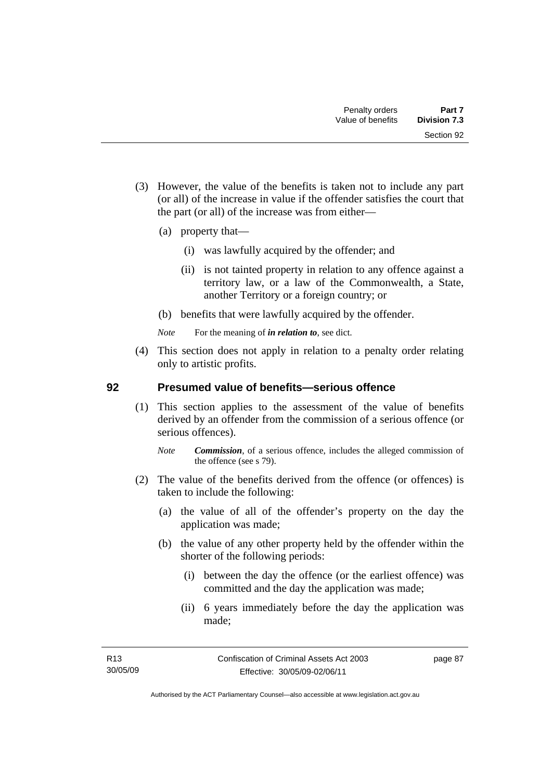- (3) However, the value of the benefits is taken not to include any part (or all) of the increase in value if the offender satisfies the court that the part (or all) of the increase was from either—
	- (a) property that—
		- (i) was lawfully acquired by the offender; and
		- (ii) is not tainted property in relation to any offence against a territory law, or a law of the Commonwealth, a State, another Territory or a foreign country; or
	- (b) benefits that were lawfully acquired by the offender.

*Note* For the meaning of *in relation to*, see dict.

 (4) This section does not apply in relation to a penalty order relating only to artistic profits.

## **92 Presumed value of benefits—serious offence**

 (1) This section applies to the assessment of the value of benefits derived by an offender from the commission of a serious offence (or serious offences).

- (2) The value of the benefits derived from the offence (or offences) is taken to include the following:
	- (a) the value of all of the offender's property on the day the application was made;
	- (b) the value of any other property held by the offender within the shorter of the following periods:
		- (i) between the day the offence (or the earliest offence) was committed and the day the application was made;
		- (ii) 6 years immediately before the day the application was made;

page 87

*Note Commission*, of a serious offence, includes the alleged commission of the offence (see s 79).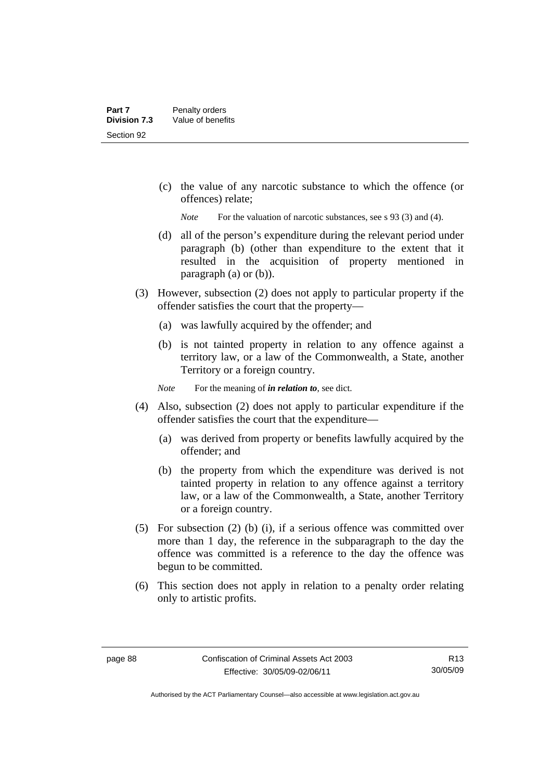(c) the value of any narcotic substance to which the offence (or offences) relate;

*Note* For the valuation of narcotic substances, see s 93 (3) and (4).

- (d) all of the person's expenditure during the relevant period under paragraph (b) (other than expenditure to the extent that it resulted in the acquisition of property mentioned in paragraph (a) or (b)).
- (3) However, subsection (2) does not apply to particular property if the offender satisfies the court that the property—
	- (a) was lawfully acquired by the offender; and
	- (b) is not tainted property in relation to any offence against a territory law, or a law of the Commonwealth, a State, another Territory or a foreign country.
	- *Note* For the meaning of *in relation to*, see dict.
- (4) Also, subsection (2) does not apply to particular expenditure if the offender satisfies the court that the expenditure—
	- (a) was derived from property or benefits lawfully acquired by the offender; and
	- (b) the property from which the expenditure was derived is not tainted property in relation to any offence against a territory law, or a law of the Commonwealth, a State, another Territory or a foreign country.
- (5) For subsection (2) (b) (i), if a serious offence was committed over more than 1 day, the reference in the subparagraph to the day the offence was committed is a reference to the day the offence was begun to be committed.
- (6) This section does not apply in relation to a penalty order relating only to artistic profits.

Authorised by the ACT Parliamentary Counsel—also accessible at www.legislation.act.gov.au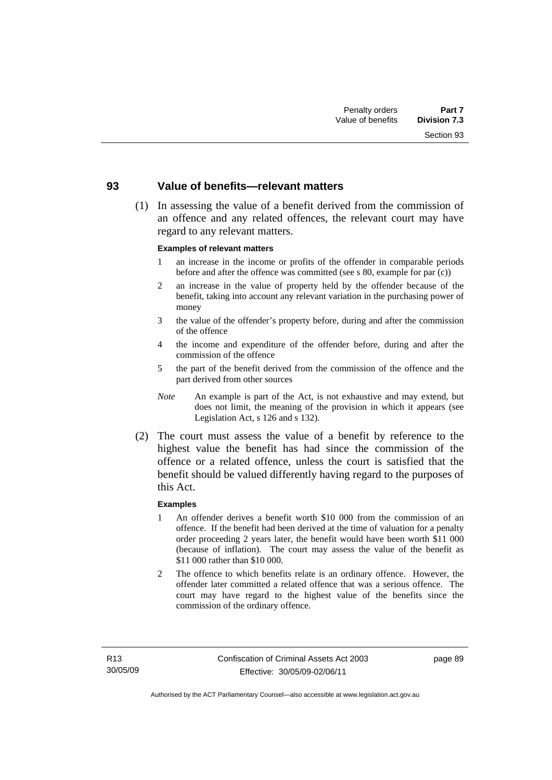#### **93 Value of benefits—relevant matters**

 (1) In assessing the value of a benefit derived from the commission of an offence and any related offences, the relevant court may have regard to any relevant matters.

#### **Examples of relevant matters**

- 1 an increase in the income or profits of the offender in comparable periods before and after the offence was committed (see s 80, example for par (c))
- 2 an increase in the value of property held by the offender because of the benefit, taking into account any relevant variation in the purchasing power of money
- 3 the value of the offender's property before, during and after the commission of the offence
- 4 the income and expenditure of the offender before, during and after the commission of the offence
- 5 the part of the benefit derived from the commission of the offence and the part derived from other sources
- *Note* An example is part of the Act, is not exhaustive and may extend, but does not limit, the meaning of the provision in which it appears (see Legislation Act, s 126 and s 132).
- (2) The court must assess the value of a benefit by reference to the highest value the benefit has had since the commission of the offence or a related offence, unless the court is satisfied that the benefit should be valued differently having regard to the purposes of this Act.

#### **Examples**

- 1 An offender derives a benefit worth \$10 000 from the commission of an offence. If the benefit had been derived at the time of valuation for a penalty order proceeding 2 years later, the benefit would have been worth \$11 000 (because of inflation). The court may assess the value of the benefit as \$11 000 rather than \$10 000.
- 2 The offence to which benefits relate is an ordinary offence. However, the offender later committed a related offence that was a serious offence. The court may have regard to the highest value of the benefits since the commission of the ordinary offence.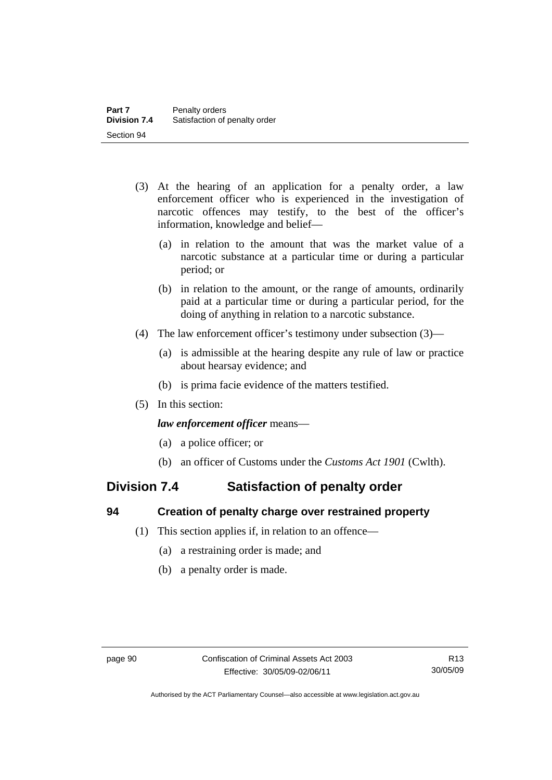- (3) At the hearing of an application for a penalty order, a law enforcement officer who is experienced in the investigation of narcotic offences may testify, to the best of the officer's information, knowledge and belief—
	- (a) in relation to the amount that was the market value of a narcotic substance at a particular time or during a particular period; or
	- (b) in relation to the amount, or the range of amounts, ordinarily paid at a particular time or during a particular period, for the doing of anything in relation to a narcotic substance.
- (4) The law enforcement officer's testimony under subsection (3)—
	- (a) is admissible at the hearing despite any rule of law or practice about hearsay evidence; and
	- (b) is prima facie evidence of the matters testified.
- (5) In this section:

*law enforcement officer* means—

- (a) a police officer; or
- (b) an officer of Customs under the *Customs Act 1901* (Cwlth).

# **Division 7.4 Satisfaction of penalty order**

# **94 Creation of penalty charge over restrained property**

- (1) This section applies if, in relation to an offence—
	- (a) a restraining order is made; and
	- (b) a penalty order is made.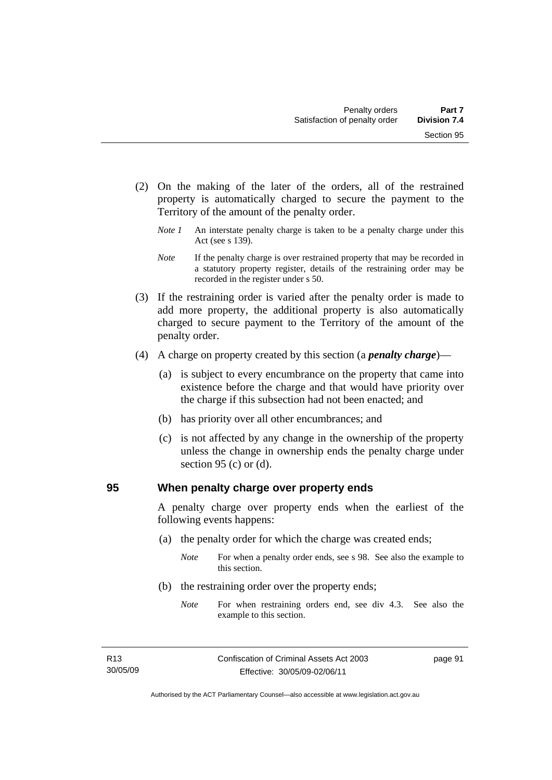- (2) On the making of the later of the orders, all of the restrained property is automatically charged to secure the payment to the Territory of the amount of the penalty order.
	- *Note 1* An interstate penalty charge is taken to be a penalty charge under this Act (see s 139).
	- *Note* If the penalty charge is over restrained property that may be recorded in a statutory property register, details of the restraining order may be recorded in the register under s 50.
- (3) If the restraining order is varied after the penalty order is made to add more property, the additional property is also automatically charged to secure payment to the Territory of the amount of the penalty order.
- (4) A charge on property created by this section (a *penalty charge*)—
	- (a) is subject to every encumbrance on the property that came into existence before the charge and that would have priority over the charge if this subsection had not been enacted; and
	- (b) has priority over all other encumbrances; and
	- (c) is not affected by any change in the ownership of the property unless the change in ownership ends the penalty charge under section 95 (c) or  $(d)$ .

### **95 When penalty charge over property ends**

A penalty charge over property ends when the earliest of the following events happens:

- (a) the penalty order for which the charge was created ends;
	- *Note* For when a penalty order ends, see s 98. See also the example to this section.
- (b) the restraining order over the property ends;
	- *Note* For when restraining orders end, see div 4.3. See also the example to this section.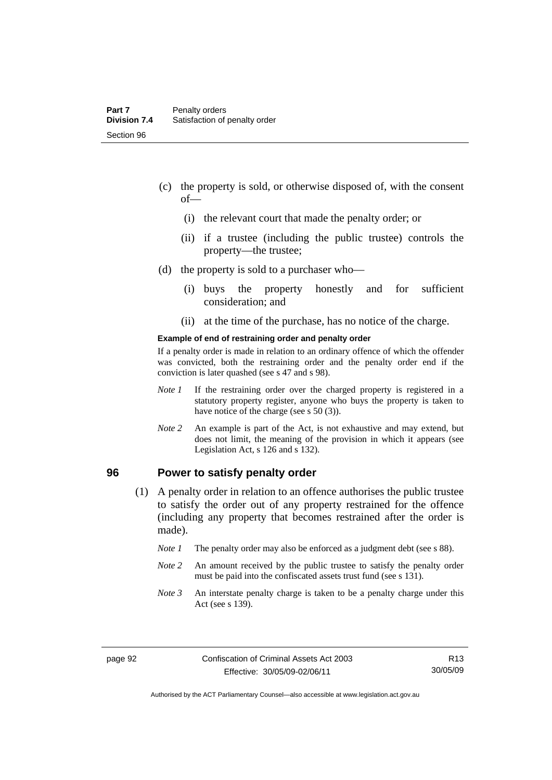- (c) the property is sold, or otherwise disposed of, with the consent of—
	- (i) the relevant court that made the penalty order; or
	- (ii) if a trustee (including the public trustee) controls the property—the trustee;
- (d) the property is sold to a purchaser who—
	- (i) buys the property honestly and for sufficient consideration; and
	- (ii) at the time of the purchase, has no notice of the charge.

#### **Example of end of restraining order and penalty order**

If a penalty order is made in relation to an ordinary offence of which the offender was convicted, both the restraining order and the penalty order end if the conviction is later quashed (see s 47 and s 98).

- *Note 1* If the restraining order over the charged property is registered in a statutory property register, anyone who buys the property is taken to have notice of the charge (see s 50 (3)).
- *Note* 2 An example is part of the Act, is not exhaustive and may extend, but does not limit, the meaning of the provision in which it appears (see Legislation Act, s 126 and s 132).

#### **96 Power to satisfy penalty order**

- (1) A penalty order in relation to an offence authorises the public trustee to satisfy the order out of any property restrained for the offence (including any property that becomes restrained after the order is made).
	- *Note 1* The penalty order may also be enforced as a judgment debt (see s 88).
	- *Note 2* An amount received by the public trustee to satisfy the penalty order must be paid into the confiscated assets trust fund (see s 131).
	- *Note 3* An interstate penalty charge is taken to be a penalty charge under this Act (see s 139).

Authorised by the ACT Parliamentary Counsel—also accessible at www.legislation.act.gov.au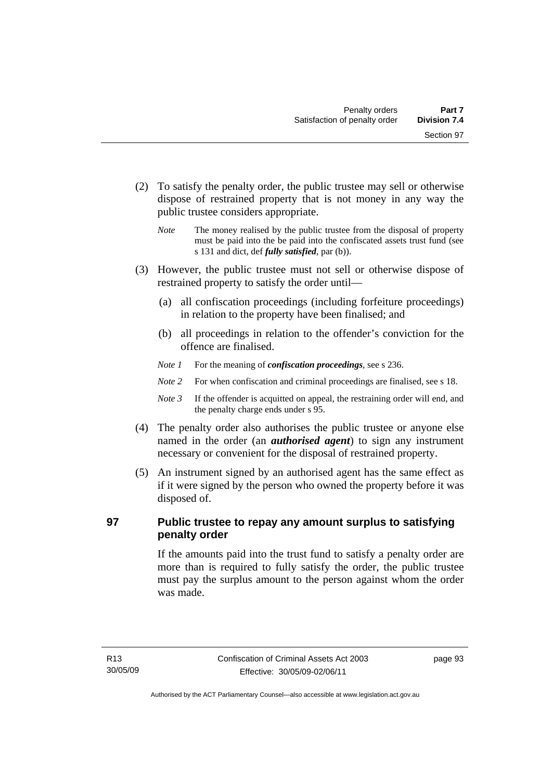- (2) To satisfy the penalty order, the public trustee may sell or otherwise dispose of restrained property that is not money in any way the public trustee considers appropriate.
	- *Note* The money realised by the public trustee from the disposal of property must be paid into the be paid into the confiscated assets trust fund (see s 131 and dict, def *fully satisfied*, par (b)).
- (3) However, the public trustee must not sell or otherwise dispose of restrained property to satisfy the order until—
	- (a) all confiscation proceedings (including forfeiture proceedings) in relation to the property have been finalised; and
	- (b) all proceedings in relation to the offender's conviction for the offence are finalised.
	- *Note 1* For the meaning of *confiscation proceedings*, see s 236.
	- *Note 2* For when confiscation and criminal proceedings are finalised, see s 18.
	- *Note 3* If the offender is acquitted on appeal, the restraining order will end, and the penalty charge ends under s 95.
- (4) The penalty order also authorises the public trustee or anyone else named in the order (an *authorised agent*) to sign any instrument necessary or convenient for the disposal of restrained property.
- (5) An instrument signed by an authorised agent has the same effect as if it were signed by the person who owned the property before it was disposed of.
- 

# **97 Public trustee to repay any amount surplus to satisfying penalty order**

If the amounts paid into the trust fund to satisfy a penalty order are more than is required to fully satisfy the order, the public trustee must pay the surplus amount to the person against whom the order was made.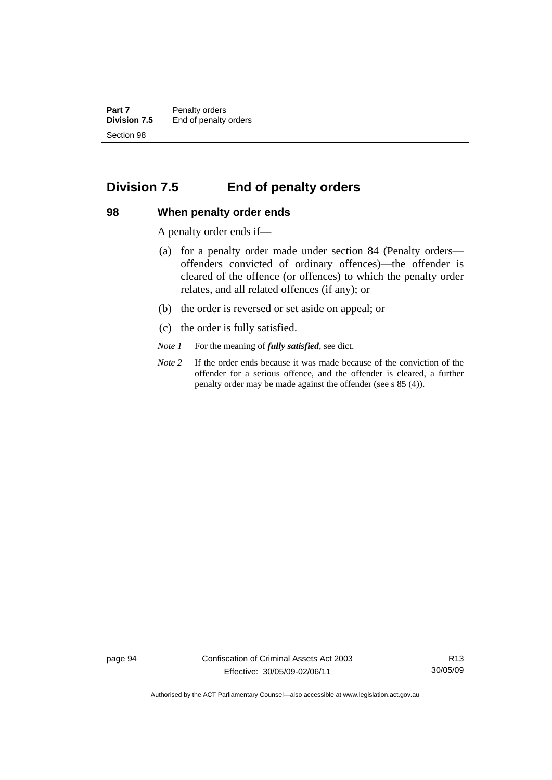**Part 7** Penalty orders<br>**Division 7.5** End of penalty End of penalty orders Section 98

# **Division 7.5 End of penalty orders**

#### **98 When penalty order ends**

A penalty order ends if—

- (a) for a penalty order made under section 84 (Penalty orders offenders convicted of ordinary offences)—the offender is cleared of the offence (or offences) to which the penalty order relates, and all related offences (if any); or
- (b) the order is reversed or set aside on appeal; or
- (c) the order is fully satisfied.
- *Note 1* For the meaning of *fully satisfied*, see dict.
- *Note 2* If the order ends because it was made because of the conviction of the offender for a serious offence, and the offender is cleared, a further penalty order may be made against the offender (see s 85 (4)).

page 94 Confiscation of Criminal Assets Act 2003 Effective: 30/05/09-02/06/11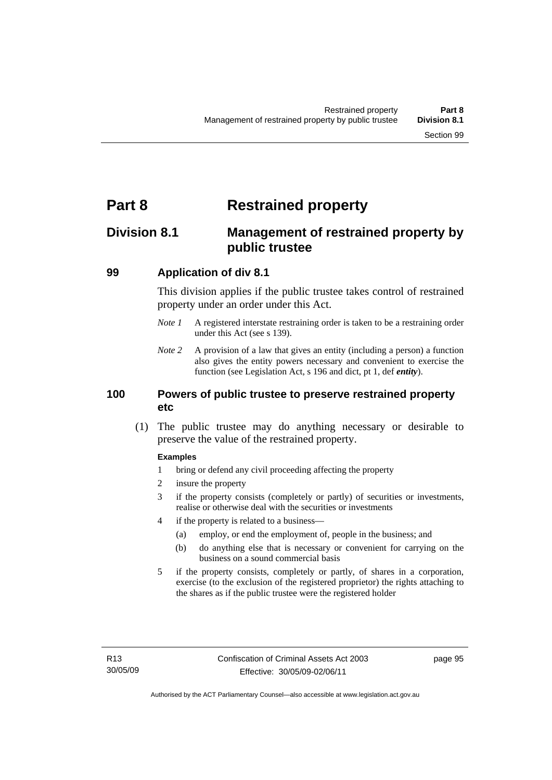# **Part 8 Restrained property**

# **Division 8.1 Management of restrained property by public trustee**

# **99 Application of div 8.1**

This division applies if the public trustee takes control of restrained property under an order under this Act.

- *Note 1* A registered interstate restraining order is taken to be a restraining order under this Act (see s 139).
- *Note 2* A provision of a law that gives an entity (including a person) a function also gives the entity powers necessary and convenient to exercise the function (see Legislation Act, s 196 and dict, pt 1, def *entity*).

## **100 Powers of public trustee to preserve restrained property etc**

 (1) The public trustee may do anything necessary or desirable to preserve the value of the restrained property.

#### **Examples**

- 1 bring or defend any civil proceeding affecting the property
- 2 insure the property
- 3 if the property consists (completely or partly) of securities or investments, realise or otherwise deal with the securities or investments
- 4 if the property is related to a business—
	- (a) employ, or end the employment of, people in the business; and
	- (b) do anything else that is necessary or convenient for carrying on the business on a sound commercial basis
- 5 if the property consists, completely or partly, of shares in a corporation, exercise (to the exclusion of the registered proprietor) the rights attaching to the shares as if the public trustee were the registered holder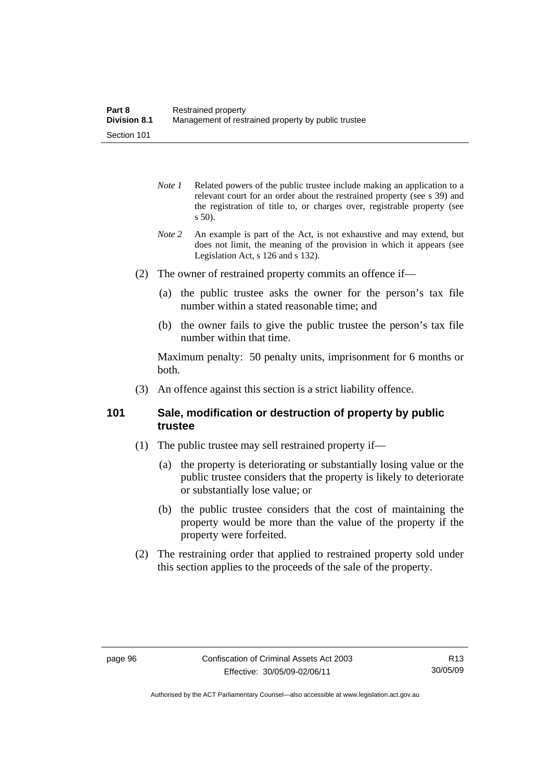- *Note 1* Related powers of the public trustee include making an application to a relevant court for an order about the restrained property (see s 39) and the registration of title to, or charges over, registrable property (see s 50).
- *Note 2* An example is part of the Act, is not exhaustive and may extend, but does not limit, the meaning of the provision in which it appears (see Legislation Act, s 126 and s 132).
- (2) The owner of restrained property commits an offence if—
	- (a) the public trustee asks the owner for the person's tax file number within a stated reasonable time; and
	- (b) the owner fails to give the public trustee the person's tax file number within that time.

Maximum penalty: 50 penalty units, imprisonment for 6 months or both.

(3) An offence against this section is a strict liability offence.

## **101 Sale, modification or destruction of property by public trustee**

- (1) The public trustee may sell restrained property if—
	- (a) the property is deteriorating or substantially losing value or the public trustee considers that the property is likely to deteriorate or substantially lose value; or
	- (b) the public trustee considers that the cost of maintaining the property would be more than the value of the property if the property were forfeited.
- (2) The restraining order that applied to restrained property sold under this section applies to the proceeds of the sale of the property.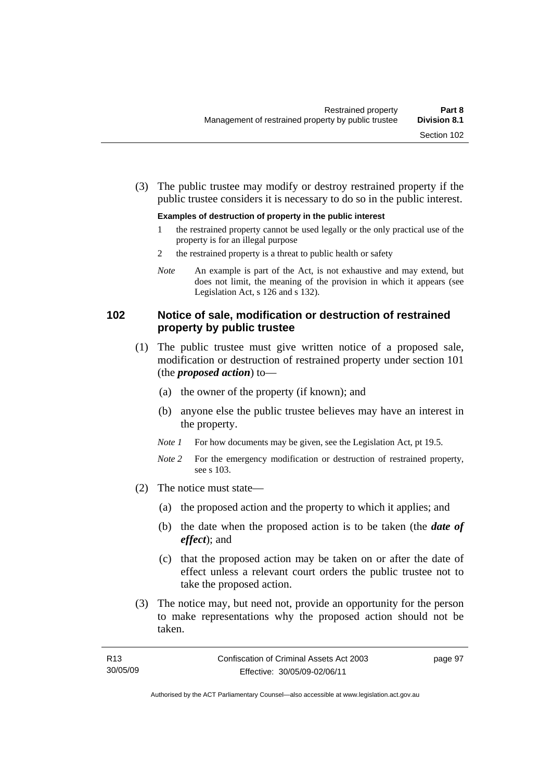(3) The public trustee may modify or destroy restrained property if the public trustee considers it is necessary to do so in the public interest.

#### **Examples of destruction of property in the public interest**

- 1 the restrained property cannot be used legally or the only practical use of the property is for an illegal purpose
- 2 the restrained property is a threat to public health or safety
- *Note* An example is part of the Act, is not exhaustive and may extend, but does not limit, the meaning of the provision in which it appears (see Legislation Act, s 126 and s 132).

#### **102 Notice of sale, modification or destruction of restrained property by public trustee**

- (1) The public trustee must give written notice of a proposed sale, modification or destruction of restrained property under section 101 (the *proposed action*) to—
	- (a) the owner of the property (if known); and
	- (b) anyone else the public trustee believes may have an interest in the property.
	- *Note 1* For how documents may be given, see the Legislation Act, pt 19.5.
	- *Note 2* For the emergency modification or destruction of restrained property, see s 103.
- (2) The notice must state—
	- (a) the proposed action and the property to which it applies; and
	- (b) the date when the proposed action is to be taken (the *date of effect*); and
	- (c) that the proposed action may be taken on or after the date of effect unless a relevant court orders the public trustee not to take the proposed action.
- (3) The notice may, but need not, provide an opportunity for the person to make representations why the proposed action should not be taken.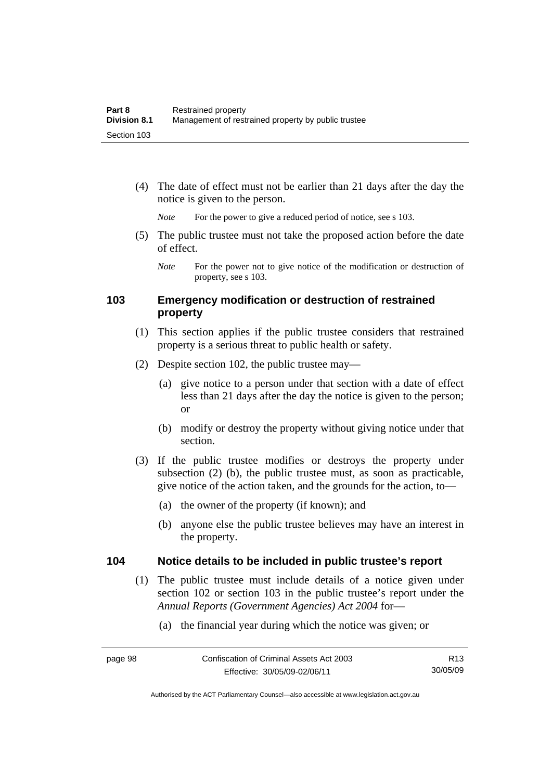(4) The date of effect must not be earlier than 21 days after the day the notice is given to the person.

*Note* For the power to give a reduced period of notice, see s 103.

 (5) The public trustee must not take the proposed action before the date of effect.

#### **103 Emergency modification or destruction of restrained property**

- (1) This section applies if the public trustee considers that restrained property is a serious threat to public health or safety.
- (2) Despite section 102, the public trustee may—
	- (a) give notice to a person under that section with a date of effect less than 21 days after the day the notice is given to the person; or
	- (b) modify or destroy the property without giving notice under that section.
- (3) If the public trustee modifies or destroys the property under subsection (2) (b), the public trustee must, as soon as practicable, give notice of the action taken, and the grounds for the action, to—
	- (a) the owner of the property (if known); and
	- (b) anyone else the public trustee believes may have an interest in the property.

#### **104 Notice details to be included in public trustee's report**

- (1) The public trustee must include details of a notice given under section 102 or section 103 in the public trustee's report under the *Annual Reports (Government Agencies) Act 2004* for—
	- (a) the financial year during which the notice was given; or

*Note* For the power not to give notice of the modification or destruction of property, see s 103.

Authorised by the ACT Parliamentary Counsel—also accessible at www.legislation.act.gov.au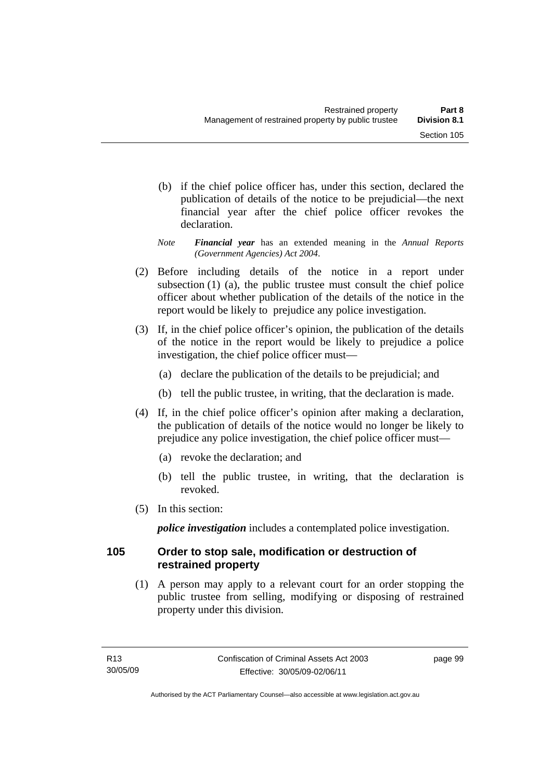- (b) if the chief police officer has, under this section, declared the publication of details of the notice to be prejudicial—the next financial year after the chief police officer revokes the declaration.
- *Note Financial year* has an extended meaning in the *Annual Reports (Government Agencies) Act 2004*.
- (2) Before including details of the notice in a report under subsection (1) (a), the public trustee must consult the chief police officer about whether publication of the details of the notice in the report would be likely to prejudice any police investigation.
- (3) If, in the chief police officer's opinion, the publication of the details of the notice in the report would be likely to prejudice a police investigation, the chief police officer must—
	- (a) declare the publication of the details to be prejudicial; and
	- (b) tell the public trustee, in writing, that the declaration is made.
- (4) If, in the chief police officer's opinion after making a declaration, the publication of details of the notice would no longer be likely to prejudice any police investigation, the chief police officer must—
	- (a) revoke the declaration; and
	- (b) tell the public trustee, in writing, that the declaration is revoked.
- (5) In this section:

*police investigation* includes a contemplated police investigation.

#### **105 Order to stop sale, modification or destruction of restrained property**

 (1) A person may apply to a relevant court for an order stopping the public trustee from selling, modifying or disposing of restrained property under this division.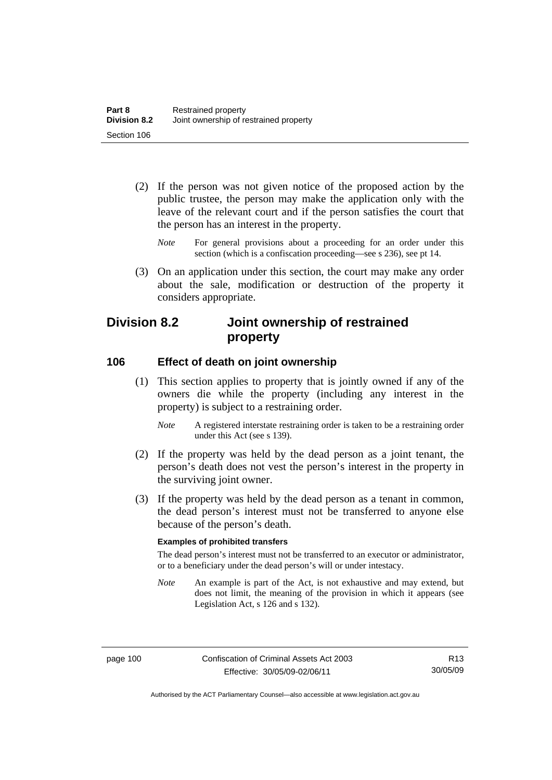- (2) If the person was not given notice of the proposed action by the public trustee, the person may make the application only with the leave of the relevant court and if the person satisfies the court that the person has an interest in the property.
	- *Note* For general provisions about a proceeding for an order under this section (which is a confiscation proceeding—see s 236), see pt 14.
- (3) On an application under this section, the court may make any order about the sale, modification or destruction of the property it considers appropriate.

# **Division 8.2 Joint ownership of restrained property**

#### **106 Effect of death on joint ownership**

- (1) This section applies to property that is jointly owned if any of the owners die while the property (including any interest in the property) is subject to a restraining order.
	- *Note* A registered interstate restraining order is taken to be a restraining order under this Act (see s 139).
- (2) If the property was held by the dead person as a joint tenant, the person's death does not vest the person's interest in the property in the surviving joint owner.
- (3) If the property was held by the dead person as a tenant in common, the dead person's interest must not be transferred to anyone else because of the person's death.

#### **Examples of prohibited transfers**

The dead person's interest must not be transferred to an executor or administrator, or to a beneficiary under the dead person's will or under intestacy.

*Note* An example is part of the Act, is not exhaustive and may extend, but does not limit, the meaning of the provision in which it appears (see Legislation Act, s 126 and s 132).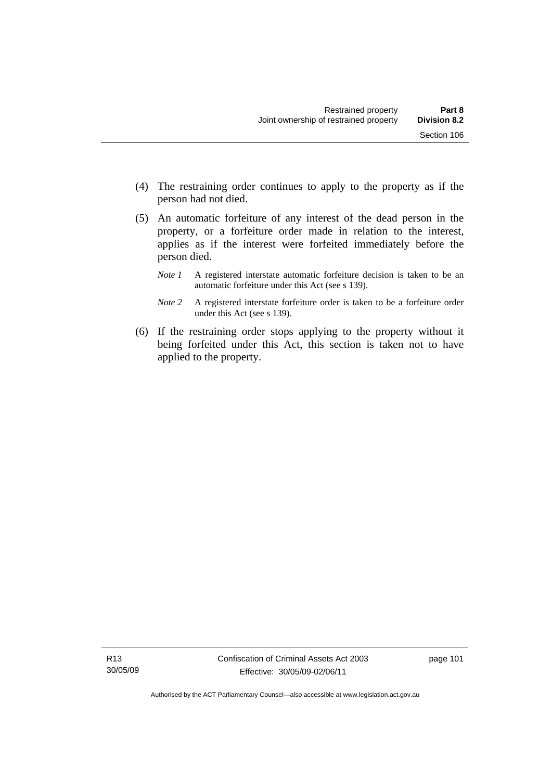(5) An automatic forfeiture of any interest of the dead person in the property, or a forfeiture order made in relation to the interest, applies as if the interest were forfeited immediately before the person died.

person had not died.

- *Note 1* A registered interstate automatic forfeiture decision is taken to be an automatic forfeiture under this Act (see s 139).
- *Note 2* A registered interstate forfeiture order is taken to be a forfeiture order under this Act (see s 139).
- (6) If the restraining order stops applying to the property without it being forfeited under this Act, this section is taken not to have applied to the property.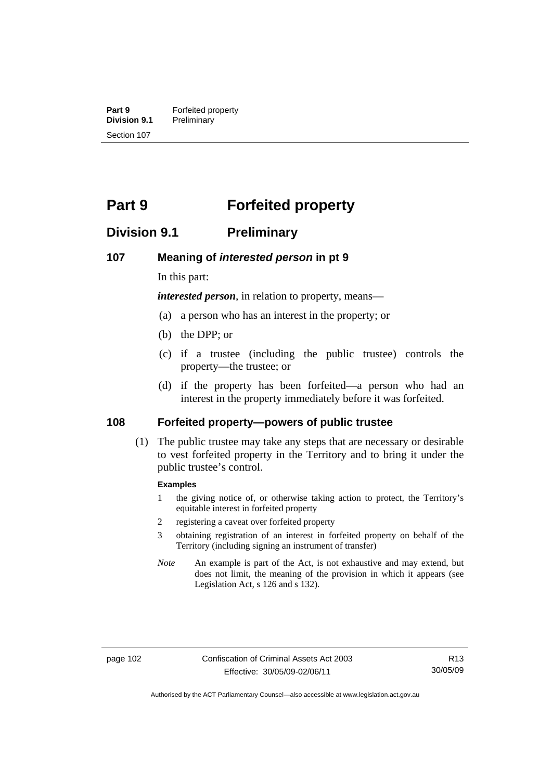**Part 9 Forfeited property**<br>**Division 9.1 Preliminary Preliminary** Section 107

# **Part 9 Forfeited property**

# **Division 9.1 Preliminary**

#### **107 Meaning of** *interested person* **in pt 9**

In this part:

*interested person*, in relation to property, means—

- (a) a person who has an interest in the property; or
- (b) the DPP; or
- (c) if a trustee (including the public trustee) controls the property—the trustee; or
- (d) if the property has been forfeited—a person who had an interest in the property immediately before it was forfeited.

#### **108 Forfeited property—powers of public trustee**

 (1) The public trustee may take any steps that are necessary or desirable to vest forfeited property in the Territory and to bring it under the public trustee's control.

#### **Examples**

- 1 the giving notice of, or otherwise taking action to protect, the Territory's equitable interest in forfeited property
- 2 registering a caveat over forfeited property
- 3 obtaining registration of an interest in forfeited property on behalf of the Territory (including signing an instrument of transfer)
- *Note* An example is part of the Act, is not exhaustive and may extend, but does not limit, the meaning of the provision in which it appears (see Legislation Act, s 126 and s 132).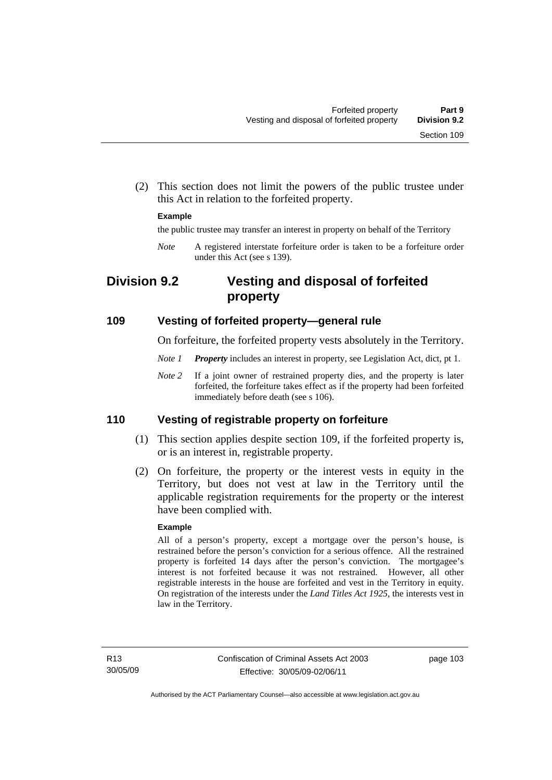(2) This section does not limit the powers of the public trustee under this Act in relation to the forfeited property.

#### **Example**

the public trustee may transfer an interest in property on behalf of the Territory

*Note* A registered interstate forfeiture order is taken to be a forfeiture order under this Act (see s 139).

# **Division 9.2 Vesting and disposal of forfeited property**

#### **109 Vesting of forfeited property—general rule**

On forfeiture, the forfeited property vests absolutely in the Territory.

- *Note 1 Property* includes an interest in property, see Legislation Act, dict, pt 1.
- *Note* 2 If a joint owner of restrained property dies, and the property is later forfeited, the forfeiture takes effect as if the property had been forfeited immediately before death (see s 106).

#### **110 Vesting of registrable property on forfeiture**

- (1) This section applies despite section 109, if the forfeited property is, or is an interest in, registrable property.
- (2) On forfeiture, the property or the interest vests in equity in the Territory, but does not vest at law in the Territory until the applicable registration requirements for the property or the interest have been complied with.

#### **Example**

All of a person's property, except a mortgage over the person's house, is restrained before the person's conviction for a serious offence. All the restrained property is forfeited 14 days after the person's conviction. The mortgagee's interest is not forfeited because it was not restrained. However, all other registrable interests in the house are forfeited and vest in the Territory in equity. On registration of the interests under the *Land Titles Act 1925*, the interests vest in law in the Territory.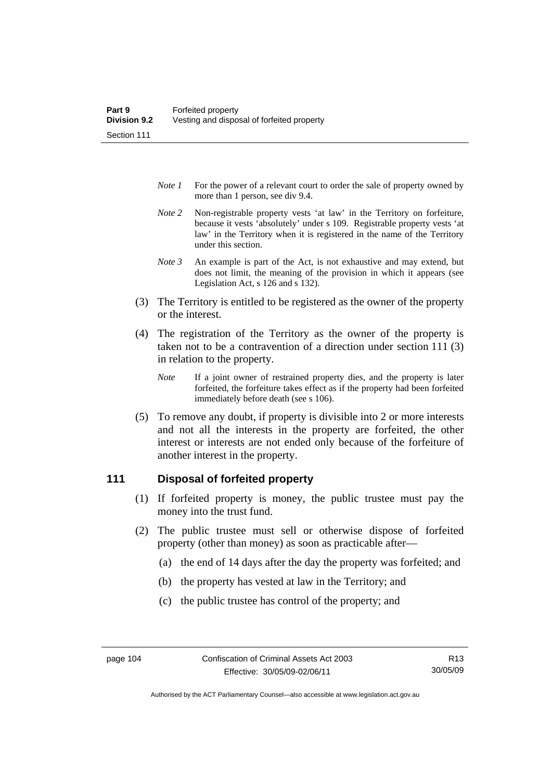- *Note 1* For the power of a relevant court to order the sale of property owned by more than 1 person, see div 9.4.
- *Note 2* Non-registrable property vests 'at law' in the Territory on forfeiture, because it vests 'absolutely' under s 109. Registrable property vests 'at law' in the Territory when it is registered in the name of the Territory under this section.
- *Note 3* An example is part of the Act, is not exhaustive and may extend, but does not limit, the meaning of the provision in which it appears (see Legislation Act, s 126 and s 132).
- (3) The Territory is entitled to be registered as the owner of the property or the interest.
- (4) The registration of the Territory as the owner of the property is taken not to be a contravention of a direction under section 111 (3) in relation to the property.
	- *Note* If a joint owner of restrained property dies, and the property is later forfeited, the forfeiture takes effect as if the property had been forfeited immediately before death (see s 106).
- (5) To remove any doubt, if property is divisible into 2 or more interests and not all the interests in the property are forfeited, the other interest or interests are not ended only because of the forfeiture of another interest in the property.

#### **111 Disposal of forfeited property**

- (1) If forfeited property is money, the public trustee must pay the money into the trust fund.
- (2) The public trustee must sell or otherwise dispose of forfeited property (other than money) as soon as practicable after—
	- (a) the end of 14 days after the day the property was forfeited; and
	- (b) the property has vested at law in the Territory; and
	- (c) the public trustee has control of the property; and

Authorised by the ACT Parliamentary Counsel—also accessible at www.legislation.act.gov.au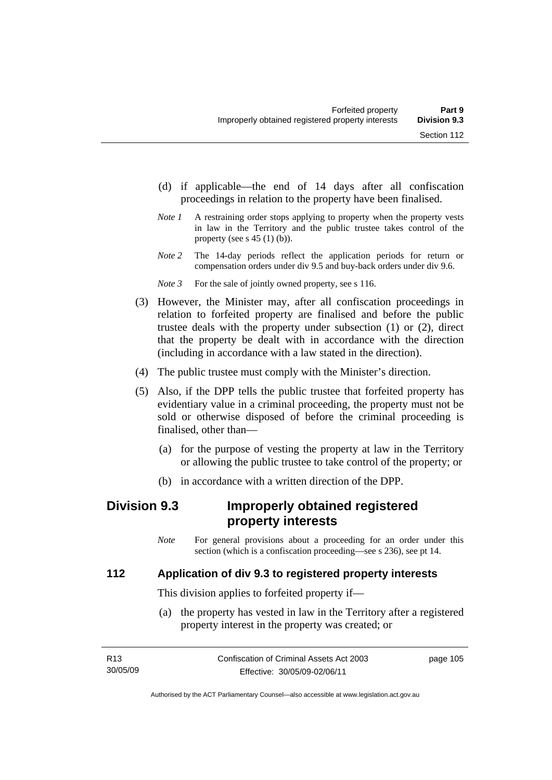- (d) if applicable—the end of 14 days after all confiscation proceedings in relation to the property have been finalised.
- *Note 1* A restraining order stops applying to property when the property vests in law in the Territory and the public trustee takes control of the property (see s  $45(1)(b)$ ).
- *Note 2* The 14-day periods reflect the application periods for return or compensation orders under div 9.5 and buy-back orders under div 9.6.

*Note 3* For the sale of jointly owned property, see s 116.

- (3) However, the Minister may, after all confiscation proceedings in relation to forfeited property are finalised and before the public trustee deals with the property under subsection (1) or (2), direct that the property be dealt with in accordance with the direction (including in accordance with a law stated in the direction).
- (4) The public trustee must comply with the Minister's direction.
- (5) Also, if the DPP tells the public trustee that forfeited property has evidentiary value in a criminal proceeding, the property must not be sold or otherwise disposed of before the criminal proceeding is finalised, other than—
	- (a) for the purpose of vesting the property at law in the Territory or allowing the public trustee to take control of the property; or
	- (b) in accordance with a written direction of the DPP.

# **Division 9.3 Improperly obtained registered property interests**

*Note* For general provisions about a proceeding for an order under this section (which is a confiscation proceeding—see s 236), see pt 14.

## **112 Application of div 9.3 to registered property interests**

This division applies to forfeited property if—

 (a) the property has vested in law in the Territory after a registered property interest in the property was created; or

| R <sub>13</sub> | Confiscation of Criminal Assets Act 2003 | page 105 |
|-----------------|------------------------------------------|----------|
| 30/05/09        | Effective: 30/05/09-02/06/11             |          |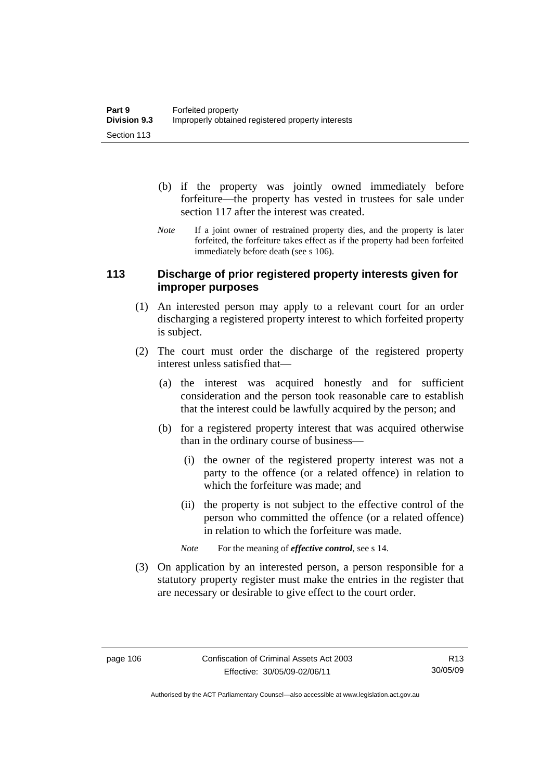- (b) if the property was jointly owned immediately before forfeiture—the property has vested in trustees for sale under section 117 after the interest was created.
- *Note* If a joint owner of restrained property dies, and the property is later forfeited, the forfeiture takes effect as if the property had been forfeited immediately before death (see s 106).

#### **113 Discharge of prior registered property interests given for improper purposes**

- (1) An interested person may apply to a relevant court for an order discharging a registered property interest to which forfeited property is subject.
- (2) The court must order the discharge of the registered property interest unless satisfied that—
	- (a) the interest was acquired honestly and for sufficient consideration and the person took reasonable care to establish that the interest could be lawfully acquired by the person; and
	- (b) for a registered property interest that was acquired otherwise than in the ordinary course of business—
		- (i) the owner of the registered property interest was not a party to the offence (or a related offence) in relation to which the forfeiture was made; and
		- (ii) the property is not subject to the effective control of the person who committed the offence (or a related offence) in relation to which the forfeiture was made.
		- *Note* For the meaning of *effective control*, see s 14.
- (3) On application by an interested person, a person responsible for a statutory property register must make the entries in the register that are necessary or desirable to give effect to the court order.

Authorised by the ACT Parliamentary Counsel—also accessible at www.legislation.act.gov.au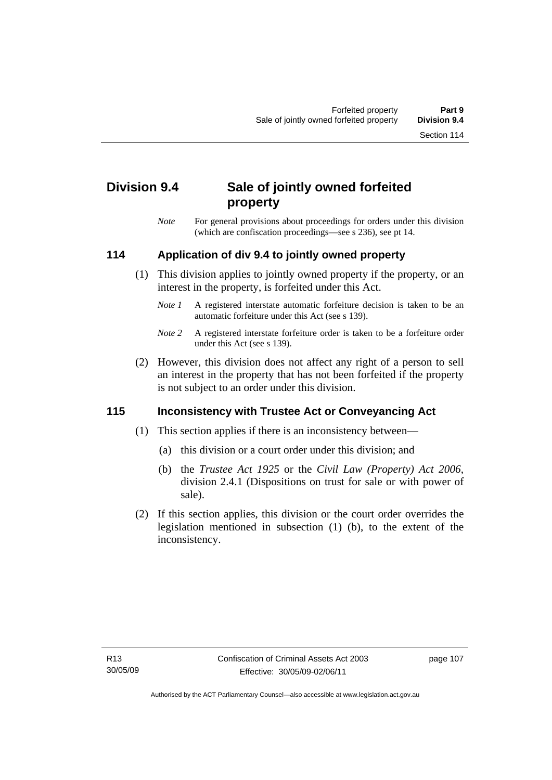# **Division 9.4 Sale of jointly owned forfeited property**

*Note* For general provisions about proceedings for orders under this division (which are confiscation proceedings—see s 236), see pt 14.

## **114 Application of div 9.4 to jointly owned property**

- (1) This division applies to jointly owned property if the property, or an interest in the property, is forfeited under this Act.
	- *Note 1* A registered interstate automatic forfeiture decision is taken to be an automatic forfeiture under this Act (see s 139).
	- *Note 2* A registered interstate forfeiture order is taken to be a forfeiture order under this Act (see s 139).
- (2) However, this division does not affect any right of a person to sell an interest in the property that has not been forfeited if the property is not subject to an order under this division.

## **115 Inconsistency with Trustee Act or Conveyancing Act**

- (1) This section applies if there is an inconsistency between—
	- (a) this division or a court order under this division; and
	- (b) the *Trustee Act 1925* or the *Civil Law (Property) Act 2006*, division 2.4.1 (Dispositions on trust for sale or with power of sale).
- (2) If this section applies, this division or the court order overrides the legislation mentioned in subsection (1) (b), to the extent of the inconsistency.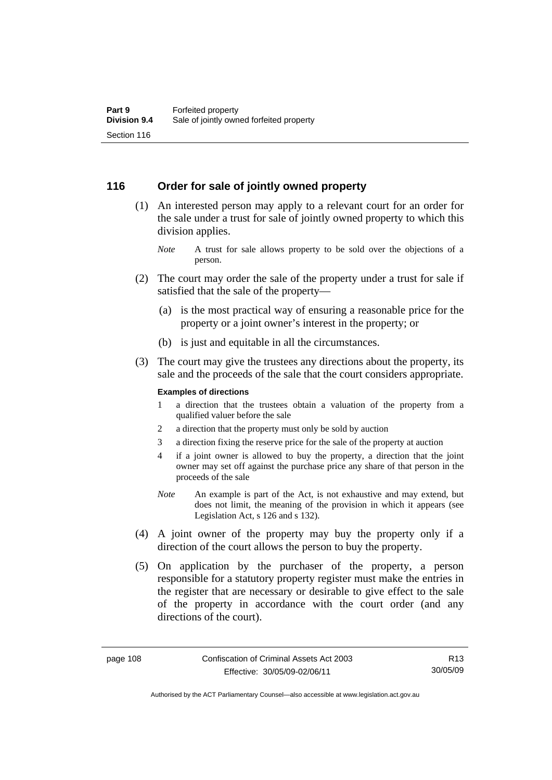#### **116 Order for sale of jointly owned property**

- (1) An interested person may apply to a relevant court for an order for the sale under a trust for sale of jointly owned property to which this division applies.
	- *Note* A trust for sale allows property to be sold over the objections of a person.
- (2) The court may order the sale of the property under a trust for sale if satisfied that the sale of the property—
	- (a) is the most practical way of ensuring a reasonable price for the property or a joint owner's interest in the property; or
	- (b) is just and equitable in all the circumstances.
- (3) The court may give the trustees any directions about the property, its sale and the proceeds of the sale that the court considers appropriate.

#### **Examples of directions**

- 1 a direction that the trustees obtain a valuation of the property from a qualified valuer before the sale
- 2 a direction that the property must only be sold by auction
- 3 a direction fixing the reserve price for the sale of the property at auction
- 4 if a joint owner is allowed to buy the property, a direction that the joint owner may set off against the purchase price any share of that person in the proceeds of the sale
- *Note* An example is part of the Act, is not exhaustive and may extend, but does not limit, the meaning of the provision in which it appears (see Legislation Act, s 126 and s 132).
- (4) A joint owner of the property may buy the property only if a direction of the court allows the person to buy the property.
- (5) On application by the purchaser of the property, a person responsible for a statutory property register must make the entries in the register that are necessary or desirable to give effect to the sale of the property in accordance with the court order (and any directions of the court).

Authorised by the ACT Parliamentary Counsel—also accessible at www.legislation.act.gov.au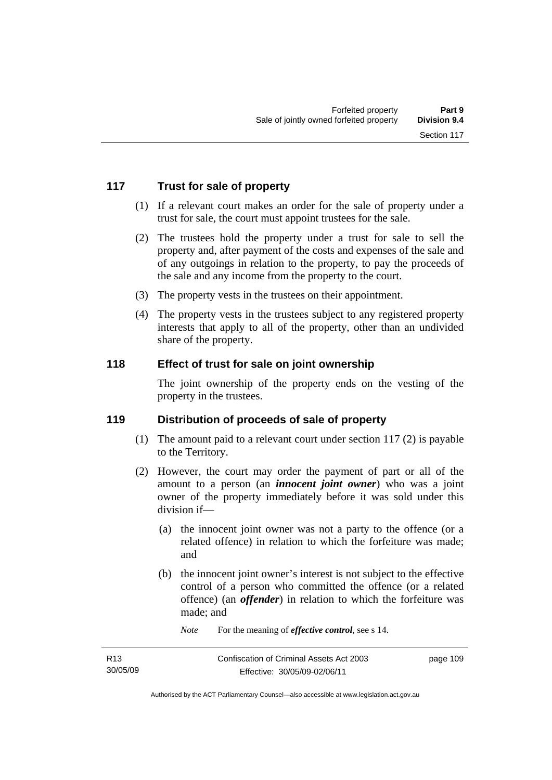## **117 Trust for sale of property**

- (1) If a relevant court makes an order for the sale of property under a trust for sale, the court must appoint trustees for the sale.
- (2) The trustees hold the property under a trust for sale to sell the property and, after payment of the costs and expenses of the sale and of any outgoings in relation to the property, to pay the proceeds of the sale and any income from the property to the court.
- (3) The property vests in the trustees on their appointment.
- (4) The property vests in the trustees subject to any registered property interests that apply to all of the property, other than an undivided share of the property.

#### **118 Effect of trust for sale on joint ownership**

The joint ownership of the property ends on the vesting of the property in the trustees.

#### **119 Distribution of proceeds of sale of property**

- (1) The amount paid to a relevant court under section 117 (2) is payable to the Territory.
- (2) However, the court may order the payment of part or all of the amount to a person (an *innocent joint owner*) who was a joint owner of the property immediately before it was sold under this division if—
	- (a) the innocent joint owner was not a party to the offence (or a related offence) in relation to which the forfeiture was made; and
	- (b) the innocent joint owner's interest is not subject to the effective control of a person who committed the offence (or a related offence) (an *offender*) in relation to which the forfeiture was made; and
		- *Note* For the meaning of *effective control*, see s 14.

| R <sub>13</sub> | Confiscation of Criminal Assets Act 2003 | page 109 |
|-----------------|------------------------------------------|----------|
| 30/05/09        | Effective: 30/05/09-02/06/11             |          |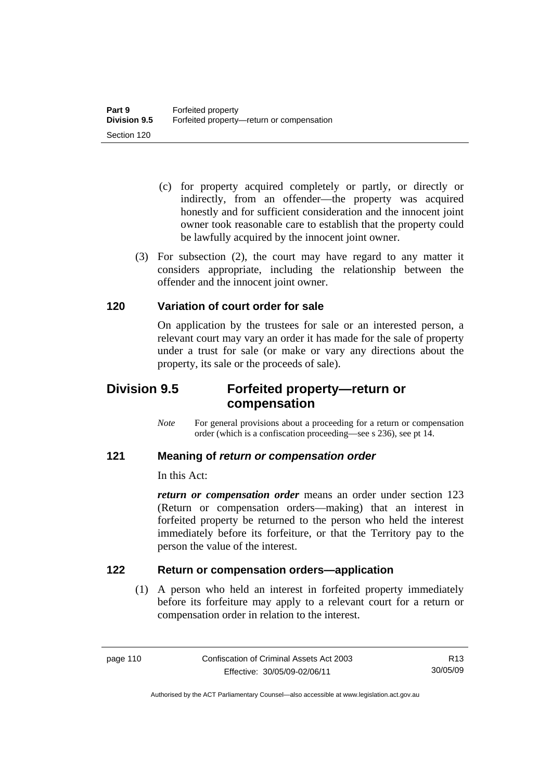- (c) for property acquired completely or partly, or directly or indirectly, from an offender—the property was acquired honestly and for sufficient consideration and the innocent joint owner took reasonable care to establish that the property could be lawfully acquired by the innocent joint owner.
- (3) For subsection (2), the court may have regard to any matter it considers appropriate, including the relationship between the offender and the innocent joint owner.

#### **120 Variation of court order for sale**

On application by the trustees for sale or an interested person, a relevant court may vary an order it has made for the sale of property under a trust for sale (or make or vary any directions about the property, its sale or the proceeds of sale).

# **Division 9.5 Forfeited property—return or compensation**

*Note* For general provisions about a proceeding for a return or compensation order (which is a confiscation proceeding—see s 236), see pt 14.

#### **121 Meaning of** *return or compensation order*

In this Act:

*return or compensation order* means an order under section 123 (Return or compensation orders—making) that an interest in forfeited property be returned to the person who held the interest immediately before its forfeiture, or that the Territory pay to the person the value of the interest.

## **122 Return or compensation orders—application**

 (1) A person who held an interest in forfeited property immediately before its forfeiture may apply to a relevant court for a return or compensation order in relation to the interest.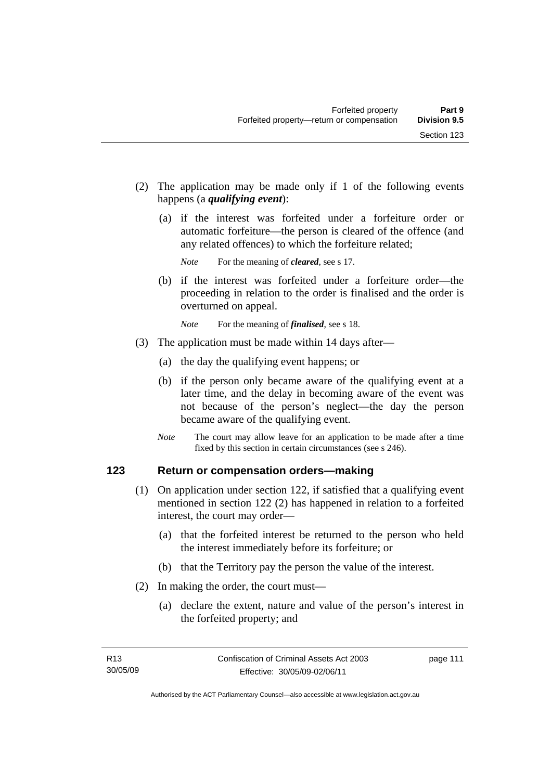- (2) The application may be made only if 1 of the following events happens (a *qualifying event*):
	- (a) if the interest was forfeited under a forfeiture order or automatic forfeiture—the person is cleared of the offence (and any related offences) to which the forfeiture related;

*Note* For the meaning of *cleared*, see s 17.

 (b) if the interest was forfeited under a forfeiture order—the proceeding in relation to the order is finalised and the order is overturned on appeal.

*Note* For the meaning of *finalised*, see s 18.

- (3) The application must be made within 14 days after—
	- (a) the day the qualifying event happens; or
	- (b) if the person only became aware of the qualifying event at a later time, and the delay in becoming aware of the event was not because of the person's neglect—the day the person became aware of the qualifying event.
	- *Note* The court may allow leave for an application to be made after a time fixed by this section in certain circumstances (see s 246).

#### **123 Return or compensation orders—making**

- (1) On application under section 122, if satisfied that a qualifying event mentioned in section 122 (2) has happened in relation to a forfeited interest, the court may order—
	- (a) that the forfeited interest be returned to the person who held the interest immediately before its forfeiture; or
	- (b) that the Territory pay the person the value of the interest.
- (2) In making the order, the court must—
	- (a) declare the extent, nature and value of the person's interest in the forfeited property; and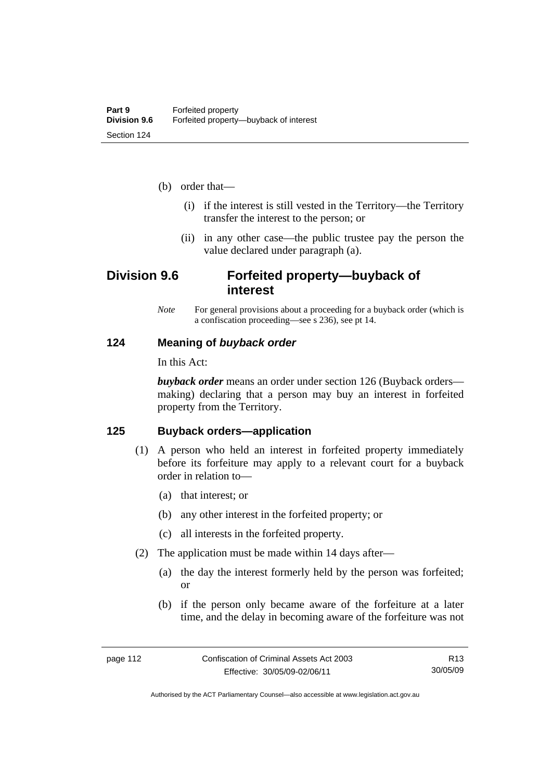- (b) order that—
	- (i) if the interest is still vested in the Territory—the Territory transfer the interest to the person; or
	- (ii) in any other case—the public trustee pay the person the value declared under paragraph (a).

# **Division 9.6 Forfeited property—buyback of interest**

*Note* For general provisions about a proceeding for a buyback order (which is a confiscation proceeding—see s 236), see pt 14.

#### **124 Meaning of** *buyback order*

In this Act:

*buyback order* means an order under section 126 (Buyback orders making) declaring that a person may buy an interest in forfeited property from the Territory.

#### **125 Buyback orders—application**

- (1) A person who held an interest in forfeited property immediately before its forfeiture may apply to a relevant court for a buyback order in relation to—
	- (a) that interest; or
	- (b) any other interest in the forfeited property; or
	- (c) all interests in the forfeited property.
- (2) The application must be made within 14 days after—
	- (a) the day the interest formerly held by the person was forfeited; or
	- (b) if the person only became aware of the forfeiture at a later time, and the delay in becoming aware of the forfeiture was not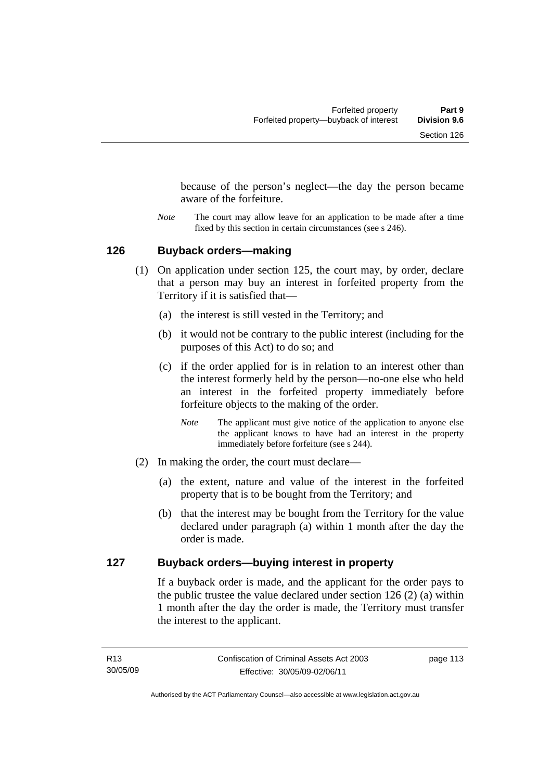because of the person's neglect—the day the person became aware of the forfeiture.

*Note* The court may allow leave for an application to be made after a time fixed by this section in certain circumstances (see s 246).

#### **126 Buyback orders—making**

- (1) On application under section 125, the court may, by order, declare that a person may buy an interest in forfeited property from the Territory if it is satisfied that—
	- (a) the interest is still vested in the Territory; and
	- (b) it would not be contrary to the public interest (including for the purposes of this Act) to do so; and
	- (c) if the order applied for is in relation to an interest other than the interest formerly held by the person—no-one else who held an interest in the forfeited property immediately before forfeiture objects to the making of the order.
		- *Note* The applicant must give notice of the application to anyone else the applicant knows to have had an interest in the property immediately before forfeiture (see s 244).
- (2) In making the order, the court must declare—
	- (a) the extent, nature and value of the interest in the forfeited property that is to be bought from the Territory; and
	- (b) that the interest may be bought from the Territory for the value declared under paragraph (a) within 1 month after the day the order is made.

#### **127 Buyback orders—buying interest in property**

If a buyback order is made, and the applicant for the order pays to the public trustee the value declared under section 126 (2) (a) within 1 month after the day the order is made, the Territory must transfer the interest to the applicant.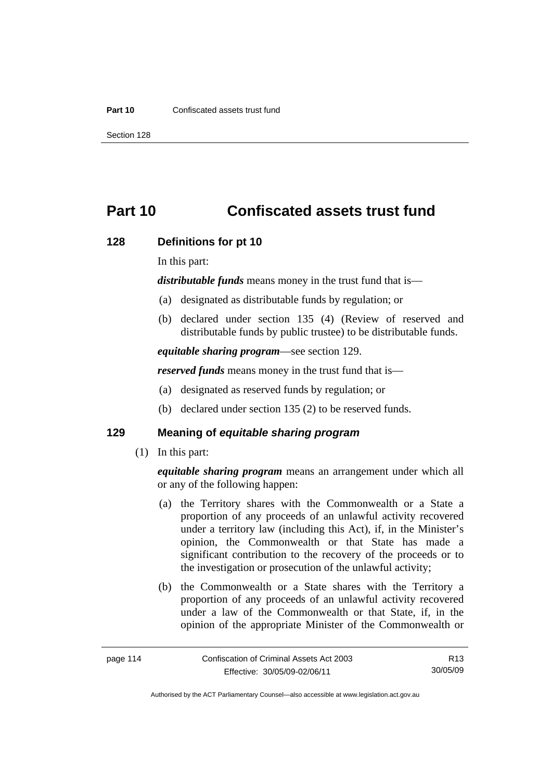# **Part 10 Confiscated assets trust fund**

#### **128 Definitions for pt 10**

In this part:

*distributable funds* means money in the trust fund that is—

- (a) designated as distributable funds by regulation; or
- (b) declared under section 135 (4) (Review of reserved and distributable funds by public trustee) to be distributable funds.

*equitable sharing program*—see section 129.

*reserved funds* means money in the trust fund that is—

- (a) designated as reserved funds by regulation; or
- (b) declared under section 135 (2) to be reserved funds.

#### **129 Meaning of** *equitable sharing program*

(1) In this part:

*equitable sharing program* means an arrangement under which all or any of the following happen:

- (a) the Territory shares with the Commonwealth or a State a proportion of any proceeds of an unlawful activity recovered under a territory law (including this Act), if, in the Minister's opinion, the Commonwealth or that State has made a significant contribution to the recovery of the proceeds or to the investigation or prosecution of the unlawful activity;
- (b) the Commonwealth or a State shares with the Territory a proportion of any proceeds of an unlawful activity recovered under a law of the Commonwealth or that State, if, in the opinion of the appropriate Minister of the Commonwealth or

R13 30/05/09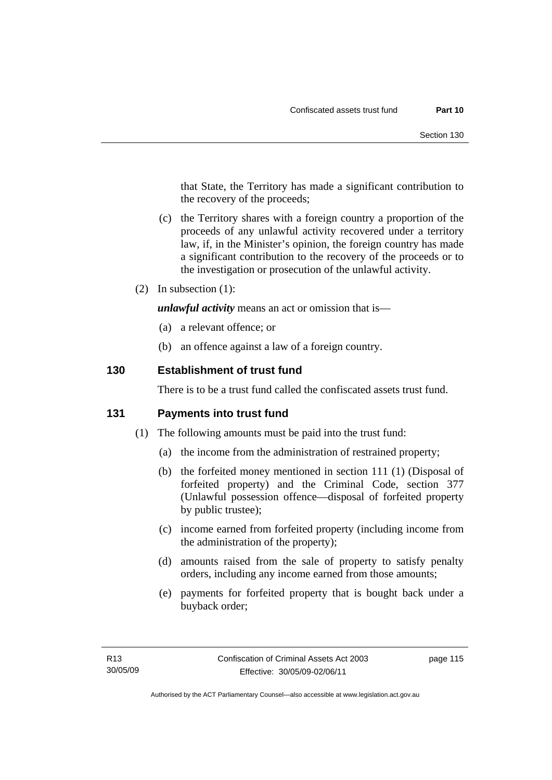that State, the Territory has made a significant contribution to the recovery of the proceeds;

- (c) the Territory shares with a foreign country a proportion of the proceeds of any unlawful activity recovered under a territory law, if, in the Minister's opinion, the foreign country has made a significant contribution to the recovery of the proceeds or to the investigation or prosecution of the unlawful activity.
- (2) In subsection (1):

*unlawful activity* means an act or omission that is—

- (a) a relevant offence; or
- (b) an offence against a law of a foreign country.

#### **130 Establishment of trust fund**

There is to be a trust fund called the confiscated assets trust fund.

#### **131 Payments into trust fund**

- (1) The following amounts must be paid into the trust fund:
	- (a) the income from the administration of restrained property;
	- (b) the forfeited money mentioned in section 111 (1) (Disposal of forfeited property) and the Criminal Code, section 377 (Unlawful possession offence—disposal of forfeited property by public trustee);
	- (c) income earned from forfeited property (including income from the administration of the property);
	- (d) amounts raised from the sale of property to satisfy penalty orders, including any income earned from those amounts;
	- (e) payments for forfeited property that is bought back under a buyback order;

page 115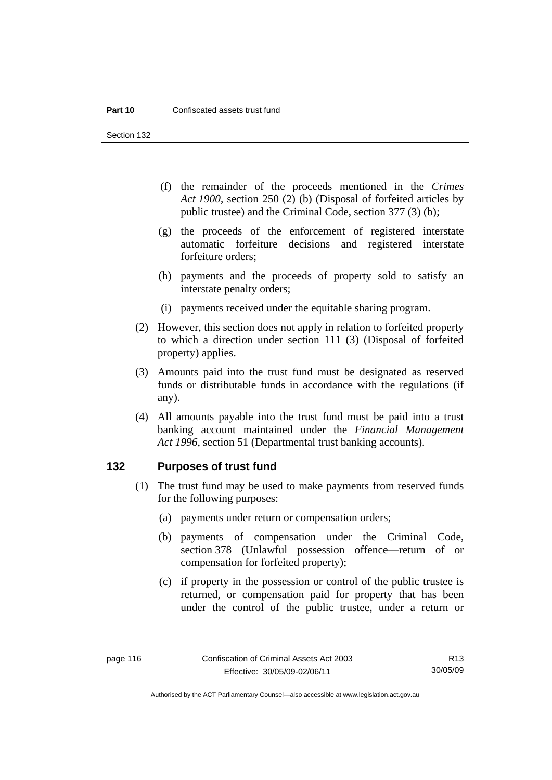Section 132

- (f) the remainder of the proceeds mentioned in the *Crimes Act 1900*, section 250 (2) (b) (Disposal of forfeited articles by public trustee) and the Criminal Code, section 377 (3) (b);
- (g) the proceeds of the enforcement of registered interstate automatic forfeiture decisions and registered interstate forfeiture orders;
- (h) payments and the proceeds of property sold to satisfy an interstate penalty orders;
- (i) payments received under the equitable sharing program.
- (2) However, this section does not apply in relation to forfeited property to which a direction under section 111 (3) (Disposal of forfeited property) applies.
- (3) Amounts paid into the trust fund must be designated as reserved funds or distributable funds in accordance with the regulations (if any).
- (4) All amounts payable into the trust fund must be paid into a trust banking account maintained under the *Financial Management Act 1996*, section 51 (Departmental trust banking accounts).

#### **132 Purposes of trust fund**

- (1) The trust fund may be used to make payments from reserved funds for the following purposes:
	- (a) payments under return or compensation orders;
	- (b) payments of compensation under the Criminal Code, section 378 (Unlawful possession offence—return of or compensation for forfeited property);
	- (c) if property in the possession or control of the public trustee is returned, or compensation paid for property that has been under the control of the public trustee, under a return or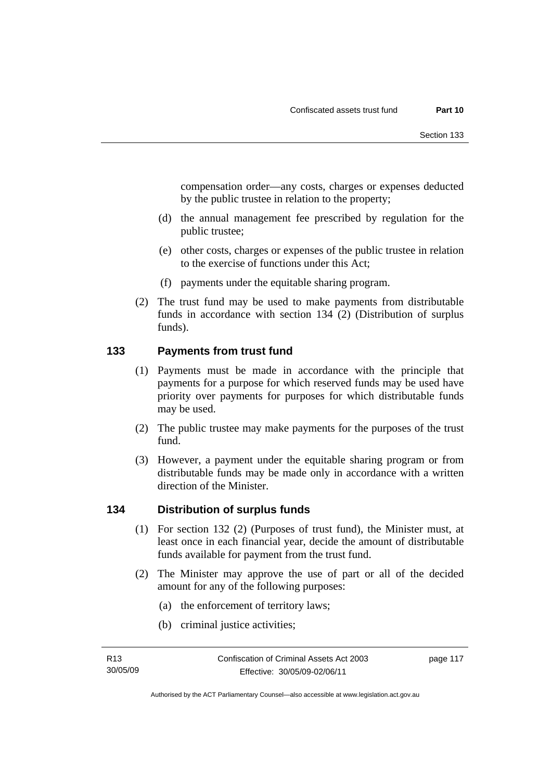compensation order—any costs, charges or expenses deducted by the public trustee in relation to the property;

- (d) the annual management fee prescribed by regulation for the public trustee;
- (e) other costs, charges or expenses of the public trustee in relation to the exercise of functions under this Act;
- (f) payments under the equitable sharing program.
- (2) The trust fund may be used to make payments from distributable funds in accordance with section 134 (2) (Distribution of surplus funds).

## **133 Payments from trust fund**

- (1) Payments must be made in accordance with the principle that payments for a purpose for which reserved funds may be used have priority over payments for purposes for which distributable funds may be used.
- (2) The public trustee may make payments for the purposes of the trust fund.
- (3) However, a payment under the equitable sharing program or from distributable funds may be made only in accordance with a written direction of the Minister.

## **134 Distribution of surplus funds**

- (1) For section 132 (2) (Purposes of trust fund), the Minister must, at least once in each financial year, decide the amount of distributable funds available for payment from the trust fund.
- (2) The Minister may approve the use of part or all of the decided amount for any of the following purposes:
	- (a) the enforcement of territory laws;
	- (b) criminal justice activities;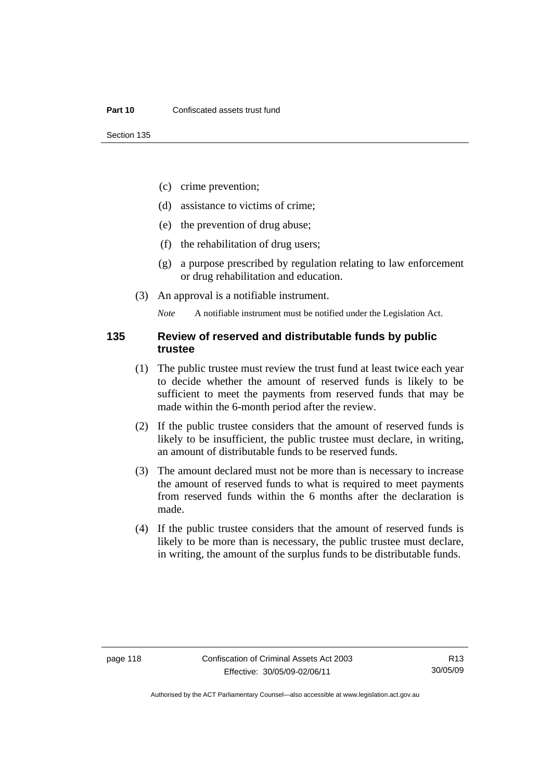- (c) crime prevention;
- (d) assistance to victims of crime;
- (e) the prevention of drug abuse;
- (f) the rehabilitation of drug users;
- (g) a purpose prescribed by regulation relating to law enforcement or drug rehabilitation and education.
- (3) An approval is a notifiable instrument.

*Note* A notifiable instrument must be notified under the Legislation Act.

#### **135 Review of reserved and distributable funds by public trustee**

- (1) The public trustee must review the trust fund at least twice each year to decide whether the amount of reserved funds is likely to be sufficient to meet the payments from reserved funds that may be made within the 6-month period after the review.
- (2) If the public trustee considers that the amount of reserved funds is likely to be insufficient, the public trustee must declare, in writing, an amount of distributable funds to be reserved funds.
- (3) The amount declared must not be more than is necessary to increase the amount of reserved funds to what is required to meet payments from reserved funds within the 6 months after the declaration is made.
- (4) If the public trustee considers that the amount of reserved funds is likely to be more than is necessary, the public trustee must declare, in writing, the amount of the surplus funds to be distributable funds.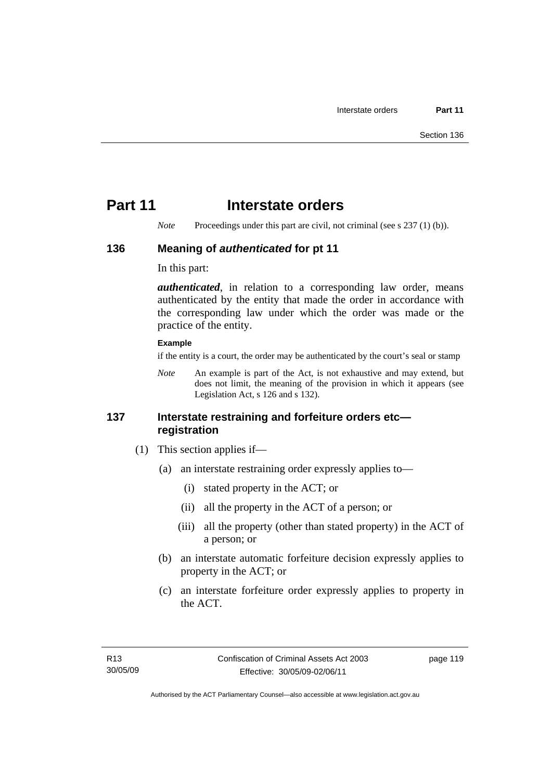# **Part 11** Interstate orders

*Note* Proceedings under this part are civil, not criminal (see s 237 (1) (b)).

#### **136 Meaning of** *authenticated* **for pt 11**

In this part:

*authenticated*, in relation to a corresponding law order, means authenticated by the entity that made the order in accordance with the corresponding law under which the order was made or the practice of the entity.

#### **Example**

if the entity is a court, the order may be authenticated by the court's seal or stamp

*Note* An example is part of the Act, is not exhaustive and may extend, but does not limit, the meaning of the provision in which it appears (see Legislation Act, s 126 and s 132).

#### **137 Interstate restraining and forfeiture orders etc registration**

- (1) This section applies if—
	- (a) an interstate restraining order expressly applies to—
		- (i) stated property in the ACT; or
		- (ii) all the property in the ACT of a person; or
		- (iii) all the property (other than stated property) in the ACT of a person; or
	- (b) an interstate automatic forfeiture decision expressly applies to property in the ACT; or
	- (c) an interstate forfeiture order expressly applies to property in the ACT.

page 119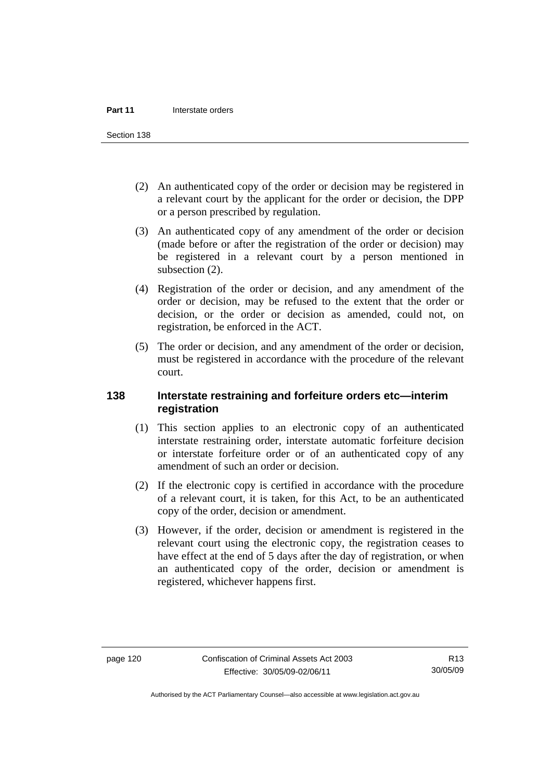Section 138

- (2) An authenticated copy of the order or decision may be registered in a relevant court by the applicant for the order or decision, the DPP or a person prescribed by regulation.
- (3) An authenticated copy of any amendment of the order or decision (made before or after the registration of the order or decision) may be registered in a relevant court by a person mentioned in subsection  $(2)$ .
- (4) Registration of the order or decision, and any amendment of the order or decision, may be refused to the extent that the order or decision, or the order or decision as amended, could not, on registration, be enforced in the ACT.
- (5) The order or decision, and any amendment of the order or decision, must be registered in accordance with the procedure of the relevant court.

#### **138 Interstate restraining and forfeiture orders etc—interim registration**

- (1) This section applies to an electronic copy of an authenticated interstate restraining order, interstate automatic forfeiture decision or interstate forfeiture order or of an authenticated copy of any amendment of such an order or decision.
- (2) If the electronic copy is certified in accordance with the procedure of a relevant court, it is taken, for this Act, to be an authenticated copy of the order, decision or amendment.
- (3) However, if the order, decision or amendment is registered in the relevant court using the electronic copy, the registration ceases to have effect at the end of 5 days after the day of registration, or when an authenticated copy of the order, decision or amendment is registered, whichever happens first.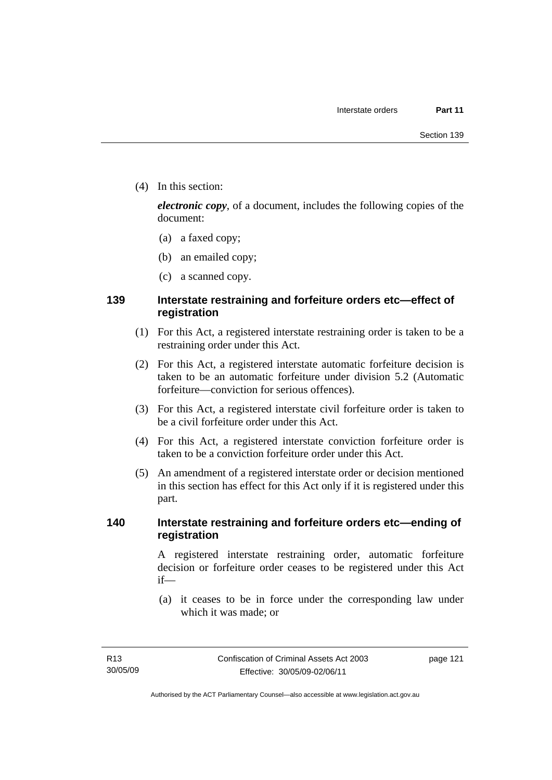(4) In this section:

*electronic copy*, of a document, includes the following copies of the document:

- (a) a faxed copy;
- (b) an emailed copy;
- (c) a scanned copy.

## **139 Interstate restraining and forfeiture orders etc—effect of registration**

- (1) For this Act, a registered interstate restraining order is taken to be a restraining order under this Act.
- (2) For this Act, a registered interstate automatic forfeiture decision is taken to be an automatic forfeiture under division 5.2 (Automatic forfeiture—conviction for serious offences).
- (3) For this Act, a registered interstate civil forfeiture order is taken to be a civil forfeiture order under this Act.
- (4) For this Act, a registered interstate conviction forfeiture order is taken to be a conviction forfeiture order under this Act.
- (5) An amendment of a registered interstate order or decision mentioned in this section has effect for this Act only if it is registered under this part.

#### **140 Interstate restraining and forfeiture orders etc—ending of registration**

A registered interstate restraining order, automatic forfeiture decision or forfeiture order ceases to be registered under this Act if—

 (a) it ceases to be in force under the corresponding law under which it was made; or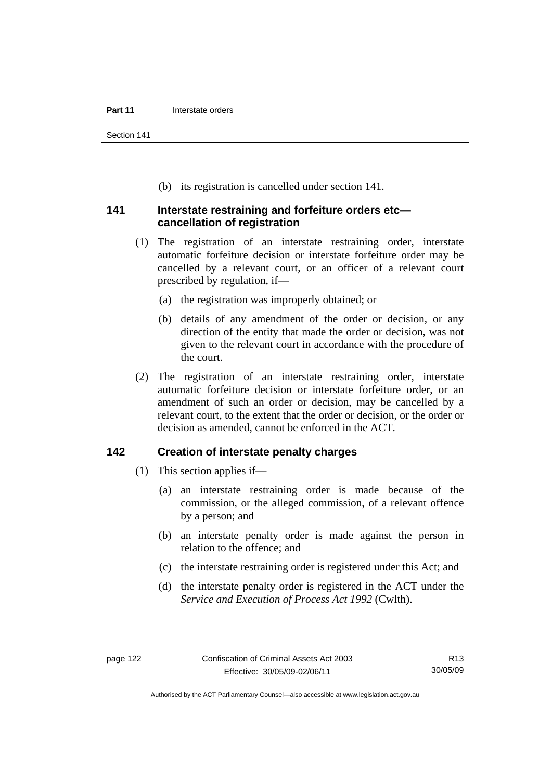Section 141

(b) its registration is cancelled under section 141.

#### **141 Interstate restraining and forfeiture orders etc cancellation of registration**

- (1) The registration of an interstate restraining order, interstate automatic forfeiture decision or interstate forfeiture order may be cancelled by a relevant court, or an officer of a relevant court prescribed by regulation, if—
	- (a) the registration was improperly obtained; or
	- (b) details of any amendment of the order or decision, or any direction of the entity that made the order or decision, was not given to the relevant court in accordance with the procedure of the court.
- (2) The registration of an interstate restraining order, interstate automatic forfeiture decision or interstate forfeiture order, or an amendment of such an order or decision, may be cancelled by a relevant court, to the extent that the order or decision, or the order or decision as amended, cannot be enforced in the ACT.

#### **142 Creation of interstate penalty charges**

- (1) This section applies if—
	- (a) an interstate restraining order is made because of the commission, or the alleged commission, of a relevant offence by a person; and
	- (b) an interstate penalty order is made against the person in relation to the offence; and
	- (c) the interstate restraining order is registered under this Act; and
	- (d) the interstate penalty order is registered in the ACT under the *Service and Execution of Process Act 1992* (Cwlth).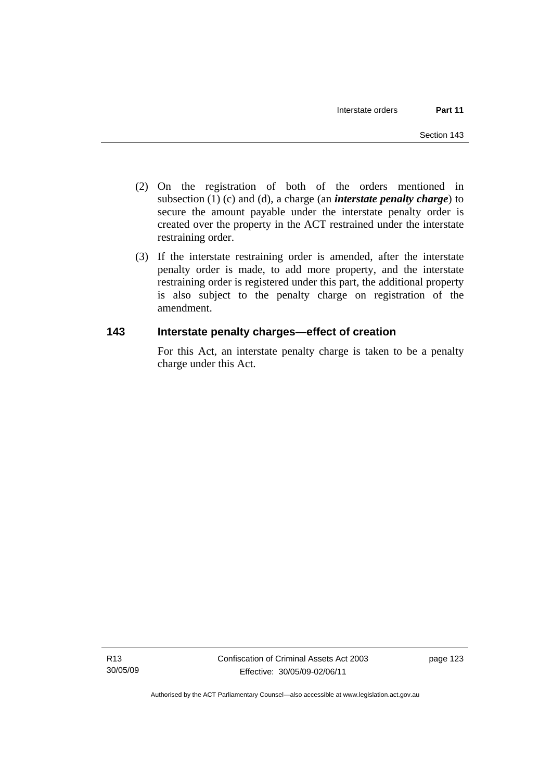- (2) On the registration of both of the orders mentioned in subsection (1) (c) and (d), a charge (an *interstate penalty charge*) to secure the amount payable under the interstate penalty order is created over the property in the ACT restrained under the interstate restraining order.
- (3) If the interstate restraining order is amended, after the interstate penalty order is made, to add more property, and the interstate restraining order is registered under this part, the additional property is also subject to the penalty charge on registration of the amendment.

## **143 Interstate penalty charges—effect of creation**

For this Act, an interstate penalty charge is taken to be a penalty charge under this Act.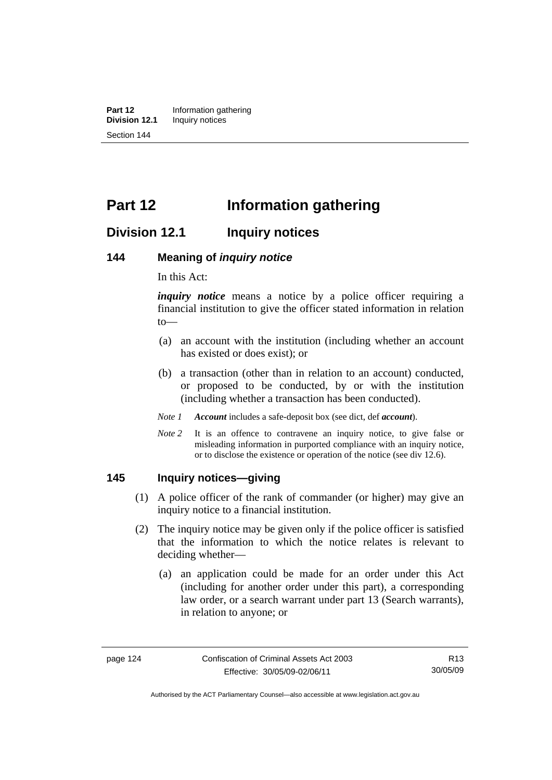**Part 12** Information gathering<br>**Division 12.1** Inquiry notices **Inquiry notices** Section 144

# **Part 12 Information gathering**

# **Division 12.1 Inquiry notices**

#### **144 Meaning of** *inquiry notice*

In this Act:

*inquiry notice* means a notice by a police officer requiring a financial institution to give the officer stated information in relation to—

- (a) an account with the institution (including whether an account has existed or does exist); or
- (b) a transaction (other than in relation to an account) conducted, or proposed to be conducted, by or with the institution (including whether a transaction has been conducted).
- *Note 1 Account* includes a safe-deposit box (see dict, def *account*).
- *Note* 2 It is an offence to contravene an inquiry notice, to give false or misleading information in purported compliance with an inquiry notice, or to disclose the existence or operation of the notice (see div 12.6).

#### **145 Inquiry notices—giving**

- (1) A police officer of the rank of commander (or higher) may give an inquiry notice to a financial institution.
- (2) The inquiry notice may be given only if the police officer is satisfied that the information to which the notice relates is relevant to deciding whether—
	- (a) an application could be made for an order under this Act (including for another order under this part), a corresponding law order, or a search warrant under part 13 (Search warrants), in relation to anyone; or

Authorised by the ACT Parliamentary Counsel—also accessible at www.legislation.act.gov.au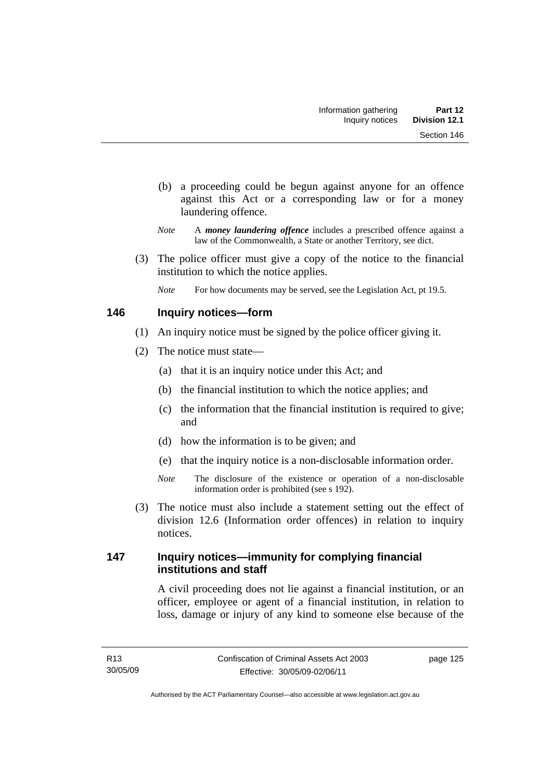- (b) a proceeding could be begun against anyone for an offence against this Act or a corresponding law or for a money laundering offence.
- *Note* A *money laundering offence* includes a prescribed offence against a law of the Commonwealth, a State or another Territory, see dict.
- (3) The police officer must give a copy of the notice to the financial institution to which the notice applies.
	- *Note* For how documents may be served, see the Legislation Act, pt 19.5.

## **146 Inquiry notices—form**

- (1) An inquiry notice must be signed by the police officer giving it.
- (2) The notice must state—
	- (a) that it is an inquiry notice under this Act; and
	- (b) the financial institution to which the notice applies; and
	- (c) the information that the financial institution is required to give; and
	- (d) how the information is to be given; and
	- (e) that the inquiry notice is a non-disclosable information order.
	- *Note* The disclosure of the existence or operation of a non-disclosable information order is prohibited (see s 192).
- (3) The notice must also include a statement setting out the effect of division 12.6 (Information order offences) in relation to inquiry notices.

## **147 Inquiry notices—immunity for complying financial institutions and staff**

A civil proceeding does not lie against a financial institution, or an officer, employee or agent of a financial institution, in relation to loss, damage or injury of any kind to someone else because of the

page 125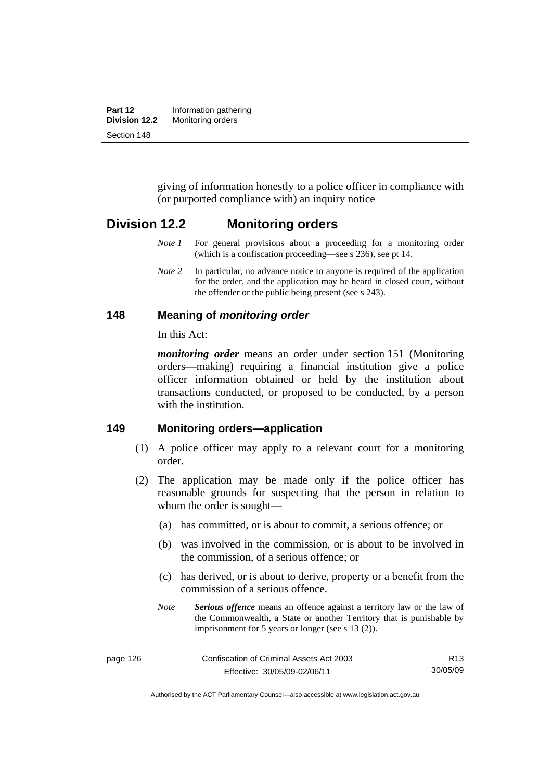| Part 12       | Information gathering |
|---------------|-----------------------|
| Division 12.2 | Monitoring orders     |
| Section 148   |                       |

giving of information honestly to a police officer in compliance with (or purported compliance with) an inquiry notice

## **Division 12.2 Monitoring orders**

- *Note 1* For general provisions about a proceeding for a monitoring order (which is a confiscation proceeding—see s 236), see pt 14.
- *Note 2* In particular, no advance notice to anyone is required of the application for the order, and the application may be heard in closed court, without the offender or the public being present (see s 243).

#### **148 Meaning of** *monitoring order*

In this Act:

*monitoring order* means an order under section 151 (Monitoring orders—making) requiring a financial institution give a police officer information obtained or held by the institution about transactions conducted, or proposed to be conducted, by a person with the institution.

#### **149 Monitoring orders—application**

- (1) A police officer may apply to a relevant court for a monitoring order.
- (2) The application may be made only if the police officer has reasonable grounds for suspecting that the person in relation to whom the order is sought—
	- (a) has committed, or is about to commit, a serious offence; or
	- (b) was involved in the commission, or is about to be involved in the commission, of a serious offence; or
	- (c) has derived, or is about to derive, property or a benefit from the commission of a serious offence.
	- *Note Serious offence* means an offence against a territory law or the law of the Commonwealth, a State or another Territory that is punishable by imprisonment for 5 years or longer (see s 13 (2)).

page 126 Confiscation of Criminal Assets Act 2003 Effective: 30/05/09-02/06/11 R13 30/05/09

Authorised by the ACT Parliamentary Counsel—also accessible at www.legislation.act.gov.au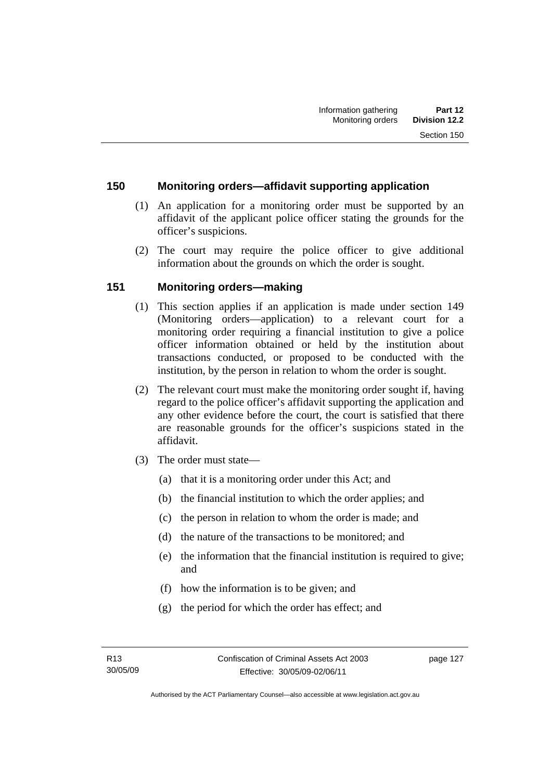#### **150 Monitoring orders—affidavit supporting application**

- (1) An application for a monitoring order must be supported by an affidavit of the applicant police officer stating the grounds for the officer's suspicions.
- (2) The court may require the police officer to give additional information about the grounds on which the order is sought.

#### **151 Monitoring orders—making**

- (1) This section applies if an application is made under section 149 (Monitoring orders—application) to a relevant court for a monitoring order requiring a financial institution to give a police officer information obtained or held by the institution about transactions conducted, or proposed to be conducted with the institution, by the person in relation to whom the order is sought.
- (2) The relevant court must make the monitoring order sought if, having regard to the police officer's affidavit supporting the application and any other evidence before the court, the court is satisfied that there are reasonable grounds for the officer's suspicions stated in the affidavit.
- (3) The order must state—
	- (a) that it is a monitoring order under this Act; and
	- (b) the financial institution to which the order applies; and
	- (c) the person in relation to whom the order is made; and
	- (d) the nature of the transactions to be monitored; and
	- (e) the information that the financial institution is required to give; and
	- (f) how the information is to be given; and
	- (g) the period for which the order has effect; and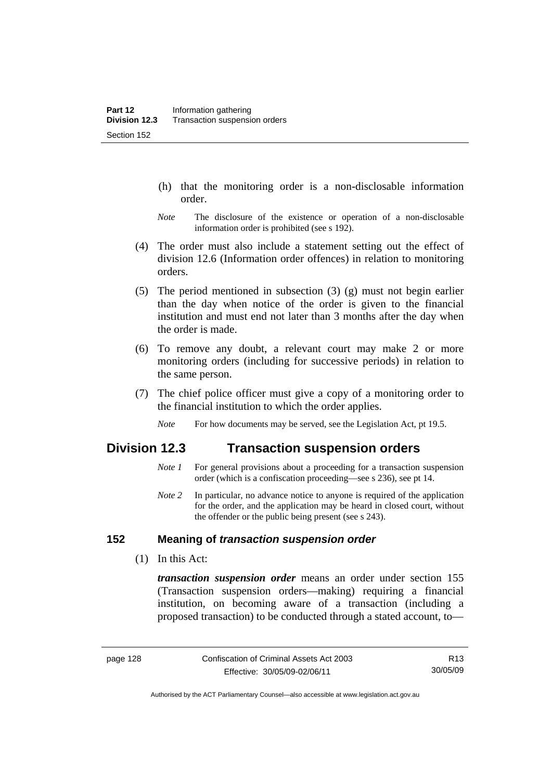- (h) that the monitoring order is a non-disclosable information order.
- *Note* The disclosure of the existence or operation of a non-disclosable information order is prohibited (see s 192).
- (4) The order must also include a statement setting out the effect of division 12.6 (Information order offences) in relation to monitoring orders.
- (5) The period mentioned in subsection (3) (g) must not begin earlier than the day when notice of the order is given to the financial institution and must end not later than 3 months after the day when the order is made.
- (6) To remove any doubt, a relevant court may make 2 or more monitoring orders (including for successive periods) in relation to the same person.
- (7) The chief police officer must give a copy of a monitoring order to the financial institution to which the order applies.
	- *Note* For how documents may be served, see the Legislation Act, pt 19.5.

# **Division 12.3 Transaction suspension orders**

- *Note 1* For general provisions about a proceeding for a transaction suspension order (which is a confiscation proceeding—see s 236), see pt 14.
- *Note 2* In particular, no advance notice to anyone is required of the application for the order, and the application may be heard in closed court, without the offender or the public being present (see s 243).

#### **152 Meaning of** *transaction suspension order*

(1) In this Act:

*transaction suspension order* means an order under section 155 (Transaction suspension orders—making) requiring a financial institution, on becoming aware of a transaction (including a proposed transaction) to be conducted through a stated account, to—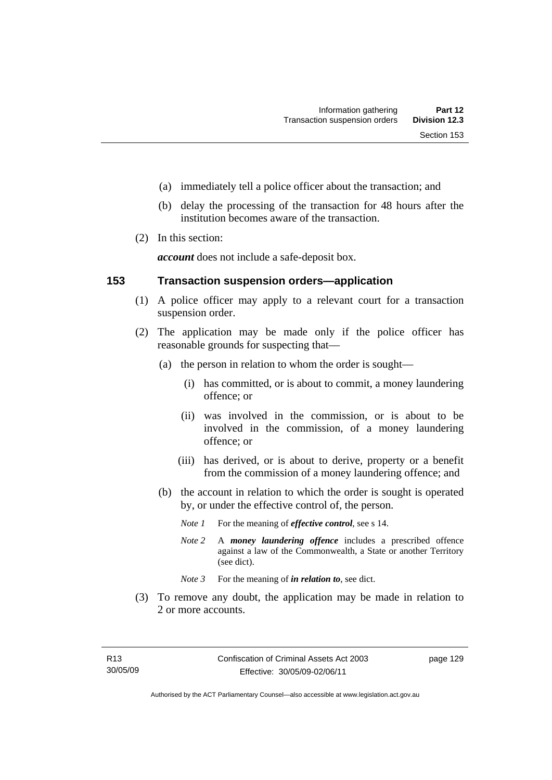- (a) immediately tell a police officer about the transaction; and
- (b) delay the processing of the transaction for 48 hours after the institution becomes aware of the transaction.
- (2) In this section:

*account* does not include a safe-deposit box.

#### **153 Transaction suspension orders—application**

- (1) A police officer may apply to a relevant court for a transaction suspension order.
- (2) The application may be made only if the police officer has reasonable grounds for suspecting that—
	- (a) the person in relation to whom the order is sought—
		- (i) has committed, or is about to commit, a money laundering offence; or
		- (ii) was involved in the commission, or is about to be involved in the commission, of a money laundering offence; or
		- (iii) has derived, or is about to derive, property or a benefit from the commission of a money laundering offence; and
	- (b) the account in relation to which the order is sought is operated by, or under the effective control of, the person.
		- *Note 1* For the meaning of *effective control*, see s 14.
		- *Note 2* A *money laundering offence* includes a prescribed offence against a law of the Commonwealth, a State or another Territory (see dict).
		- *Note* 3 For the meaning of *in relation to*, see dict.
- (3) To remove any doubt, the application may be made in relation to 2 or more accounts.

page 129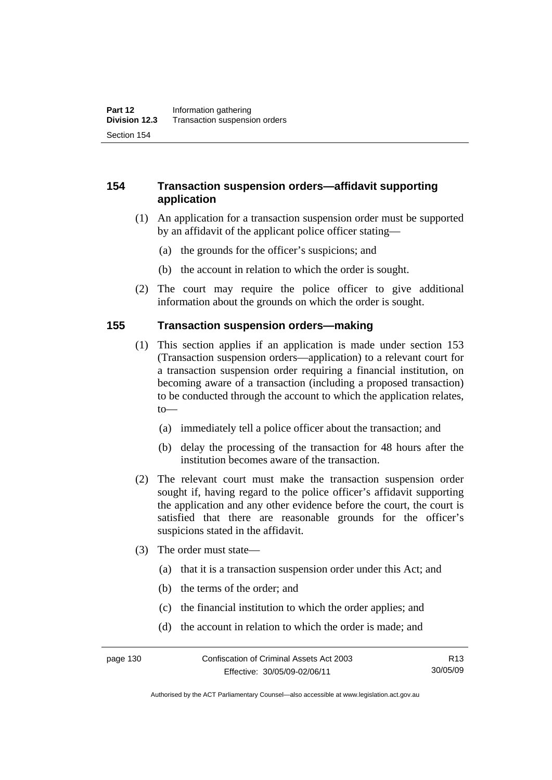## **154 Transaction suspension orders—affidavit supporting application**

- (1) An application for a transaction suspension order must be supported by an affidavit of the applicant police officer stating—
	- (a) the grounds for the officer's suspicions; and
	- (b) the account in relation to which the order is sought.
- (2) The court may require the police officer to give additional information about the grounds on which the order is sought.

#### **155 Transaction suspension orders—making**

- (1) This section applies if an application is made under section 153 (Transaction suspension orders—application) to a relevant court for a transaction suspension order requiring a financial institution, on becoming aware of a transaction (including a proposed transaction) to be conducted through the account to which the application relates, to—
	- (a) immediately tell a police officer about the transaction; and
	- (b) delay the processing of the transaction for 48 hours after the institution becomes aware of the transaction.
- (2) The relevant court must make the transaction suspension order sought if, having regard to the police officer's affidavit supporting the application and any other evidence before the court, the court is satisfied that there are reasonable grounds for the officer's suspicions stated in the affidavit.
- (3) The order must state—
	- (a) that it is a transaction suspension order under this Act; and
	- (b) the terms of the order; and
	- (c) the financial institution to which the order applies; and
	- (d) the account in relation to which the order is made; and

Authorised by the ACT Parliamentary Counsel—also accessible at www.legislation.act.gov.au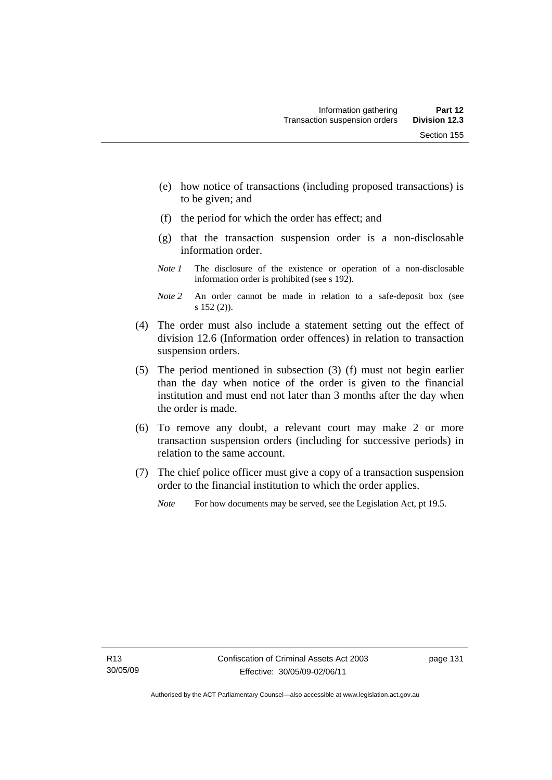- (e) how notice of transactions (including proposed transactions) is to be given; and
- (f) the period for which the order has effect; and
- (g) that the transaction suspension order is a non-disclosable information order.
- *Note 1* The disclosure of the existence or operation of a non-disclosable information order is prohibited (see s 192).
- *Note 2* An order cannot be made in relation to a safe-deposit box (see s 152 (2)).
- (4) The order must also include a statement setting out the effect of division 12.6 (Information order offences) in relation to transaction suspension orders.
- (5) The period mentioned in subsection (3) (f) must not begin earlier than the day when notice of the order is given to the financial institution and must end not later than 3 months after the day when the order is made.
- (6) To remove any doubt, a relevant court may make 2 or more transaction suspension orders (including for successive periods) in relation to the same account.
- (7) The chief police officer must give a copy of a transaction suspension order to the financial institution to which the order applies.
	- *Note* For how documents may be served, see the Legislation Act, pt 19.5.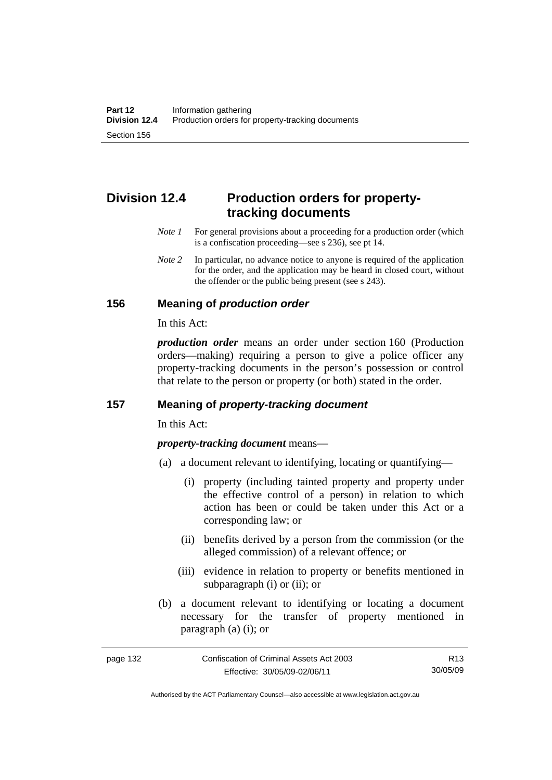# **Division 12.4 Production orders for propertytracking documents**

- *Note 1* For general provisions about a proceeding for a production order (which is a confiscation proceeding—see s 236), see pt 14.
- *Note* 2 In particular, no advance notice to anyone is required of the application for the order, and the application may be heard in closed court, without the offender or the public being present (see s 243).

### **156 Meaning of** *production order*

In this Act:

*production order* means an order under section 160 (Production orders—making) requiring a person to give a police officer any property-tracking documents in the person's possession or control that relate to the person or property (or both) stated in the order.

### **157 Meaning of** *property-tracking document*

In this Act:

*property-tracking document* means—

- (a) a document relevant to identifying, locating or quantifying—
	- (i) property (including tainted property and property under the effective control of a person) in relation to which action has been or could be taken under this Act or a corresponding law; or
	- (ii) benefits derived by a person from the commission (or the alleged commission) of a relevant offence; or
	- (iii) evidence in relation to property or benefits mentioned in subparagraph (i) or (ii); or
- (b) a document relevant to identifying or locating a document necessary for the transfer of property mentioned in paragraph (a) (i); or

Authorised by the ACT Parliamentary Counsel—also accessible at www.legislation.act.gov.au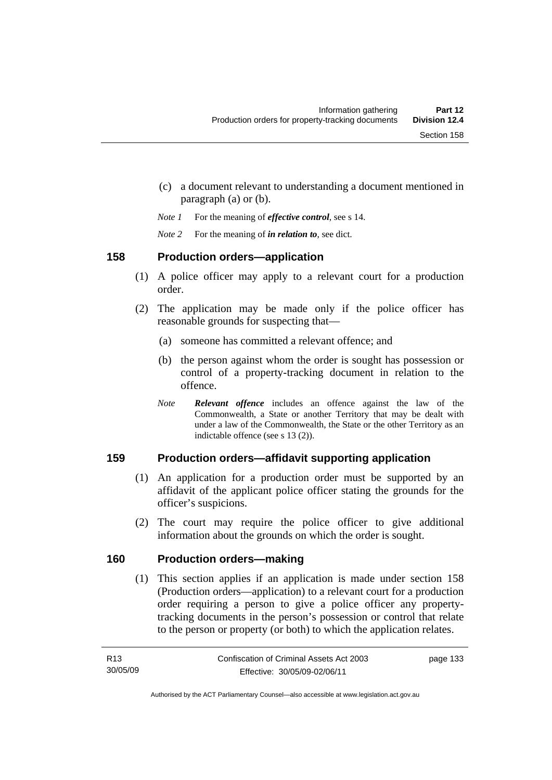- (c) a document relevant to understanding a document mentioned in paragraph (a) or (b).
- *Note 1* For the meaning of *effective control*, see s 14.
- *Note 2* For the meaning of *in relation to*, see dict.

## **158 Production orders—application**

- (1) A police officer may apply to a relevant court for a production order.
- (2) The application may be made only if the police officer has reasonable grounds for suspecting that—
	- (a) someone has committed a relevant offence; and
	- (b) the person against whom the order is sought has possession or control of a property-tracking document in relation to the offence.
	- *Note Relevant offence* includes an offence against the law of the Commonwealth, a State or another Territory that may be dealt with under a law of the Commonwealth, the State or the other Territory as an indictable offence (see s 13 (2)).

# **159 Production orders—affidavit supporting application**

- (1) An application for a production order must be supported by an affidavit of the applicant police officer stating the grounds for the officer's suspicions.
- (2) The court may require the police officer to give additional information about the grounds on which the order is sought.

# **160 Production orders—making**

 (1) This section applies if an application is made under section 158 (Production orders—application) to a relevant court for a production order requiring a person to give a police officer any propertytracking documents in the person's possession or control that relate to the person or property (or both) to which the application relates.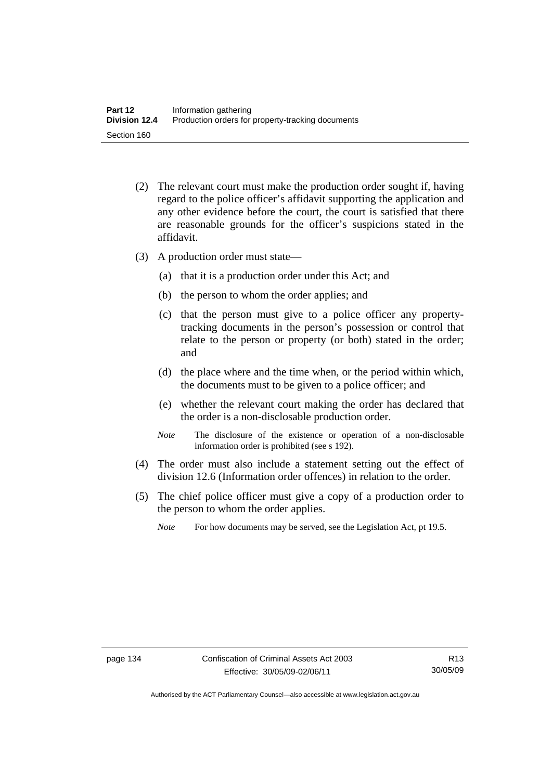- (2) The relevant court must make the production order sought if, having regard to the police officer's affidavit supporting the application and any other evidence before the court, the court is satisfied that there are reasonable grounds for the officer's suspicions stated in the affidavit.
- (3) A production order must state—
	- (a) that it is a production order under this Act; and
	- (b) the person to whom the order applies; and
	- (c) that the person must give to a police officer any propertytracking documents in the person's possession or control that relate to the person or property (or both) stated in the order; and
	- (d) the place where and the time when, or the period within which, the documents must to be given to a police officer; and
	- (e) whether the relevant court making the order has declared that the order is a non-disclosable production order.
	- *Note* The disclosure of the existence or operation of a non-disclosable information order is prohibited (see s 192).
- (4) The order must also include a statement setting out the effect of division 12.6 (Information order offences) in relation to the order.
- (5) The chief police officer must give a copy of a production order to the person to whom the order applies.
	- *Note* For how documents may be served, see the Legislation Act, pt 19.5.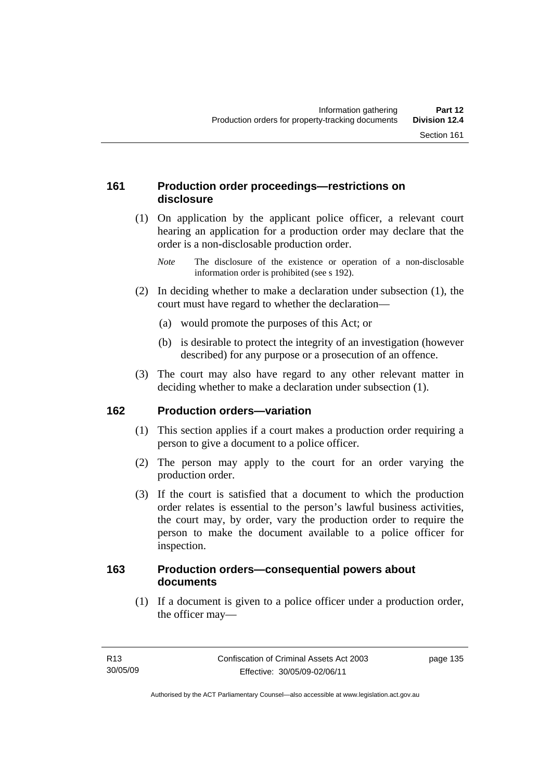## **161 Production order proceedings—restrictions on disclosure**

 (1) On application by the applicant police officer, a relevant court hearing an application for a production order may declare that the order is a non-disclosable production order.

- (2) In deciding whether to make a declaration under subsection (1), the court must have regard to whether the declaration—
	- (a) would promote the purposes of this Act; or
	- (b) is desirable to protect the integrity of an investigation (however described) for any purpose or a prosecution of an offence.
- (3) The court may also have regard to any other relevant matter in deciding whether to make a declaration under subsection (1).

## **162 Production orders—variation**

- (1) This section applies if a court makes a production order requiring a person to give a document to a police officer.
- (2) The person may apply to the court for an order varying the production order.
- (3) If the court is satisfied that a document to which the production order relates is essential to the person's lawful business activities, the court may, by order, vary the production order to require the person to make the document available to a police officer for inspection.

### **163 Production orders—consequential powers about documents**

 (1) If a document is given to a police officer under a production order, the officer may—

*Note* The disclosure of the existence or operation of a non-disclosable information order is prohibited (see s 192).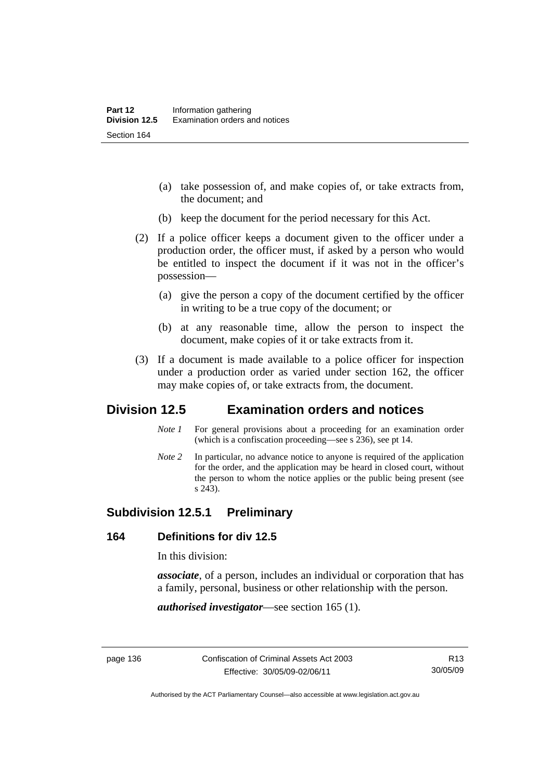- (a) take possession of, and make copies of, or take extracts from, the document; and
- (b) keep the document for the period necessary for this Act.
- (2) If a police officer keeps a document given to the officer under a production order, the officer must, if asked by a person who would be entitled to inspect the document if it was not in the officer's possession—
	- (a) give the person a copy of the document certified by the officer in writing to be a true copy of the document; or
	- (b) at any reasonable time, allow the person to inspect the document, make copies of it or take extracts from it.
- (3) If a document is made available to a police officer for inspection under a production order as varied under section 162, the officer may make copies of, or take extracts from, the document.

# **Division 12.5 Examination orders and notices**

- *Note 1* For general provisions about a proceeding for an examination order (which is a confiscation proceeding—see s 236), see pt 14.
- *Note 2* In particular, no advance notice to anyone is required of the application for the order, and the application may be heard in closed court, without the person to whom the notice applies or the public being present (see s 243).

# **Subdivision 12.5.1 Preliminary**

#### **164 Definitions for div 12.5**

In this division:

*associate*, of a person, includes an individual or corporation that has a family, personal, business or other relationship with the person.

*authorised investigator*—see section 165 (1).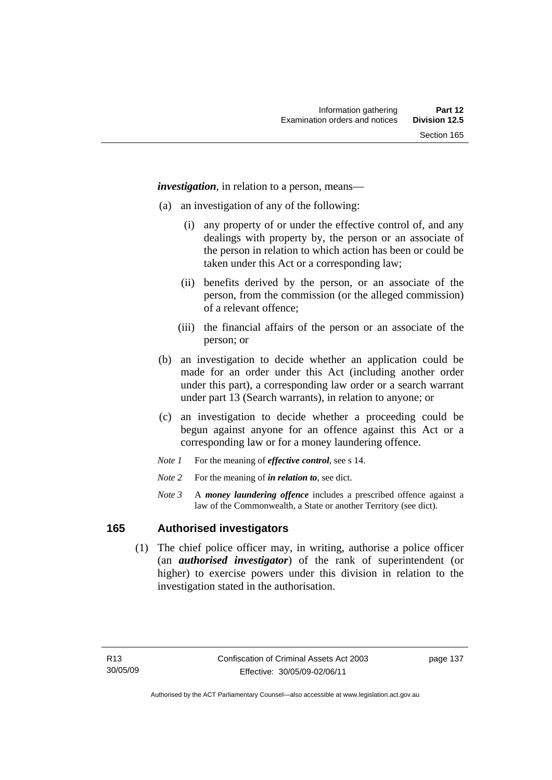*investigation*, in relation to a person, means—

- (a) an investigation of any of the following:
	- (i) any property of or under the effective control of, and any dealings with property by, the person or an associate of the person in relation to which action has been or could be taken under this Act or a corresponding law;
	- (ii) benefits derived by the person, or an associate of the person, from the commission (or the alleged commission) of a relevant offence;
	- (iii) the financial affairs of the person or an associate of the person; or
- (b) an investigation to decide whether an application could be made for an order under this Act (including another order under this part), a corresponding law order or a search warrant under part 13 (Search warrants), in relation to anyone; or
- (c) an investigation to decide whether a proceeding could be begun against anyone for an offence against this Act or a corresponding law or for a money laundering offence.
- *Note 1* For the meaning of *effective control*, see s 14.
- *Note* 2 For the meaning of *in relation to*, see dict.
- *Note 3* A *money laundering offence* includes a prescribed offence against a law of the Commonwealth, a State or another Territory (see dict).

### **165 Authorised investigators**

 (1) The chief police officer may, in writing, authorise a police officer (an *authorised investigator*) of the rank of superintendent (or higher) to exercise powers under this division in relation to the investigation stated in the authorisation.

page 137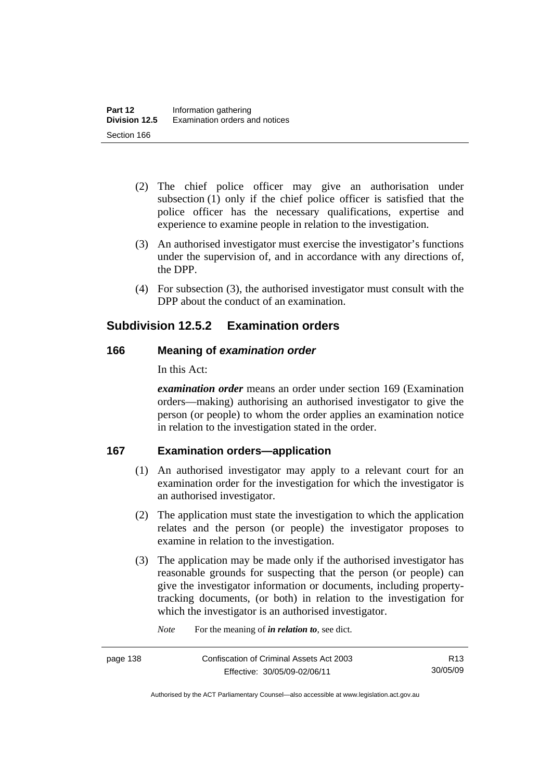- (2) The chief police officer may give an authorisation under subsection (1) only if the chief police officer is satisfied that the police officer has the necessary qualifications, expertise and experience to examine people in relation to the investigation.
- (3) An authorised investigator must exercise the investigator's functions under the supervision of, and in accordance with any directions of, the DPP.
- (4) For subsection (3), the authorised investigator must consult with the DPP about the conduct of an examination.

# **Subdivision 12.5.2 Examination orders**

## **166 Meaning of** *examination order*

In this Act:

*examination order* means an order under section 169 (Examination orders—making) authorising an authorised investigator to give the person (or people) to whom the order applies an examination notice in relation to the investigation stated in the order.

# **167 Examination orders—application**

- (1) An authorised investigator may apply to a relevant court for an examination order for the investigation for which the investigator is an authorised investigator.
- (2) The application must state the investigation to which the application relates and the person (or people) the investigator proposes to examine in relation to the investigation.
- (3) The application may be made only if the authorised investigator has reasonable grounds for suspecting that the person (or people) can give the investigator information or documents, including propertytracking documents, (or both) in relation to the investigation for which the investigator is an authorised investigator.

*Note* For the meaning of *in relation to*, see dict.

Authorised by the ACT Parliamentary Counsel—also accessible at www.legislation.act.gov.au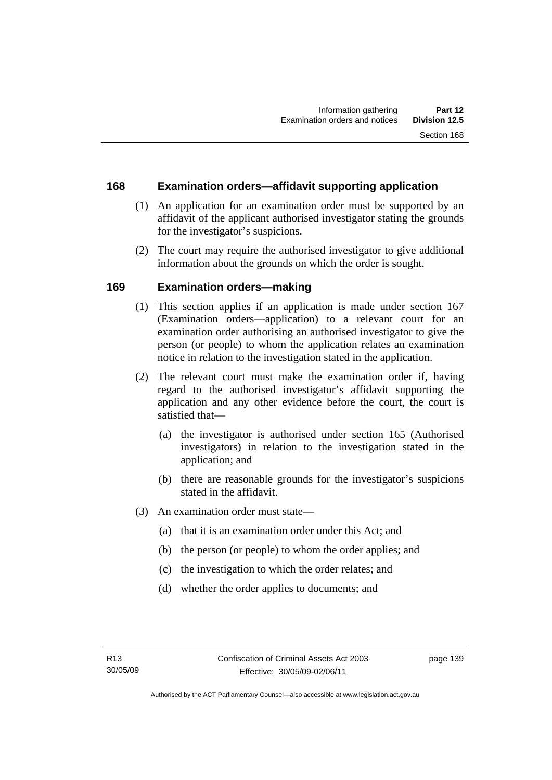## **168 Examination orders—affidavit supporting application**

- (1) An application for an examination order must be supported by an affidavit of the applicant authorised investigator stating the grounds for the investigator's suspicions.
- (2) The court may require the authorised investigator to give additional information about the grounds on which the order is sought.

## **169 Examination orders—making**

- (1) This section applies if an application is made under section 167 (Examination orders—application) to a relevant court for an examination order authorising an authorised investigator to give the person (or people) to whom the application relates an examination notice in relation to the investigation stated in the application.
- (2) The relevant court must make the examination order if, having regard to the authorised investigator's affidavit supporting the application and any other evidence before the court, the court is satisfied that—
	- (a) the investigator is authorised under section 165 (Authorised investigators) in relation to the investigation stated in the application; and
	- (b) there are reasonable grounds for the investigator's suspicions stated in the affidavit.
- (3) An examination order must state—
	- (a) that it is an examination order under this Act; and
	- (b) the person (or people) to whom the order applies; and
	- (c) the investigation to which the order relates; and
	- (d) whether the order applies to documents; and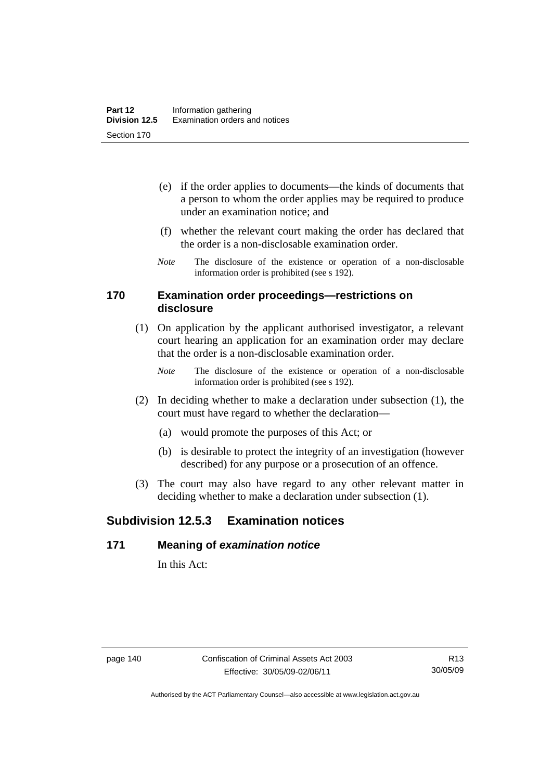- (e) if the order applies to documents—the kinds of documents that a person to whom the order applies may be required to produce under an examination notice; and
- (f) whether the relevant court making the order has declared that the order is a non-disclosable examination order.
- *Note* The disclosure of the existence or operation of a non-disclosable information order is prohibited (see s 192).

#### **170 Examination order proceedings—restrictions on disclosure**

- (1) On application by the applicant authorised investigator, a relevant court hearing an application for an examination order may declare that the order is a non-disclosable examination order.
	- *Note* The disclosure of the existence or operation of a non-disclosable information order is prohibited (see s 192).
- (2) In deciding whether to make a declaration under subsection (1), the court must have regard to whether the declaration—
	- (a) would promote the purposes of this Act; or
	- (b) is desirable to protect the integrity of an investigation (however described) for any purpose or a prosecution of an offence.
- (3) The court may also have regard to any other relevant matter in deciding whether to make a declaration under subsection (1).

# **Subdivision 12.5.3 Examination notices**

### **171 Meaning of** *examination notice*

In this Act: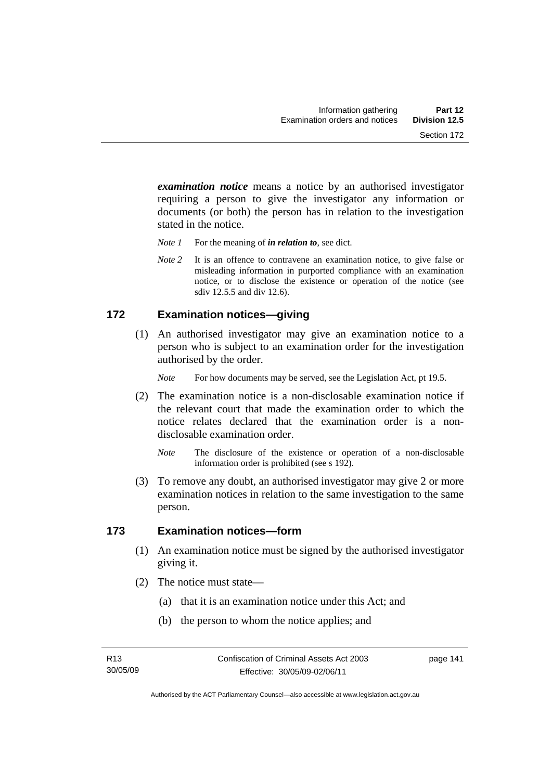*examination notice* means a notice by an authorised investigator requiring a person to give the investigator any information or documents (or both) the person has in relation to the investigation stated in the notice.

- *Note 1* For the meaning of *in relation to*, see dict.
- *Note* 2 It is an offence to contravene an examination notice, to give false or misleading information in purported compliance with an examination notice, or to disclose the existence or operation of the notice (see sdiv 12.5.5 and div 12.6).

## **172 Examination notices—giving**

 (1) An authorised investigator may give an examination notice to a person who is subject to an examination order for the investigation authorised by the order.

*Note* For how documents may be served, see the Legislation Act, pt 19.5.

- (2) The examination notice is a non-disclosable examination notice if the relevant court that made the examination order to which the notice relates declared that the examination order is a nondisclosable examination order.
	- *Note* The disclosure of the existence or operation of a non-disclosable information order is prohibited (see s 192).
- (3) To remove any doubt, an authorised investigator may give 2 or more examination notices in relation to the same investigation to the same person.

#### **173 Examination notices—form**

- (1) An examination notice must be signed by the authorised investigator giving it.
- (2) The notice must state—
	- (a) that it is an examination notice under this Act; and
	- (b) the person to whom the notice applies; and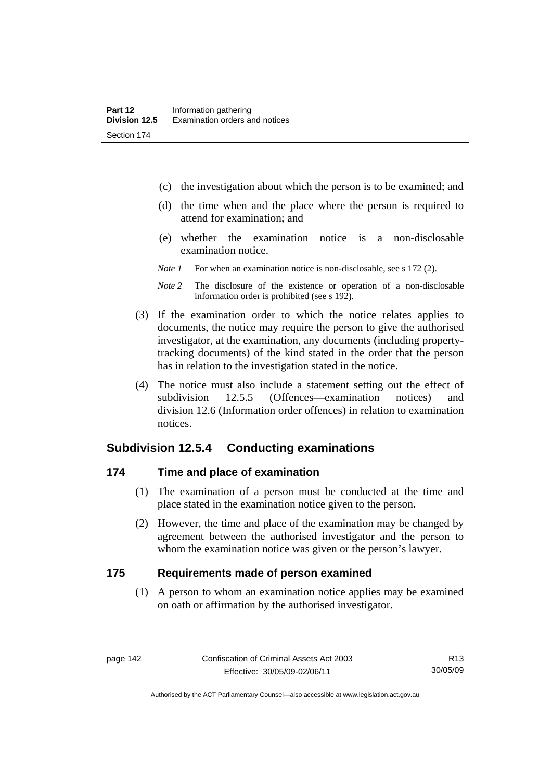- (c) the investigation about which the person is to be examined; and
- (d) the time when and the place where the person is required to attend for examination; and
- (e) whether the examination notice is a non-disclosable examination notice.
- *Note 1* For when an examination notice is non-disclosable, see s 172 (2).
- *Note 2* The disclosure of the existence or operation of a non-disclosable information order is prohibited (see s 192).
- (3) If the examination order to which the notice relates applies to documents, the notice may require the person to give the authorised investigator, at the examination, any documents (including propertytracking documents) of the kind stated in the order that the person has in relation to the investigation stated in the notice.
- (4) The notice must also include a statement setting out the effect of subdivision 12.5.5 (Offences—examination notices) and division 12.6 (Information order offences) in relation to examination notices.

# **Subdivision 12.5.4 Conducting examinations**

#### **174 Time and place of examination**

- (1) The examination of a person must be conducted at the time and place stated in the examination notice given to the person.
- (2) However, the time and place of the examination may be changed by agreement between the authorised investigator and the person to whom the examination notice was given or the person's lawyer.

#### **175 Requirements made of person examined**

 (1) A person to whom an examination notice applies may be examined on oath or affirmation by the authorised investigator.

R13 30/05/09

Authorised by the ACT Parliamentary Counsel—also accessible at www.legislation.act.gov.au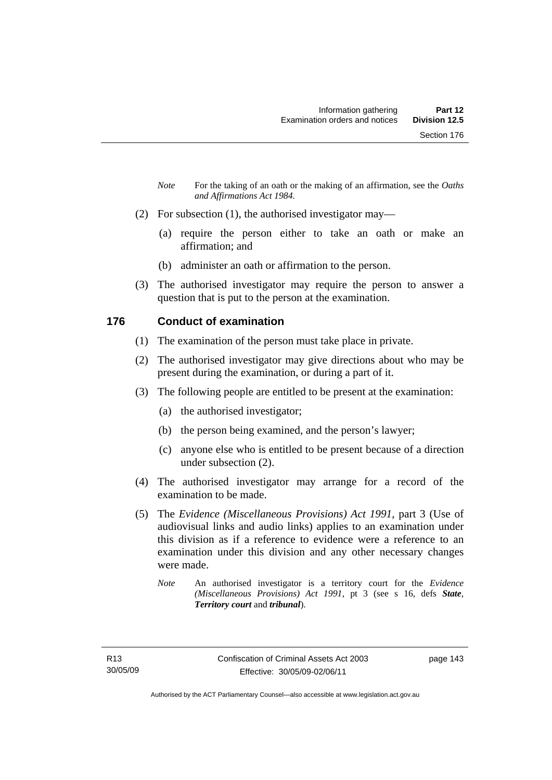- *Note* For the taking of an oath or the making of an affirmation, see the *Oaths and Affirmations Act 1984.*
- (2) For subsection (1), the authorised investigator may—
	- (a) require the person either to take an oath or make an affirmation; and
	- (b) administer an oath or affirmation to the person.
- (3) The authorised investigator may require the person to answer a question that is put to the person at the examination.

## **176 Conduct of examination**

- (1) The examination of the person must take place in private.
- (2) The authorised investigator may give directions about who may be present during the examination, or during a part of it.
- (3) The following people are entitled to be present at the examination:
	- (a) the authorised investigator;
	- (b) the person being examined, and the person's lawyer;
	- (c) anyone else who is entitled to be present because of a direction under subsection (2).
- (4) The authorised investigator may arrange for a record of the examination to be made.
- (5) The *Evidence (Miscellaneous Provisions) Act 1991*, part 3 (Use of audiovisual links and audio links) applies to an examination under this division as if a reference to evidence were a reference to an examination under this division and any other necessary changes were made.
	- *Note* An authorised investigator is a territory court for the *Evidence (Miscellaneous Provisions) Act 1991*, pt 3 (see s 16, defs *State*, *Territory court* and *tribunal*).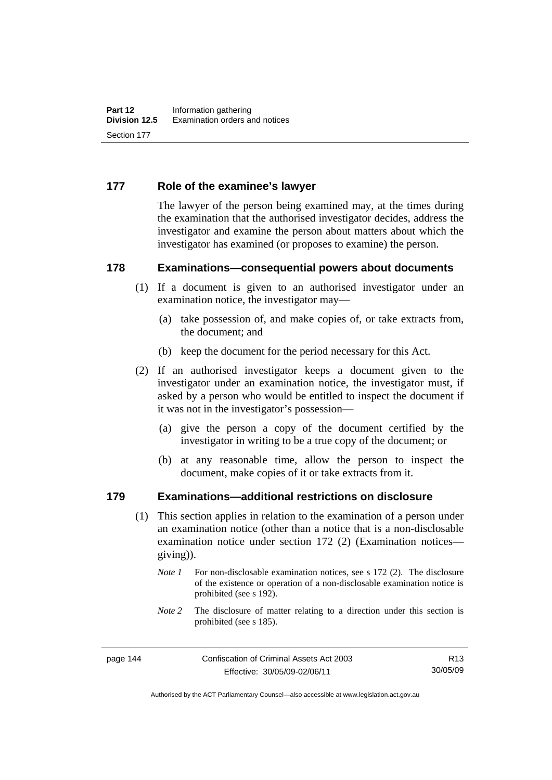### **177 Role of the examinee's lawyer**

The lawyer of the person being examined may, at the times during the examination that the authorised investigator decides, address the investigator and examine the person about matters about which the investigator has examined (or proposes to examine) the person.

#### **178 Examinations—consequential powers about documents**

- (1) If a document is given to an authorised investigator under an examination notice, the investigator may—
	- (a) take possession of, and make copies of, or take extracts from, the document; and
	- (b) keep the document for the period necessary for this Act.
- (2) If an authorised investigator keeps a document given to the investigator under an examination notice, the investigator must, if asked by a person who would be entitled to inspect the document if it was not in the investigator's possession—
	- (a) give the person a copy of the document certified by the investigator in writing to be a true copy of the document; or
	- (b) at any reasonable time, allow the person to inspect the document, make copies of it or take extracts from it.

#### **179 Examinations—additional restrictions on disclosure**

- (1) This section applies in relation to the examination of a person under an examination notice (other than a notice that is a non-disclosable examination notice under section 172 (2) (Examination notices giving)).
	- *Note 1* For non-disclosable examination notices, see s 172 (2). The disclosure of the existence or operation of a non-disclosable examination notice is prohibited (see s 192).
	- *Note* 2 The disclosure of matter relating to a direction under this section is prohibited (see s 185).

Authorised by the ACT Parliamentary Counsel—also accessible at www.legislation.act.gov.au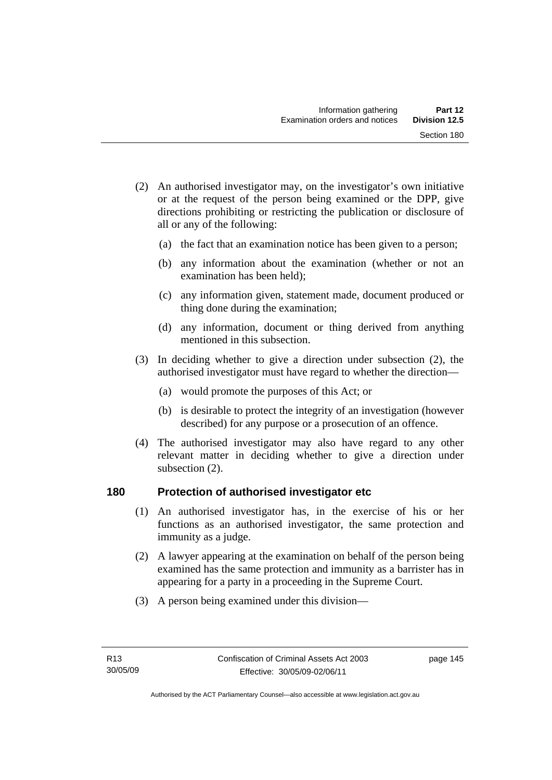- (2) An authorised investigator may, on the investigator's own initiative or at the request of the person being examined or the DPP, give directions prohibiting or restricting the publication or disclosure of all or any of the following:
	- (a) the fact that an examination notice has been given to a person;
	- (b) any information about the examination (whether or not an examination has been held);
	- (c) any information given, statement made, document produced or thing done during the examination;
	- (d) any information, document or thing derived from anything mentioned in this subsection.
- (3) In deciding whether to give a direction under subsection (2), the authorised investigator must have regard to whether the direction—
	- (a) would promote the purposes of this Act; or
	- (b) is desirable to protect the integrity of an investigation (however described) for any purpose or a prosecution of an offence.
- (4) The authorised investigator may also have regard to any other relevant matter in deciding whether to give a direction under subsection (2).

#### **180 Protection of authorised investigator etc**

- (1) An authorised investigator has, in the exercise of his or her functions as an authorised investigator, the same protection and immunity as a judge.
- (2) A lawyer appearing at the examination on behalf of the person being examined has the same protection and immunity as a barrister has in appearing for a party in a proceeding in the Supreme Court.
- (3) A person being examined under this division—

page 145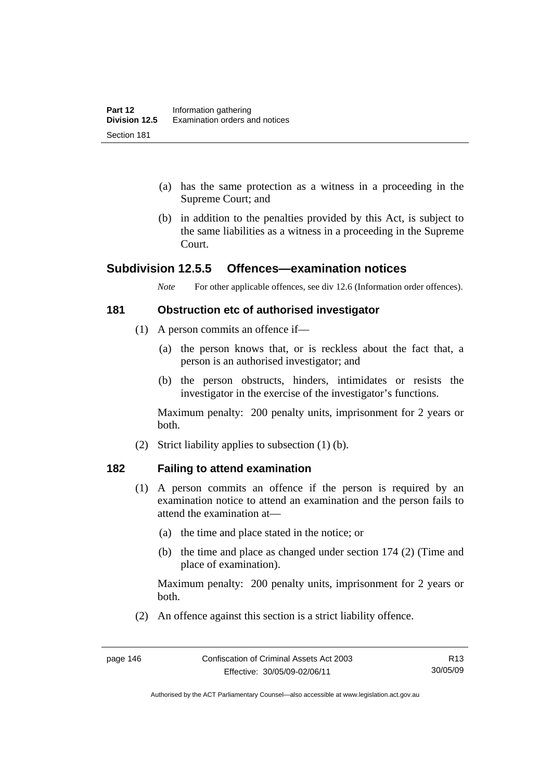- (a) has the same protection as a witness in a proceeding in the Supreme Court; and
- (b) in addition to the penalties provided by this Act, is subject to the same liabilities as a witness in a proceeding in the Supreme Court.

# **Subdivision 12.5.5 Offences—examination notices**

*Note* For other applicable offences, see div 12.6 (Information order offences).

#### **181 Obstruction etc of authorised investigator**

- (1) A person commits an offence if—
	- (a) the person knows that, or is reckless about the fact that, a person is an authorised investigator; and
	- (b) the person obstructs, hinders, intimidates or resists the investigator in the exercise of the investigator's functions.

Maximum penalty: 200 penalty units, imprisonment for 2 years or both.

(2) Strict liability applies to subsection (1) (b).

### **182 Failing to attend examination**

- (1) A person commits an offence if the person is required by an examination notice to attend an examination and the person fails to attend the examination at—
	- (a) the time and place stated in the notice; or
	- (b) the time and place as changed under section 174 (2) (Time and place of examination).

Maximum penalty: 200 penalty units, imprisonment for 2 years or both.

(2) An offence against this section is a strict liability offence.

Authorised by the ACT Parliamentary Counsel—also accessible at www.legislation.act.gov.au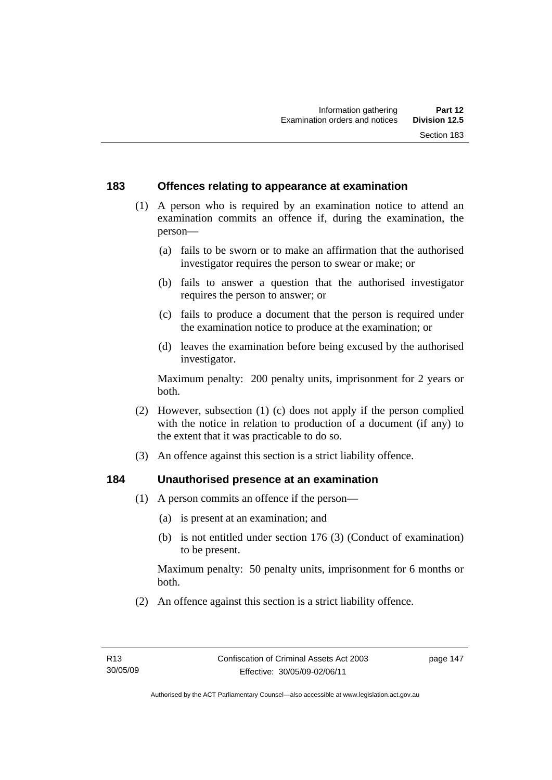## **183 Offences relating to appearance at examination**

- (1) A person who is required by an examination notice to attend an examination commits an offence if, during the examination, the person—
	- (a) fails to be sworn or to make an affirmation that the authorised investigator requires the person to swear or make; or
	- (b) fails to answer a question that the authorised investigator requires the person to answer; or
	- (c) fails to produce a document that the person is required under the examination notice to produce at the examination; or
	- (d) leaves the examination before being excused by the authorised investigator.

Maximum penalty: 200 penalty units, imprisonment for 2 years or both.

- (2) However, subsection (1) (c) does not apply if the person complied with the notice in relation to production of a document (if any) to the extent that it was practicable to do so.
- (3) An offence against this section is a strict liability offence.

### **184 Unauthorised presence at an examination**

- (1) A person commits an offence if the person—
	- (a) is present at an examination; and
	- (b) is not entitled under section 176 (3) (Conduct of examination) to be present.

Maximum penalty: 50 penalty units, imprisonment for 6 months or both.

(2) An offence against this section is a strict liability offence.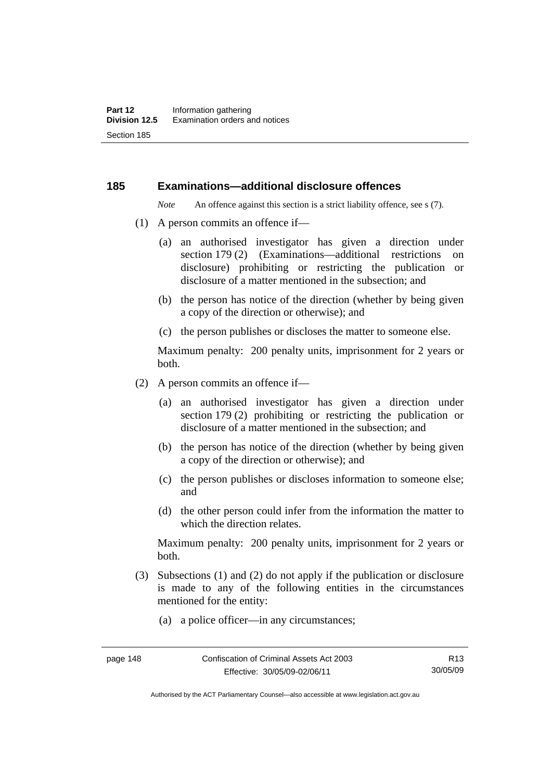#### **185 Examinations—additional disclosure offences**

*Note* An offence against this section is a strict liability offence, see s (7).

- (1) A person commits an offence if—
	- (a) an authorised investigator has given a direction under section 179 (2) (Examinations—additional restrictions on disclosure) prohibiting or restricting the publication or disclosure of a matter mentioned in the subsection; and
	- (b) the person has notice of the direction (whether by being given a copy of the direction or otherwise); and
	- (c) the person publishes or discloses the matter to someone else.

Maximum penalty: 200 penalty units, imprisonment for 2 years or both.

- (2) A person commits an offence if—
	- (a) an authorised investigator has given a direction under section 179 (2) prohibiting or restricting the publication or disclosure of a matter mentioned in the subsection; and
	- (b) the person has notice of the direction (whether by being given a copy of the direction or otherwise); and
	- (c) the person publishes or discloses information to someone else; and
	- (d) the other person could infer from the information the matter to which the direction relates.

Maximum penalty: 200 penalty units, imprisonment for 2 years or both.

- (3) Subsections (1) and (2) do not apply if the publication or disclosure is made to any of the following entities in the circumstances mentioned for the entity:
	- (a) a police officer—in any circumstances;

R13 30/05/09

Authorised by the ACT Parliamentary Counsel—also accessible at www.legislation.act.gov.au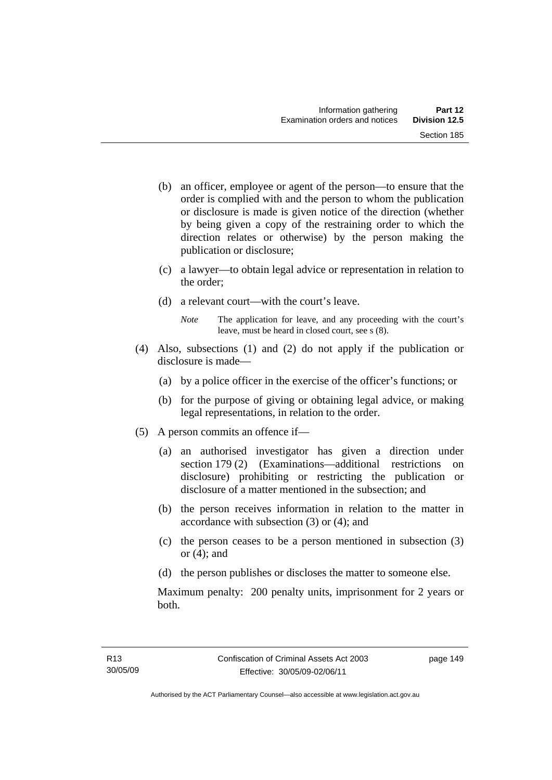- (b) an officer, employee or agent of the person—to ensure that the order is complied with and the person to whom the publication or disclosure is made is given notice of the direction (whether by being given a copy of the restraining order to which the direction relates or otherwise) by the person making the publication or disclosure;
- (c) a lawyer—to obtain legal advice or representation in relation to the order;
- (d) a relevant court—with the court's leave.
	- *Note* The application for leave, and any proceeding with the court's leave, must be heard in closed court, see s (8).
- (4) Also, subsections (1) and (2) do not apply if the publication or disclosure is made—
	- (a) by a police officer in the exercise of the officer's functions; or
	- (b) for the purpose of giving or obtaining legal advice, or making legal representations, in relation to the order.
- (5) A person commits an offence if—
	- (a) an authorised investigator has given a direction under section 179 (2) (Examinations—additional restrictions on disclosure) prohibiting or restricting the publication or disclosure of a matter mentioned in the subsection; and
	- (b) the person receives information in relation to the matter in accordance with subsection (3) or (4); and
	- (c) the person ceases to be a person mentioned in subsection (3) or  $(4)$ ; and
	- (d) the person publishes or discloses the matter to someone else.

Maximum penalty: 200 penalty units, imprisonment for 2 years or both.

page 149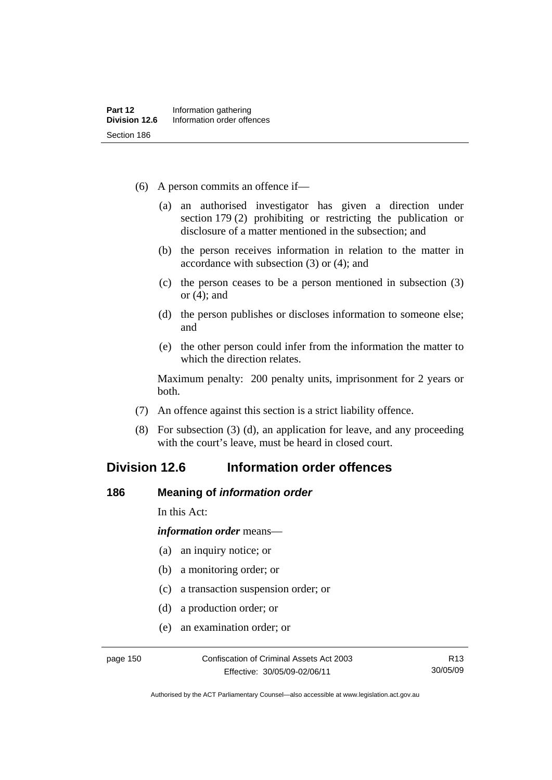- (6) A person commits an offence if—
	- (a) an authorised investigator has given a direction under section 179 (2) prohibiting or restricting the publication or disclosure of a matter mentioned in the subsection; and
	- (b) the person receives information in relation to the matter in accordance with subsection (3) or (4); and
	- (c) the person ceases to be a person mentioned in subsection (3) or (4); and
	- (d) the person publishes or discloses information to someone else; and
	- (e) the other person could infer from the information the matter to which the direction relates.

Maximum penalty: 200 penalty units, imprisonment for 2 years or both.

- (7) An offence against this section is a strict liability offence.
- (8) For subsection (3) (d), an application for leave, and any proceeding with the court's leave, must be heard in closed court.

# **Division 12.6 Information order offences**

#### **186 Meaning of** *information order*

In this Act:

*information order* means—

- (a) an inquiry notice; or
- (b) a monitoring order; or
- (c) a transaction suspension order; or
- (d) a production order; or
- (e) an examination order; or

page 150 Confiscation of Criminal Assets Act 2003 Effective: 30/05/09-02/06/11

R13 30/05/09

Authorised by the ACT Parliamentary Counsel—also accessible at www.legislation.act.gov.au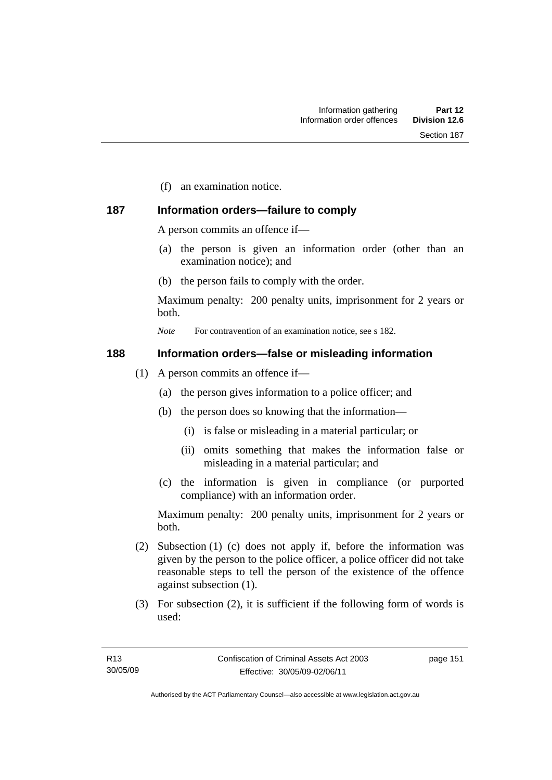(f) an examination notice.

# **187 Information orders—failure to comply**

A person commits an offence if—

- (a) the person is given an information order (other than an examination notice); and
- (b) the person fails to comply with the order.

Maximum penalty: 200 penalty units, imprisonment for 2 years or both.

*Note* For contravention of an examination notice, see s 182.

### **188 Information orders—false or misleading information**

- (1) A person commits an offence if—
	- (a) the person gives information to a police officer; and
	- (b) the person does so knowing that the information—
		- (i) is false or misleading in a material particular; or
		- (ii) omits something that makes the information false or misleading in a material particular; and
	- (c) the information is given in compliance (or purported compliance) with an information order.

Maximum penalty: 200 penalty units, imprisonment for 2 years or both.

- (2) Subsection (1) (c) does not apply if, before the information was given by the person to the police officer, a police officer did not take reasonable steps to tell the person of the existence of the offence against subsection (1).
- (3) For subsection (2), it is sufficient if the following form of words is used:

page 151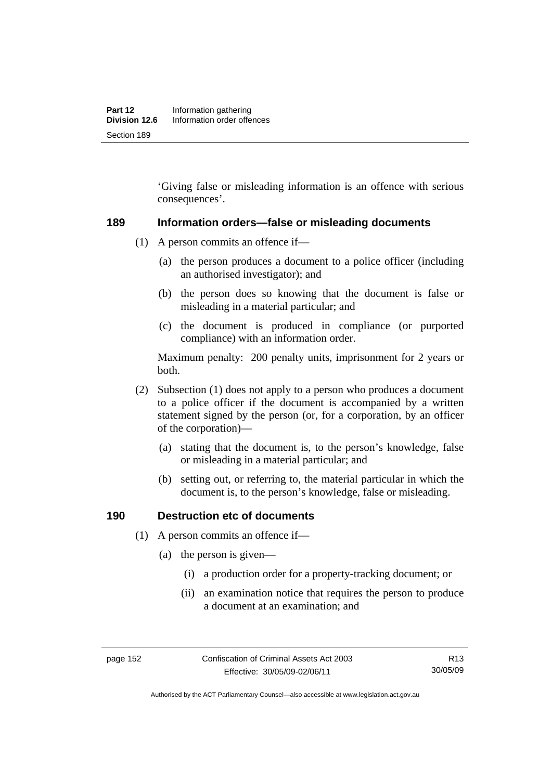'Giving false or misleading information is an offence with serious consequences'.

#### **189 Information orders—false or misleading documents**

- (1) A person commits an offence if—
	- (a) the person produces a document to a police officer (including an authorised investigator); and
	- (b) the person does so knowing that the document is false or misleading in a material particular; and
	- (c) the document is produced in compliance (or purported compliance) with an information order.

Maximum penalty: 200 penalty units, imprisonment for 2 years or both.

- (2) Subsection (1) does not apply to a person who produces a document to a police officer if the document is accompanied by a written statement signed by the person (or, for a corporation, by an officer of the corporation)—
	- (a) stating that the document is, to the person's knowledge, false or misleading in a material particular; and
	- (b) setting out, or referring to, the material particular in which the document is, to the person's knowledge, false or misleading.

## **190 Destruction etc of documents**

- (1) A person commits an offence if—
	- (a) the person is given—
		- (i) a production order for a property-tracking document; or
		- (ii) an examination notice that requires the person to produce a document at an examination; and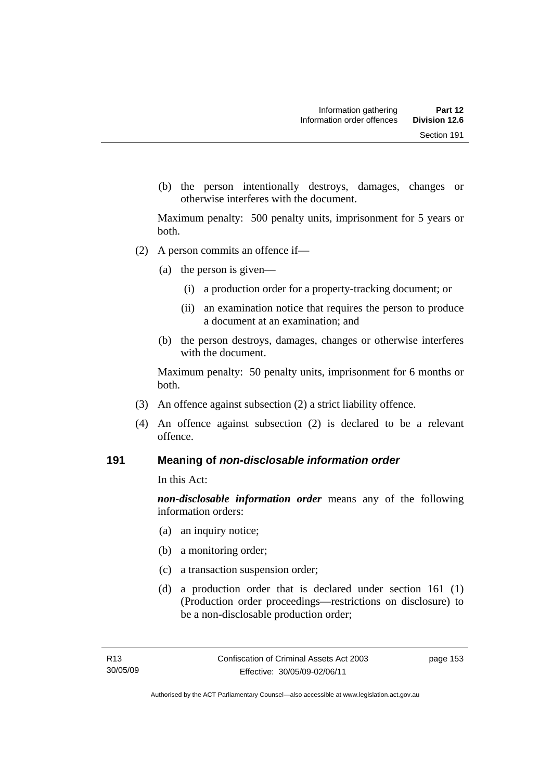(b) the person intentionally destroys, damages, changes or otherwise interferes with the document.

Maximum penalty: 500 penalty units, imprisonment for 5 years or both.

- (2) A person commits an offence if—
	- (a) the person is given—
		- (i) a production order for a property-tracking document; or
		- (ii) an examination notice that requires the person to produce a document at an examination; and
	- (b) the person destroys, damages, changes or otherwise interferes with the document.

Maximum penalty: 50 penalty units, imprisonment for 6 months or both.

- (3) An offence against subsection (2) a strict liability offence.
- (4) An offence against subsection (2) is declared to be a relevant offence.

# **191 Meaning of** *non-disclosable information order*

In this Act:

*non-disclosable information order* means any of the following information orders:

- (a) an inquiry notice;
- (b) a monitoring order;
- (c) a transaction suspension order;
- (d) a production order that is declared under section 161 (1) (Production order proceedings—restrictions on disclosure) to be a non-disclosable production order;

page 153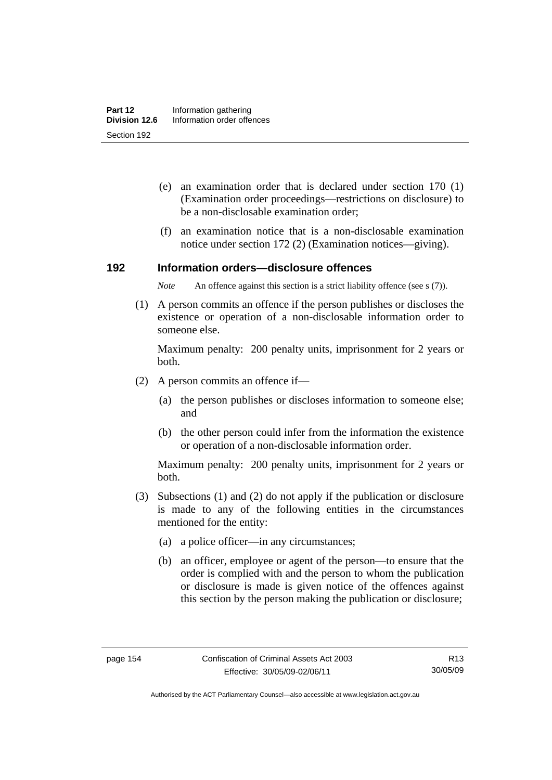- (e) an examination order that is declared under section 170 (1) (Examination order proceedings—restrictions on disclosure) to be a non-disclosable examination order;
- (f) an examination notice that is a non-disclosable examination notice under section 172 (2) (Examination notices—giving).

#### **192 Information orders—disclosure offences**

*Note* An offence against this section is a strict liability offence (see s (7)).

 (1) A person commits an offence if the person publishes or discloses the existence or operation of a non-disclosable information order to someone else.

Maximum penalty: 200 penalty units, imprisonment for 2 years or both.

- (2) A person commits an offence if—
	- (a) the person publishes or discloses information to someone else; and
	- (b) the other person could infer from the information the existence or operation of a non-disclosable information order.

Maximum penalty: 200 penalty units, imprisonment for 2 years or both.

- (3) Subsections (1) and (2) do not apply if the publication or disclosure is made to any of the following entities in the circumstances mentioned for the entity:
	- (a) a police officer—in any circumstances;
	- (b) an officer, employee or agent of the person—to ensure that the order is complied with and the person to whom the publication or disclosure is made is given notice of the offences against this section by the person making the publication or disclosure;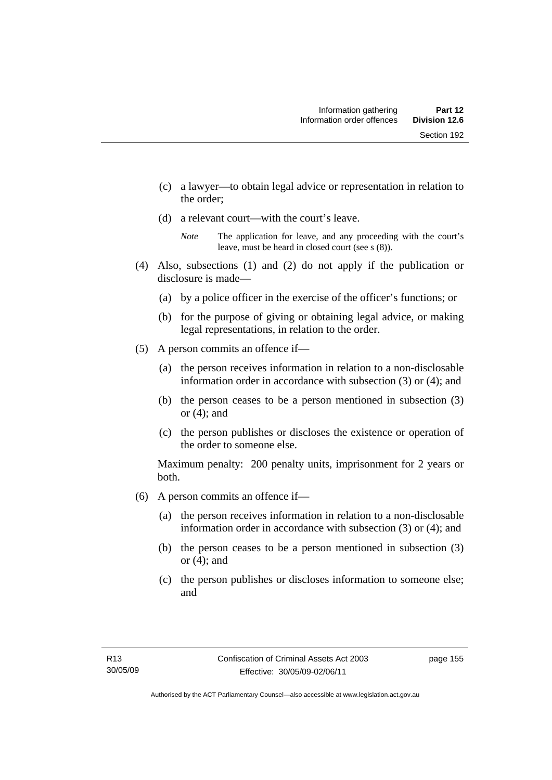- (c) a lawyer—to obtain legal advice or representation in relation to the order;
- (d) a relevant court—with the court's leave.

- (4) Also, subsections (1) and (2) do not apply if the publication or disclosure is made—
	- (a) by a police officer in the exercise of the officer's functions; or
	- (b) for the purpose of giving or obtaining legal advice, or making legal representations, in relation to the order.
- (5) A person commits an offence if—
	- (a) the person receives information in relation to a non-disclosable information order in accordance with subsection (3) or (4); and
	- (b) the person ceases to be a person mentioned in subsection (3) or  $(4)$ ; and
	- (c) the person publishes or discloses the existence or operation of the order to someone else.

Maximum penalty: 200 penalty units, imprisonment for 2 years or both.

- (6) A person commits an offence if—
	- (a) the person receives information in relation to a non-disclosable information order in accordance with subsection (3) or (4); and
	- (b) the person ceases to be a person mentioned in subsection (3) or  $(4)$ ; and
	- (c) the person publishes or discloses information to someone else; and

*Note* The application for leave, and any proceeding with the court's leave, must be heard in closed court (see s (8)).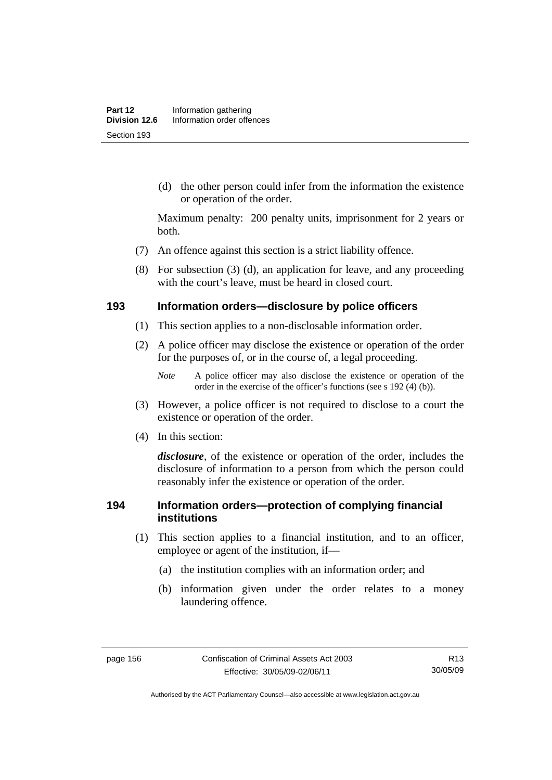(d) the other person could infer from the information the existence or operation of the order.

Maximum penalty: 200 penalty units, imprisonment for 2 years or both.

- (7) An offence against this section is a strict liability offence.
- (8) For subsection (3) (d), an application for leave, and any proceeding with the court's leave, must be heard in closed court.

#### **193 Information orders—disclosure by police officers**

- (1) This section applies to a non-disclosable information order.
- (2) A police officer may disclose the existence or operation of the order for the purposes of, or in the course of, a legal proceeding.

- (3) However, a police officer is not required to disclose to a court the existence or operation of the order.
- (4) In this section:

*disclosure*, of the existence or operation of the order, includes the disclosure of information to a person from which the person could reasonably infer the existence or operation of the order.

## **194 Information orders—protection of complying financial institutions**

- (1) This section applies to a financial institution, and to an officer, employee or agent of the institution, if—
	- (a) the institution complies with an information order; and
	- (b) information given under the order relates to a money laundering offence.

*Note* A police officer may also disclose the existence or operation of the order in the exercise of the officer's functions (see s 192 (4) (b)).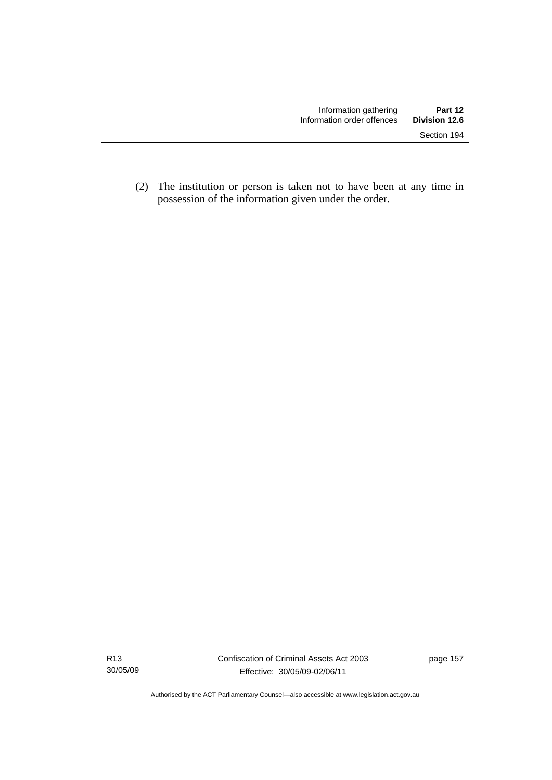(2) The institution or person is taken not to have been at any time in possession of the information given under the order.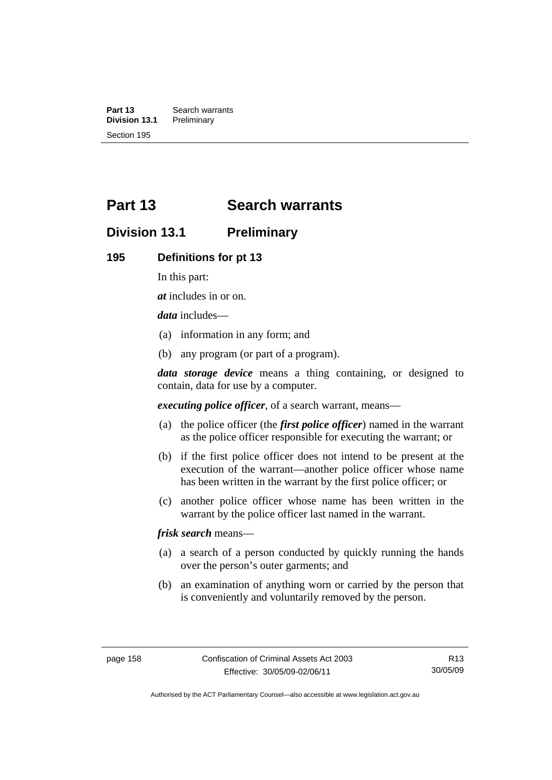**Part 13 Search warrants**<br>**Division 13.1 Preliminary Division 13.1** Section 195

# **Part 13 Search warrants**

# **Division 13.1 Preliminary**

#### **195 Definitions for pt 13**

In this part:

*at* includes in or on.

*data* includes—

- (a) information in any form; and
- (b) any program (or part of a program).

*data storage device* means a thing containing, or designed to contain, data for use by a computer.

*executing police officer*, of a search warrant, means—

- (a) the police officer (the *first police officer*) named in the warrant as the police officer responsible for executing the warrant; or
- (b) if the first police officer does not intend to be present at the execution of the warrant—another police officer whose name has been written in the warrant by the first police officer; or
- (c) another police officer whose name has been written in the warrant by the police officer last named in the warrant.

*frisk search* means—

- (a) a search of a person conducted by quickly running the hands over the person's outer garments; and
- (b) an examination of anything worn or carried by the person that is conveniently and voluntarily removed by the person.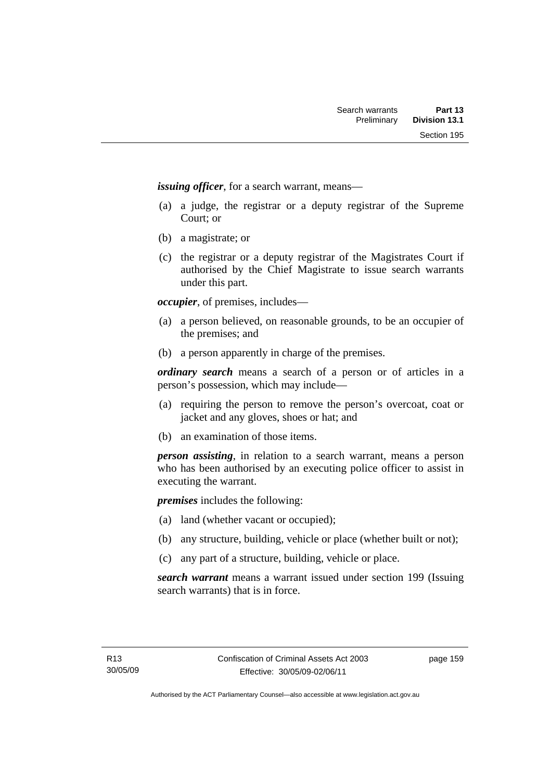*issuing officer*, for a search warrant, means—

- (a) a judge, the registrar or a deputy registrar of the Supreme Court; or
- (b) a magistrate; or
- (c) the registrar or a deputy registrar of the Magistrates Court if authorised by the Chief Magistrate to issue search warrants under this part.

*occupier*, of premises, includes—

- (a) a person believed, on reasonable grounds, to be an occupier of the premises; and
- (b) a person apparently in charge of the premises.

*ordinary search* means a search of a person or of articles in a person's possession, which may include—

- (a) requiring the person to remove the person's overcoat, coat or jacket and any gloves, shoes or hat; and
- (b) an examination of those items.

*person assisting*, in relation to a search warrant, means a person who has been authorised by an executing police officer to assist in executing the warrant.

*premises* includes the following:

- (a) land (whether vacant or occupied);
- (b) any structure, building, vehicle or place (whether built or not);
- (c) any part of a structure, building, vehicle or place.

*search warrant* means a warrant issued under section 199 (Issuing search warrants) that is in force.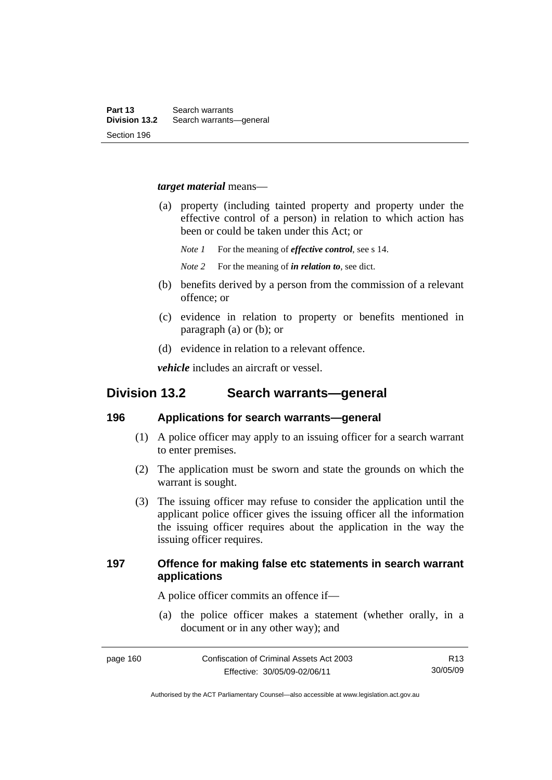#### *target material* means—

- (a) property (including tainted property and property under the effective control of a person) in relation to which action has been or could be taken under this Act; or
	- *Note 1* For the meaning of *effective control*, see s 14.
	- *Note 2* For the meaning of *in relation to*, see dict.
- (b) benefits derived by a person from the commission of a relevant offence; or
- (c) evidence in relation to property or benefits mentioned in paragraph (a) or (b); or
- (d) evidence in relation to a relevant offence.

*vehicle* includes an aircraft or vessel.

# **Division 13.2 Search warrants—general**

#### **196 Applications for search warrants—general**

- (1) A police officer may apply to an issuing officer for a search warrant to enter premises.
- (2) The application must be sworn and state the grounds on which the warrant is sought.
- (3) The issuing officer may refuse to consider the application until the applicant police officer gives the issuing officer all the information the issuing officer requires about the application in the way the issuing officer requires.

## **197 Offence for making false etc statements in search warrant applications**

A police officer commits an offence if—

 (a) the police officer makes a statement (whether orally, in a document or in any other way); and

Authorised by the ACT Parliamentary Counsel—also accessible at www.legislation.act.gov.au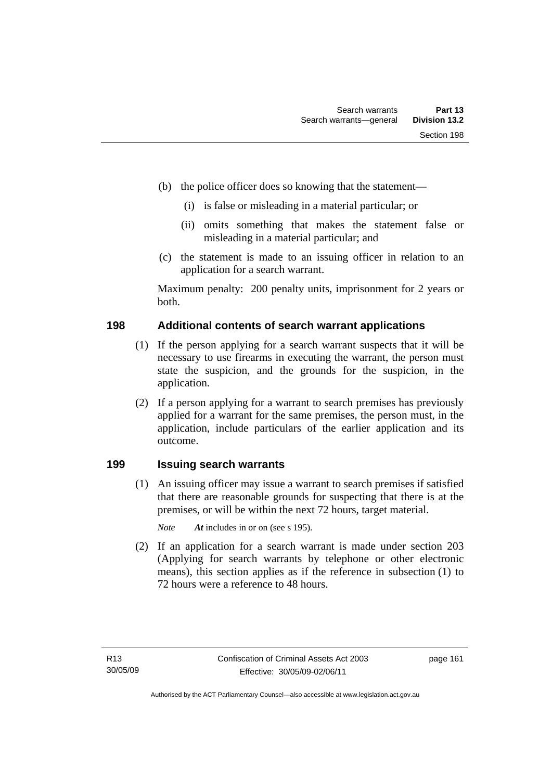- (b) the police officer does so knowing that the statement—
	- (i) is false or misleading in a material particular; or
	- (ii) omits something that makes the statement false or misleading in a material particular; and
- (c) the statement is made to an issuing officer in relation to an application for a search warrant.

Maximum penalty: 200 penalty units, imprisonment for 2 years or both.

## **198 Additional contents of search warrant applications**

- (1) If the person applying for a search warrant suspects that it will be necessary to use firearms in executing the warrant, the person must state the suspicion, and the grounds for the suspicion, in the application.
- (2) If a person applying for a warrant to search premises has previously applied for a warrant for the same premises, the person must, in the application, include particulars of the earlier application and its outcome.

# **199 Issuing search warrants**

 (1) An issuing officer may issue a warrant to search premises if satisfied that there are reasonable grounds for suspecting that there is at the premises, or will be within the next 72 hours, target material.

*Note At* includes in or on (see s 195).

 (2) If an application for a search warrant is made under section 203 (Applying for search warrants by telephone or other electronic means), this section applies as if the reference in subsection (1) to 72 hours were a reference to 48 hours.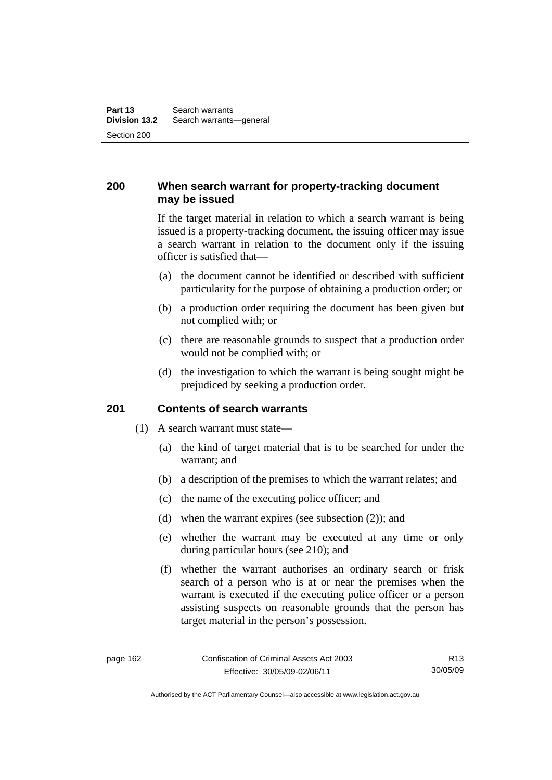## **200 When search warrant for property-tracking document may be issued**

If the target material in relation to which a search warrant is being issued is a property-tracking document, the issuing officer may issue a search warrant in relation to the document only if the issuing officer is satisfied that—

- (a) the document cannot be identified or described with sufficient particularity for the purpose of obtaining a production order; or
- (b) a production order requiring the document has been given but not complied with; or
- (c) there are reasonable grounds to suspect that a production order would not be complied with; or
- (d) the investigation to which the warrant is being sought might be prejudiced by seeking a production order.

### **201 Contents of search warrants**

- (1) A search warrant must state—
	- (a) the kind of target material that is to be searched for under the warrant; and
	- (b) a description of the premises to which the warrant relates; and
	- (c) the name of the executing police officer; and
	- (d) when the warrant expires (see subsection (2)); and
	- (e) whether the warrant may be executed at any time or only during particular hours (see 210); and
	- (f) whether the warrant authorises an ordinary search or frisk search of a person who is at or near the premises when the warrant is executed if the executing police officer or a person assisting suspects on reasonable grounds that the person has target material in the person's possession.

R13 30/05/09

Authorised by the ACT Parliamentary Counsel—also accessible at www.legislation.act.gov.au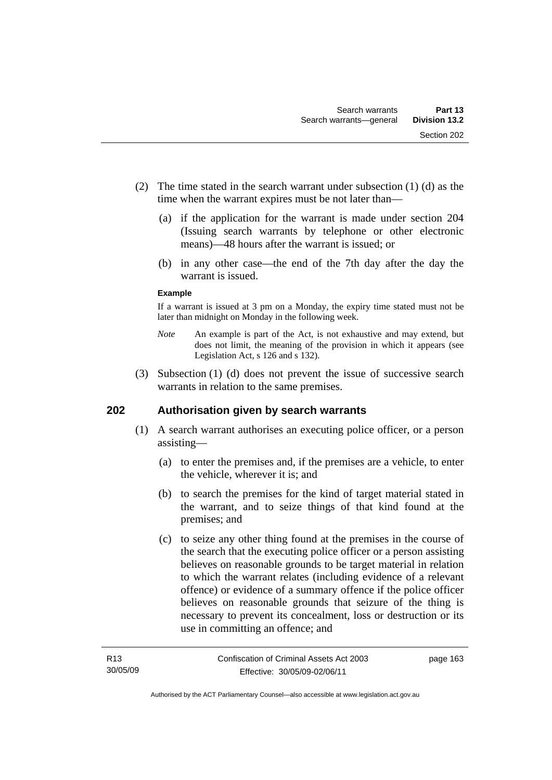- (2) The time stated in the search warrant under subsection (1) (d) as the time when the warrant expires must be not later than—
	- (a) if the application for the warrant is made under section 204 (Issuing search warrants by telephone or other electronic means)—48 hours after the warrant is issued; or
	- (b) in any other case—the end of the 7th day after the day the warrant is issued.

#### **Example**

If a warrant is issued at 3 pm on a Monday, the expiry time stated must not be later than midnight on Monday in the following week.

- *Note* An example is part of the Act, is not exhaustive and may extend, but does not limit, the meaning of the provision in which it appears (see Legislation Act, s 126 and s 132).
- (3) Subsection (1) (d) does not prevent the issue of successive search warrants in relation to the same premises.

# **202 Authorisation given by search warrants**

- (1) A search warrant authorises an executing police officer, or a person assisting—
	- (a) to enter the premises and, if the premises are a vehicle, to enter the vehicle, wherever it is; and
	- (b) to search the premises for the kind of target material stated in the warrant, and to seize things of that kind found at the premises; and
	- (c) to seize any other thing found at the premises in the course of the search that the executing police officer or a person assisting believes on reasonable grounds to be target material in relation to which the warrant relates (including evidence of a relevant offence) or evidence of a summary offence if the police officer believes on reasonable grounds that seizure of the thing is necessary to prevent its concealment, loss or destruction or its use in committing an offence; and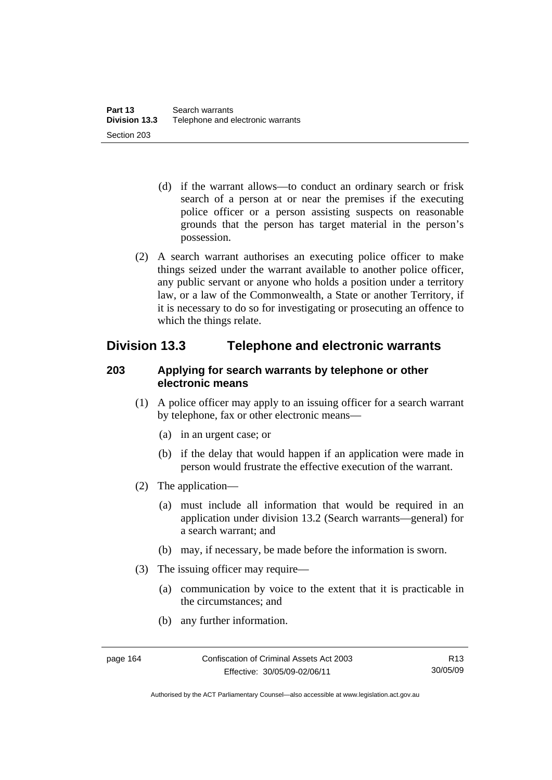- (d) if the warrant allows—to conduct an ordinary search or frisk search of a person at or near the premises if the executing police officer or a person assisting suspects on reasonable grounds that the person has target material in the person's possession.
- (2) A search warrant authorises an executing police officer to make things seized under the warrant available to another police officer, any public servant or anyone who holds a position under a territory law, or a law of the Commonwealth, a State or another Territory, if it is necessary to do so for investigating or prosecuting an offence to which the things relate.

# **Division 13.3 Telephone and electronic warrants**

## **203 Applying for search warrants by telephone or other electronic means**

- (1) A police officer may apply to an issuing officer for a search warrant by telephone, fax or other electronic means—
	- (a) in an urgent case; or
	- (b) if the delay that would happen if an application were made in person would frustrate the effective execution of the warrant.
- (2) The application—
	- (a) must include all information that would be required in an application under division 13.2 (Search warrants—general) for a search warrant; and
	- (b) may, if necessary, be made before the information is sworn.
- (3) The issuing officer may require—
	- (a) communication by voice to the extent that it is practicable in the circumstances; and
	- (b) any further information.

Authorised by the ACT Parliamentary Counsel—also accessible at www.legislation.act.gov.au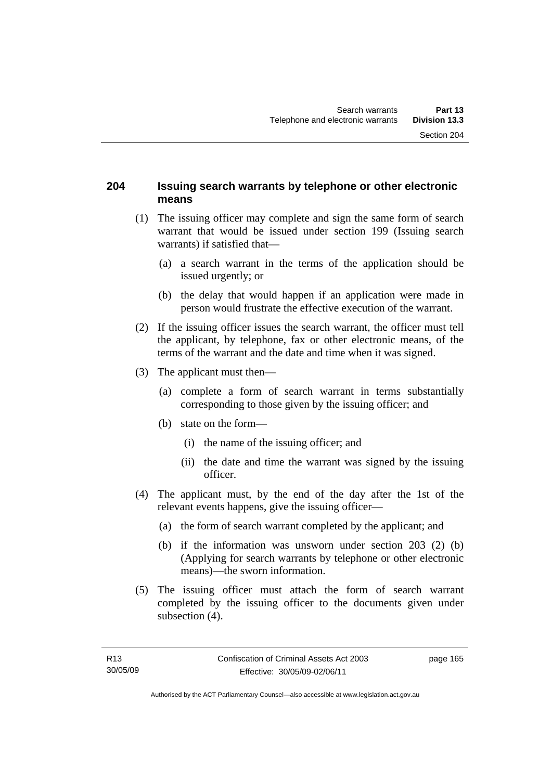## **204 Issuing search warrants by telephone or other electronic means**

- (1) The issuing officer may complete and sign the same form of search warrant that would be issued under section 199 (Issuing search warrants) if satisfied that—
	- (a) a search warrant in the terms of the application should be issued urgently; or
	- (b) the delay that would happen if an application were made in person would frustrate the effective execution of the warrant.
- (2) If the issuing officer issues the search warrant, the officer must tell the applicant, by telephone, fax or other electronic means, of the terms of the warrant and the date and time when it was signed.
- (3) The applicant must then—
	- (a) complete a form of search warrant in terms substantially corresponding to those given by the issuing officer; and
	- (b) state on the form—
		- (i) the name of the issuing officer; and
		- (ii) the date and time the warrant was signed by the issuing officer.
- (4) The applicant must, by the end of the day after the 1st of the relevant events happens, give the issuing officer—
	- (a) the form of search warrant completed by the applicant; and
	- (b) if the information was unsworn under section 203 (2) (b) (Applying for search warrants by telephone or other electronic means)—the sworn information.
- (5) The issuing officer must attach the form of search warrant completed by the issuing officer to the documents given under subsection  $(4)$ .

page 165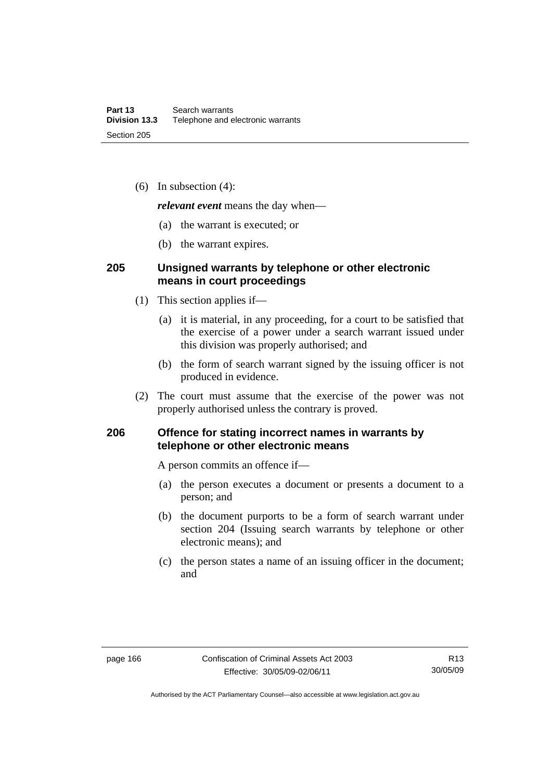(6) In subsection (4):

*relevant event* means the day when—

- (a) the warrant is executed; or
- (b) the warrant expires.

## **205 Unsigned warrants by telephone or other electronic means in court proceedings**

- (1) This section applies if—
	- (a) it is material, in any proceeding, for a court to be satisfied that the exercise of a power under a search warrant issued under this division was properly authorised; and
	- (b) the form of search warrant signed by the issuing officer is not produced in evidence.
- (2) The court must assume that the exercise of the power was not properly authorised unless the contrary is proved.

## **206 Offence for stating incorrect names in warrants by telephone or other electronic means**

A person commits an offence if—

- (a) the person executes a document or presents a document to a person; and
- (b) the document purports to be a form of search warrant under section 204 (Issuing search warrants by telephone or other electronic means); and
- (c) the person states a name of an issuing officer in the document; and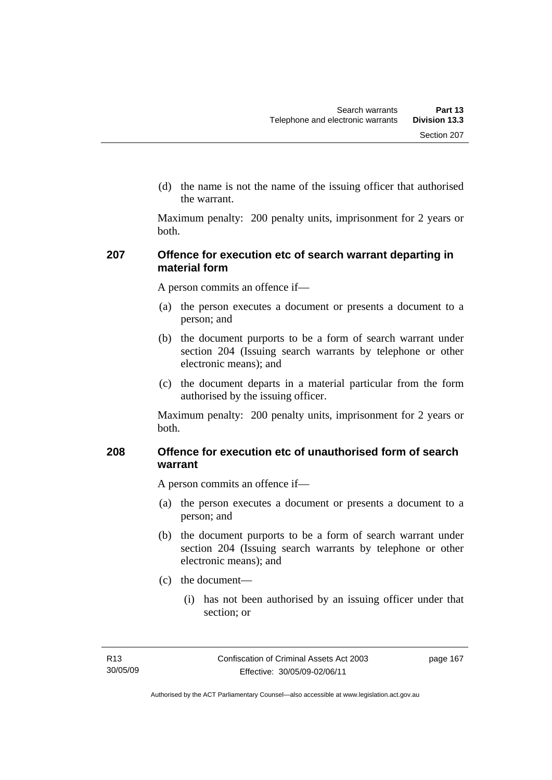(d) the name is not the name of the issuing officer that authorised the warrant.

Maximum penalty: 200 penalty units, imprisonment for 2 years or both.

### **207 Offence for execution etc of search warrant departing in material form**

A person commits an offence if—

- (a) the person executes a document or presents a document to a person; and
- (b) the document purports to be a form of search warrant under section 204 (Issuing search warrants by telephone or other electronic means); and
- (c) the document departs in a material particular from the form authorised by the issuing officer.

Maximum penalty: 200 penalty units, imprisonment for 2 years or both.

### **208 Offence for execution etc of unauthorised form of search warrant**

A person commits an offence if—

- (a) the person executes a document or presents a document to a person; and
- (b) the document purports to be a form of search warrant under section 204 (Issuing search warrants by telephone or other electronic means); and
- (c) the document—
	- (i) has not been authorised by an issuing officer under that section; or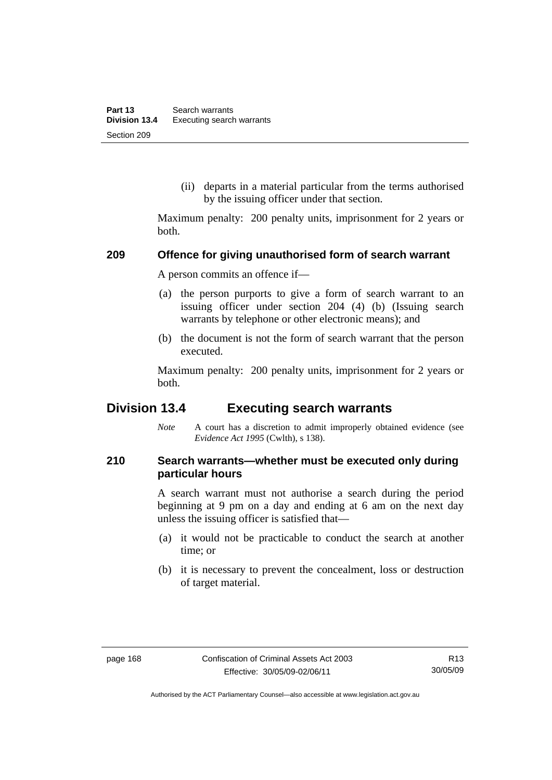(ii) departs in a material particular from the terms authorised by the issuing officer under that section.

Maximum penalty: 200 penalty units, imprisonment for 2 years or both.

#### **209 Offence for giving unauthorised form of search warrant**

A person commits an offence if—

- (a) the person purports to give a form of search warrant to an issuing officer under section 204 (4) (b) (Issuing search warrants by telephone or other electronic means); and
- (b) the document is not the form of search warrant that the person executed.

Maximum penalty: 200 penalty units, imprisonment for 2 years or both.

## **Division 13.4 Executing search warrants**

*Note* A court has a discretion to admit improperly obtained evidence (see *Evidence Act 1995* (Cwlth), s 138).

### **210 Search warrants—whether must be executed only during particular hours**

A search warrant must not authorise a search during the period beginning at 9 pm on a day and ending at 6 am on the next day unless the issuing officer is satisfied that—

- (a) it would not be practicable to conduct the search at another time; or
- (b) it is necessary to prevent the concealment, loss or destruction of target material.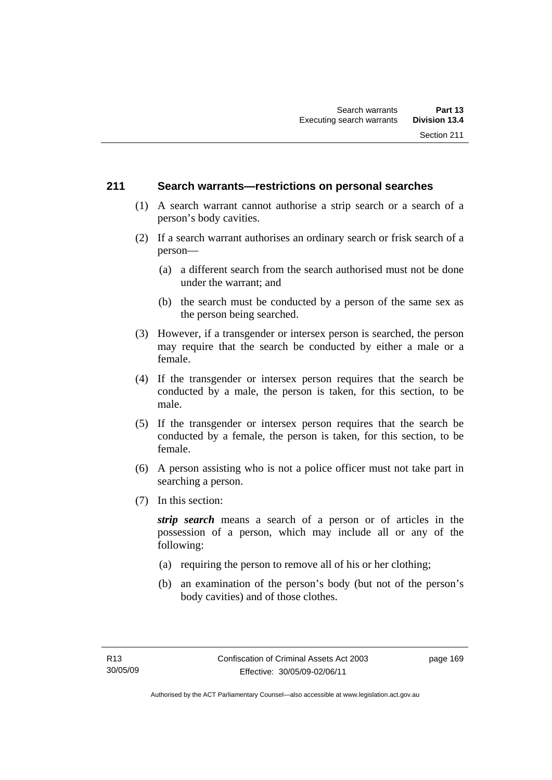#### **211 Search warrants—restrictions on personal searches**

- (1) A search warrant cannot authorise a strip search or a search of a person's body cavities.
- (2) If a search warrant authorises an ordinary search or frisk search of a person—
	- (a) a different search from the search authorised must not be done under the warrant; and
	- (b) the search must be conducted by a person of the same sex as the person being searched.
- (3) However, if a transgender or intersex person is searched, the person may require that the search be conducted by either a male or a female.
- (4) If the transgender or intersex person requires that the search be conducted by a male, the person is taken, for this section, to be male.
- (5) If the transgender or intersex person requires that the search be conducted by a female, the person is taken, for this section, to be female.
- (6) A person assisting who is not a police officer must not take part in searching a person.
- (7) In this section:

*strip search* means a search of a person or of articles in the possession of a person, which may include all or any of the following:

- (a) requiring the person to remove all of his or her clothing;
- (b) an examination of the person's body (but not of the person's body cavities) and of those clothes.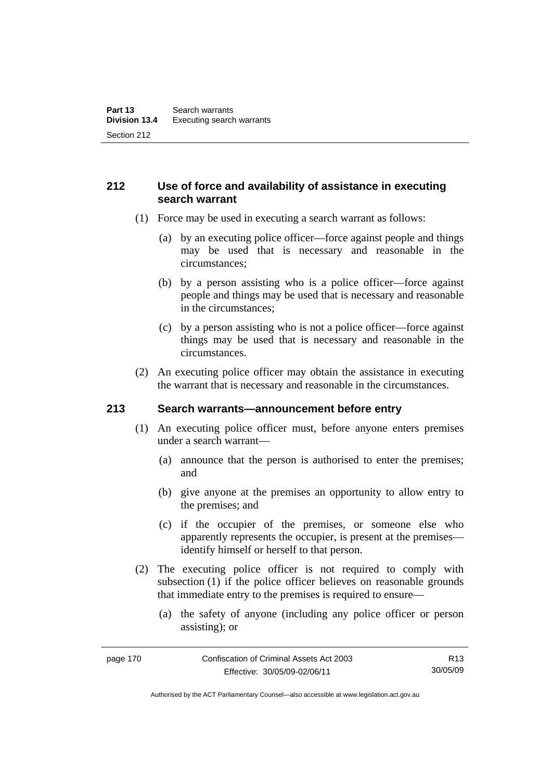### **212 Use of force and availability of assistance in executing search warrant**

- (1) Force may be used in executing a search warrant as follows:
	- (a) by an executing police officer—force against people and things may be used that is necessary and reasonable in the circumstances;
	- (b) by a person assisting who is a police officer—force against people and things may be used that is necessary and reasonable in the circumstances;
	- (c) by a person assisting who is not a police officer—force against things may be used that is necessary and reasonable in the circumstances.
- (2) An executing police officer may obtain the assistance in executing the warrant that is necessary and reasonable in the circumstances.

#### **213 Search warrants—announcement before entry**

- (1) An executing police officer must, before anyone enters premises under a search warrant—
	- (a) announce that the person is authorised to enter the premises; and
	- (b) give anyone at the premises an opportunity to allow entry to the premises; and
	- (c) if the occupier of the premises, or someone else who apparently represents the occupier, is present at the premises identify himself or herself to that person.
- (2) The executing police officer is not required to comply with subsection (1) if the police officer believes on reasonable grounds that immediate entry to the premises is required to ensure—
	- (a) the safety of anyone (including any police officer or person assisting); or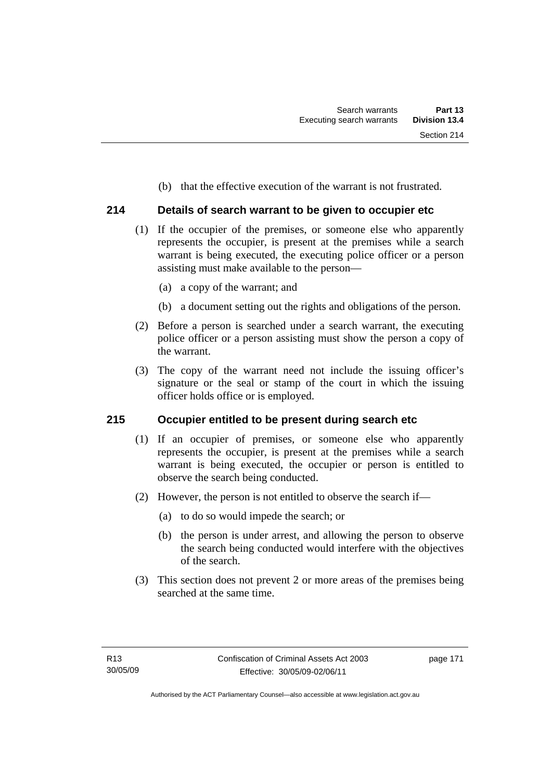(b) that the effective execution of the warrant is not frustrated.

### **214 Details of search warrant to be given to occupier etc**

- (1) If the occupier of the premises, or someone else who apparently represents the occupier, is present at the premises while a search warrant is being executed, the executing police officer or a person assisting must make available to the person—
	- (a) a copy of the warrant; and
	- (b) a document setting out the rights and obligations of the person.
- (2) Before a person is searched under a search warrant, the executing police officer or a person assisting must show the person a copy of the warrant.
- (3) The copy of the warrant need not include the issuing officer's signature or the seal or stamp of the court in which the issuing officer holds office or is employed.

#### **215 Occupier entitled to be present during search etc**

- (1) If an occupier of premises, or someone else who apparently represents the occupier, is present at the premises while a search warrant is being executed, the occupier or person is entitled to observe the search being conducted.
- (2) However, the person is not entitled to observe the search if—
	- (a) to do so would impede the search; or
	- (b) the person is under arrest, and allowing the person to observe the search being conducted would interfere with the objectives of the search.
- (3) This section does not prevent 2 or more areas of the premises being searched at the same time.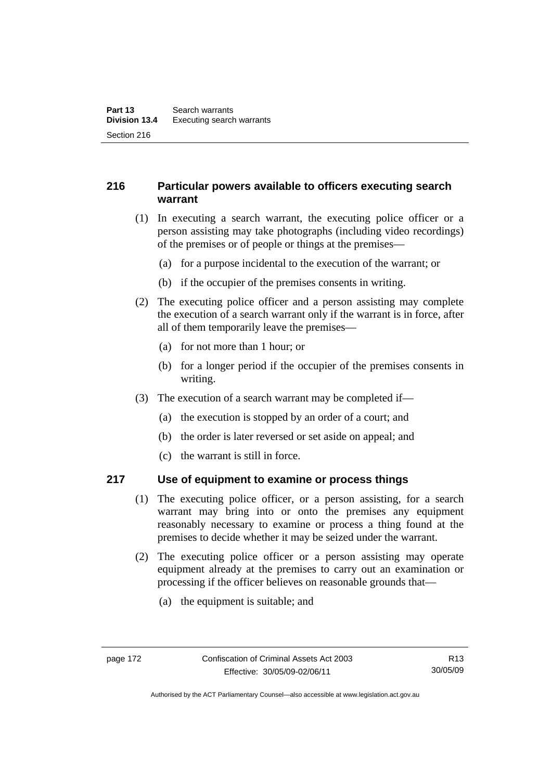### **216 Particular powers available to officers executing search warrant**

- (1) In executing a search warrant, the executing police officer or a person assisting may take photographs (including video recordings) of the premises or of people or things at the premises—
	- (a) for a purpose incidental to the execution of the warrant; or
	- (b) if the occupier of the premises consents in writing.
- (2) The executing police officer and a person assisting may complete the execution of a search warrant only if the warrant is in force, after all of them temporarily leave the premises—
	- (a) for not more than 1 hour; or
	- (b) for a longer period if the occupier of the premises consents in writing.
- (3) The execution of a search warrant may be completed if—
	- (a) the execution is stopped by an order of a court; and
	- (b) the order is later reversed or set aside on appeal; and
	- (c) the warrant is still in force.

#### **217 Use of equipment to examine or process things**

- (1) The executing police officer, or a person assisting, for a search warrant may bring into or onto the premises any equipment reasonably necessary to examine or process a thing found at the premises to decide whether it may be seized under the warrant.
- (2) The executing police officer or a person assisting may operate equipment already at the premises to carry out an examination or processing if the officer believes on reasonable grounds that—
	- (a) the equipment is suitable; and

Authorised by the ACT Parliamentary Counsel—also accessible at www.legislation.act.gov.au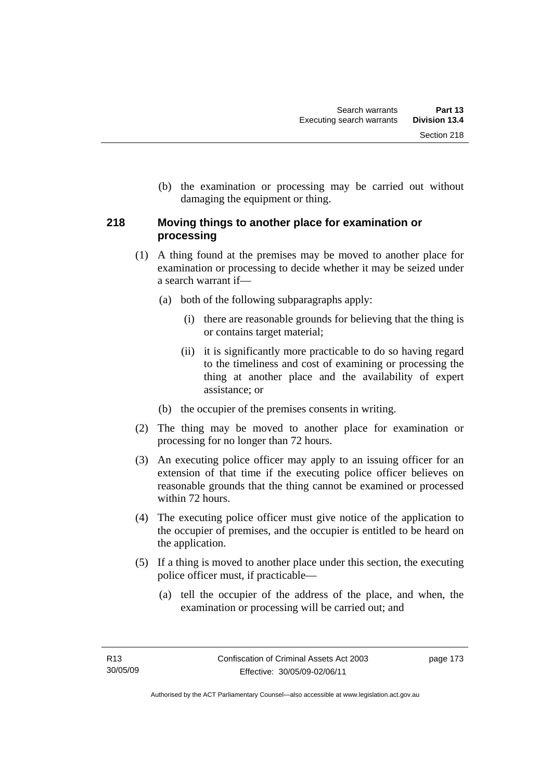(b) the examination or processing may be carried out without damaging the equipment or thing.

### **218 Moving things to another place for examination or processing**

- (1) A thing found at the premises may be moved to another place for examination or processing to decide whether it may be seized under a search warrant if—
	- (a) both of the following subparagraphs apply:
		- (i) there are reasonable grounds for believing that the thing is or contains target material;
		- (ii) it is significantly more practicable to do so having regard to the timeliness and cost of examining or processing the thing at another place and the availability of expert assistance; or
	- (b) the occupier of the premises consents in writing.
- (2) The thing may be moved to another place for examination or processing for no longer than 72 hours.
- (3) An executing police officer may apply to an issuing officer for an extension of that time if the executing police officer believes on reasonable grounds that the thing cannot be examined or processed within 72 hours.
- (4) The executing police officer must give notice of the application to the occupier of premises, and the occupier is entitled to be heard on the application.
- (5) If a thing is moved to another place under this section, the executing police officer must, if practicable—
	- (a) tell the occupier of the address of the place, and when, the examination or processing will be carried out; and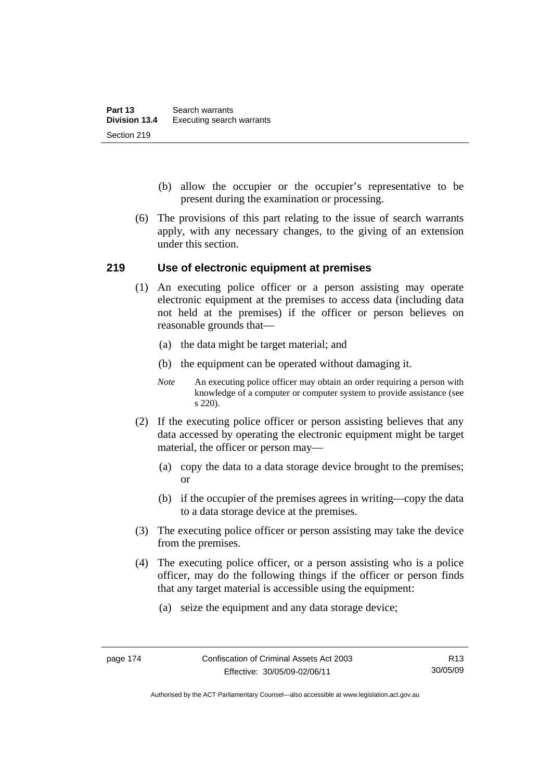- (b) allow the occupier or the occupier's representative to be present during the examination or processing.
- (6) The provisions of this part relating to the issue of search warrants apply, with any necessary changes, to the giving of an extension under this section.

#### **219 Use of electronic equipment at premises**

- (1) An executing police officer or a person assisting may operate electronic equipment at the premises to access data (including data not held at the premises) if the officer or person believes on reasonable grounds that—
	- (a) the data might be target material; and
	- (b) the equipment can be operated without damaging it.
	- *Note* An executing police officer may obtain an order requiring a person with knowledge of a computer or computer system to provide assistance (see s 220).
- (2) If the executing police officer or person assisting believes that any data accessed by operating the electronic equipment might be target material, the officer or person may—
	- (a) copy the data to a data storage device brought to the premises; or
	- (b) if the occupier of the premises agrees in writing—copy the data to a data storage device at the premises.
- (3) The executing police officer or person assisting may take the device from the premises.
- (4) The executing police officer, or a person assisting who is a police officer, may do the following things if the officer or person finds that any target material is accessible using the equipment:
	- (a) seize the equipment and any data storage device;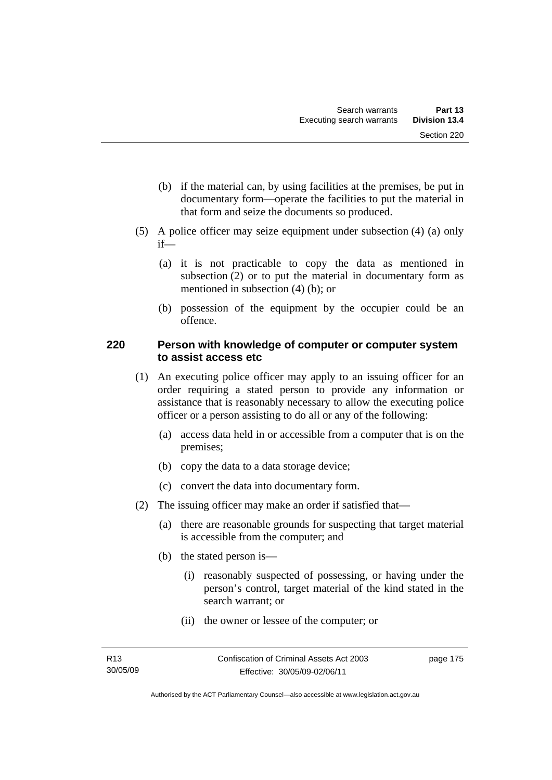- (b) if the material can, by using facilities at the premises, be put in documentary form—operate the facilities to put the material in that form and seize the documents so produced.
- (5) A police officer may seize equipment under subsection (4) (a) only if—
	- (a) it is not practicable to copy the data as mentioned in subsection (2) or to put the material in documentary form as mentioned in subsection (4) (b); or
	- (b) possession of the equipment by the occupier could be an offence.

#### **220 Person with knowledge of computer or computer system to assist access etc**

- (1) An executing police officer may apply to an issuing officer for an order requiring a stated person to provide any information or assistance that is reasonably necessary to allow the executing police officer or a person assisting to do all or any of the following:
	- (a) access data held in or accessible from a computer that is on the premises;
	- (b) copy the data to a data storage device;
	- (c) convert the data into documentary form.
- (2) The issuing officer may make an order if satisfied that—
	- (a) there are reasonable grounds for suspecting that target material is accessible from the computer; and
	- (b) the stated person is—
		- (i) reasonably suspected of possessing, or having under the person's control, target material of the kind stated in the search warrant; or
		- (ii) the owner or lessee of the computer; or

page 175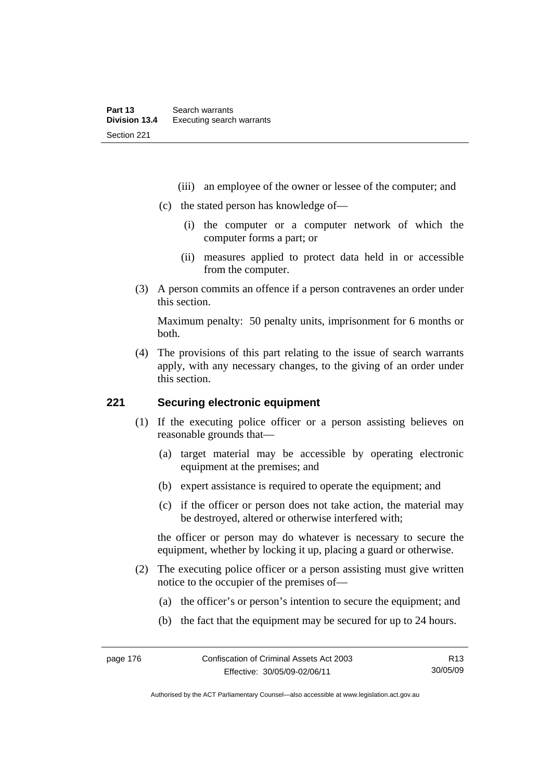- (iii) an employee of the owner or lessee of the computer; and
- (c) the stated person has knowledge of—
	- (i) the computer or a computer network of which the computer forms a part; or
	- (ii) measures applied to protect data held in or accessible from the computer.
- (3) A person commits an offence if a person contravenes an order under this section.

Maximum penalty: 50 penalty units, imprisonment for 6 months or both.

 (4) The provisions of this part relating to the issue of search warrants apply, with any necessary changes, to the giving of an order under this section.

#### **221 Securing electronic equipment**

- (1) If the executing police officer or a person assisting believes on reasonable grounds that—
	- (a) target material may be accessible by operating electronic equipment at the premises; and
	- (b) expert assistance is required to operate the equipment; and
	- (c) if the officer or person does not take action, the material may be destroyed, altered or otherwise interfered with;

the officer or person may do whatever is necessary to secure the equipment, whether by locking it up, placing a guard or otherwise.

- (2) The executing police officer or a person assisting must give written notice to the occupier of the premises of—
	- (a) the officer's or person's intention to secure the equipment; and
	- (b) the fact that the equipment may be secured for up to 24 hours.

Authorised by the ACT Parliamentary Counsel—also accessible at www.legislation.act.gov.au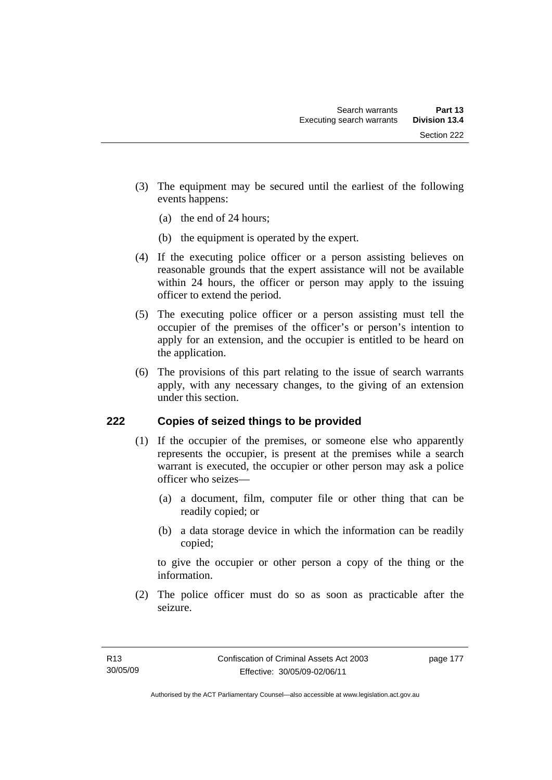- (3) The equipment may be secured until the earliest of the following events happens:
	- (a) the end of 24 hours;
	- (b) the equipment is operated by the expert.
- (4) If the executing police officer or a person assisting believes on reasonable grounds that the expert assistance will not be available within 24 hours, the officer or person may apply to the issuing officer to extend the period.
- (5) The executing police officer or a person assisting must tell the occupier of the premises of the officer's or person's intention to apply for an extension, and the occupier is entitled to be heard on the application.
- (6) The provisions of this part relating to the issue of search warrants apply, with any necessary changes, to the giving of an extension under this section.

### **222 Copies of seized things to be provided**

- (1) If the occupier of the premises, or someone else who apparently represents the occupier, is present at the premises while a search warrant is executed, the occupier or other person may ask a police officer who seizes—
	- (a) a document, film, computer file or other thing that can be readily copied; or
	- (b) a data storage device in which the information can be readily copied;

to give the occupier or other person a copy of the thing or the information.

 (2) The police officer must do so as soon as practicable after the seizure.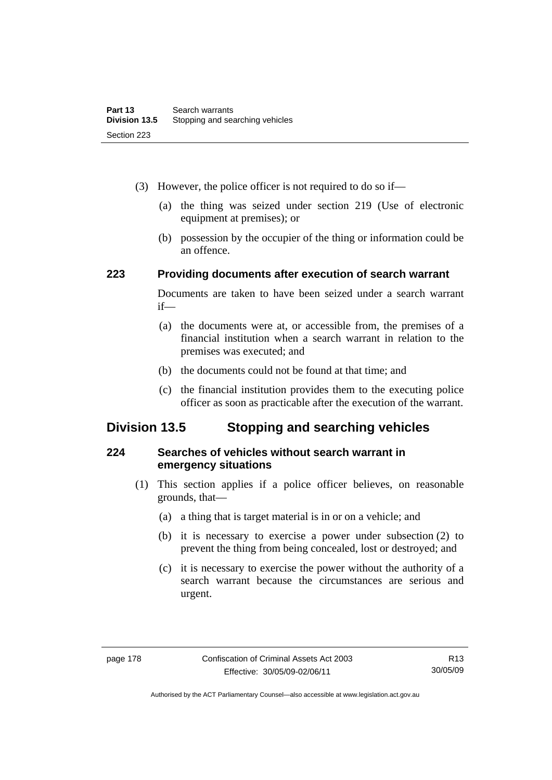- (3) However, the police officer is not required to do so if—
	- (a) the thing was seized under section 219 (Use of electronic equipment at premises); or
	- (b) possession by the occupier of the thing or information could be an offence.

#### **223 Providing documents after execution of search warrant**

Documents are taken to have been seized under a search warrant if—

- (a) the documents were at, or accessible from, the premises of a financial institution when a search warrant in relation to the premises was executed; and
- (b) the documents could not be found at that time; and
- (c) the financial institution provides them to the executing police officer as soon as practicable after the execution of the warrant.

# **Division 13.5 Stopping and searching vehicles**

#### **224 Searches of vehicles without search warrant in emergency situations**

- (1) This section applies if a police officer believes, on reasonable grounds, that—
	- (a) a thing that is target material is in or on a vehicle; and
	- (b) it is necessary to exercise a power under subsection (2) to prevent the thing from being concealed, lost or destroyed; and
	- (c) it is necessary to exercise the power without the authority of a search warrant because the circumstances are serious and urgent.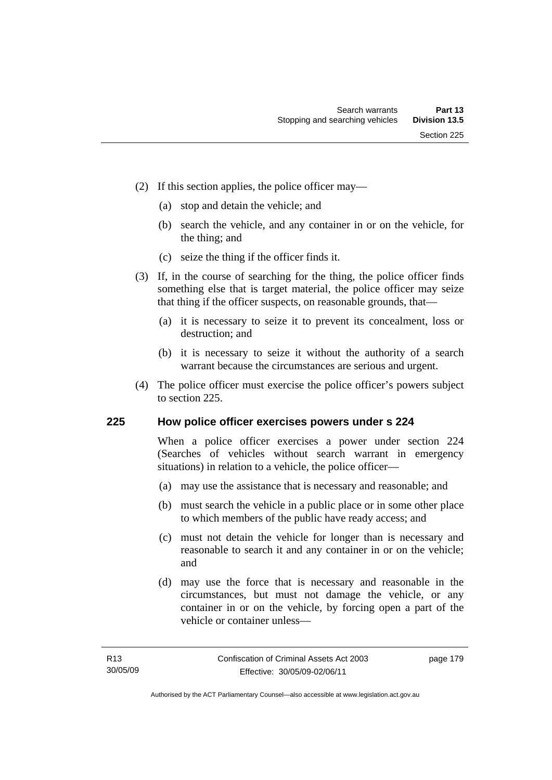- (2) If this section applies, the police officer may—
	- (a) stop and detain the vehicle; and
	- (b) search the vehicle, and any container in or on the vehicle, for the thing; and
	- (c) seize the thing if the officer finds it.
- (3) If, in the course of searching for the thing, the police officer finds something else that is target material, the police officer may seize that thing if the officer suspects, on reasonable grounds, that—
	- (a) it is necessary to seize it to prevent its concealment, loss or destruction; and
	- (b) it is necessary to seize it without the authority of a search warrant because the circumstances are serious and urgent.
- (4) The police officer must exercise the police officer's powers subject to section 225.

#### **225 How police officer exercises powers under s 224**

When a police officer exercises a power under section 224 (Searches of vehicles without search warrant in emergency situations) in relation to a vehicle, the police officer—

- (a) may use the assistance that is necessary and reasonable; and
- (b) must search the vehicle in a public place or in some other place to which members of the public have ready access; and
- (c) must not detain the vehicle for longer than is necessary and reasonable to search it and any container in or on the vehicle; and
- (d) may use the force that is necessary and reasonable in the circumstances, but must not damage the vehicle, or any container in or on the vehicle, by forcing open a part of the vehicle or container unless—

page 179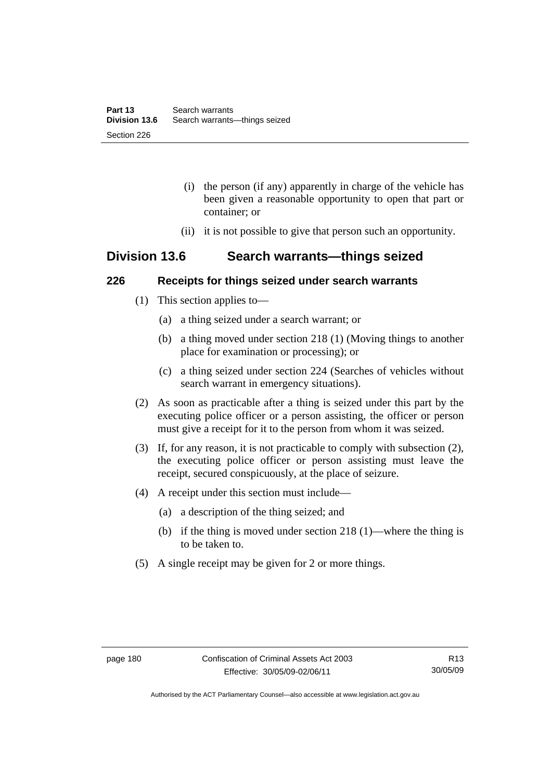- (i) the person (if any) apparently in charge of the vehicle has been given a reasonable opportunity to open that part or container; or
- (ii) it is not possible to give that person such an opportunity.

## **Division 13.6 Search warrants—things seized**

#### **226 Receipts for things seized under search warrants**

- (1) This section applies to—
	- (a) a thing seized under a search warrant; or
	- (b) a thing moved under section 218 (1) (Moving things to another place for examination or processing); or
	- (c) a thing seized under section 224 (Searches of vehicles without search warrant in emergency situations).
- (2) As soon as practicable after a thing is seized under this part by the executing police officer or a person assisting, the officer or person must give a receipt for it to the person from whom it was seized.
- (3) If, for any reason, it is not practicable to comply with subsection (2), the executing police officer or person assisting must leave the receipt, secured conspicuously, at the place of seizure.
- (4) A receipt under this section must include—
	- (a) a description of the thing seized; and
	- (b) if the thing is moved under section 218 (1)—where the thing is to be taken to.
- (5) A single receipt may be given for 2 or more things.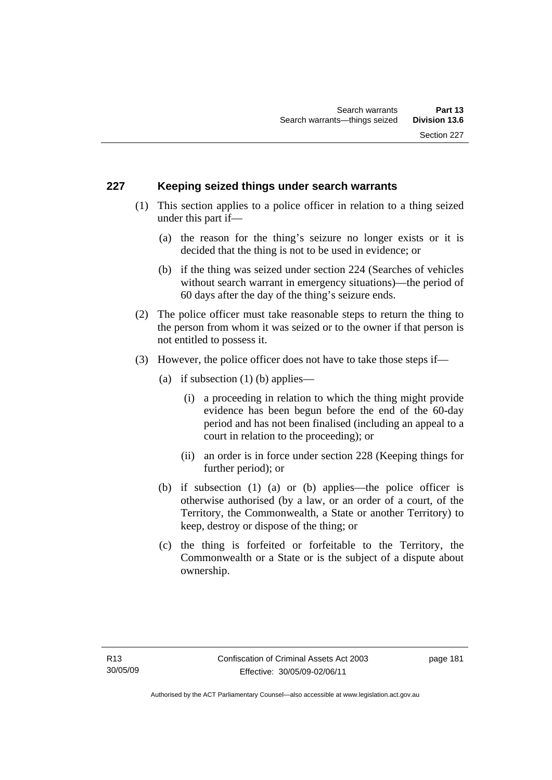#### **227 Keeping seized things under search warrants**

- (1) This section applies to a police officer in relation to a thing seized under this part if—
	- (a) the reason for the thing's seizure no longer exists or it is decided that the thing is not to be used in evidence; or
	- (b) if the thing was seized under section 224 (Searches of vehicles without search warrant in emergency situations)—the period of 60 days after the day of the thing's seizure ends.
- (2) The police officer must take reasonable steps to return the thing to the person from whom it was seized or to the owner if that person is not entitled to possess it.
- (3) However, the police officer does not have to take those steps if—
	- (a) if subsection  $(1)$  (b) applies—
		- (i) a proceeding in relation to which the thing might provide evidence has been begun before the end of the 60-day period and has not been finalised (including an appeal to a court in relation to the proceeding); or
		- (ii) an order is in force under section 228 (Keeping things for further period); or
	- (b) if subsection (1) (a) or (b) applies—the police officer is otherwise authorised (by a law, or an order of a court, of the Territory, the Commonwealth, a State or another Territory) to keep, destroy or dispose of the thing; or
	- (c) the thing is forfeited or forfeitable to the Territory, the Commonwealth or a State or is the subject of a dispute about ownership.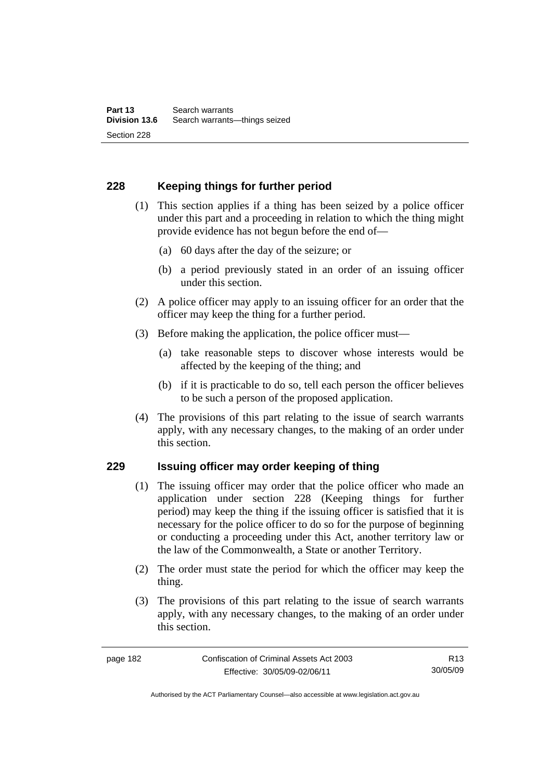### **228 Keeping things for further period**

- (1) This section applies if a thing has been seized by a police officer under this part and a proceeding in relation to which the thing might provide evidence has not begun before the end of—
	- (a) 60 days after the day of the seizure; or
	- (b) a period previously stated in an order of an issuing officer under this section.
- (2) A police officer may apply to an issuing officer for an order that the officer may keep the thing for a further period.
- (3) Before making the application, the police officer must—
	- (a) take reasonable steps to discover whose interests would be affected by the keeping of the thing; and
	- (b) if it is practicable to do so, tell each person the officer believes to be such a person of the proposed application.
- (4) The provisions of this part relating to the issue of search warrants apply, with any necessary changes, to the making of an order under this section.

#### **229 Issuing officer may order keeping of thing**

- (1) The issuing officer may order that the police officer who made an application under section 228 (Keeping things for further period) may keep the thing if the issuing officer is satisfied that it is necessary for the police officer to do so for the purpose of beginning or conducting a proceeding under this Act, another territory law or the law of the Commonwealth, a State or another Territory.
- (2) The order must state the period for which the officer may keep the thing.
- (3) The provisions of this part relating to the issue of search warrants apply, with any necessary changes, to the making of an order under this section.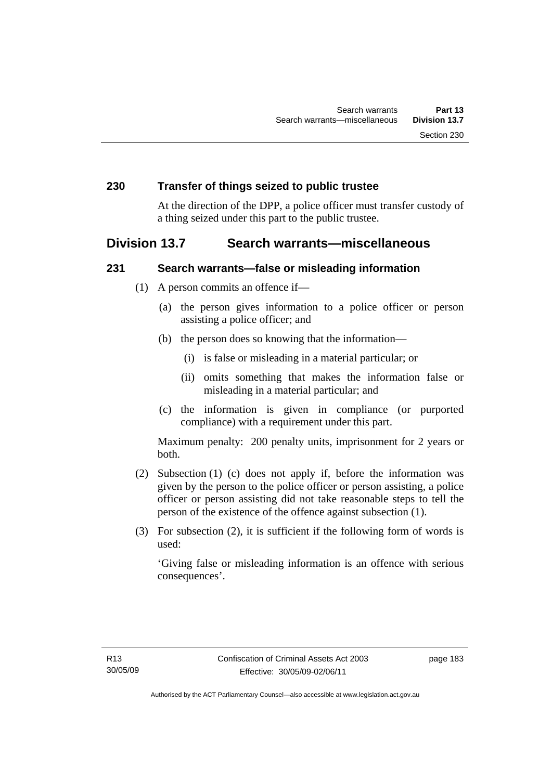#### **230 Transfer of things seized to public trustee**

At the direction of the DPP, a police officer must transfer custody of a thing seized under this part to the public trustee.

### **Division 13.7 Search warrants—miscellaneous**

#### **231 Search warrants—false or misleading information**

- (1) A person commits an offence if—
	- (a) the person gives information to a police officer or person assisting a police officer; and
	- (b) the person does so knowing that the information—
		- (i) is false or misleading in a material particular; or
		- (ii) omits something that makes the information false or misleading in a material particular; and
	- (c) the information is given in compliance (or purported compliance) with a requirement under this part.

Maximum penalty: 200 penalty units, imprisonment for 2 years or both.

- (2) Subsection (1) (c) does not apply if, before the information was given by the person to the police officer or person assisting, a police officer or person assisting did not take reasonable steps to tell the person of the existence of the offence against subsection (1).
- (3) For subsection (2), it is sufficient if the following form of words is used:

'Giving false or misleading information is an offence with serious consequences'.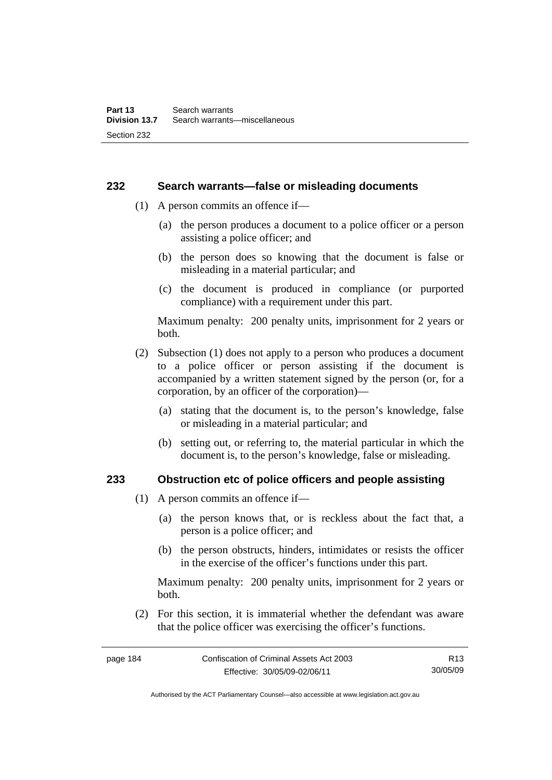#### **232 Search warrants—false or misleading documents**

- (1) A person commits an offence if—
	- (a) the person produces a document to a police officer or a person assisting a police officer; and
	- (b) the person does so knowing that the document is false or misleading in a material particular; and
	- (c) the document is produced in compliance (or purported compliance) with a requirement under this part.

Maximum penalty: 200 penalty units, imprisonment for 2 years or both.

- (2) Subsection (1) does not apply to a person who produces a document to a police officer or person assisting if the document is accompanied by a written statement signed by the person (or, for a corporation, by an officer of the corporation)—
	- (a) stating that the document is, to the person's knowledge, false or misleading in a material particular; and
	- (b) setting out, or referring to, the material particular in which the document is, to the person's knowledge, false or misleading.

#### **233 Obstruction etc of police officers and people assisting**

- (1) A person commits an offence if—
	- (a) the person knows that, or is reckless about the fact that, a person is a police officer; and
	- (b) the person obstructs, hinders, intimidates or resists the officer in the exercise of the officer's functions under this part.

Maximum penalty: 200 penalty units, imprisonment for 2 years or both.

 (2) For this section, it is immaterial whether the defendant was aware that the police officer was exercising the officer's functions.

Authorised by the ACT Parliamentary Counsel—also accessible at www.legislation.act.gov.au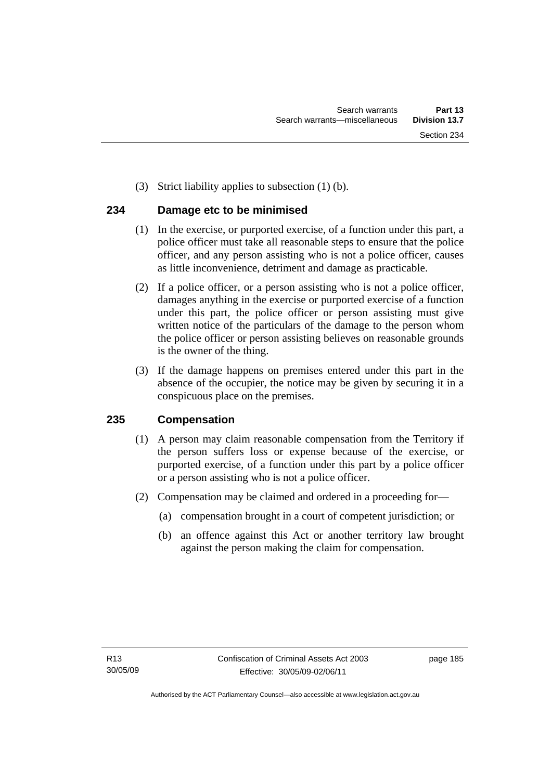(3) Strict liability applies to subsection (1) (b).

### **234 Damage etc to be minimised**

- (1) In the exercise, or purported exercise, of a function under this part, a police officer must take all reasonable steps to ensure that the police officer, and any person assisting who is not a police officer, causes as little inconvenience, detriment and damage as practicable.
- (2) If a police officer, or a person assisting who is not a police officer, damages anything in the exercise or purported exercise of a function under this part, the police officer or person assisting must give written notice of the particulars of the damage to the person whom the police officer or person assisting believes on reasonable grounds is the owner of the thing.
- (3) If the damage happens on premises entered under this part in the absence of the occupier, the notice may be given by securing it in a conspicuous place on the premises.

### **235 Compensation**

- (1) A person may claim reasonable compensation from the Territory if the person suffers loss or expense because of the exercise, or purported exercise, of a function under this part by a police officer or a person assisting who is not a police officer.
- (2) Compensation may be claimed and ordered in a proceeding for—
	- (a) compensation brought in a court of competent jurisdiction; or
	- (b) an offence against this Act or another territory law brought against the person making the claim for compensation.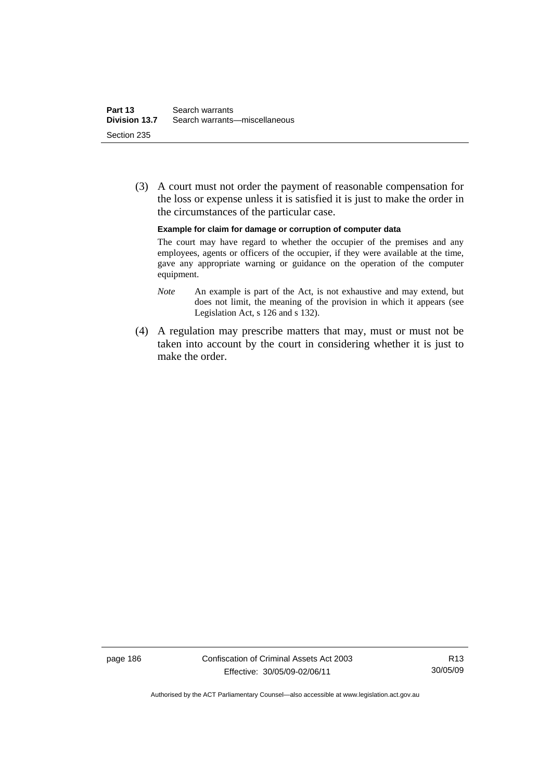(3) A court must not order the payment of reasonable compensation for the loss or expense unless it is satisfied it is just to make the order in the circumstances of the particular case.

**Example for claim for damage or corruption of computer data** 

The court may have regard to whether the occupier of the premises and any employees, agents or officers of the occupier, if they were available at the time, gave any appropriate warning or guidance on the operation of the computer equipment.

- *Note* An example is part of the Act, is not exhaustive and may extend, but does not limit, the meaning of the provision in which it appears (see Legislation Act, s 126 and s 132).
- (4) A regulation may prescribe matters that may, must or must not be taken into account by the court in considering whether it is just to make the order.

page 186 Confiscation of Criminal Assets Act 2003 Effective: 30/05/09-02/06/11

R13 30/05/09

Authorised by the ACT Parliamentary Counsel—also accessible at www.legislation.act.gov.au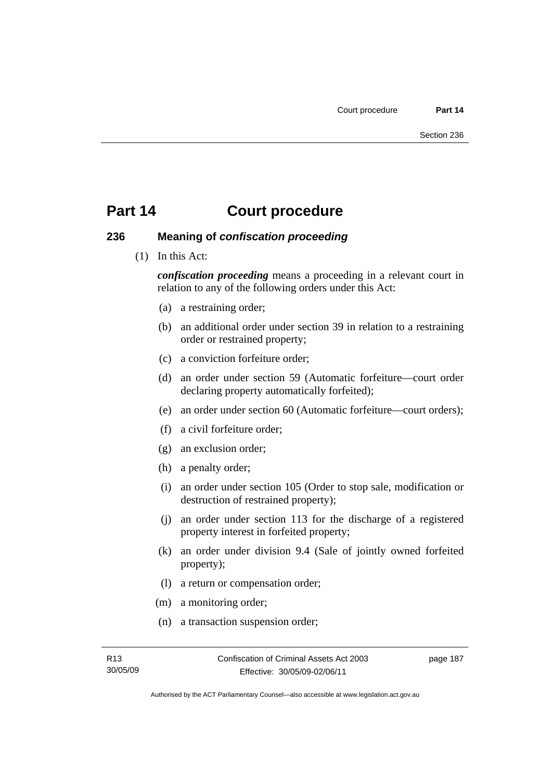#### **236 Meaning of** *confiscation proceeding*

(1) In this Act:

*confiscation proceeding* means a proceeding in a relevant court in relation to any of the following orders under this Act:

- (a) a restraining order;
- (b) an additional order under section 39 in relation to a restraining order or restrained property;
- (c) a conviction forfeiture order;
- (d) an order under section 59 (Automatic forfeiture—court order declaring property automatically forfeited);
- (e) an order under section 60 (Automatic forfeiture—court orders);
- (f) a civil forfeiture order;
- (g) an exclusion order;
- (h) a penalty order;
- (i) an order under section 105 (Order to stop sale, modification or destruction of restrained property);
- (j) an order under section 113 for the discharge of a registered property interest in forfeited property;
- (k) an order under division 9.4 (Sale of jointly owned forfeited property);
- (l) a return or compensation order;
- (m) a monitoring order;
- (n) a transaction suspension order;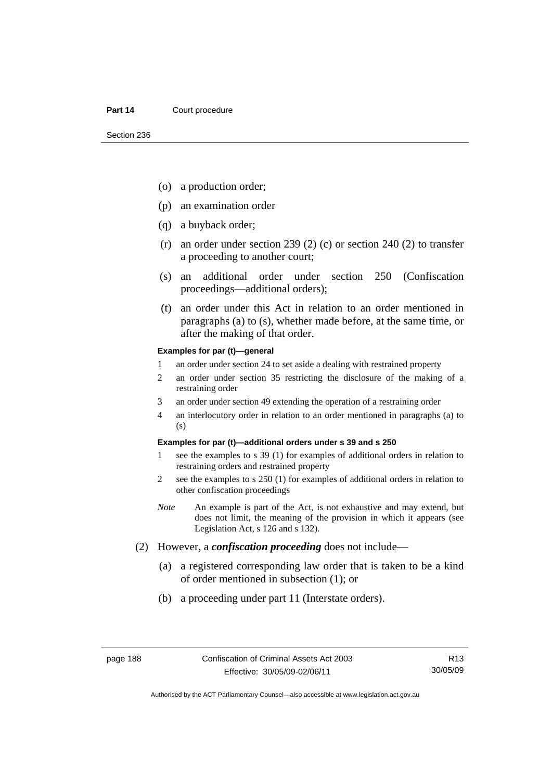- (o) a production order;
- (p) an examination order
- (q) a buyback order;
- (r) an order under section 239 (2) (c) or section 240 (2) to transfer a proceeding to another court;
- (s) an additional order under section 250 (Confiscation proceedings—additional orders);
- (t) an order under this Act in relation to an order mentioned in paragraphs (a) to (s), whether made before, at the same time, or after the making of that order.

#### **Examples for par (t)—general**

- 1 an order under section 24 to set aside a dealing with restrained property
- 2 an order under section 35 restricting the disclosure of the making of a restraining order
- 3 an order under section 49 extending the operation of a restraining order
- 4 an interlocutory order in relation to an order mentioned in paragraphs (a) to (s)

#### **Examples for par (t)—additional orders under s 39 and s 250**

- 1 see the examples to s 39 (1) for examples of additional orders in relation to restraining orders and restrained property
- 2 see the examples to s 250 (1) for examples of additional orders in relation to other confiscation proceedings
- *Note* An example is part of the Act, is not exhaustive and may extend, but does not limit, the meaning of the provision in which it appears (see Legislation Act, s 126 and s 132).
- (2) However, a *confiscation proceeding* does not include—
	- (a) a registered corresponding law order that is taken to be a kind of order mentioned in subsection (1); or
	- (b) a proceeding under part 11 (Interstate orders).

R13 30/05/09

Authorised by the ACT Parliamentary Counsel—also accessible at www.legislation.act.gov.au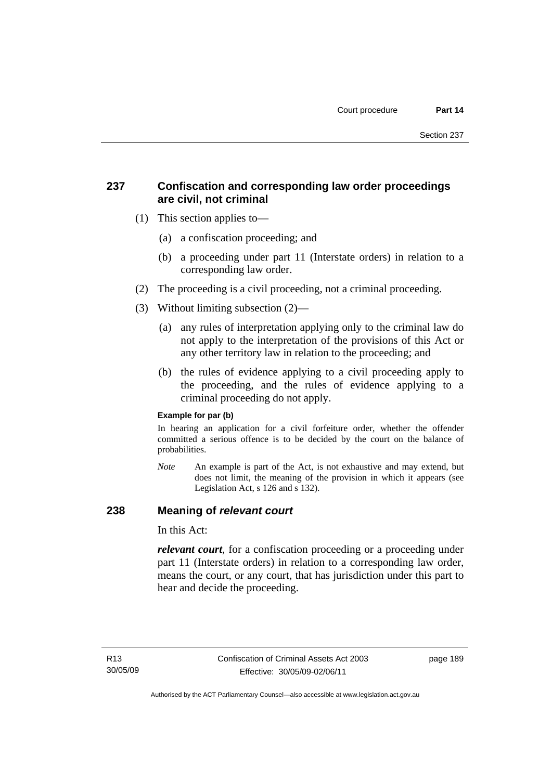### **237 Confiscation and corresponding law order proceedings are civil, not criminal**

- (1) This section applies to—
	- (a) a confiscation proceeding; and
	- (b) a proceeding under part 11 (Interstate orders) in relation to a corresponding law order.
- (2) The proceeding is a civil proceeding, not a criminal proceeding.
- (3) Without limiting subsection (2)—
	- (a) any rules of interpretation applying only to the criminal law do not apply to the interpretation of the provisions of this Act or any other territory law in relation to the proceeding; and
	- (b) the rules of evidence applying to a civil proceeding apply to the proceeding, and the rules of evidence applying to a criminal proceeding do not apply.

#### **Example for par (b)**

In hearing an application for a civil forfeiture order, whether the offender committed a serious offence is to be decided by the court on the balance of probabilities.

*Note* An example is part of the Act, is not exhaustive and may extend, but does not limit, the meaning of the provision in which it appears (see Legislation Act, s 126 and s 132).

#### **238 Meaning of** *relevant court*

In this Act:

*relevant court*, for a confiscation proceeding or a proceeding under part 11 (Interstate orders) in relation to a corresponding law order, means the court, or any court, that has jurisdiction under this part to hear and decide the proceeding.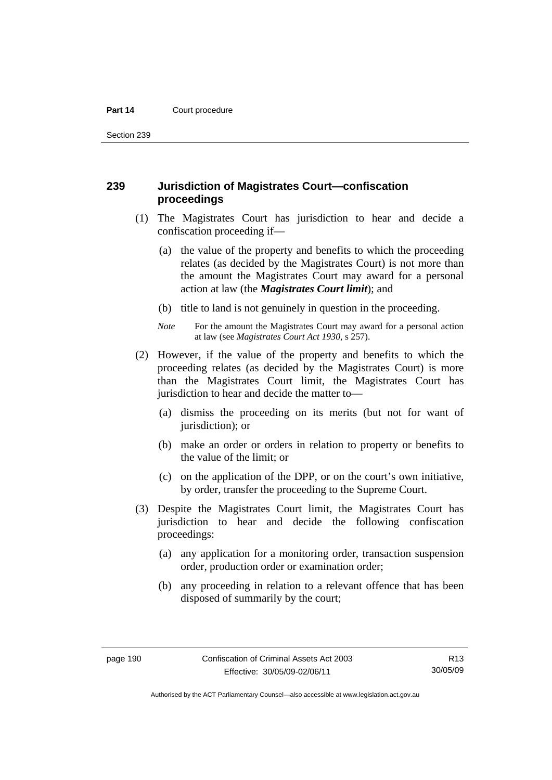Section 239

#### **239 Jurisdiction of Magistrates Court—confiscation proceedings**

- (1) The Magistrates Court has jurisdiction to hear and decide a confiscation proceeding if—
	- (a) the value of the property and benefits to which the proceeding relates (as decided by the Magistrates Court) is not more than the amount the Magistrates Court may award for a personal action at law (the *Magistrates Court limit*); and
	- (b) title to land is not genuinely in question in the proceeding.
	- *Note* For the amount the Magistrates Court may award for a personal action at law (see *Magistrates Court Act 1930*, s 257).
- (2) However, if the value of the property and benefits to which the proceeding relates (as decided by the Magistrates Court) is more than the Magistrates Court limit, the Magistrates Court has jurisdiction to hear and decide the matter to—
	- (a) dismiss the proceeding on its merits (but not for want of jurisdiction); or
	- (b) make an order or orders in relation to property or benefits to the value of the limit; or
	- (c) on the application of the DPP, or on the court's own initiative, by order, transfer the proceeding to the Supreme Court.
- (3) Despite the Magistrates Court limit, the Magistrates Court has jurisdiction to hear and decide the following confiscation proceedings:
	- (a) any application for a monitoring order, transaction suspension order, production order or examination order;
	- (b) any proceeding in relation to a relevant offence that has been disposed of summarily by the court;

R13 30/05/09

Authorised by the ACT Parliamentary Counsel—also accessible at www.legislation.act.gov.au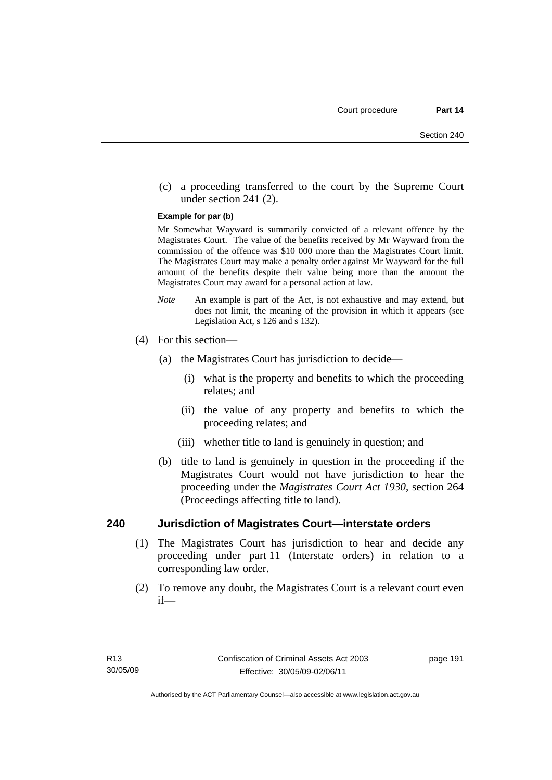(c) a proceeding transferred to the court by the Supreme Court under section 241 (2).

#### **Example for par (b)**

Mr Somewhat Wayward is summarily convicted of a relevant offence by the Magistrates Court. The value of the benefits received by Mr Wayward from the commission of the offence was \$10 000 more than the Magistrates Court limit. The Magistrates Court may make a penalty order against Mr Wayward for the full amount of the benefits despite their value being more than the amount the Magistrates Court may award for a personal action at law.

- *Note* An example is part of the Act, is not exhaustive and may extend, but does not limit, the meaning of the provision in which it appears (see Legislation Act, s 126 and s 132).
- (4) For this section—
	- (a) the Magistrates Court has jurisdiction to decide—
		- (i) what is the property and benefits to which the proceeding relates; and
		- (ii) the value of any property and benefits to which the proceeding relates; and
		- (iii) whether title to land is genuinely in question; and
	- (b) title to land is genuinely in question in the proceeding if the Magistrates Court would not have jurisdiction to hear the proceeding under the *Magistrates Court Act 1930*, section 264 (Proceedings affecting title to land).

#### **240 Jurisdiction of Magistrates Court—interstate orders**

- (1) The Magistrates Court has jurisdiction to hear and decide any proceeding under part 11 (Interstate orders) in relation to a corresponding law order.
- (2) To remove any doubt, the Magistrates Court is a relevant court even if—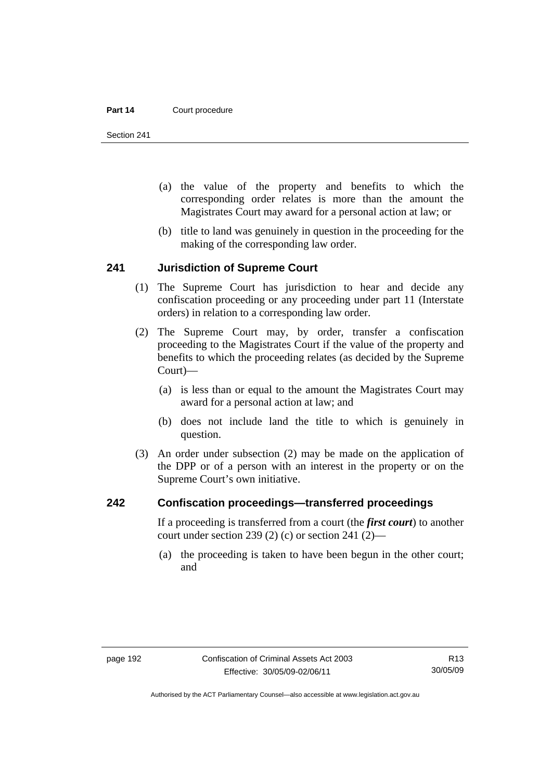Section 241

- (a) the value of the property and benefits to which the corresponding order relates is more than the amount the Magistrates Court may award for a personal action at law; or
- (b) title to land was genuinely in question in the proceeding for the making of the corresponding law order.

#### **241 Jurisdiction of Supreme Court**

- (1) The Supreme Court has jurisdiction to hear and decide any confiscation proceeding or any proceeding under part 11 (Interstate orders) in relation to a corresponding law order.
- (2) The Supreme Court may, by order, transfer a confiscation proceeding to the Magistrates Court if the value of the property and benefits to which the proceeding relates (as decided by the Supreme Court)—
	- (a) is less than or equal to the amount the Magistrates Court may award for a personal action at law; and
	- (b) does not include land the title to which is genuinely in question.
- (3) An order under subsection (2) may be made on the application of the DPP or of a person with an interest in the property or on the Supreme Court's own initiative.

#### **242 Confiscation proceedings—transferred proceedings**

If a proceeding is transferred from a court (the *first court*) to another court under section 239 (2) (c) or section 241 (2)—

 (a) the proceeding is taken to have been begun in the other court; and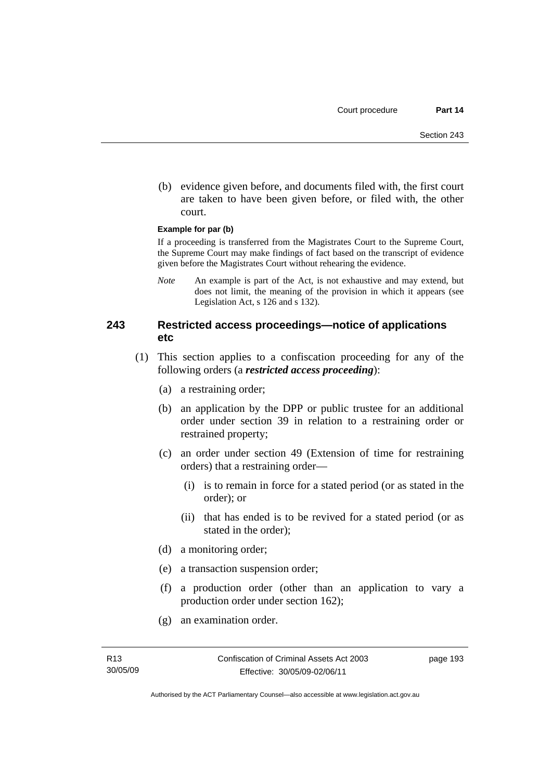(b) evidence given before, and documents filed with, the first court are taken to have been given before, or filed with, the other court.

#### **Example for par (b)**

If a proceeding is transferred from the Magistrates Court to the Supreme Court, the Supreme Court may make findings of fact based on the transcript of evidence given before the Magistrates Court without rehearing the evidence.

*Note* An example is part of the Act, is not exhaustive and may extend, but does not limit, the meaning of the provision in which it appears (see Legislation Act, s 126 and s 132).

#### **243 Restricted access proceedings—notice of applications etc**

- (1) This section applies to a confiscation proceeding for any of the following orders (a *restricted access proceeding*):
	- (a) a restraining order;
	- (b) an application by the DPP or public trustee for an additional order under section 39 in relation to a restraining order or restrained property;
	- (c) an order under section 49 (Extension of time for restraining orders) that a restraining order—
		- (i) is to remain in force for a stated period (or as stated in the order); or
		- (ii) that has ended is to be revived for a stated period (or as stated in the order);
	- (d) a monitoring order;
	- (e) a transaction suspension order;
	- (f) a production order (other than an application to vary a production order under section 162);
	- (g) an examination order.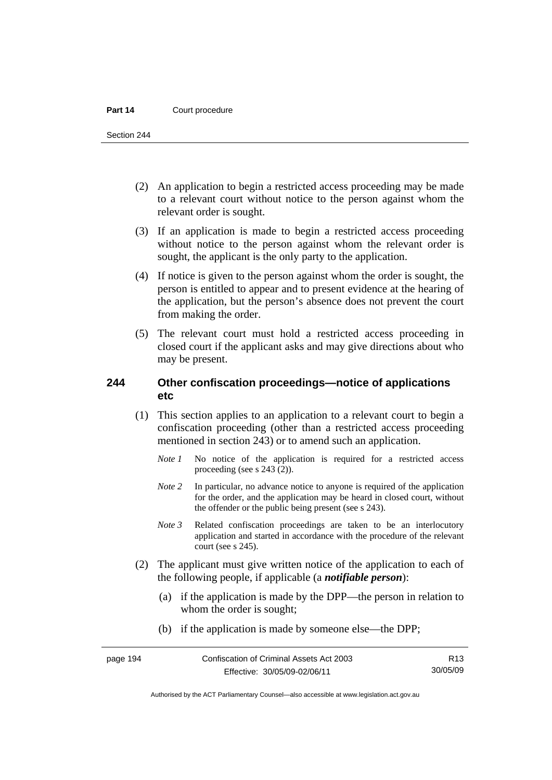Section 244

- (2) An application to begin a restricted access proceeding may be made to a relevant court without notice to the person against whom the relevant order is sought.
- (3) If an application is made to begin a restricted access proceeding without notice to the person against whom the relevant order is sought, the applicant is the only party to the application.
- (4) If notice is given to the person against whom the order is sought, the person is entitled to appear and to present evidence at the hearing of the application, but the person's absence does not prevent the court from making the order.
- (5) The relevant court must hold a restricted access proceeding in closed court if the applicant asks and may give directions about who may be present.

#### **244 Other confiscation proceedings—notice of applications etc**

- (1) This section applies to an application to a relevant court to begin a confiscation proceeding (other than a restricted access proceeding mentioned in section 243) or to amend such an application.
	- *Note 1* No notice of the application is required for a restricted access proceeding (see s 243 (2)).
	- *Note 2* In particular, no advance notice to anyone is required of the application for the order, and the application may be heard in closed court, without the offender or the public being present (see s 243).
	- *Note 3* Related confiscation proceedings are taken to be an interlocutory application and started in accordance with the procedure of the relevant court (see s 245).
- (2) The applicant must give written notice of the application to each of the following people, if applicable (a *notifiable person*):
	- (a) if the application is made by the DPP—the person in relation to whom the order is sought;
	- (b) if the application is made by someone else—the DPP;

R13 30/05/09

Authorised by the ACT Parliamentary Counsel—also accessible at www.legislation.act.gov.au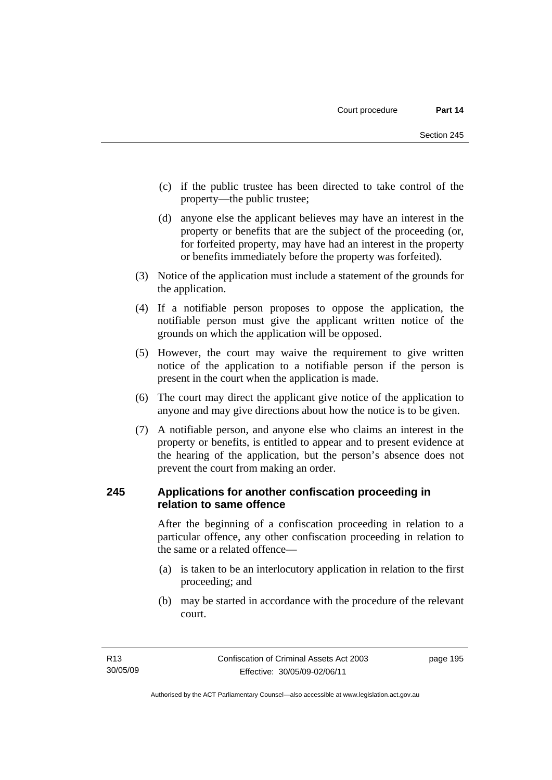- (c) if the public trustee has been directed to take control of the property—the public trustee;
- (d) anyone else the applicant believes may have an interest in the property or benefits that are the subject of the proceeding (or, for forfeited property, may have had an interest in the property or benefits immediately before the property was forfeited).
- (3) Notice of the application must include a statement of the grounds for the application.
- (4) If a notifiable person proposes to oppose the application, the notifiable person must give the applicant written notice of the grounds on which the application will be opposed.
- (5) However, the court may waive the requirement to give written notice of the application to a notifiable person if the person is present in the court when the application is made.
- (6) The court may direct the applicant give notice of the application to anyone and may give directions about how the notice is to be given.
- (7) A notifiable person, and anyone else who claims an interest in the property or benefits, is entitled to appear and to present evidence at the hearing of the application, but the person's absence does not prevent the court from making an order.

### **245 Applications for another confiscation proceeding in relation to same offence**

After the beginning of a confiscation proceeding in relation to a particular offence, any other confiscation proceeding in relation to the same or a related offence—

- (a) is taken to be an interlocutory application in relation to the first proceeding; and
- (b) may be started in accordance with the procedure of the relevant court.

page 195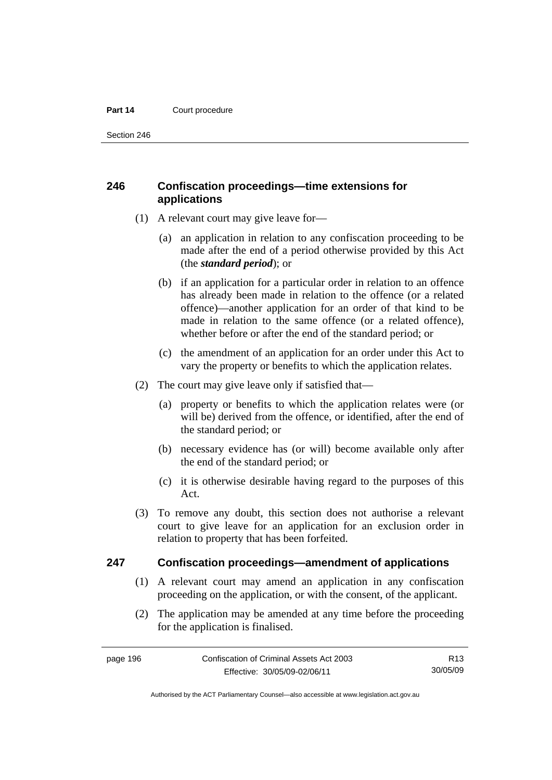Section 246

### **246 Confiscation proceedings—time extensions for applications**

- (1) A relevant court may give leave for—
	- (a) an application in relation to any confiscation proceeding to be made after the end of a period otherwise provided by this Act (the *standard period*); or
	- (b) if an application for a particular order in relation to an offence has already been made in relation to the offence (or a related offence)—another application for an order of that kind to be made in relation to the same offence (or a related offence), whether before or after the end of the standard period; or
	- (c) the amendment of an application for an order under this Act to vary the property or benefits to which the application relates.
- (2) The court may give leave only if satisfied that—
	- (a) property or benefits to which the application relates were (or will be) derived from the offence, or identified, after the end of the standard period; or
	- (b) necessary evidence has (or will) become available only after the end of the standard period; or
	- (c) it is otherwise desirable having regard to the purposes of this Act.
- (3) To remove any doubt, this section does not authorise a relevant court to give leave for an application for an exclusion order in relation to property that has been forfeited.

#### **247 Confiscation proceedings—amendment of applications**

- (1) A relevant court may amend an application in any confiscation proceeding on the application, or with the consent, of the applicant.
- (2) The application may be amended at any time before the proceeding for the application is finalised.

Authorised by the ACT Parliamentary Counsel—also accessible at www.legislation.act.gov.au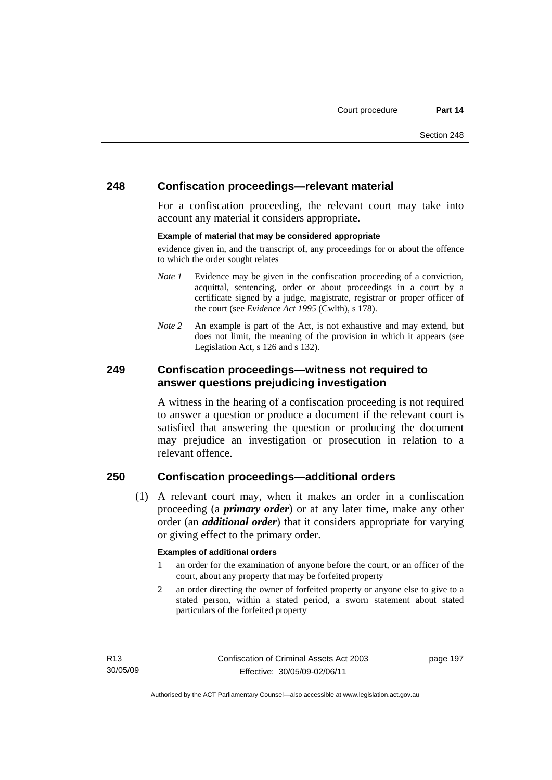#### **248 Confiscation proceedings—relevant material**

For a confiscation proceeding, the relevant court may take into account any material it considers appropriate.

#### **Example of material that may be considered appropriate**

evidence given in, and the transcript of, any proceedings for or about the offence to which the order sought relates

- *Note 1* Evidence may be given in the confiscation proceeding of a conviction, acquittal, sentencing, order or about proceedings in a court by a certificate signed by a judge, magistrate, registrar or proper officer of the court (see *Evidence Act 1995* (Cwlth), s 178).
- *Note* 2 An example is part of the Act, is not exhaustive and may extend, but does not limit, the meaning of the provision in which it appears (see Legislation Act, s 126 and s 132).

#### **249 Confiscation proceedings—witness not required to answer questions prejudicing investigation**

A witness in the hearing of a confiscation proceeding is not required to answer a question or produce a document if the relevant court is satisfied that answering the question or producing the document may prejudice an investigation or prosecution in relation to a relevant offence.

### **250 Confiscation proceedings—additional orders**

 (1) A relevant court may, when it makes an order in a confiscation proceeding (a *primary order*) or at any later time, make any other order (an *additional order*) that it considers appropriate for varying or giving effect to the primary order.

#### **Examples of additional orders**

- 1 an order for the examination of anyone before the court, or an officer of the court, about any property that may be forfeited property
- 2 an order directing the owner of forfeited property or anyone else to give to a stated person, within a stated period, a sworn statement about stated particulars of the forfeited property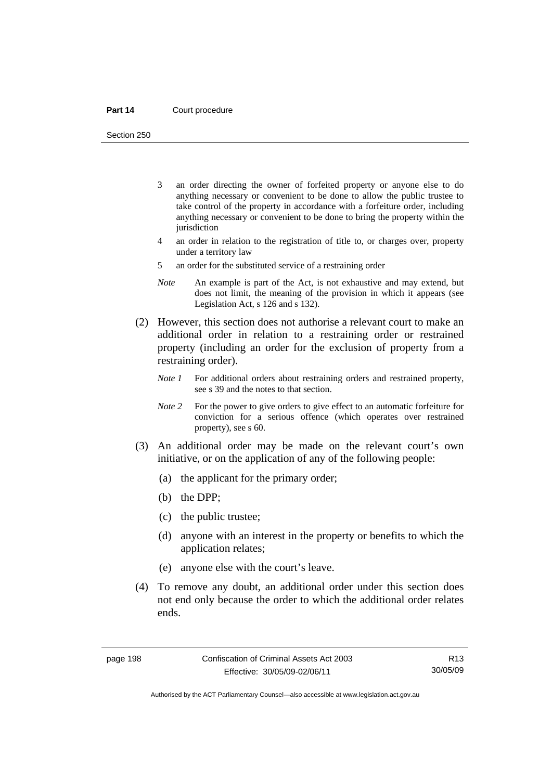Section 250

- 3 an order directing the owner of forfeited property or anyone else to do anything necessary or convenient to be done to allow the public trustee to take control of the property in accordance with a forfeiture order, including anything necessary or convenient to be done to bring the property within the jurisdiction
- 4 an order in relation to the registration of title to, or charges over, property under a territory law
- 5 an order for the substituted service of a restraining order
- *Note* An example is part of the Act, is not exhaustive and may extend, but does not limit, the meaning of the provision in which it appears (see Legislation Act, s 126 and s 132).
- (2) However, this section does not authorise a relevant court to make an additional order in relation to a restraining order or restrained property (including an order for the exclusion of property from a restraining order).
	- *Note 1* For additional orders about restraining orders and restrained property, see s 39 and the notes to that section.
	- *Note 2* For the power to give orders to give effect to an automatic forfeiture for conviction for a serious offence (which operates over restrained property), see s 60.
- (3) An additional order may be made on the relevant court's own initiative, or on the application of any of the following people:
	- (a) the applicant for the primary order;
	- (b) the DPP;
	- (c) the public trustee;
	- (d) anyone with an interest in the property or benefits to which the application relates;
	- (e) anyone else with the court's leave.
- (4) To remove any doubt, an additional order under this section does not end only because the order to which the additional order relates ends.

Authorised by the ACT Parliamentary Counsel—also accessible at www.legislation.act.gov.au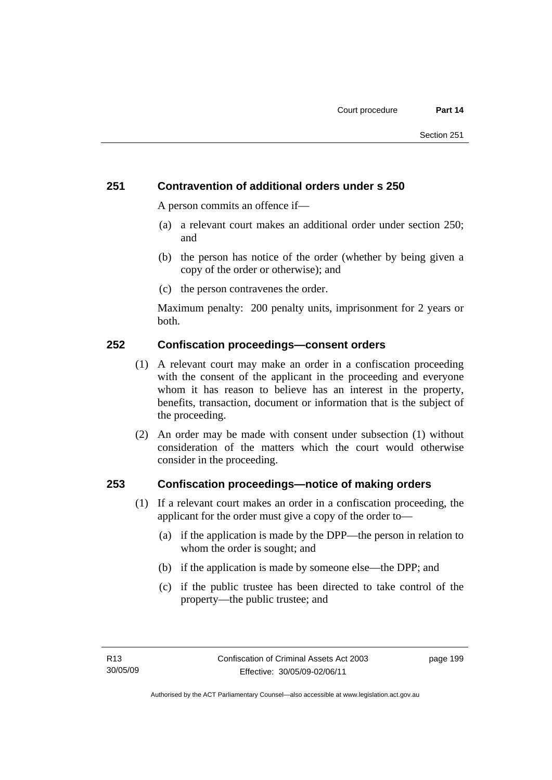### **251 Contravention of additional orders under s 250**

A person commits an offence if—

- (a) a relevant court makes an additional order under section 250; and
- (b) the person has notice of the order (whether by being given a copy of the order or otherwise); and
- (c) the person contravenes the order.

Maximum penalty: 200 penalty units, imprisonment for 2 years or both.

### **252 Confiscation proceedings—consent orders**

- (1) A relevant court may make an order in a confiscation proceeding with the consent of the applicant in the proceeding and everyone whom it has reason to believe has an interest in the property, benefits, transaction, document or information that is the subject of the proceeding.
- (2) An order may be made with consent under subsection (1) without consideration of the matters which the court would otherwise consider in the proceeding.

#### **253 Confiscation proceedings—notice of making orders**

- (1) If a relevant court makes an order in a confiscation proceeding, the applicant for the order must give a copy of the order to—
	- (a) if the application is made by the DPP—the person in relation to whom the order is sought; and
	- (b) if the application is made by someone else—the DPP; and
	- (c) if the public trustee has been directed to take control of the property—the public trustee; and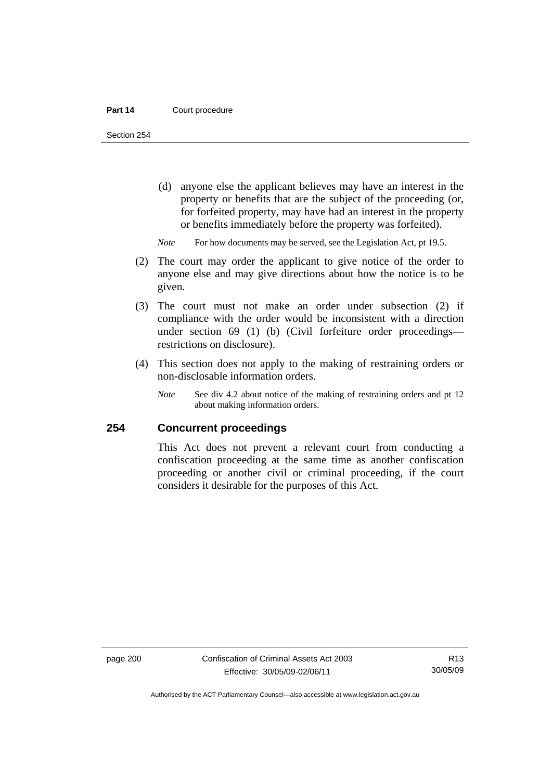Section 254

- (d) anyone else the applicant believes may have an interest in the property or benefits that are the subject of the proceeding (or, for forfeited property, may have had an interest in the property or benefits immediately before the property was forfeited).
- *Note* For how documents may be served, see the Legislation Act, pt 19.5.
- (2) The court may order the applicant to give notice of the order to anyone else and may give directions about how the notice is to be given.
- (3) The court must not make an order under subsection (2) if compliance with the order would be inconsistent with a direction under section 69 (1) (b) (Civil forfeiture order proceedings restrictions on disclosure).
- (4) This section does not apply to the making of restraining orders or non-disclosable information orders.
	- *Note* See div 4.2 about notice of the making of restraining orders and pt 12 about making information orders.

### **254 Concurrent proceedings**

This Act does not prevent a relevant court from conducting a confiscation proceeding at the same time as another confiscation proceeding or another civil or criminal proceeding, if the court considers it desirable for the purposes of this Act.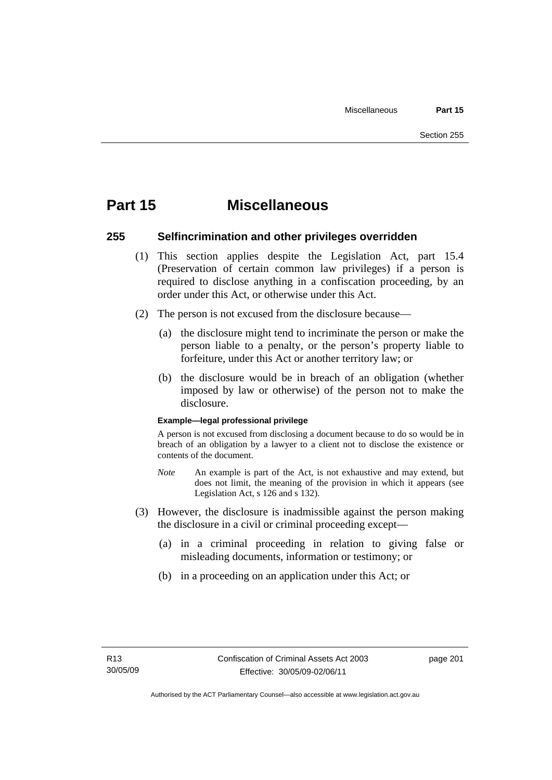# **Part 15 Miscellaneous**

#### **255 Selfincrimination and other privileges overridden**

- (1) This section applies despite the Legislation Act, part 15.4 (Preservation of certain common law privileges) if a person is required to disclose anything in a confiscation proceeding, by an order under this Act, or otherwise under this Act.
- (2) The person is not excused from the disclosure because—
	- (a) the disclosure might tend to incriminate the person or make the person liable to a penalty, or the person's property liable to forfeiture, under this Act or another territory law; or
	- (b) the disclosure would be in breach of an obligation (whether imposed by law or otherwise) of the person not to make the disclosure.

#### **Example—legal professional privilege**

A person is not excused from disclosing a document because to do so would be in breach of an obligation by a lawyer to a client not to disclose the existence or contents of the document.

- *Note* An example is part of the Act, is not exhaustive and may extend, but does not limit, the meaning of the provision in which it appears (see Legislation Act, s 126 and s 132).
- (3) However, the disclosure is inadmissible against the person making the disclosure in a civil or criminal proceeding except—
	- (a) in a criminal proceeding in relation to giving false or misleading documents, information or testimony; or
	- (b) in a proceeding on an application under this Act; or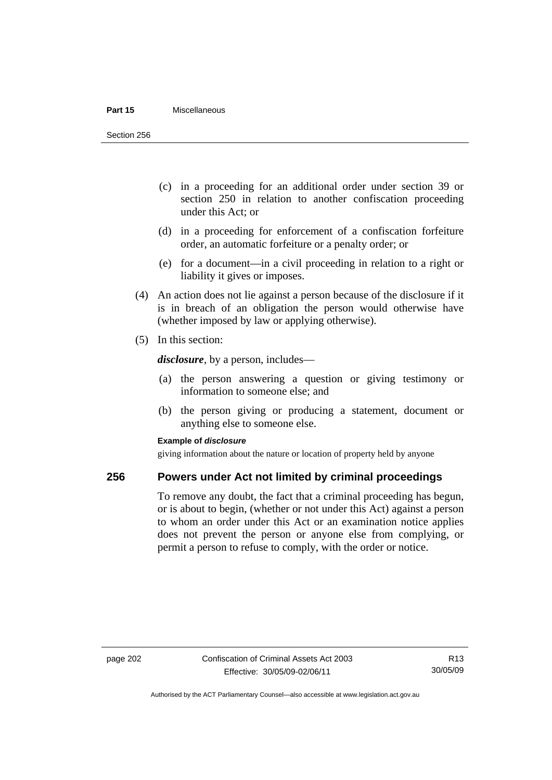#### **Part 15** Miscellaneous

Section 256

- (c) in a proceeding for an additional order under section 39 or section 250 in relation to another confiscation proceeding under this Act; or
- (d) in a proceeding for enforcement of a confiscation forfeiture order, an automatic forfeiture or a penalty order; or
- (e) for a document—in a civil proceeding in relation to a right or liability it gives or imposes.
- (4) An action does not lie against a person because of the disclosure if it is in breach of an obligation the person would otherwise have (whether imposed by law or applying otherwise).
- (5) In this section:

*disclosure*, by a person, includes—

- (a) the person answering a question or giving testimony or information to someone else; and
- (b) the person giving or producing a statement, document or anything else to someone else.

#### **Example of** *disclosure*

giving information about the nature or location of property held by anyone

#### **256 Powers under Act not limited by criminal proceedings**

To remove any doubt, the fact that a criminal proceeding has begun, or is about to begin, (whether or not under this Act) against a person to whom an order under this Act or an examination notice applies does not prevent the person or anyone else from complying, or permit a person to refuse to comply, with the order or notice.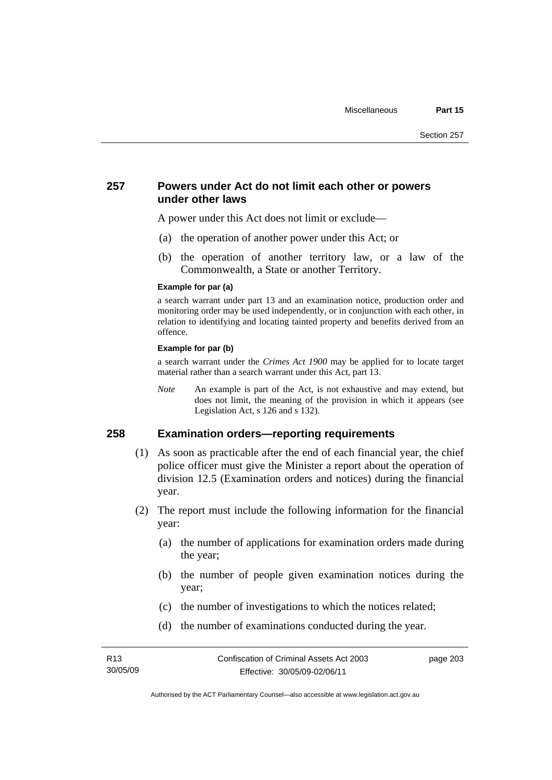# **257 Powers under Act do not limit each other or powers under other laws**

A power under this Act does not limit or exclude—

- (a) the operation of another power under this Act; or
- (b) the operation of another territory law, or a law of the Commonwealth, a State or another Territory.

#### **Example for par (a)**

a search warrant under part 13 and an examination notice, production order and monitoring order may be used independently, or in conjunction with each other, in relation to identifying and locating tainted property and benefits derived from an offence.

## **Example for par (b)**

a search warrant under the *Crimes Act 1900* may be applied for to locate target material rather than a search warrant under this Act, part 13.

*Note* An example is part of the Act, is not exhaustive and may extend, but does not limit, the meaning of the provision in which it appears (see Legislation Act, s 126 and s 132).

# **258 Examination orders—reporting requirements**

- (1) As soon as practicable after the end of each financial year, the chief police officer must give the Minister a report about the operation of division 12.5 (Examination orders and notices) during the financial year.
- (2) The report must include the following information for the financial year:
	- (a) the number of applications for examination orders made during the year;
	- (b) the number of people given examination notices during the year;
	- (c) the number of investigations to which the notices related;
	- (d) the number of examinations conducted during the year.

page 203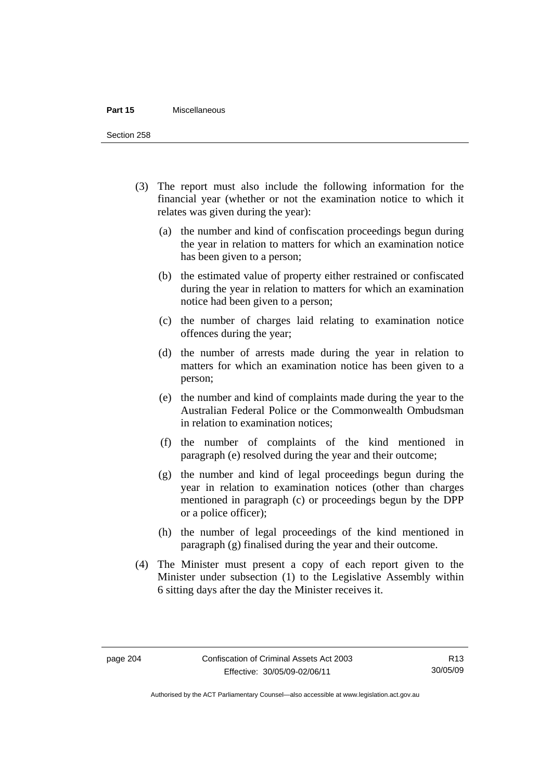## **Part 15** Miscellaneous

Section 258

- (3) The report must also include the following information for the financial year (whether or not the examination notice to which it relates was given during the year):
	- (a) the number and kind of confiscation proceedings begun during the year in relation to matters for which an examination notice has been given to a person;
	- (b) the estimated value of property either restrained or confiscated during the year in relation to matters for which an examination notice had been given to a person;
	- (c) the number of charges laid relating to examination notice offences during the year;
	- (d) the number of arrests made during the year in relation to matters for which an examination notice has been given to a person;
	- (e) the number and kind of complaints made during the year to the Australian Federal Police or the Commonwealth Ombudsman in relation to examination notices;
	- (f) the number of complaints of the kind mentioned in paragraph (e) resolved during the year and their outcome;
	- (g) the number and kind of legal proceedings begun during the year in relation to examination notices (other than charges mentioned in paragraph (c) or proceedings begun by the DPP or a police officer);
	- (h) the number of legal proceedings of the kind mentioned in paragraph (g) finalised during the year and their outcome.
- (4) The Minister must present a copy of each report given to the Minister under subsection (1) to the Legislative Assembly within 6 sitting days after the day the Minister receives it.

Authorised by the ACT Parliamentary Counsel—also accessible at www.legislation.act.gov.au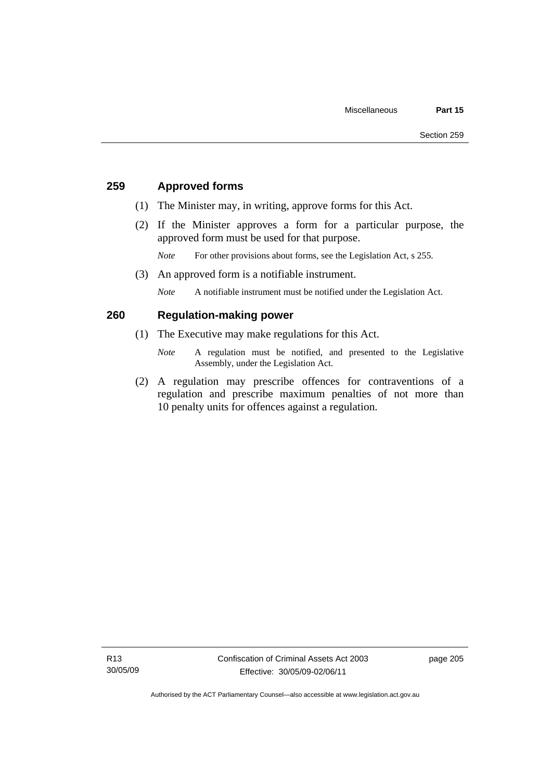# **259 Approved forms**

- (1) The Minister may, in writing, approve forms for this Act.
- (2) If the Minister approves a form for a particular purpose, the approved form must be used for that purpose.

*Note* For other provisions about forms, see the Legislation Act, s 255.

(3) An approved form is a notifiable instrument.

*Note* A notifiable instrument must be notified under the Legislation Act.

# **260 Regulation-making power**

- (1) The Executive may make regulations for this Act.
	- *Note* A regulation must be notified, and presented to the Legislative Assembly, under the Legislation Act.
- (2) A regulation may prescribe offences for contraventions of a regulation and prescribe maximum penalties of not more than 10 penalty units for offences against a regulation.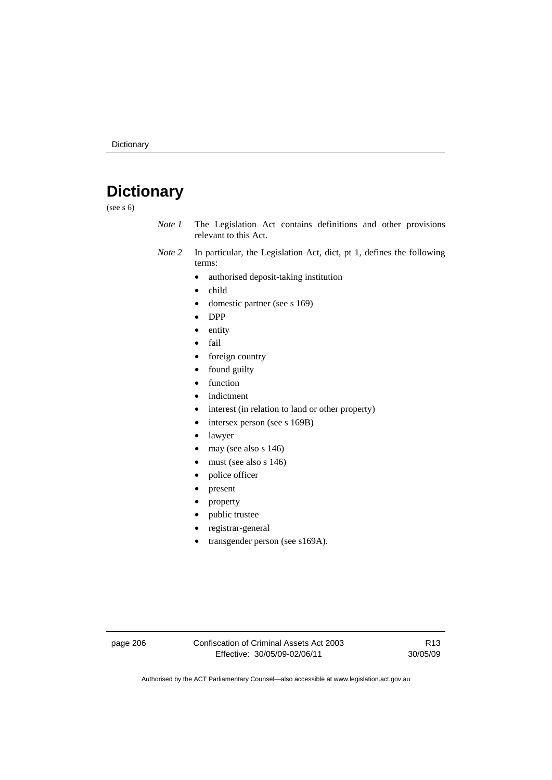# **Dictionary**

(see s 6)

- *Note 1* The Legislation Act contains definitions and other provisions relevant to this Act.
- *Note 2* In particular, the Legislation Act, dict, pt 1, defines the following terms:
	- authorised deposit-taking institution
	- child
	- domestic partner (see s 169)
	- DPP
	- entity
	- fail
	- foreign country
	- found guilty
	- function
	- indictment
	- interest (in relation to land or other property)
	- intersex person (see s 169B)
	- lawyer
	- may (see also s 146)
	- must (see also s 146)
	- police officer
	- present
	- property
	- public trustee
	- registrar-general
	- transgender person (see s169A).

page 206 Confiscation of Criminal Assets Act 2003 Effective: 30/05/09-02/06/11

R13 30/05/09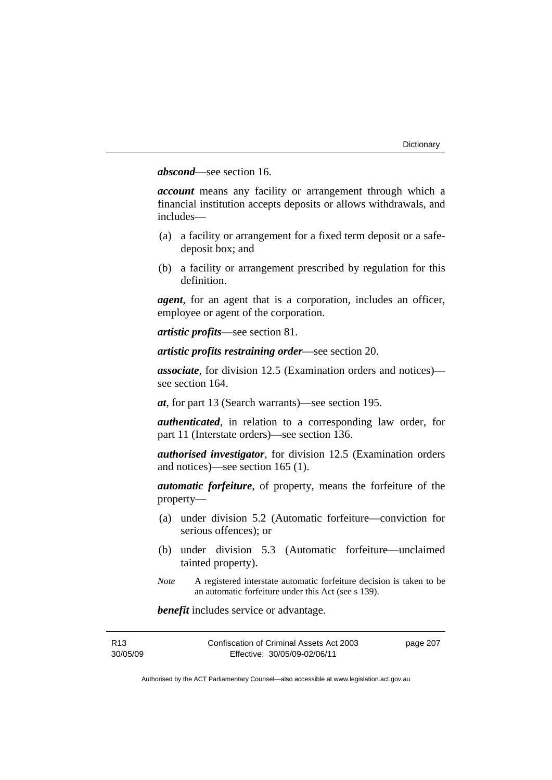# *abscond*—see section 16.

*account* means any facility or arrangement through which a financial institution accepts deposits or allows withdrawals, and includes—

- (a) a facility or arrangement for a fixed term deposit or a safedeposit box; and
- (b) a facility or arrangement prescribed by regulation for this definition.

*agent*, for an agent that is a corporation, includes an officer, employee or agent of the corporation.

*artistic profits*—see section 81.

*artistic profits restraining order*—see section 20.

*associate*, for division 12.5 (Examination orders and notices) see section 164.

*at*, for part 13 (Search warrants)—see section 195.

*authenticated*, in relation to a corresponding law order, for part 11 (Interstate orders)—see section 136.

*authorised investigator*, for division 12.5 (Examination orders and notices)—see section 165 (1).

*automatic forfeiture*, of property, means the forfeiture of the property—

- (a) under division 5.2 (Automatic forfeiture—conviction for serious offences); or
- (b) under division 5.3 (Automatic forfeiture—unclaimed tainted property).
- *Note* A registered interstate automatic forfeiture decision is taken to be an automatic forfeiture under this Act (see s 139).

*benefit* includes service or advantage.

| R <sub>13</sub> | Confiscation of Criminal Assets Act 2003 | page 207 |
|-----------------|------------------------------------------|----------|
| 30/05/09        | Effective: 30/05/09-02/06/11             |          |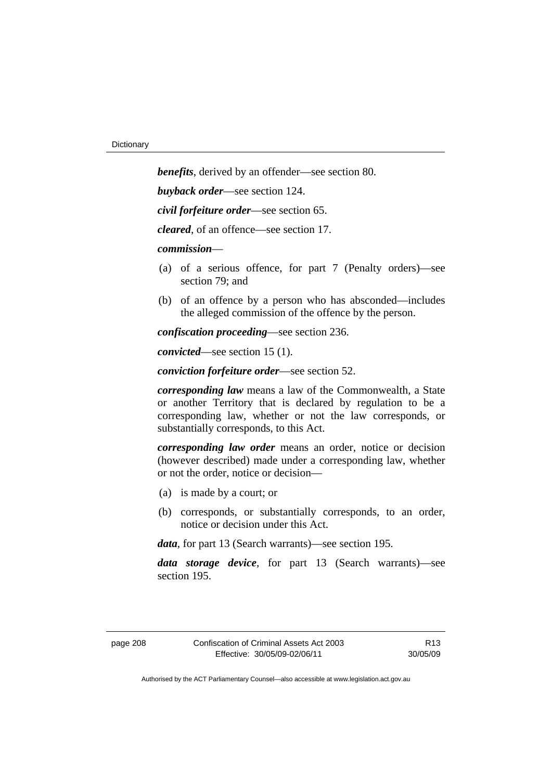*benefits*, derived by an offender—see section 80. *buyback order*—see section 124. *civil forfeiture order*—see section 65. *cleared*, of an offence—see section 17. *commission*— (a) of a serious offence, for part 7 (Penalty orders)—see section 79; and (b) of an offence by a person who has absconded—includes the alleged commission of the offence by the person. *confiscation proceeding*—see section 236.

*convicted*—see section 15 (1).

*conviction forfeiture order*—see section 52.

*corresponding law* means a law of the Commonwealth, a State or another Territory that is declared by regulation to be a corresponding law, whether or not the law corresponds, or substantially corresponds, to this Act.

*corresponding law order* means an order, notice or decision (however described) made under a corresponding law, whether or not the order, notice or decision—

- (a) is made by a court; or
- (b) corresponds, or substantially corresponds, to an order, notice or decision under this Act.

*data*, for part 13 (Search warrants)—see section 195.

*data storage device*, for part 13 (Search warrants)—see section 195.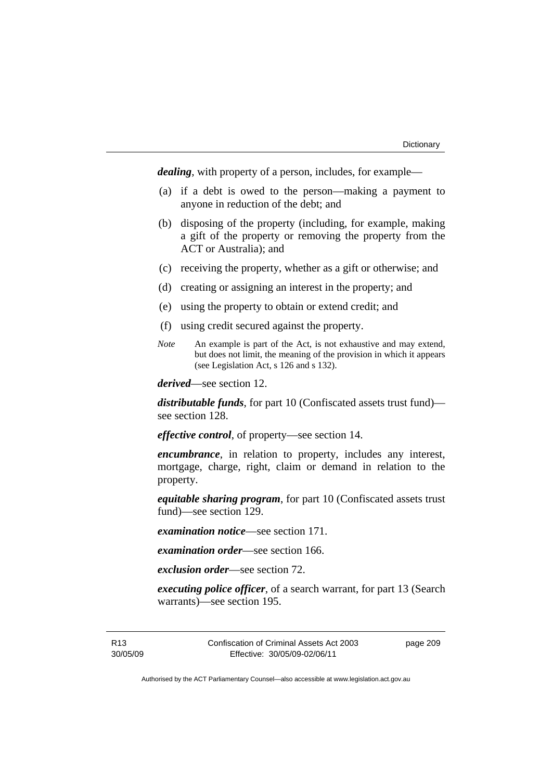*dealing*, with property of a person, includes, for example—

- (a) if a debt is owed to the person—making a payment to anyone in reduction of the debt; and
- (b) disposing of the property (including, for example, making a gift of the property or removing the property from the ACT or Australia); and
- (c) receiving the property, whether as a gift or otherwise; and
- (d) creating or assigning an interest in the property; and
- (e) using the property to obtain or extend credit; and
- (f) using credit secured against the property.
- *Note* An example is part of the Act, is not exhaustive and may extend, but does not limit, the meaning of the provision in which it appears (see Legislation Act, s 126 and s 132).

*derived*—see section 12.

*distributable funds*, for part 10 (Confiscated assets trust fund) see section 128.

*effective control*, of property—see section 14.

*encumbrance*, in relation to property, includes any interest, mortgage, charge, right, claim or demand in relation to the property.

*equitable sharing program*, for part 10 (Confiscated assets trust fund)—see section 129.

*examination notice*—see section 171.

*examination order*—see section 166.

*exclusion order*—see section 72.

*executing police officer*, of a search warrant, for part 13 (Search warrants)—see section 195.

R13 30/05/09 Confiscation of Criminal Assets Act 2003 Effective: 30/05/09-02/06/11

page 209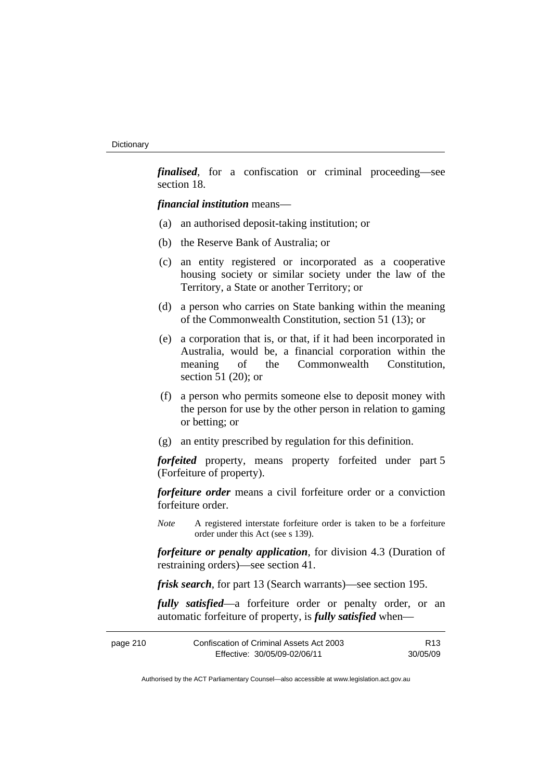*finalised*, for a confiscation or criminal proceeding—see section 18.

*financial institution* means—

- (a) an authorised deposit-taking institution; or
- (b) the Reserve Bank of Australia; or
- (c) an entity registered or incorporated as a cooperative housing society or similar society under the law of the Territory, a State or another Territory; or
- (d) a person who carries on State banking within the meaning of the Commonwealth Constitution, section 51 (13); or
- (e) a corporation that is, or that, if it had been incorporated in Australia, would be, a financial corporation within the meaning of the Commonwealth Constitution, section 51 (20); or
- (f) a person who permits someone else to deposit money with the person for use by the other person in relation to gaming or betting; or
- (g) an entity prescribed by regulation for this definition.

*forfeited* property, means property forfeited under part 5 (Forfeiture of property).

*forfeiture order* means a civil forfeiture order or a conviction forfeiture order.

*Note* A registered interstate forfeiture order is taken to be a forfeiture order under this Act (see s 139).

*forfeiture or penalty application*, for division 4.3 (Duration of restraining orders)—see section 41.

*frisk search*, for part 13 (Search warrants)—see section 195.

*fully satisfied*—a forfeiture order or penalty order, or an automatic forfeiture of property, is *fully satisfied* when—

| page 210 | Confiscation of Criminal Assets Act 2003 | R <sub>13</sub> |
|----------|------------------------------------------|-----------------|
|          | Effective: 30/05/09-02/06/11             | 30/05/09        |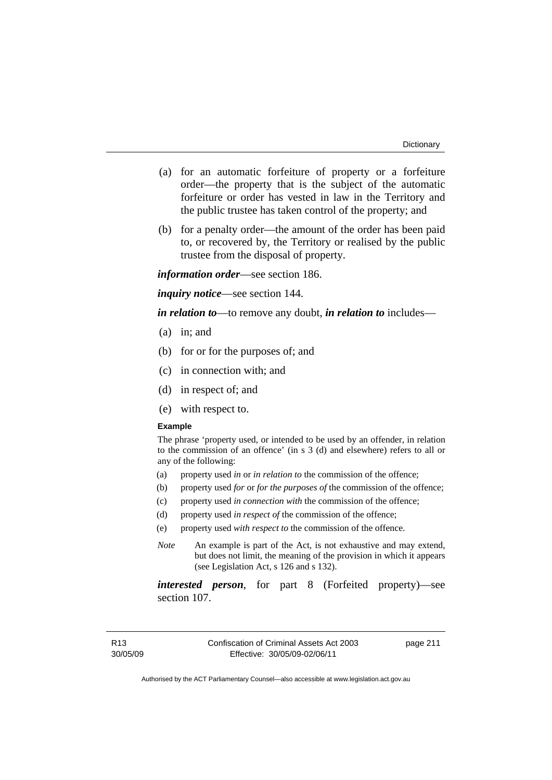- (a) for an automatic forfeiture of property or a forfeiture order—the property that is the subject of the automatic forfeiture or order has vested in law in the Territory and the public trustee has taken control of the property; and
- (b) for a penalty order—the amount of the order has been paid to, or recovered by, the Territory or realised by the public trustee from the disposal of property.

*information order*—see section 186.

*inquiry notice*—see section 144.

*in relation to*—to remove any doubt, *in relation to* includes—

- (a) in; and
- (b) for or for the purposes of; and
- (c) in connection with; and
- (d) in respect of; and
- (e) with respect to.

### **Example**

The phrase 'property used, or intended to be used by an offender, in relation to the commission of an offence' (in s 3 (d) and elsewhere) refers to all or any of the following:

- (a) property used *in* or *in relation to* the commission of the offence;
- (b) property used *for* or *for the purposes of* the commission of the offence;
- (c) property used *in connection with* the commission of the offence;
- (d) property used *in respect of* the commission of the offence;
- (e) property used *with respect to* the commission of the offence.
- *Note* An example is part of the Act, is not exhaustive and may extend, but does not limit, the meaning of the provision in which it appears (see Legislation Act, s 126 and s 132).

*interested person*, for part 8 (Forfeited property)—see section 107.

page 211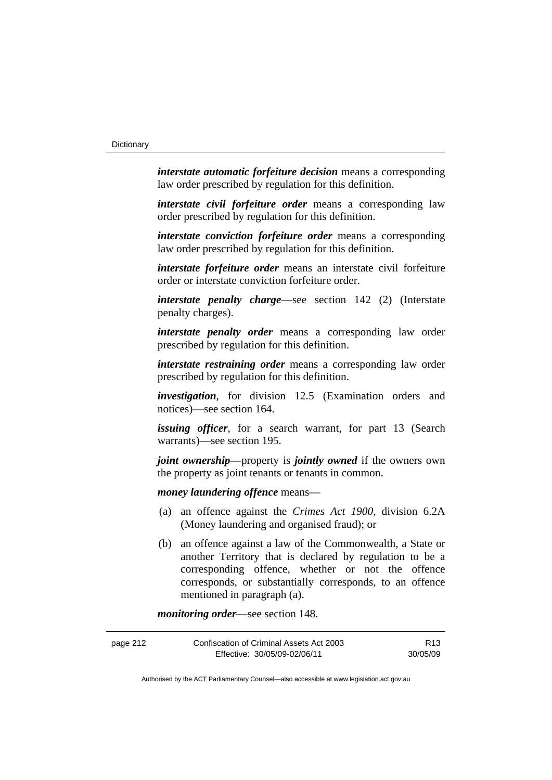*interstate automatic forfeiture decision* means a corresponding law order prescribed by regulation for this definition.

*interstate civil forfeiture order* means a corresponding law order prescribed by regulation for this definition.

*interstate conviction forfeiture order* means a corresponding law order prescribed by regulation for this definition.

*interstate forfeiture order* means an interstate civil forfeiture order or interstate conviction forfeiture order.

*interstate penalty charge*—see section 142 (2) (Interstate penalty charges).

*interstate penalty order* means a corresponding law order prescribed by regulation for this definition.

*interstate restraining order* means a corresponding law order prescribed by regulation for this definition.

*investigation*, for division 12.5 (Examination orders and notices)—see section 164.

*issuing officer*, for a search warrant, for part 13 (Search warrants)—see section 195.

*joint ownership*—property is *jointly owned* if the owners own the property as joint tenants or tenants in common.

*money laundering offence* means—

- (a) an offence against the *Crimes Act 1900*, division 6.2A (Money laundering and organised fraud); or
- (b) an offence against a law of the Commonwealth, a State or another Territory that is declared by regulation to be a corresponding offence, whether or not the offence corresponds, or substantially corresponds, to an offence mentioned in paragraph (a).

*monitoring order*—see section 148.

| page 212 | Confiscation of Criminal Assets Act 2003 | R13      |
|----------|------------------------------------------|----------|
|          | Effective: 30/05/09-02/06/11             | 30/05/09 |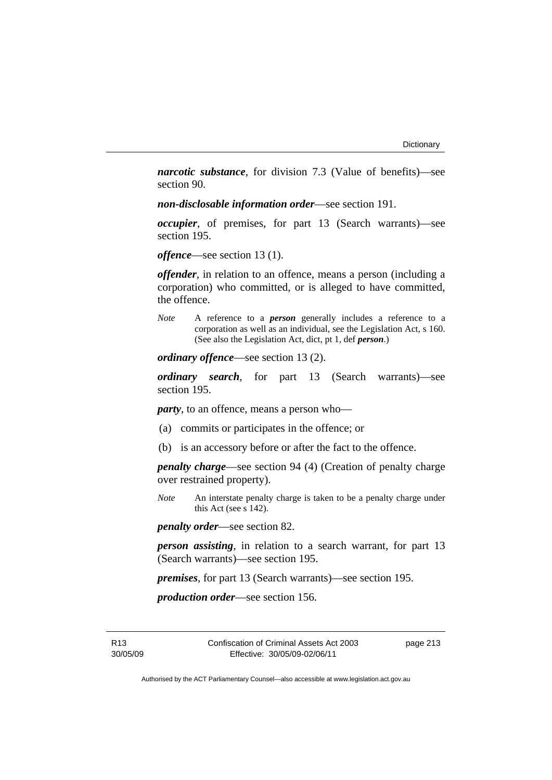*narcotic substance*, for division 7.3 (Value of benefits)—see section 90.

*non-disclosable information order*—see section 191.

*occupier*, of premises, for part 13 (Search warrants)—see section 195.

*offence*—see section 13 (1).

*offender*, in relation to an offence, means a person (including a corporation) who committed, or is alleged to have committed, the offence.

*Note* A reference to a *person* generally includes a reference to a corporation as well as an individual, see the Legislation Act, s 160. (See also the Legislation Act, dict, pt 1, def *person*.)

*ordinary offence*—see section 13 (2).

*ordinary search*, for part 13 (Search warrants)—see section 195.

*party*, to an offence, means a person who—

- (a) commits or participates in the offence; or
- (b) is an accessory before or after the fact to the offence.

*penalty charge*—see section 94 (4) (Creation of penalty charge over restrained property).

*Note* An interstate penalty charge is taken to be a penalty charge under this Act (see s 142).

*penalty order*—see section 82.

*person assisting*, in relation to a search warrant, for part 13 (Search warrants)—see section 195.

*premises*, for part 13 (Search warrants)—see section 195.

*production order*—see section 156.

R13 30/05/09 page 213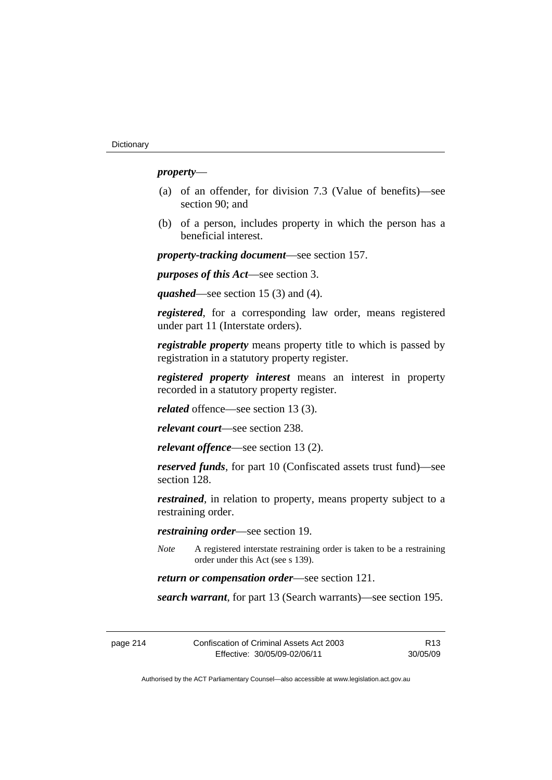# *property*—

- (a) of an offender, for division 7.3 (Value of benefits)—see section 90; and
- (b) of a person, includes property in which the person has a beneficial interest.

*property-tracking document*—see section 157.

*purposes of this Act*—see section 3.

*quashed*—see section 15 (3) and (4).

*registered*, for a corresponding law order, means registered under part 11 (Interstate orders).

*registrable property* means property title to which is passed by registration in a statutory property register.

*registered property interest* means an interest in property recorded in a statutory property register.

*related* offence—see section 13 (3).

*relevant court*—see section 238.

*relevant offence*—see section 13 (2).

*reserved funds*, for part 10 (Confiscated assets trust fund)—see section 128.

*restrained*, in relation to property, means property subject to a restraining order.

*restraining order*—see section 19.

*Note* A registered interstate restraining order is taken to be a restraining order under this Act (see s 139).

*return or compensation order*—see section 121.

*search warrant*, for part 13 (Search warrants)—see section 195.

| page 214 | Confiscation of Criminal Assets Act 2003 | R <sub>13</sub> |
|----------|------------------------------------------|-----------------|
|          | Effective: 30/05/09-02/06/11             | 30/05/09        |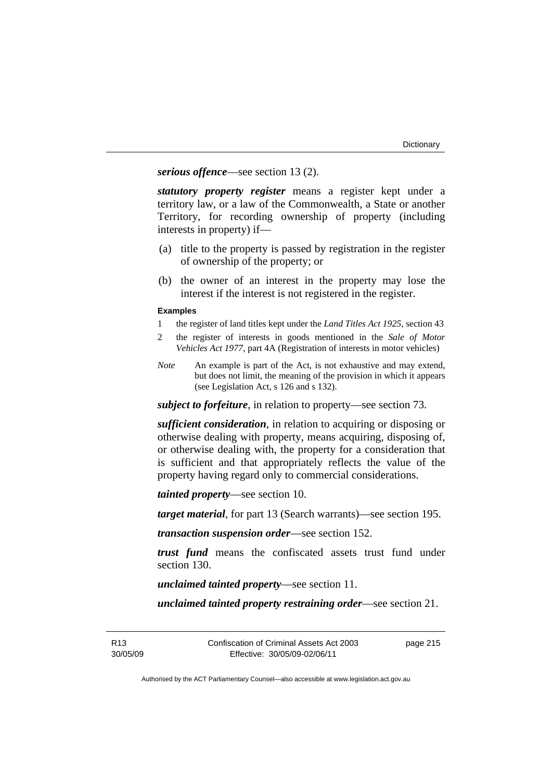*serious offence*—see section 13 (2).

*statutory property register* means a register kept under a territory law, or a law of the Commonwealth, a State or another Territory, for recording ownership of property (including interests in property) if—

- (a) title to the property is passed by registration in the register of ownership of the property; or
- (b) the owner of an interest in the property may lose the interest if the interest is not registered in the register.

#### **Examples**

- 1 the register of land titles kept under the *Land Titles Act 1925*, section 43
- 2 the register of interests in goods mentioned in the *Sale of Motor Vehicles Act 1977*, part 4A (Registration of interests in motor vehicles)
- *Note* An example is part of the Act, is not exhaustive and may extend, but does not limit, the meaning of the provision in which it appears (see Legislation Act, s 126 and s 132).

*subject to forfeiture*, in relation to property—see section 73.

*sufficient consideration*, in relation to acquiring or disposing or otherwise dealing with property, means acquiring, disposing of, or otherwise dealing with, the property for a consideration that is sufficient and that appropriately reflects the value of the property having regard only to commercial considerations.

*tainted property*—see section 10.

*target material*, for part 13 (Search warrants)—see section 195.

*transaction suspension order*—see section 152.

*trust fund* means the confiscated assets trust fund under section 130.

*unclaimed tainted property*—see section 11.

*unclaimed tainted property restraining order*—see section 21.

R13 30/05/09 page 215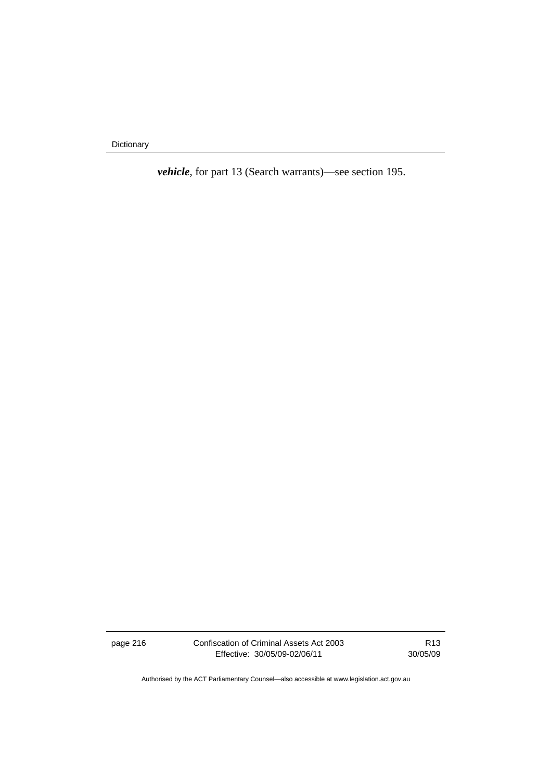Dictionary

*vehicle*, for part 13 (Search warrants)—see section 195.

page 216 Confiscation of Criminal Assets Act 2003 Effective: 30/05/09-02/06/11

R13 30/05/09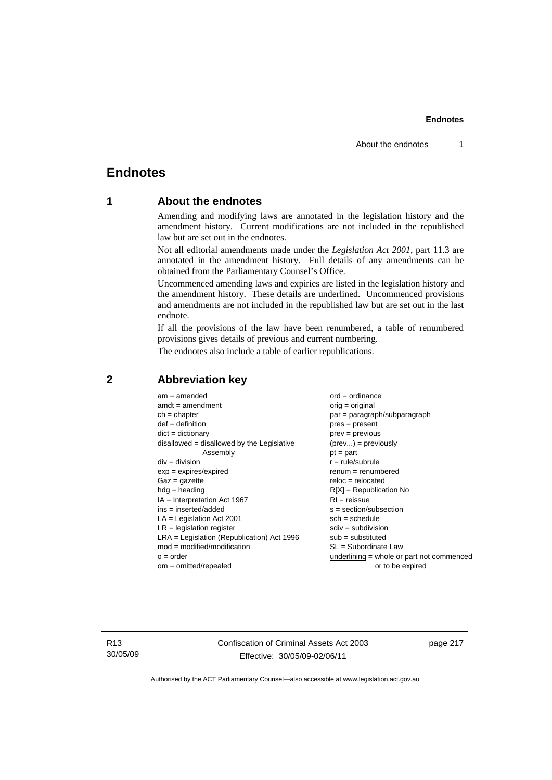# **Endnotes**

# **1 About the endnotes**

Amending and modifying laws are annotated in the legislation history and the amendment history. Current modifications are not included in the republished law but are set out in the endnotes.

Not all editorial amendments made under the *Legislation Act 2001*, part 11.3 are annotated in the amendment history. Full details of any amendments can be obtained from the Parliamentary Counsel's Office.

Uncommenced amending laws and expiries are listed in the legislation history and the amendment history. These details are underlined. Uncommenced provisions and amendments are not included in the republished law but are set out in the last endnote.

If all the provisions of the law have been renumbered, a table of renumbered provisions gives details of previous and current numbering.

The endnotes also include a table of earlier republications.

| $am = amended$                               | $ord = ordinance$                         |
|----------------------------------------------|-------------------------------------------|
| $amdt = amendment$                           | $orig = original$                         |
| $ch = chapter$                               | $par = paragraph/subparagraph$            |
| $def = definition$                           | $pres = present$                          |
| $dict = dictionary$                          | $prev = previous$                         |
| $disallowed = disallowed by the Legislative$ | $(\text{prev}) = \text{previously}$       |
| Assembly                                     | $pt = part$                               |
| $div = division$                             | $r = rule/subrule$                        |
| $exp = expires/expired$                      | $remum = renumbered$                      |
| $Gaz = gazette$                              | $reloc = relocated$                       |
| $hdg =$ heading                              | $R[X]$ = Republication No                 |
| $IA = Interpretation Act 1967$               | $RI = reissue$                            |
| $ins = inserted/added$                       | $s = section/subsection$                  |
| $LA =$ Legislation Act 2001                  | $sch = schedule$                          |
| $LR =$ legislation register                  | $sdiv = subdivision$                      |
| $LRA =$ Legislation (Republication) Act 1996 | $sub =$ substituted                       |
| $mod = modified/modification$                | SL = Subordinate Law                      |
| $o = order$                                  | underlining = whole or part not commenced |
| $om = omitted/repealed$                      | or to be expired                          |
|                                              |                                           |

# **2 Abbreviation key**

R13 30/05/09 Confiscation of Criminal Assets Act 2003 Effective: 30/05/09-02/06/11

page 217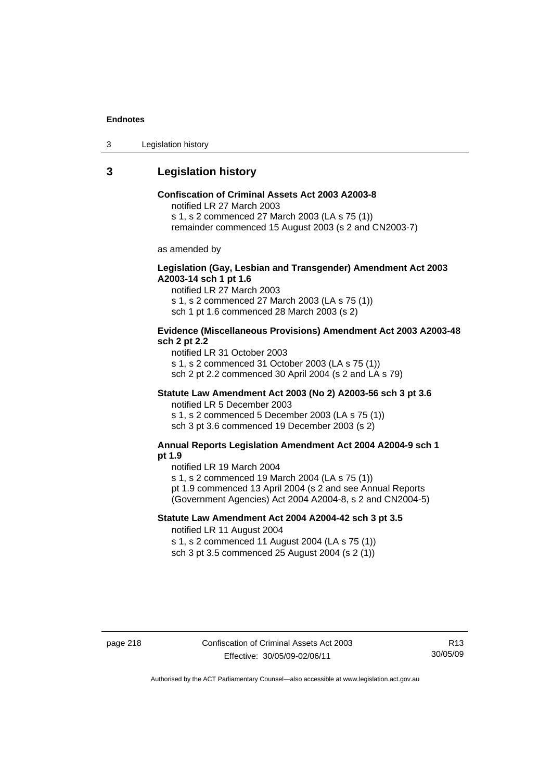3 Legislation history

# **3 Legislation history**

# **Confiscation of Criminal Assets Act 2003 A2003-8**

notified LR 27 March 2003

s 1, s 2 commenced 27 March 2003 (LA s 75 (1))

remainder commenced 15 August 2003 (s 2 and CN2003-7)

as amended by

## **Legislation (Gay, Lesbian and Transgender) Amendment Act 2003 A2003-14 sch 1 pt 1.6**

notified LR 27 March 2003 s 1, s 2 commenced 27 March 2003 (LA s 75 (1)) sch 1 pt 1.6 commenced 28 March 2003 (s 2)

## **Evidence (Miscellaneous Provisions) Amendment Act 2003 A2003-48 sch 2 pt 2.2**

notified LR 31 October 2003 s 1, s 2 commenced 31 October 2003 (LA s 75 (1)) sch 2 pt 2.2 commenced 30 April 2004 (s 2 and LA s 79)

# **Statute Law Amendment Act 2003 (No 2) A2003-56 sch 3 pt 3.6**

notified LR 5 December 2003 s 1, s 2 commenced 5 December 2003 (LA s 75 (1)) sch 3 pt 3.6 commenced 19 December 2003 (s 2)

## **Annual Reports Legislation Amendment Act 2004 A2004-9 sch 1 pt 1.9**

notified LR 19 March 2004

s 1, s 2 commenced 19 March 2004 (LA s 75 (1))

pt 1.9 commenced 13 April 2004 (s 2 and see Annual Reports (Government Agencies) Act 2004 A2004-8, s 2 and CN2004-5)

# **Statute Law Amendment Act 2004 A2004-42 sch 3 pt 3.5**  notified LR 11 August 2004

s 1, s 2 commenced 11 August 2004 (LA s 75 (1)) sch 3 pt 3.5 commenced 25 August 2004 (s 2 (1))

page 218 Confiscation of Criminal Assets Act 2003 Effective: 30/05/09-02/06/11

R13 30/05/09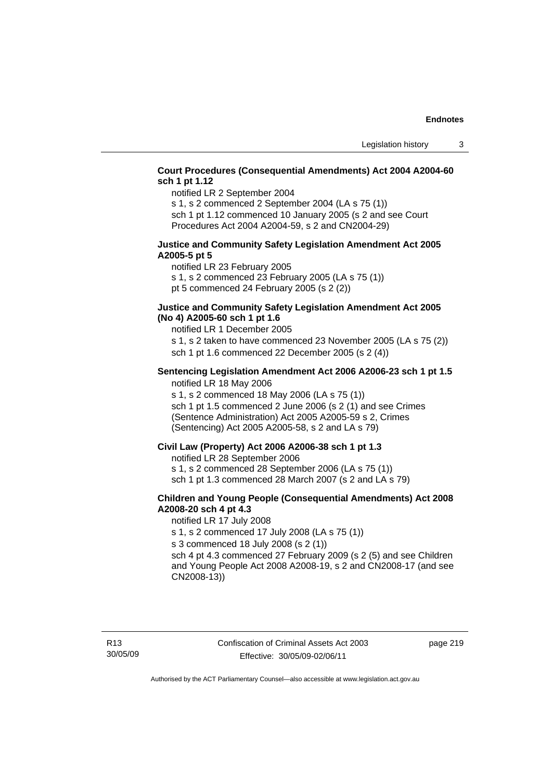# **Court Procedures (Consequential Amendments) Act 2004 A2004-60 sch 1 pt 1.12**

notified LR 2 September 2004

s 1, s 2 commenced 2 September 2004 (LA s 75 (1)) sch 1 pt 1.12 commenced 10 January 2005 (s 2 and see Court Procedures Act 2004 A2004-59, s 2 and CN2004-29)

## **Justice and Community Safety Legislation Amendment Act 2005 A2005-5 pt 5**

notified LR 23 February 2005 s 1, s 2 commenced 23 February 2005 (LA s 75 (1)) pt 5 commenced 24 February 2005 (s 2 (2))

## **Justice and Community Safety Legislation Amendment Act 2005 (No 4) A2005-60 sch 1 pt 1.6**

notified LR 1 December 2005

s 1, s 2 taken to have commenced 23 November 2005 (LA s 75 (2)) sch 1 pt 1.6 commenced 22 December 2005 (s 2 (4))

## **Sentencing Legislation Amendment Act 2006 A2006-23 sch 1 pt 1.5**  notified LR 18 May 2006

s 1, s 2 commenced 18 May 2006 (LA s 75 (1)) sch 1 pt 1.5 commenced 2 June 2006 (s 2 (1) and see Crimes (Sentence Administration) Act 2005 A2005-59 s 2, Crimes (Sentencing) Act 2005 A2005-58, s 2 and LA s 79)

## **Civil Law (Property) Act 2006 A2006-38 sch 1 pt 1.3**

notified LR 28 September 2006

s 1, s 2 commenced 28 September 2006 (LA s 75 (1))

sch 1 pt 1.3 commenced 28 March 2007 (s 2 and LA s 79)

## **Children and Young People (Consequential Amendments) Act 2008 A2008-20 sch 4 pt 4.3**

notified LR 17 July 2008

s 1, s 2 commenced 17 July 2008 (LA s 75 (1))

s 3 commenced 18 July 2008 (s 2 (1))

sch 4 pt 4.3 commenced 27 February 2009 (s 2 (5) and see Children and Young People Act 2008 A2008-19, s 2 and CN2008-17 (and see CN2008-13))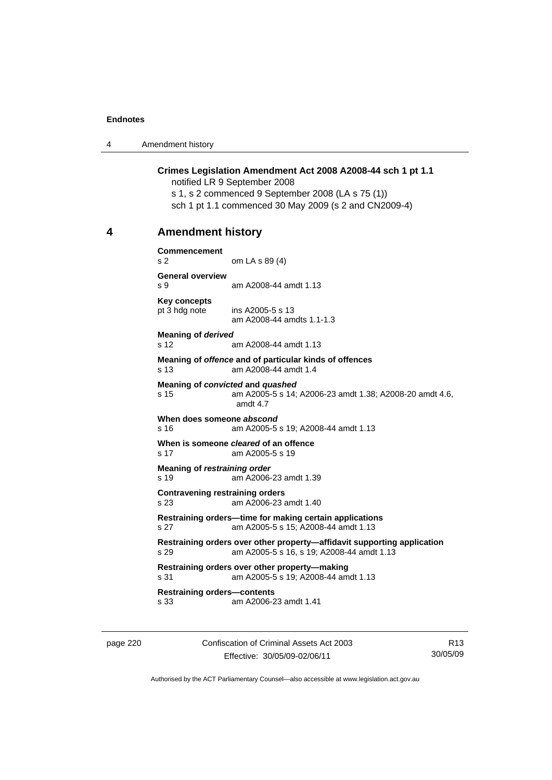4 Amendment history

## **Crimes Legislation Amendment Act 2008 A2008-44 sch 1 pt 1.1**

notified LR 9 September 2008

s 1, s 2 commenced 9 September 2008 (LA s 75 (1))

sch 1 pt 1.1 commenced 30 May 2009 (s 2 and CN2009-4)

# **4 Amendment history**

**Commencement**  s 2 om LA s 89 (4) **General overview**  s 9 am A2008-44 amdt 1.13 **Key concepts**  pt 3 hdg note ins A2005-5 s 13 am A2008-44 amdts 1.1-1.3 **Meaning of** *derived*  s 12 am A2008-44 amdt 1.13 **Meaning of** *offence* **and of particular kinds of offences**  s 13 am A2008-44 amdt 1.4 **Meaning of** *convicted* **and** *quashed* s 15 am A2005-5 s 14; A2006-23 amdt 1.38; A2008-20 amdt 4.6, amdt 4.7 **When does someone** *abscond* s 16 am A2005-5 s 19; A2008-44 amdt 1.13 **When is someone** *cleared* **of an offence**  s 17 am A2005-5 s 19 **Meaning of** *restraining order*  s 19 am A2006-23 amdt 1.39 **Contravening restraining orders**  s 23 am A2006-23 amdt 1.40 **Restraining orders—time for making certain applications**  s 27 am A2005-5 s 15; A2008-44 amdt 1.13 **Restraining orders over other property—affidavit supporting application**  s 29 am A2005-5 s 16, s 19; A2008-44 amdt 1.13 **Restraining orders over other property—making**  s 31 am A2005-5 s 19; A2008-44 amdt 1.13 **Restraining orders—contents**  s 33 am A2006-23 amdt 1.41

page 220 Confiscation of Criminal Assets Act 2003 Effective: 30/05/09-02/06/11

R13 30/05/09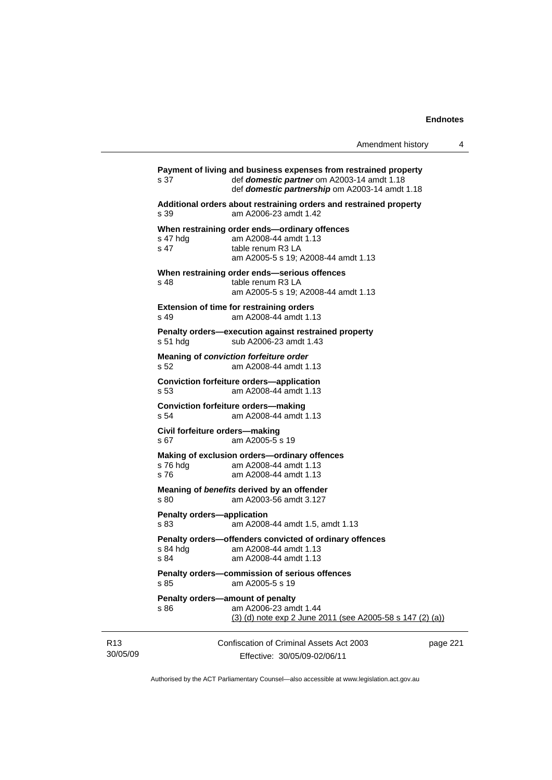|                                           | Amendment history                                                                                                                                                | 4        |
|-------------------------------------------|------------------------------------------------------------------------------------------------------------------------------------------------------------------|----------|
| s 37                                      | Payment of living and business expenses from restrained property<br>def domestic partner om A2003-14 amdt 1.18<br>def domestic partnership om A2003-14 amdt 1.18 |          |
| s 39                                      | Additional orders about restraining orders and restrained property<br>am A2006-23 amdt 1.42                                                                      |          |
| s 47 hdg<br>s <sub>47</sub>               | When restraining order ends-ordinary offences<br>am A2008-44 amdt 1.13<br>table renum R3 LA<br>am A2005-5 s 19; A2008-44 amdt 1.13                               |          |
| s 48                                      | When restraining order ends-serious offences<br>table renum R3 LA<br>am A2005-5 s 19; A2008-44 amdt 1.13                                                         |          |
| s 49                                      | <b>Extension of time for restraining orders</b><br>am A2008-44 amdt 1.13                                                                                         |          |
| s 51 hdg                                  | Penalty orders-execution against restrained property<br>sub A2006-23 amdt 1.43                                                                                   |          |
| s 52                                      | Meaning of conviction forfeiture order<br>am A2008-44 amdt 1.13                                                                                                  |          |
| s 53                                      | <b>Conviction forfeiture orders-application</b><br>am A2008-44 amdt 1.13                                                                                         |          |
| s 54                                      | <b>Conviction forfeiture orders-making</b><br>am A2008-44 amdt 1.13                                                                                              |          |
| Civil forfeiture orders-making<br>s 67    | am A2005-5 s 19                                                                                                                                                  |          |
| s 76 hdg<br>s 76                          | Making of exclusion orders-ordinary offences<br>am A2008-44 amdt 1.13<br>am A2008-44 amdt 1.13                                                                   |          |
| s 80                                      | Meaning of benefits derived by an offender<br>am A2003-56 amdt 3.127                                                                                             |          |
| <b>Penalty orders-application</b><br>s 83 | am A2008-44 amdt 1.5, amdt 1.13                                                                                                                                  |          |
| s 84 hdg<br>s 84                          | Penalty orders-offenders convicted of ordinary offences<br>am A2008-44 amdt 1.13<br>am A2008-44 amdt 1.13                                                        |          |
| s 85                                      | Penalty orders-commission of serious offences<br>am A2005-5 s 19                                                                                                 |          |
| s 86                                      | Penalty orders-amount of penalty<br>am A2006-23 amdt 1.44<br>(3) (d) note exp 2 June 2011 (see A2005-58 s 147 (2) (a))                                           |          |
|                                           | Confiscation of Criminal Assets Act 2003                                                                                                                         | page 221 |

Authorised by the ACT Parliamentary Counsel—also accessible at www.legislation.act.gov.au

Effective: 30/05/09-02/06/11

R13 30/05/09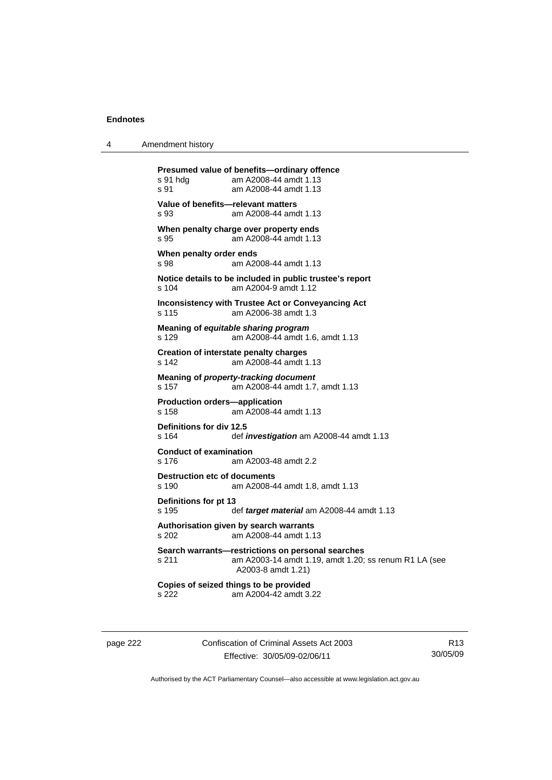4 Amendment history

**Presumed value of benefits—ordinary offence**  s 91 hdg am A2008-44 amdt 1.13 s 91 am A2008-44 amdt 1.13 **Value of benefits—relevant matters**  s 93 am A2008-44 amdt 1.13 **When penalty charge over property ends**  s 95 am A2008-44 amdt 1.13 **When penalty order ends**  s 98 am A2008-44 amdt 1.13 **Notice details to be included in public trustee's report**  s 104 am A2004-9 amdt 1.12 **Inconsistency with Trustee Act or Conveyancing Act**  s 115 am A2006-38 amdt 1.3 **Meaning of** *equitable sharing program*  s 129 am A2008-44 amdt 1.6, amdt 1.13 **Creation of interstate penalty charges**  s 142 am A2008-44 amdt 1.13 **Meaning of** *property-tracking document*  s 157 am A2008-44 amdt 1.7, amdt 1.13 **Production orders—application**  am A2008-44 amdt 1.13 **Definitions for div 12.5**  s 164 def *investigation* am A2008-44 amdt 1.13 **Conduct of examination**  s 176 am A2003-48 amdt 2.2 **Destruction etc of documents** s 190 am A2008-44 amdt 1.8, amdt 1.13 **Definitions for pt 13**  s 195 def *target material* am A2008-44 amdt 1.13 **Authorisation given by search warrants**  s 202 am A2008-44 amdt 1.13 **Search warrants—restrictions on personal searches**  s 211 am A2003-14 amdt 1.19, amdt 1.20; ss renum R1 LA (see A2003-8 amdt 1.21) **Copies of seized things to be provided**  s 222 am A2004-42 amdt 3.22

page 222 Confiscation of Criminal Assets Act 2003 Effective: 30/05/09-02/06/11

R13 30/05/09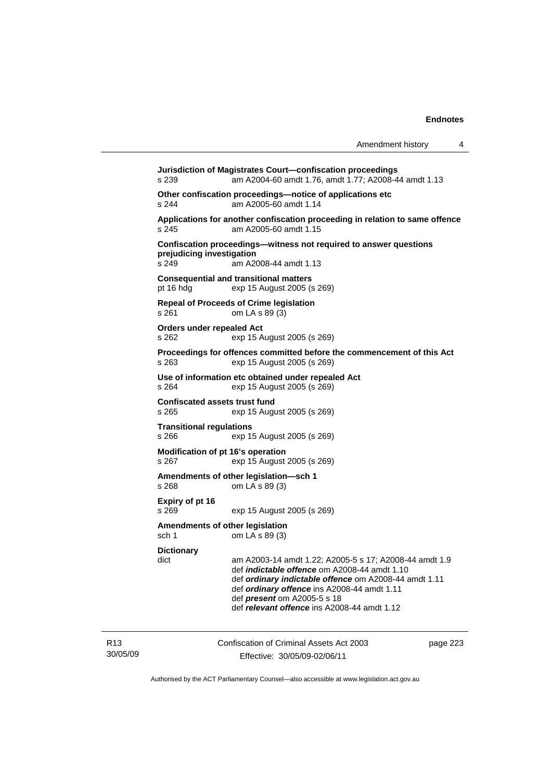| Amendment history |  |  |
|-------------------|--|--|
|-------------------|--|--|

Confiscation of Criminal Assets Act 2003 **Jurisdiction of Magistrates Court—confiscation proceedings**  s 239 am A2004-60 amdt 1.76, amdt 1.77; A2008-44 amdt 1.13 **Other confiscation proceedings—notice of applications etc**  s 244 am A2005-60 amdt 1.14 **Applications for another confiscation proceeding in relation to same offence**  s 245 am A2005-60 amdt 1.15 **Confiscation proceedings—witness not required to answer questions prejudicing investigation**  s 249 am A2008-44 amdt 1.13 **Consequential and transitional matters**  pt 16 hdg exp 15 August 2005 (s 269) **Repeal of Proceeds of Crime legislation**  s 261 om LA s 89 (3) **Orders under repealed Act**  s 262 exp 15 August 2005 (s 269) **Proceedings for offences committed before the commencement of this Act**  s 263 exp 15 August 2005 (s 269) **Use of information etc obtained under repealed Act**  s 264 exp 15 August 2005 (s 269) **Confiscated assets trust fund**  s 265 exp 15 August 2005 (s 269) **Transitional regulations**  s 266 exp 15 August 2005 (s 269) **Modification of pt 16's operation**  s 267 exp 15 August 2005 (s 269) **Amendments of other legislation—sch 1**  s 268 om LA s 89 (3) **Expiry of pt 16**  s 269 exp 15 August 2005 (s 269) **Amendments of other legislation**  sch 1 om LA s 89 (3) **Dictionary**  dict am A2003-14 amdt 1.22; A2005-5 s 17; A2008-44 amdt 1.9 def *indictable offence* om A2008-44 amdt 1.10 def *ordinary indictable offence* om A2008-44 amdt 1.11 def *ordinary offence* ins A2008-44 amdt 1.11 def *present* om A2005-5 s 18 def *relevant offence* ins A2008-44 amdt 1.12

R13 30/05/09

Effective: 30/05/09-02/06/11

page 223